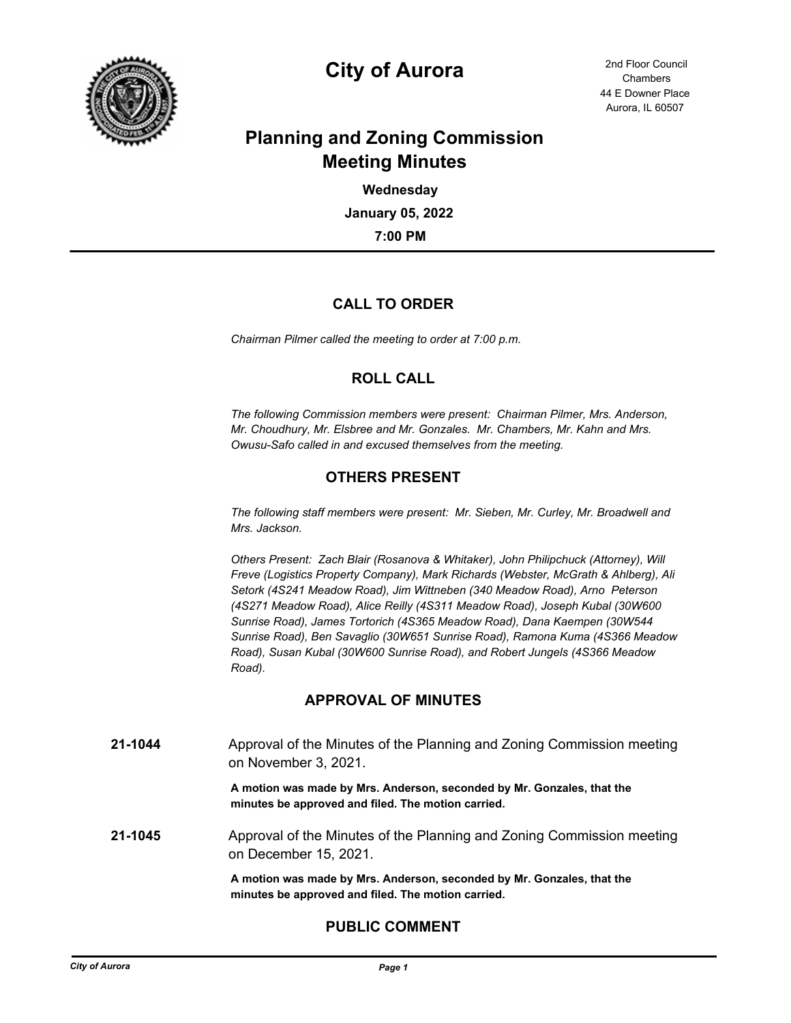

# **City of Aurora** 2nd Floor Council

44 E Downer Place Aurora, IL 60507 **Chambers** 

# **Planning and Zoning Commission Meeting Minutes**

**7:00 PM January 05, 2022 Wednesday**

# **CALL TO ORDER**

*Chairman Pilmer called the meeting to order at 7:00 p.m.*

# **ROLL CALL**

*The following Commission members were present: Chairman Pilmer, Mrs. Anderson, Mr. Choudhury, Mr. Elsbree and Mr. Gonzales. Mr. Chambers, Mr. Kahn and Mrs. Owusu-Safo called in and excused themselves from the meeting.*

# **OTHERS PRESENT**

*The following staff members were present: Mr. Sieben, Mr. Curley, Mr. Broadwell and Mrs. Jackson.*

*Others Present: Zach Blair (Rosanova & Whitaker), John Philipchuck (Attorney), Will Freve (Logistics Property Company), Mark Richards (Webster, McGrath & Ahlberg), Ali Setork (4S241 Meadow Road), Jim Wittneben (340 Meadow Road), Arno Peterson (4S271 Meadow Road), Alice Reilly (4S311 Meadow Road), Joseph Kubal (30W600 Sunrise Road), James Tortorich (4S365 Meadow Road), Dana Kaempen (30W544 Sunrise Road), Ben Savaglio (30W651 Sunrise Road), Ramona Kuma (4S366 Meadow Road), Susan Kubal (30W600 Sunrise Road), and Robert Jungels (4S366 Meadow Road).*

# **APPROVAL OF MINUTES**

**21-1044** Approval of the Minutes of the Planning and Zoning Commission meeting on November 3, 2021.

> **A motion was made by Mrs. Anderson, seconded by Mr. Gonzales, that the minutes be approved and filed. The motion carried.**

**21-1045** Approval of the Minutes of the Planning and Zoning Commission meeting on December 15, 2021.

> **A motion was made by Mrs. Anderson, seconded by Mr. Gonzales, that the minutes be approved and filed. The motion carried.**

# **PUBLIC COMMENT**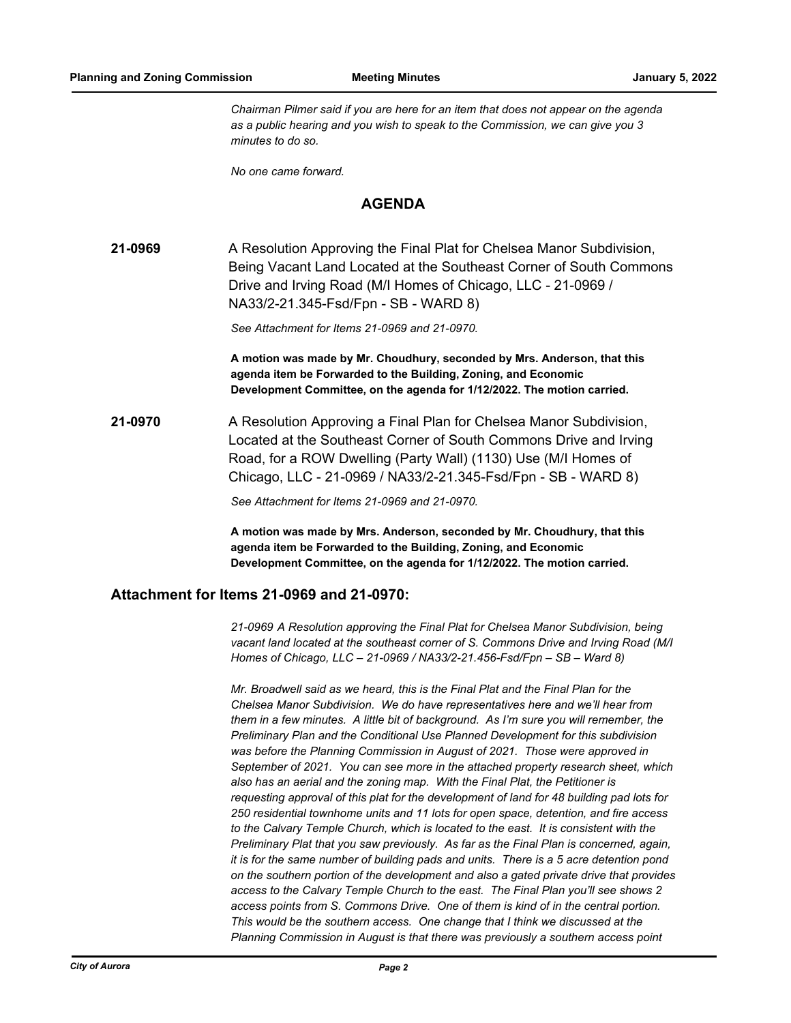*Chairman Pilmer said if you are here for an item that does not appear on the agenda as a public hearing and you wish to speak to the Commission, we can give you 3 minutes to do so.*

*No one came forward.*

#### **AGENDA**

**21-0969** A Resolution Approving the Final Plat for Chelsea Manor Subdivision, Being Vacant Land Located at the Southeast Corner of South Commons Drive and Irving Road (M/I Homes of Chicago, LLC - 21-0969 / NA33/2-21.345-Fsd/Fpn - SB - WARD 8)

*See Attachment for Items 21-0969 and 21-0970.*

**A motion was made by Mr. Choudhury, seconded by Mrs. Anderson, that this agenda item be Forwarded to the Building, Zoning, and Economic Development Committee, on the agenda for 1/12/2022. The motion carried.**

**21-0970** A Resolution Approving a Final Plan for Chelsea Manor Subdivision, Located at the Southeast Corner of South Commons Drive and Irving Road, for a ROW Dwelling (Party Wall) (1130) Use (M/I Homes of Chicago, LLC - 21-0969 / NA33/2-21.345-Fsd/Fpn - SB - WARD 8)

*See Attachment for Items 21-0969 and 21-0970.*

**A motion was made by Mrs. Anderson, seconded by Mr. Choudhury, that this agenda item be Forwarded to the Building, Zoning, and Economic Development Committee, on the agenda for 1/12/2022. The motion carried.**

### **Attachment for Items 21-0969 and 21-0970:**

*21-0969 A Resolution approving the Final Plat for Chelsea Manor Subdivision, being vacant land located at the southeast corner of S. Commons Drive and Irving Road (M/I Homes of Chicago, LLC – 21-0969 / NA33/2-21.456-Fsd/Fpn – SB – Ward 8)*

*Mr. Broadwell said as we heard, this is the Final Plat and the Final Plan for the Chelsea Manor Subdivision. We do have representatives here and we'll hear from them in a few minutes. A little bit of background. As I'm sure you will remember, the Preliminary Plan and the Conditional Use Planned Development for this subdivision was before the Planning Commission in August of 2021. Those were approved in September of 2021. You can see more in the attached property research sheet, which also has an aerial and the zoning map. With the Final Plat, the Petitioner is requesting approval of this plat for the development of land for 48 building pad lots for 250 residential townhome units and 11 lots for open space, detention, and fire access to the Calvary Temple Church, which is located to the east. It is consistent with the Preliminary Plat that you saw previously. As far as the Final Plan is concerned, again, it is for the same number of building pads and units. There is a 5 acre detention pond on the southern portion of the development and also a gated private drive that provides access to the Calvary Temple Church to the east. The Final Plan you'll see shows 2 access points from S. Commons Drive. One of them is kind of in the central portion. This would be the southern access. One change that I think we discussed at the Planning Commission in August is that there was previously a southern access point*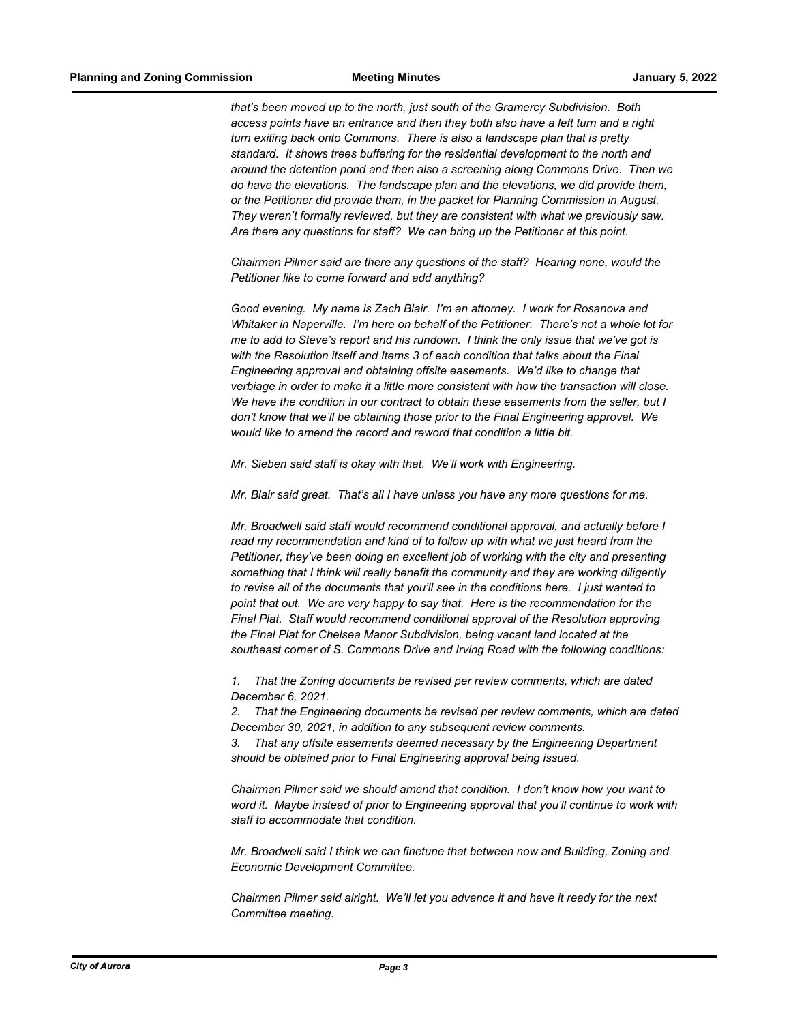*that's been moved up to the north, just south of the Gramercy Subdivision. Both access points have an entrance and then they both also have a left turn and a right turn exiting back onto Commons. There is also a landscape plan that is pretty standard. It shows trees buffering for the residential development to the north and around the detention pond and then also a screening along Commons Drive. Then we do have the elevations. The landscape plan and the elevations, we did provide them, or the Petitioner did provide them, in the packet for Planning Commission in August. They weren't formally reviewed, but they are consistent with what we previously saw. Are there any questions for staff? We can bring up the Petitioner at this point.*

*Chairman Pilmer said are there any questions of the staff? Hearing none, would the Petitioner like to come forward and add anything?*

*Good evening. My name is Zach Blair. I'm an attorney. I work for Rosanova and Whitaker in Naperville. I'm here on behalf of the Petitioner. There's not a whole lot for me to add to Steve's report and his rundown. I think the only issue that we've got is with the Resolution itself and Items 3 of each condition that talks about the Final Engineering approval and obtaining offsite easements. We'd like to change that verbiage in order to make it a little more consistent with how the transaction will close. We have the condition in our contract to obtain these easements from the seller, but I don't know that we'll be obtaining those prior to the Final Engineering approval. We would like to amend the record and reword that condition a little bit.*

*Mr. Sieben said staff is okay with that. We'll work with Engineering.*

*Mr. Blair said great. That's all I have unless you have any more questions for me.*

*Mr. Broadwell said staff would recommend conditional approval, and actually before I read my recommendation and kind of to follow up with what we just heard from the Petitioner, they've been doing an excellent job of working with the city and presenting something that I think will really benefit the community and they are working diligently to revise all of the documents that you'll see in the conditions here. I just wanted to point that out. We are very happy to say that. Here is the recommendation for the Final Plat. Staff would recommend conditional approval of the Resolution approving the Final Plat for Chelsea Manor Subdivision, being vacant land located at the southeast corner of S. Commons Drive and Irving Road with the following conditions:*

*1. That the Zoning documents be revised per review comments, which are dated December 6, 2021.*

*2. That the Engineering documents be revised per review comments, which are dated December 30, 2021, in addition to any subsequent review comments.*

*3. That any offsite easements deemed necessary by the Engineering Department should be obtained prior to Final Engineering approval being issued.* 

*Chairman Pilmer said we should amend that condition. I don't know how you want to word it. Maybe instead of prior to Engineering approval that you'll continue to work with staff to accommodate that condition.*

*Mr. Broadwell said I think we can finetune that between now and Building, Zoning and Economic Development Committee.*

*Chairman Pilmer said alright. We'll let you advance it and have it ready for the next Committee meeting.*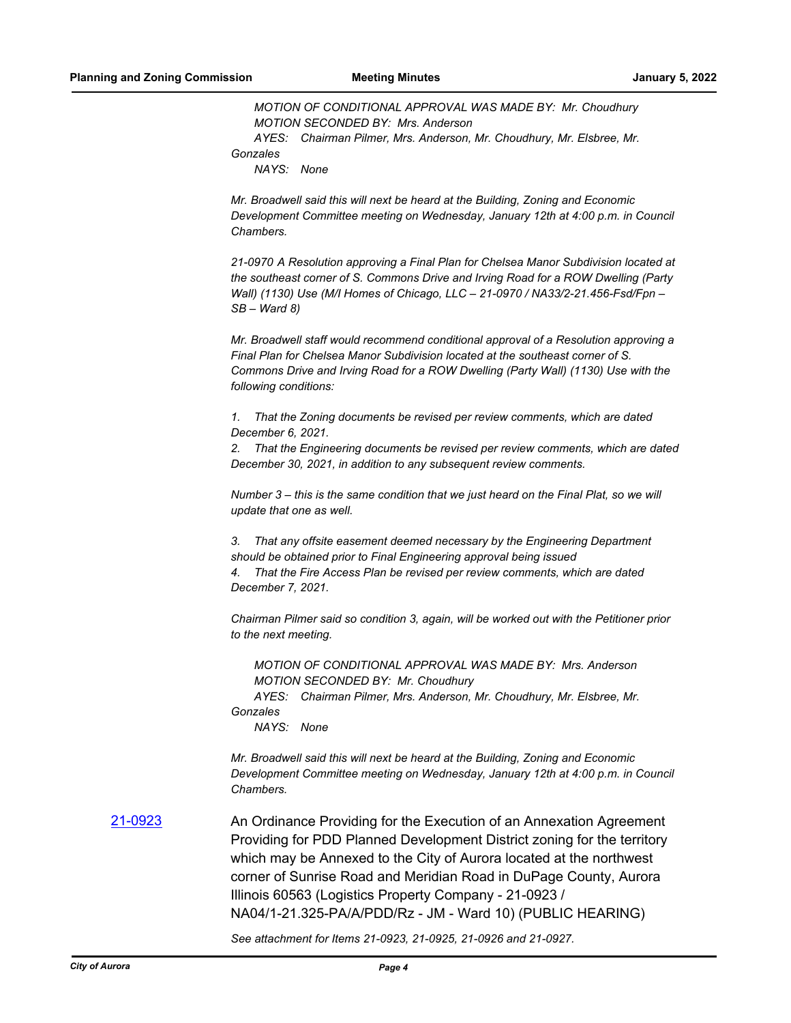*MOTION OF CONDITIONAL APPROVAL WAS MADE BY: Mr. Choudhury MOTION SECONDED BY: Mrs. Anderson*

*AYES: Chairman Pilmer, Mrs. Anderson, Mr. Choudhury, Mr. Elsbree, Mr. Gonzales*

*NAYS: None*

*Mr. Broadwell said this will next be heard at the Building, Zoning and Economic Development Committee meeting on Wednesday, January 12th at 4:00 p.m. in Council Chambers.*

*21-0970 A Resolution approving a Final Plan for Chelsea Manor Subdivision located at the southeast corner of S. Commons Drive and Irving Road for a ROW Dwelling (Party Wall) (1130) Use (M/I Homes of Chicago, LLC – 21-0970 / NA33/2-21.456-Fsd/Fpn – SB – Ward 8)*

*Mr. Broadwell staff would recommend conditional approval of a Resolution approving a Final Plan for Chelsea Manor Subdivision located at the southeast corner of S. Commons Drive and Irving Road for a ROW Dwelling (Party Wall) (1130) Use with the following conditions:*

*1. That the Zoning documents be revised per review comments, which are dated December 6, 2021.*

*2. That the Engineering documents be revised per review comments, which are dated December 30, 2021, in addition to any subsequent review comments.*

*Number 3 – this is the same condition that we just heard on the Final Plat, so we will update that one as well.*

*3. That any offsite easement deemed necessary by the Engineering Department should be obtained prior to Final Engineering approval being issued 4. That the Fire Access Plan be revised per review comments, which are dated December 7, 2021.*

*Chairman Pilmer said so condition 3, again, will be worked out with the Petitioner prior to the next meeting.*

*MOTION OF CONDITIONAL APPROVAL WAS MADE BY: Mrs. Anderson MOTION SECONDED BY: Mr. Choudhury*

*AYES: Chairman Pilmer, Mrs. Anderson, Mr. Choudhury, Mr. Elsbree, Mr. Gonzales*

*NAYS: None*

*Mr. Broadwell said this will next be heard at the Building, Zoning and Economic Development Committee meeting on Wednesday, January 12th at 4:00 p.m. in Council Chambers.*

[21-0923](http://aurora-il.legistar.com/gateway.aspx?m=l&id=/matter.aspx?key=10940) An Ordinance Providing for the Execution of an Annexation Agreement Providing for PDD Planned Development District zoning for the territory which may be Annexed to the City of Aurora located at the northwest corner of Sunrise Road and Meridian Road in DuPage County, Aurora Illinois 60563 (Logistics Property Company - 21-0923 / NA04/1-21.325-PA/A/PDD/Rz - JM - Ward 10) (PUBLIC HEARING)

*See attachment for Items 21-0923, 21-0925, 21-0926 and 21-0927.*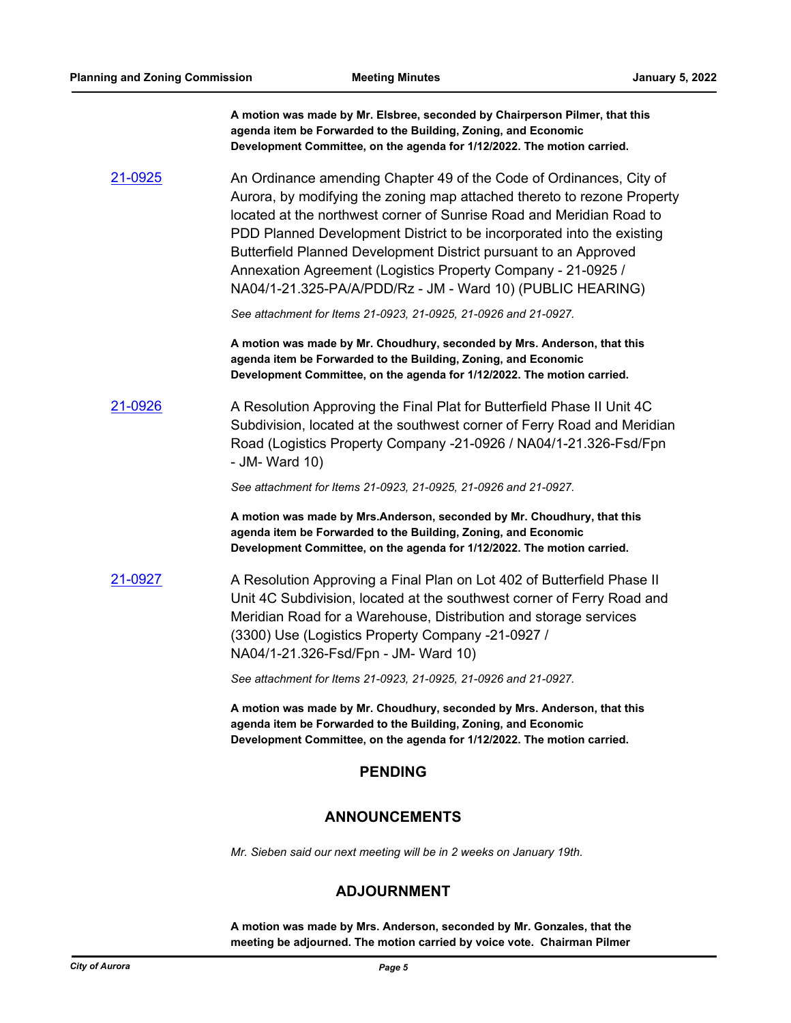**A motion was made by Mr. Elsbree, seconded by Chairperson Pilmer, that this agenda item be Forwarded to the Building, Zoning, and Economic Development Committee, on the agenda for 1/12/2022. The motion carried.**

[21-0925](http://aurora-il.legistar.com/gateway.aspx?m=l&id=/matter.aspx?key=10942) An Ordinance amending Chapter 49 of the Code of Ordinances, City of Aurora, by modifying the zoning map attached thereto to rezone Property located at the northwest corner of Sunrise Road and Meridian Road to PDD Planned Development District to be incorporated into the existing Butterfield Planned Development District pursuant to an Approved Annexation Agreement (Logistics Property Company - 21-0925 / NA04/1-21.325-PA/A/PDD/Rz - JM - Ward 10) (PUBLIC HEARING)

*See attachment for Items 21-0923, 21-0925, 21-0926 and 21-0927.*

**A motion was made by Mr. Choudhury, seconded by Mrs. Anderson, that this agenda item be Forwarded to the Building, Zoning, and Economic Development Committee, on the agenda for 1/12/2022. The motion carried.**

# [21-0926](http://aurora-il.legistar.com/gateway.aspx?m=l&id=/matter.aspx?key=10943) A Resolution Approving the Final Plat for Butterfield Phase II Unit 4C Subdivision, located at the southwest corner of Ferry Road and Meridian Road (Logistics Property Company -21-0926 / NA04/1-21.326-Fsd/Fpn - JM- Ward 10)

*See attachment for Items 21-0923, 21-0925, 21-0926 and 21-0927.*

**A motion was made by Mrs.Anderson, seconded by Mr. Choudhury, that this agenda item be Forwarded to the Building, Zoning, and Economic Development Committee, on the agenda for 1/12/2022. The motion carried.**

[21-0927](http://aurora-il.legistar.com/gateway.aspx?m=l&id=/matter.aspx?key=10944) A Resolution Approving a Final Plan on Lot 402 of Butterfield Phase II Unit 4C Subdivision, located at the southwest corner of Ferry Road and Meridian Road for a Warehouse, Distribution and storage services (3300) Use (Logistics Property Company -21-0927 / NA04/1-21.326-Fsd/Fpn - JM- Ward 10)

*See attachment for Items 21-0923, 21-0925, 21-0926 and 21-0927.*

**A motion was made by Mr. Choudhury, seconded by Mrs. Anderson, that this agenda item be Forwarded to the Building, Zoning, and Economic Development Committee, on the agenda for 1/12/2022. The motion carried.**

# **PENDING**

# **ANNOUNCEMENTS**

*Mr. Sieben said our next meeting will be in 2 weeks on January 19th.*

# **ADJOURNMENT**

**A motion was made by Mrs. Anderson, seconded by Mr. Gonzales, that the meeting be adjourned. The motion carried by voice vote. Chairman Pilmer**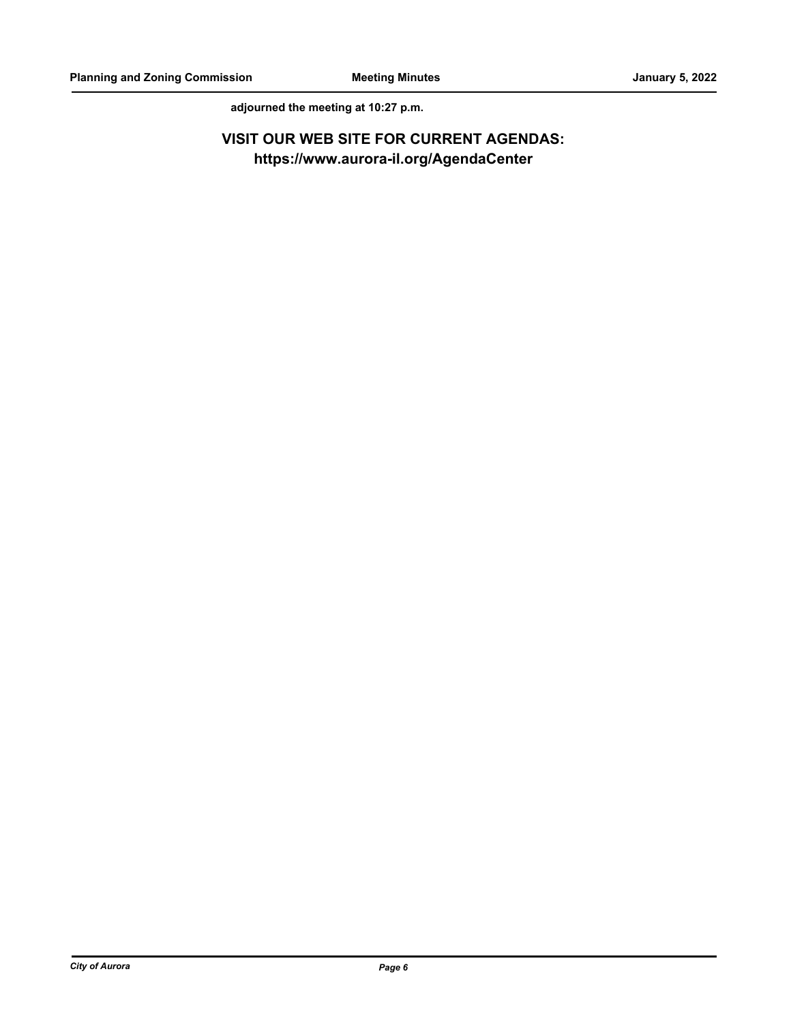**adjourned the meeting at 10:27 p.m.**

# **VISIT OUR WEB SITE FOR CURRENT AGENDAS: https://www.aurora-il.org/AgendaCenter**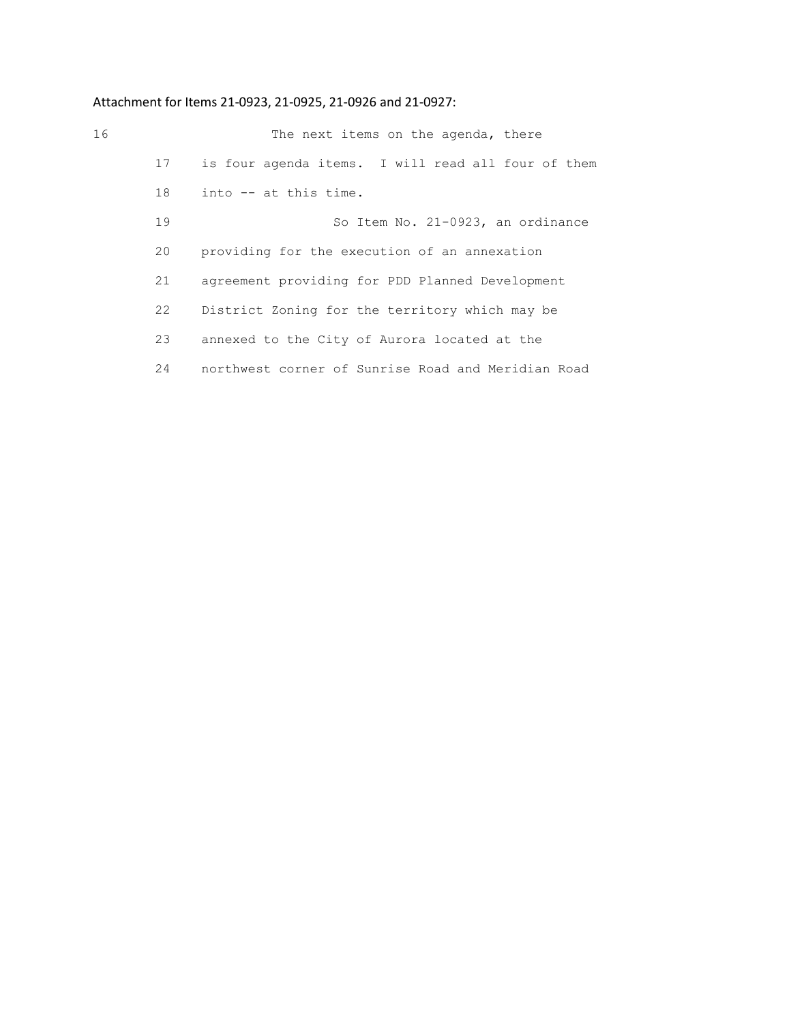# Attachment for Items 21-0923, 21-0925, 21-0926 and 21-0927:

| 16 |    | The next items on the agenda, there                |
|----|----|----------------------------------------------------|
|    | 17 | is four agenda items. I will read all four of them |
|    | 18 | into -- at this time.                              |
|    | 19 | So Item No. 21-0923, an ordinance                  |
|    | 20 | providing for the execution of an annexation       |
|    | 21 | agreement providing for PDD Planned Development    |
|    | 22 | District Zoning for the territory which may be     |
|    | 23 | annexed to the City of Aurora located at the       |
|    | 24 | northwest corner of Sunrise Road and Meridian Road |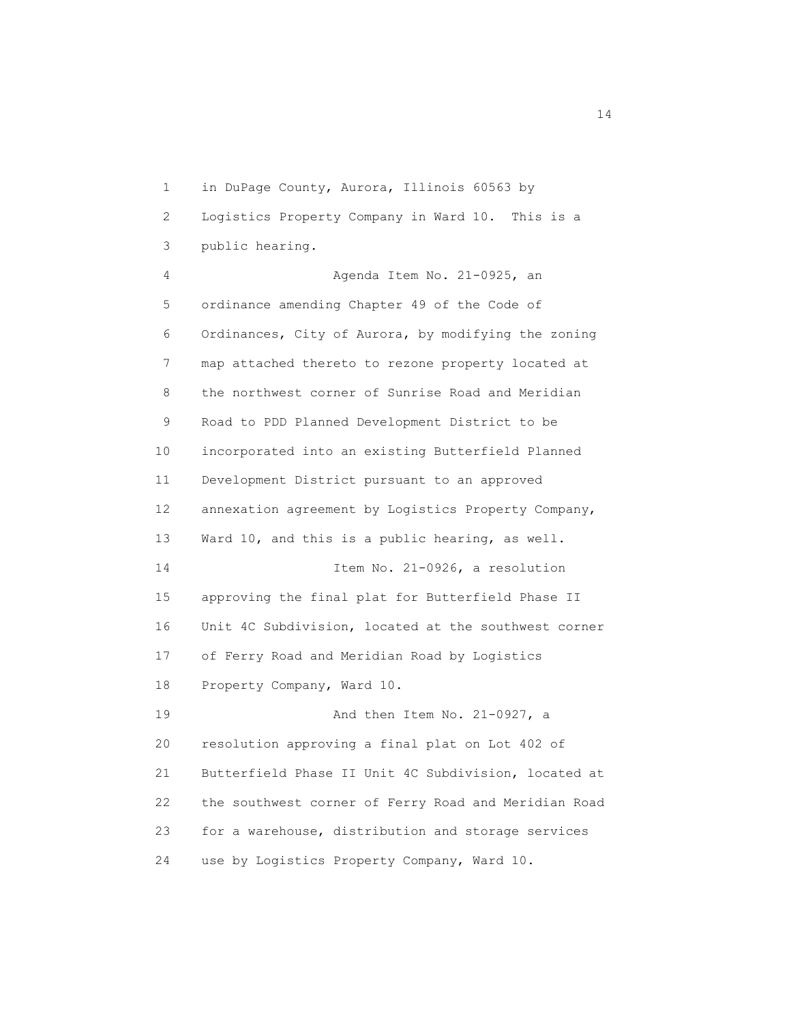1 in DuPage County, Aurora, Illinois 60563 by 2 Logistics Property Company in Ward 10. This is a 3 public hearing. 4 Agenda Item No. 21-0925, an 5 ordinance amending Chapter 49 of the Code of 6 Ordinances, City of Aurora, by modifying the zoning 7 map attached thereto to rezone property located at 8 the northwest corner of Sunrise Road and Meridian 9 Road to PDD Planned Development District to be 10 incorporated into an existing Butterfield Planned 11 Development District pursuant to an approved 12 annexation agreement by Logistics Property Company, 13 Ward 10, and this is a public hearing, as well. 14 **Item No. 21-0926, a resolution**  15 approving the final plat for Butterfield Phase II 16 Unit 4C Subdivision, located at the southwest corner 17 of Ferry Road and Meridian Road by Logistics 18 Property Company, Ward 10. 19 And then Item No. 21-0927, a 20 resolution approving a final plat on Lot 402 of 21 Butterfield Phase II Unit 4C Subdivision, located at 22 the southwest corner of Ferry Road and Meridian Road 23 for a warehouse, distribution and storage services 24 use by Logistics Property Company, Ward 10.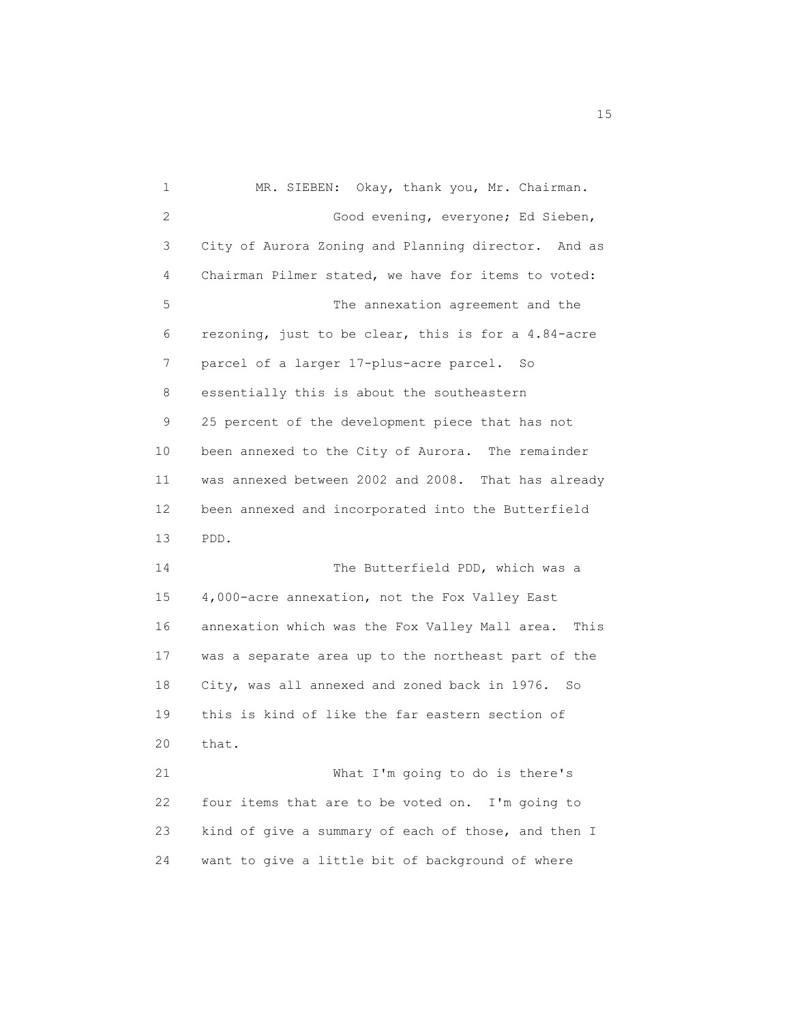1 MR. SIEBEN: Okay, thank you, Mr. Chairman. 2 Good evening, everyone; Ed Sieben, 3 City of Aurora Zoning and Planning director. And as 4 Chairman Pilmer stated, we have for items to voted: 5 The annexation agreement and the 6 rezoning, just to be clear, this is for a 4.84-acre 7 parcel of a larger 17-plus-acre parcel. So 8 essentially this is about the southeastern 9 25 percent of the development piece that has not 10 been annexed to the City of Aurora. The remainder 11 was annexed between 2002 and 2008. That has already 12 been annexed and incorporated into the Butterfield 13 PDD. 14 The Butterfield PDD, which was a 15 4,000-acre annexation, not the Fox Valley East 16 annexation which was the Fox Valley Mall area. This 17 was a separate area up to the northeast part of the 18 City, was all annexed and zoned back in 1976. So 19 this is kind of like the far eastern section of 20 that. 21 What I'm going to do is there's 22 four items that are to be voted on. I'm going to 23 kind of give a summary of each of those, and then I 24 want to give a little bit of background of where

n 15 ann an 15 an t-Òire ann an 15 an t-Òire an t-Òire an t-Òire ann an 15 an t-Òire an t-Òire ann an 15 an t-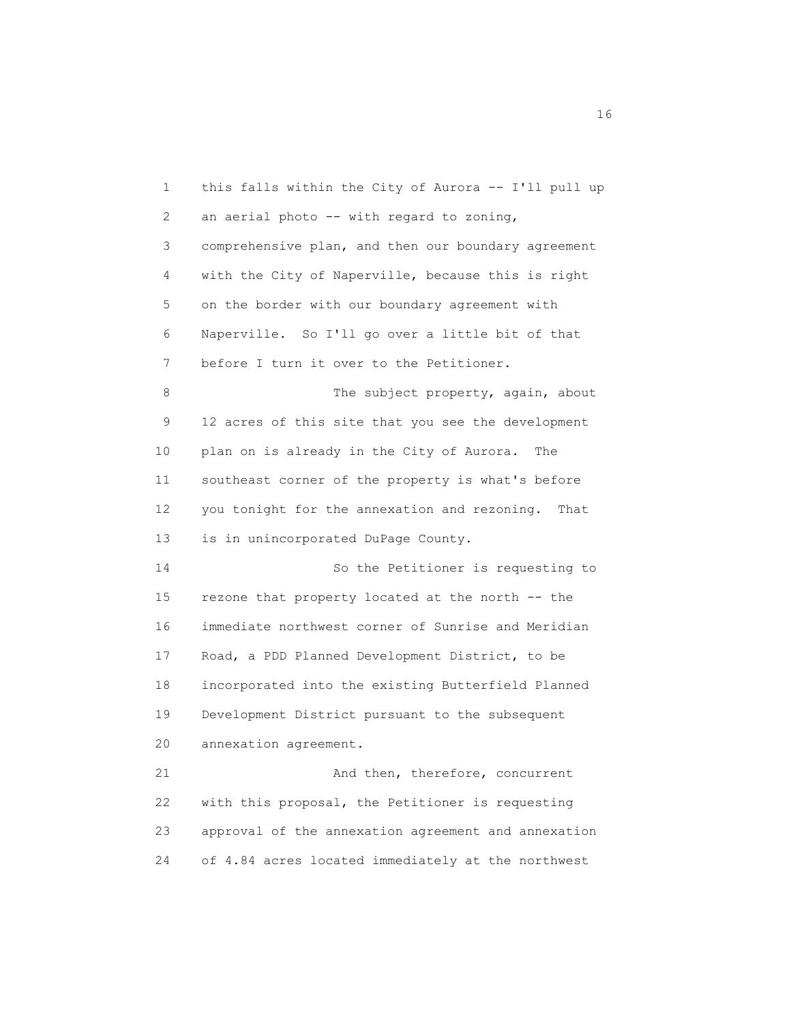1 this falls within the City of Aurora -- I'll pull up 2 an aerial photo -- with regard to zoning, 3 comprehensive plan, and then our boundary agreement 4 with the City of Naperville, because this is right 5 on the border with our boundary agreement with 6 Naperville. So I'll go over a little bit of that 7 before I turn it over to the Petitioner. 8 The subject property, again, about 9 12 acres of this site that you see the development 10 plan on is already in the City of Aurora. The 11 southeast corner of the property is what's before 12 you tonight for the annexation and rezoning. That 13 is in unincorporated DuPage County. 14 So the Petitioner is requesting to 15 rezone that property located at the north -- the 16 immediate northwest corner of Sunrise and Meridian 17 Road, a PDD Planned Development District, to be 18 incorporated into the existing Butterfield Planned 19 Development District pursuant to the subsequent 20 annexation agreement. 21 And then, therefore, concurrent 22 with this proposal, the Petitioner is requesting 23 approval of the annexation agreement and annexation 24 of 4.84 acres located immediately at the northwest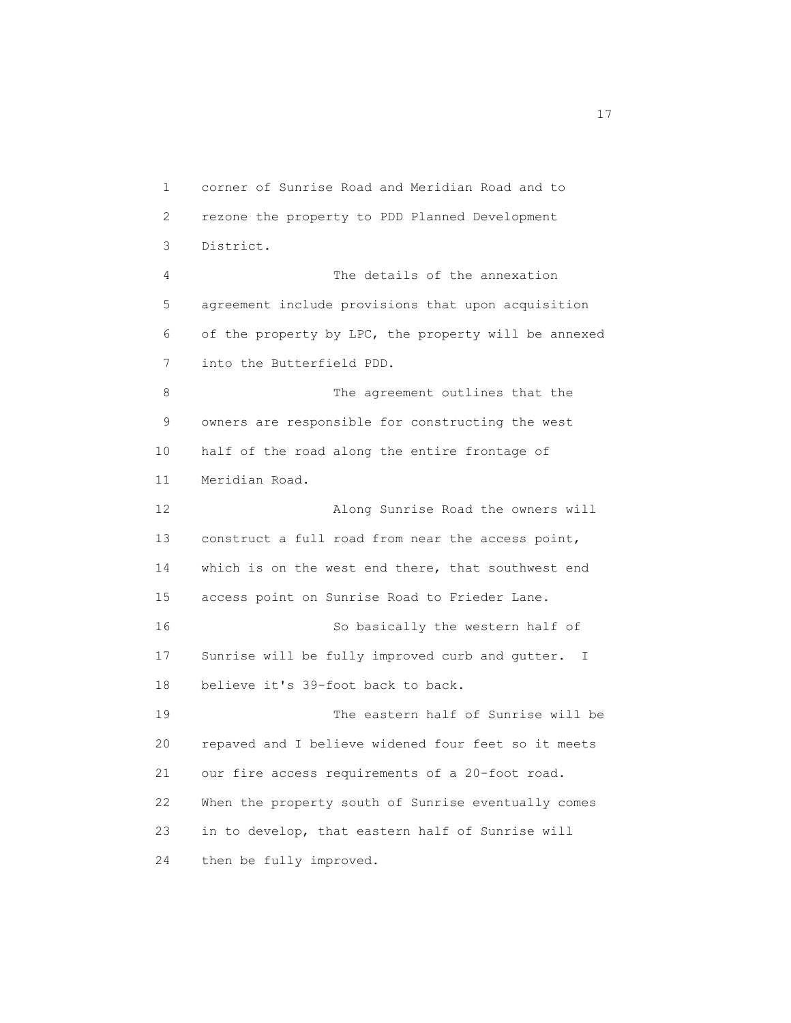1 corner of Sunrise Road and Meridian Road and to 2 rezone the property to PDD Planned Development 3 District. 4 The details of the annexation 5 agreement include provisions that upon acquisition 6 of the property by LPC, the property will be annexed 7 into the Butterfield PDD. 8 The agreement outlines that the 9 owners are responsible for constructing the west 10 half of the road along the entire frontage of 11 Meridian Road. 12 Along Sunrise Road the owners will 13 construct a full road from near the access point, 14 which is on the west end there, that southwest end 15 access point on Sunrise Road to Frieder Lane. 16 So basically the western half of 17 Sunrise will be fully improved curb and gutter. I 18 believe it's 39-foot back to back. 19 The eastern half of Sunrise will be 20 repaved and I believe widened four feet so it meets 21 our fire access requirements of a 20-foot road. 22 When the property south of Sunrise eventually comes 23 in to develop, that eastern half of Sunrise will 24 then be fully improved.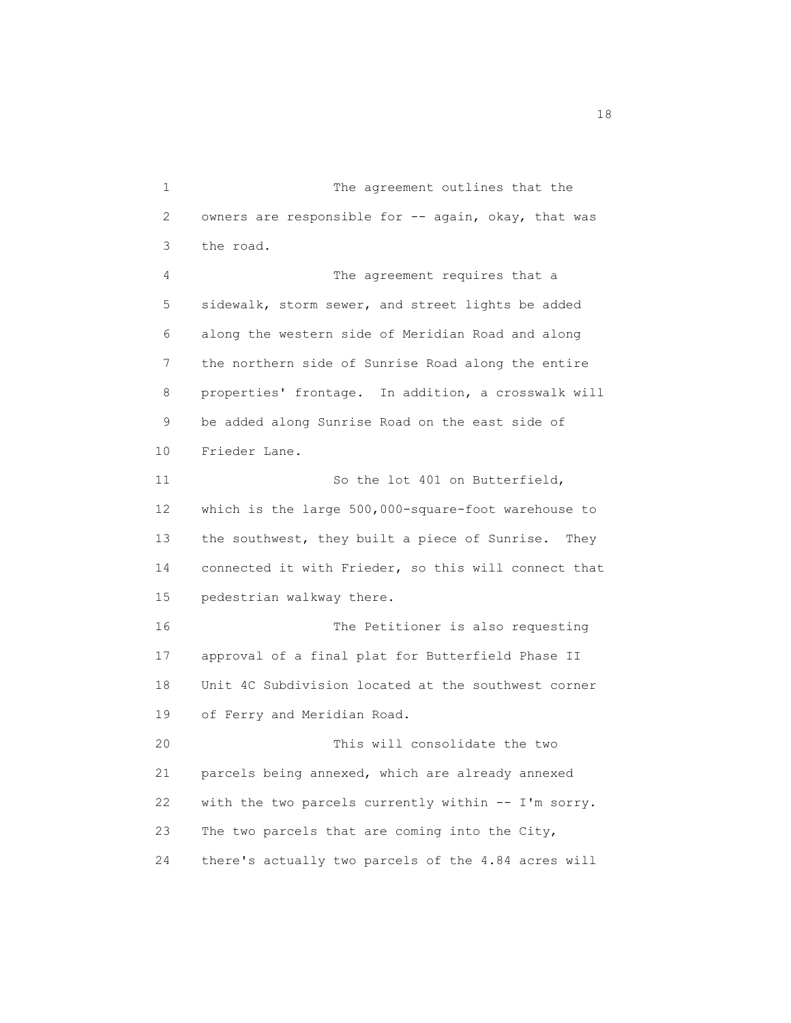1 The agreement outlines that the 2 owners are responsible for -- again, okay, that was 3 the road. 4 The agreement requires that a 5 sidewalk, storm sewer, and street lights be added 6 along the western side of Meridian Road and along 7 the northern side of Sunrise Road along the entire 8 properties' frontage. In addition, a crosswalk will 9 be added along Sunrise Road on the east side of 10 Frieder Lane. 11 So the lot 401 on Butterfield, 12 which is the large 500,000-square-foot warehouse to 13 the southwest, they built a piece of Sunrise. They 14 connected it with Frieder, so this will connect that 15 pedestrian walkway there. 16 The Petitioner is also requesting 17 approval of a final plat for Butterfield Phase II 18 Unit 4C Subdivision located at the southwest corner 19 of Ferry and Meridian Road. 20 This will consolidate the two 21 parcels being annexed, which are already annexed 22 with the two parcels currently within -- I'm sorry. 23 The two parcels that are coming into the City, 24 there's actually two parcels of the 4.84 acres will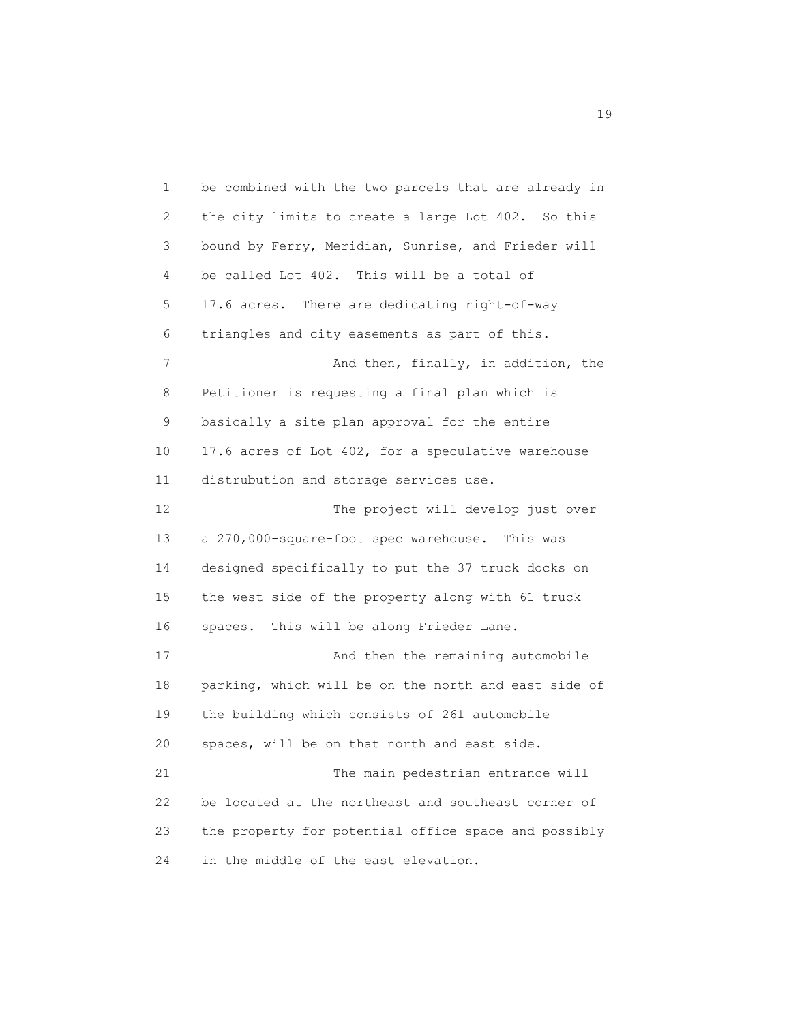1 be combined with the two parcels that are already in 2 the city limits to create a large Lot 402. So this 3 bound by Ferry, Meridian, Sunrise, and Frieder will 4 be called Lot 402. This will be a total of 5 17.6 acres. There are dedicating right-of-way 6 triangles and city easements as part of this. 7 And then, finally, in addition, the 8 Petitioner is requesting a final plan which is 9 basically a site plan approval for the entire 10 17.6 acres of Lot 402, for a speculative warehouse 11 distrubution and storage services use. 12 The project will develop just over 13 a 270,000-square-foot spec warehouse. This was 14 designed specifically to put the 37 truck docks on 15 the west side of the property along with 61 truck 16 spaces. This will be along Frieder Lane. 17 And then the remaining automobile 18 parking, which will be on the north and east side of 19 the building which consists of 261 automobile 20 spaces, will be on that north and east side. 21 The main pedestrian entrance will 22 be located at the northeast and southeast corner of 23 the property for potential office space and possibly 24 in the middle of the east elevation.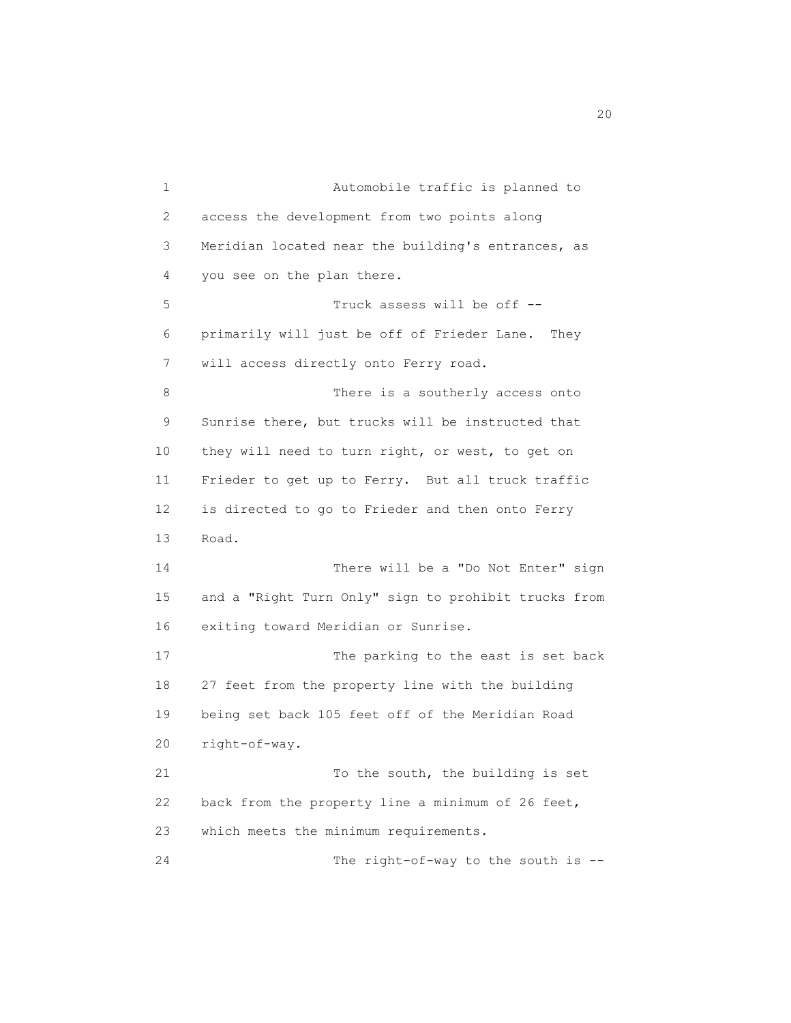1 Automobile traffic is planned to 2 access the development from two points along 3 Meridian located near the building's entrances, as 4 you see on the plan there. 5 Truck assess will be off -- 6 primarily will just be off of Frieder Lane. They 7 will access directly onto Ferry road. 8 There is a southerly access onto 9 Sunrise there, but trucks will be instructed that 10 they will need to turn right, or west, to get on 11 Frieder to get up to Ferry. But all truck traffic 12 is directed to go to Frieder and then onto Ferry 13 Road. 14 There will be a "Do Not Enter" sign 15 and a "Right Turn Only" sign to prohibit trucks from 16 exiting toward Meridian or Sunrise. 17 The parking to the east is set back 18 27 feet from the property line with the building 19 being set back 105 feet off of the Meridian Road 20 right-of-way. 21 To the south, the building is set 22 back from the property line a minimum of 26 feet, 23 which meets the minimum requirements. 24 The right-of-way to the south is --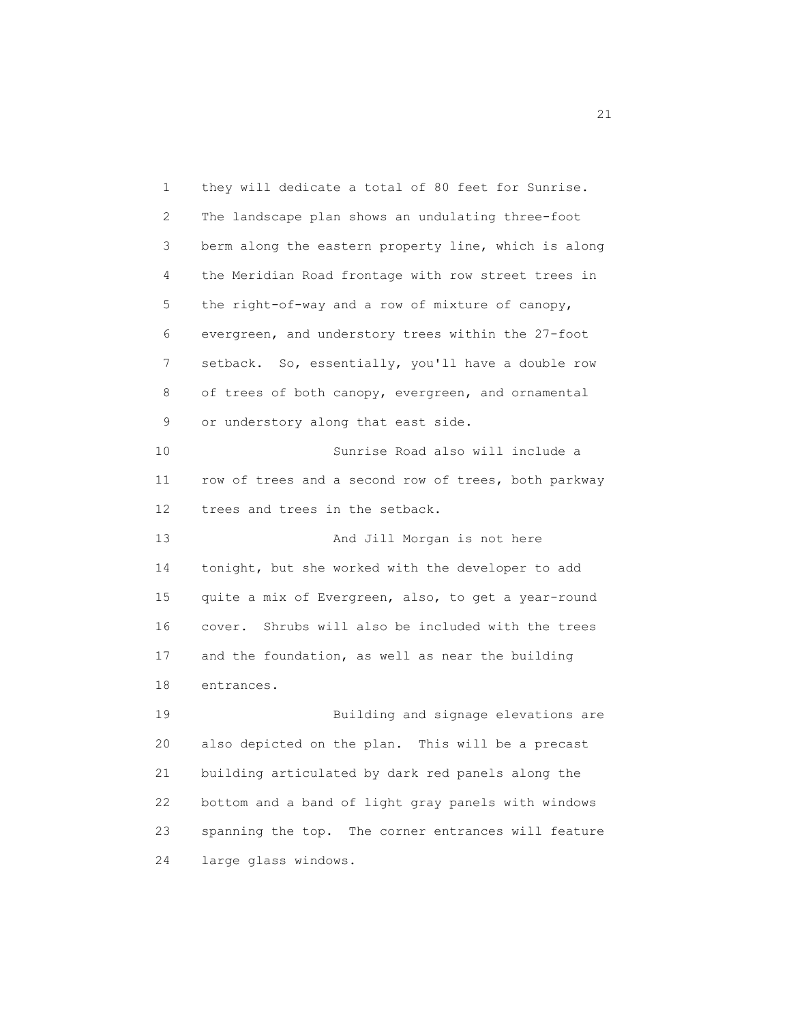1 they will dedicate a total of 80 feet for Sunrise. 2 The landscape plan shows an undulating three-foot 3 berm along the eastern property line, which is along 4 the Meridian Road frontage with row street trees in 5 the right-of-way and a row of mixture of canopy, 6 evergreen, and understory trees within the 27-foot 7 setback. So, essentially, you'll have a double row 8 of trees of both canopy, evergreen, and ornamental 9 or understory along that east side. 10 Sunrise Road also will include a 11 row of trees and a second row of trees, both parkway 12 trees and trees in the setback. 13 And Jill Morgan is not here 14 tonight, but she worked with the developer to add 15 quite a mix of Evergreen, also, to get a year-round 16 cover. Shrubs will also be included with the trees 17 and the foundation, as well as near the building 18 entrances. 19 Building and signage elevations are 20 also depicted on the plan. This will be a precast 21 building articulated by dark red panels along the 22 bottom and a band of light gray panels with windows 23 spanning the top. The corner entrances will feature 24 large glass windows.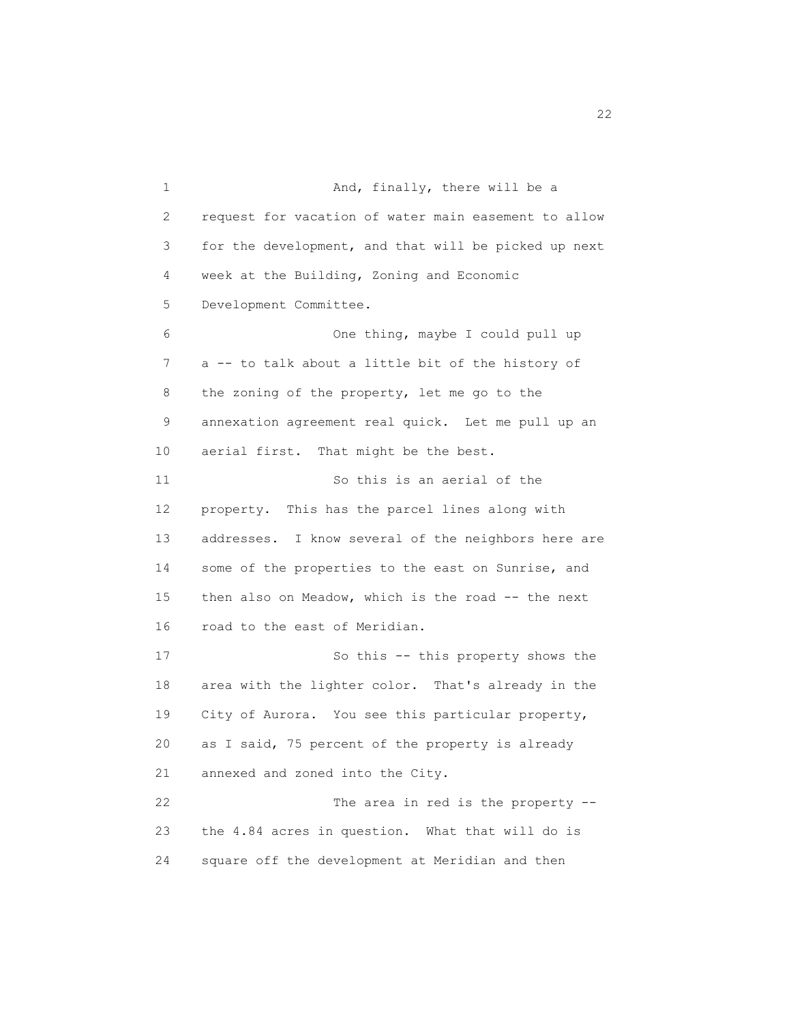1 And, finally, there will be a 2 request for vacation of water main easement to allow 3 for the development, and that will be picked up next 4 week at the Building, Zoning and Economic 5 Development Committee. 6 One thing, maybe I could pull up 7 a -- to talk about a little bit of the history of 8 the zoning of the property, let me go to the 9 annexation agreement real quick. Let me pull up an 10 aerial first. That might be the best. 11 So this is an aerial of the 12 property. This has the parcel lines along with 13 addresses. I know several of the neighbors here are 14 some of the properties to the east on Sunrise, and 15 then also on Meadow, which is the road -- the next 16 road to the east of Meridian. 17 So this -- this property shows the 18 area with the lighter color. That's already in the 19 City of Aurora. You see this particular property, 20 as I said, 75 percent of the property is already 21 annexed and zoned into the City. 22 The area in red is the property -- 23 the 4.84 acres in question. What that will do is 24 square off the development at Meridian and then

22 and 22 and 23 and 23 and 23 and 23 and 23 and 23 and 23 and 23 and 23 and 23 and 23 and 23 and 23 and 23 and 24 and 25 and 26 and 26 and 26 and 26 and 26 and 26 and 26 and 26 and 26 and 26 and 26 and 26 and 26 and 26 an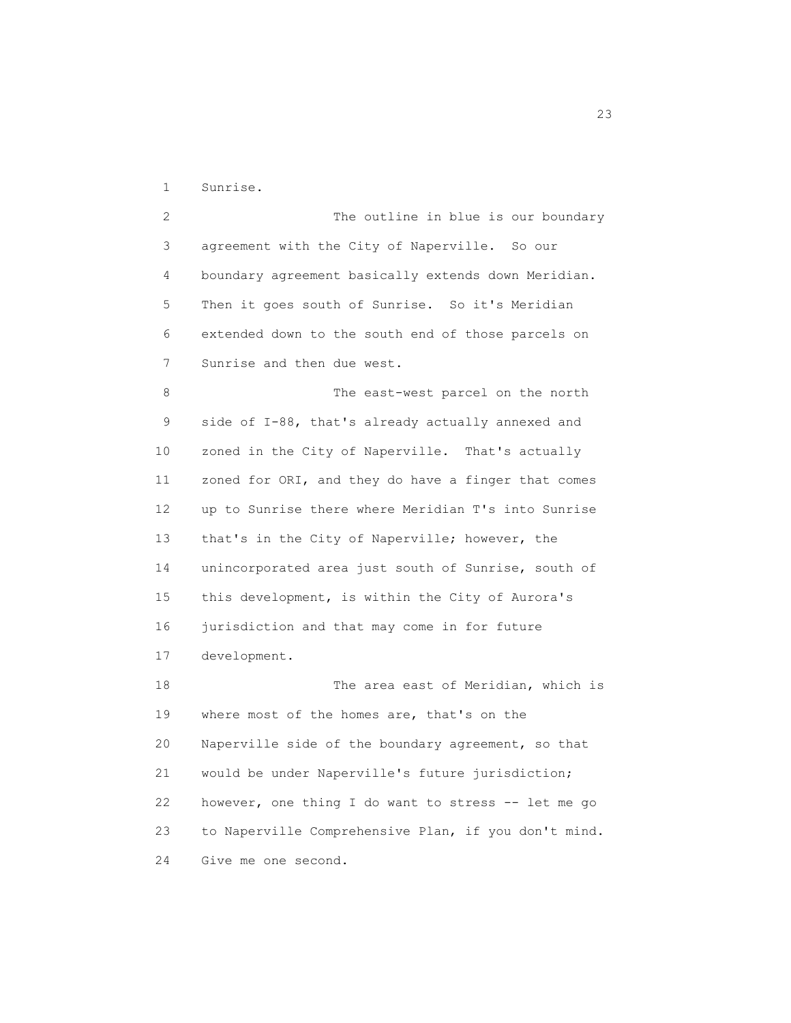1 Sunrise.

2 The outline in blue is our boundary 3 agreement with the City of Naperville. So our 4 boundary agreement basically extends down Meridian. 5 Then it goes south of Sunrise. So it's Meridian 6 extended down to the south end of those parcels on 7 Sunrise and then due west. 8 The east-west parcel on the north 9 side of I-88, that's already actually annexed and 10 zoned in the City of Naperville. That's actually 11 zoned for ORI, and they do have a finger that comes 12 up to Sunrise there where Meridian T's into Sunrise 13 that's in the City of Naperville; however, the 14 unincorporated area just south of Sunrise, south of 15 this development, is within the City of Aurora's 16 jurisdiction and that may come in for future 17 development.

 18 The area east of Meridian, which is 19 where most of the homes are, that's on the 20 Naperville side of the boundary agreement, so that 21 would be under Naperville's future jurisdiction; 22 however, one thing I do want to stress -- let me go 23 to Naperville Comprehensive Plan, if you don't mind. 24 Give me one second.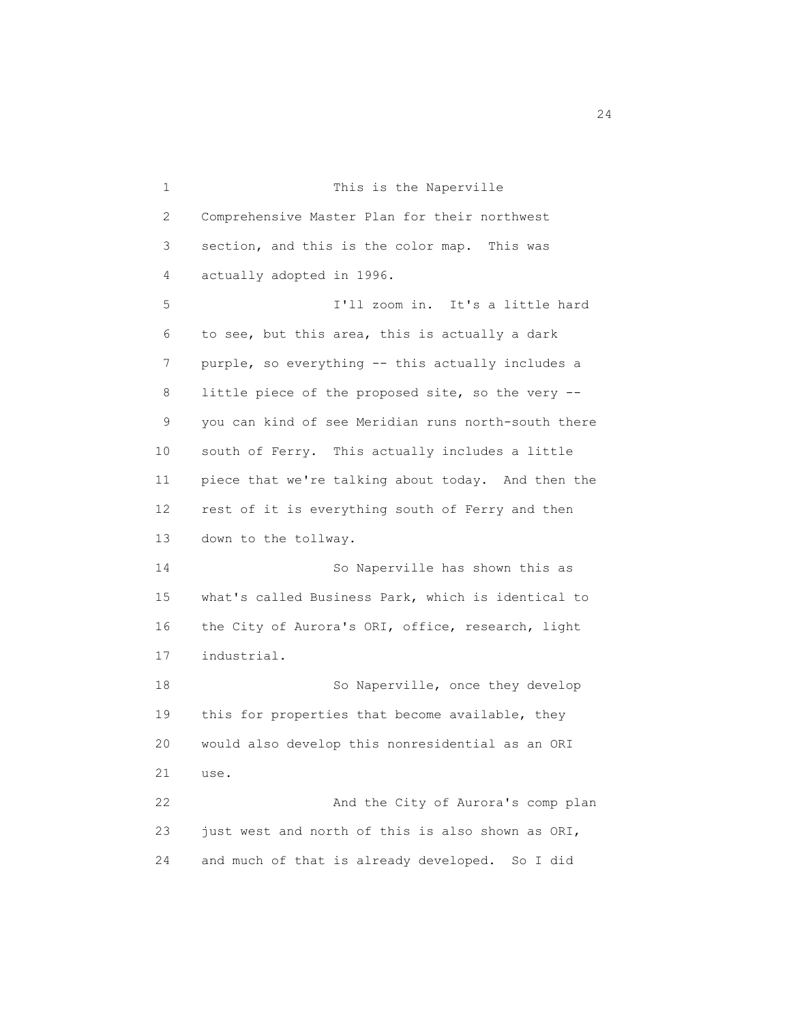1 This is the Naperville 2 Comprehensive Master Plan for their northwest 3 section, and this is the color map. This was 4 actually adopted in 1996. 5 I'll zoom in. It's a little hard 6 to see, but this area, this is actually a dark 7 purple, so everything -- this actually includes a 8 little piece of the proposed site, so the very -- 9 you can kind of see Meridian runs north-south there 10 south of Ferry. This actually includes a little 11 piece that we're talking about today. And then the 12 rest of it is everything south of Ferry and then 13 down to the tollway. 14 So Naperville has shown this as 15 what's called Business Park, which is identical to 16 the City of Aurora's ORI, office, research, light 17 industrial. 18 So Naperville, once they develop 19 this for properties that become available, they 20 would also develop this nonresidential as an ORI 21 use. 22 And the City of Aurora's comp plan 23 just west and north of this is also shown as ORI, 24 and much of that is already developed. So I did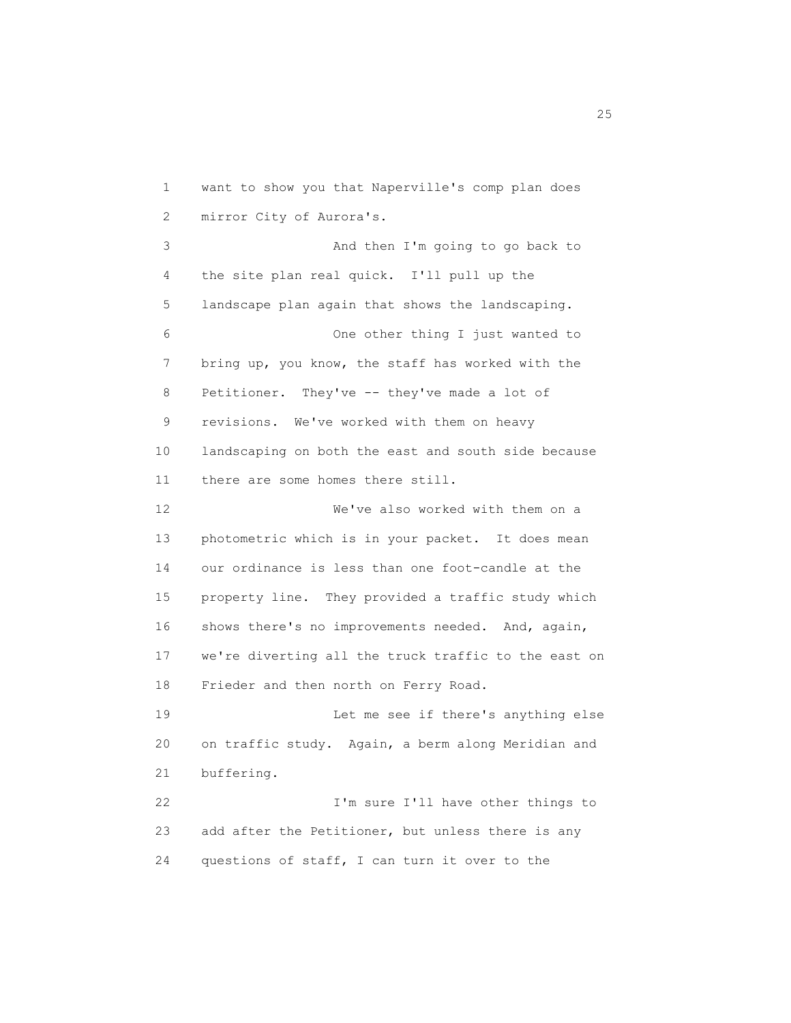1 want to show you that Naperville's comp plan does 2 mirror City of Aurora's. 3 And then I'm going to go back to 4 the site plan real quick. I'll pull up the 5 landscape plan again that shows the landscaping. 6 One other thing I just wanted to 7 bring up, you know, the staff has worked with the 8 Petitioner. They've -- they've made a lot of 9 revisions. We've worked with them on heavy 10 landscaping on both the east and south side because 11 there are some homes there still. 12 We've also worked with them on a 13 photometric which is in your packet. It does mean 14 our ordinance is less than one foot-candle at the 15 property line. They provided a traffic study which 16 shows there's no improvements needed. And, again, 17 we're diverting all the truck traffic to the east on 18 Frieder and then north on Ferry Road. 19 Let me see if there's anything else 20 on traffic study. Again, a berm along Meridian and 21 buffering. 22 **I'm sure I'll have other things to** 23 add after the Petitioner, but unless there is any 24 questions of staff, I can turn it over to the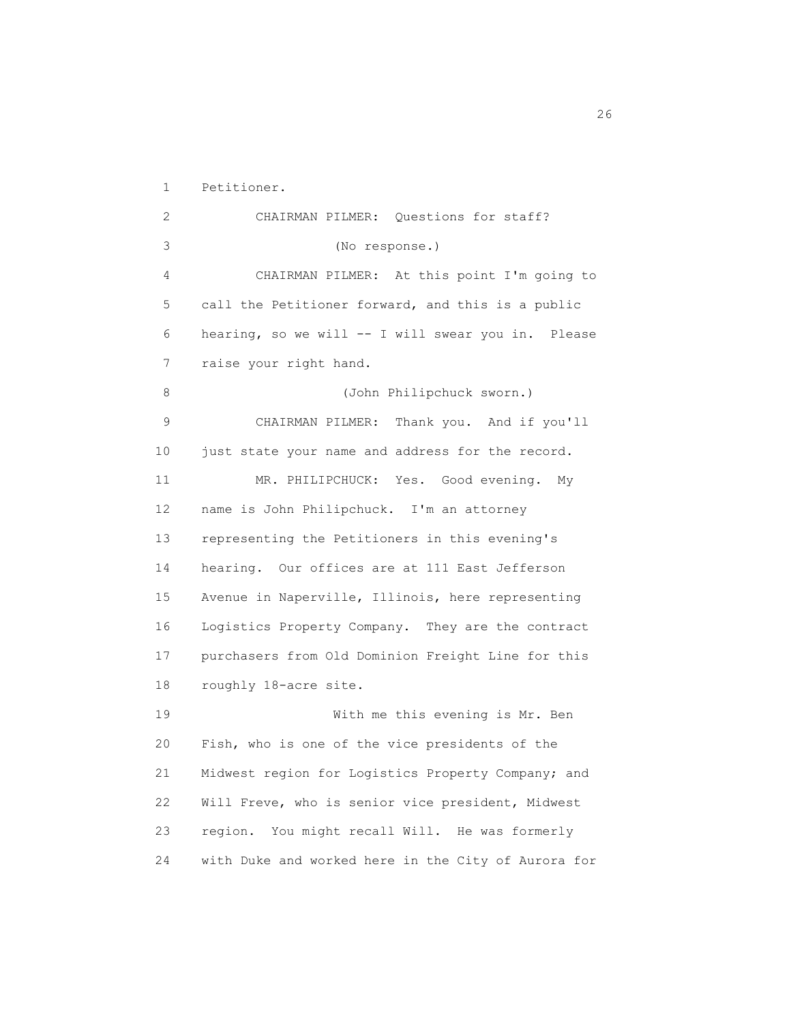1 Petitioner. 2 CHAIRMAN PILMER: Questions for staff? 3 (No response.) 4 CHAIRMAN PILMER: At this point I'm going to 5 call the Petitioner forward, and this is a public 6 hearing, so we will -- I will swear you in. Please 7 raise your right hand. 8 (John Philipchuck sworn.) 9 CHAIRMAN PILMER: Thank you. And if you'll 10 just state your name and address for the record. 11 MR. PHILIPCHUCK: Yes. Good evening. My 12 name is John Philipchuck. I'm an attorney 13 representing the Petitioners in this evening's 14 hearing. Our offices are at 111 East Jefferson 15 Avenue in Naperville, Illinois, here representing 16 Logistics Property Company. They are the contract 17 purchasers from Old Dominion Freight Line for this 18 roughly 18-acre site. 19 With me this evening is Mr. Ben 20 Fish, who is one of the vice presidents of the 21 Midwest region for Logistics Property Company; and 22 Will Freve, who is senior vice president, Midwest 23 region. You might recall Will. He was formerly

24 with Duke and worked here in the City of Aurora for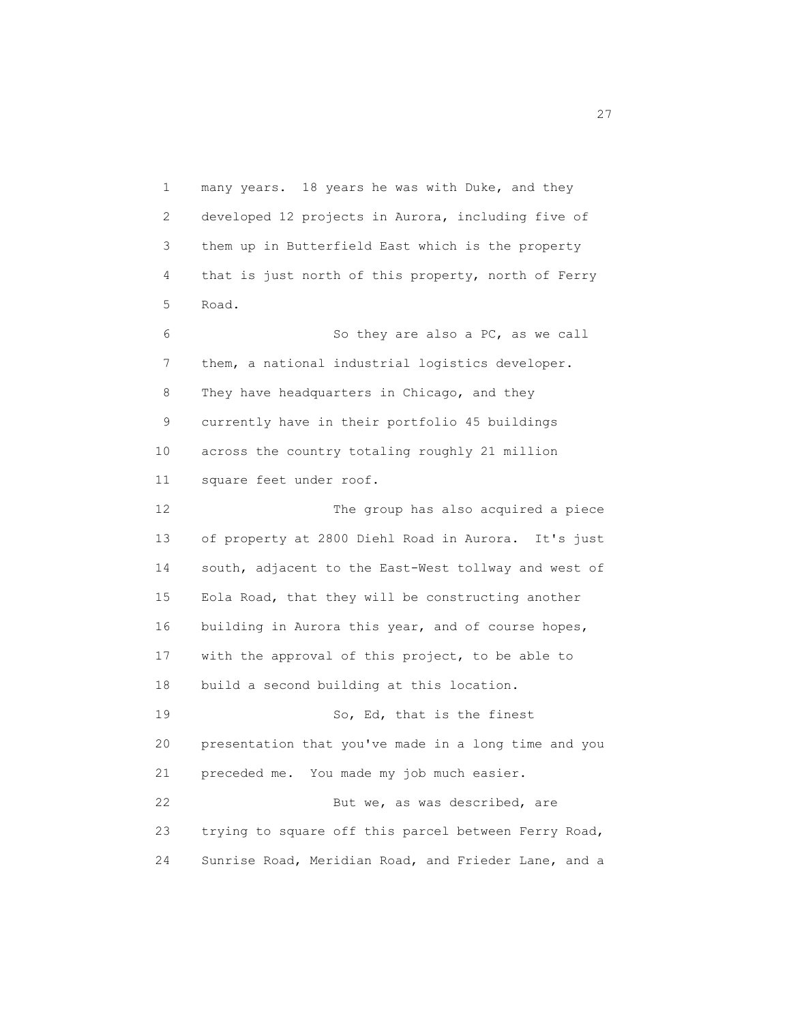1 many years. 18 years he was with Duke, and they 2 developed 12 projects in Aurora, including five of 3 them up in Butterfield East which is the property 4 that is just north of this property, north of Ferry 5 Road.

 6 So they are also a PC, as we call 7 them, a national industrial logistics developer. 8 They have headquarters in Chicago, and they 9 currently have in their portfolio 45 buildings 10 across the country totaling roughly 21 million 11 square feet under roof.

 12 The group has also acquired a piece 13 of property at 2800 Diehl Road in Aurora. It's just 14 south, adjacent to the East-West tollway and west of 15 Eola Road, that they will be constructing another 16 building in Aurora this year, and of course hopes, 17 with the approval of this project, to be able to 18 build a second building at this location. 19 So, Ed, that is the finest 20 presentation that you've made in a long time and you 21 preceded me. You made my job much easier. 22 But we, as was described, are 23 trying to square off this parcel between Ferry Road,

24 Sunrise Road, Meridian Road, and Frieder Lane, and a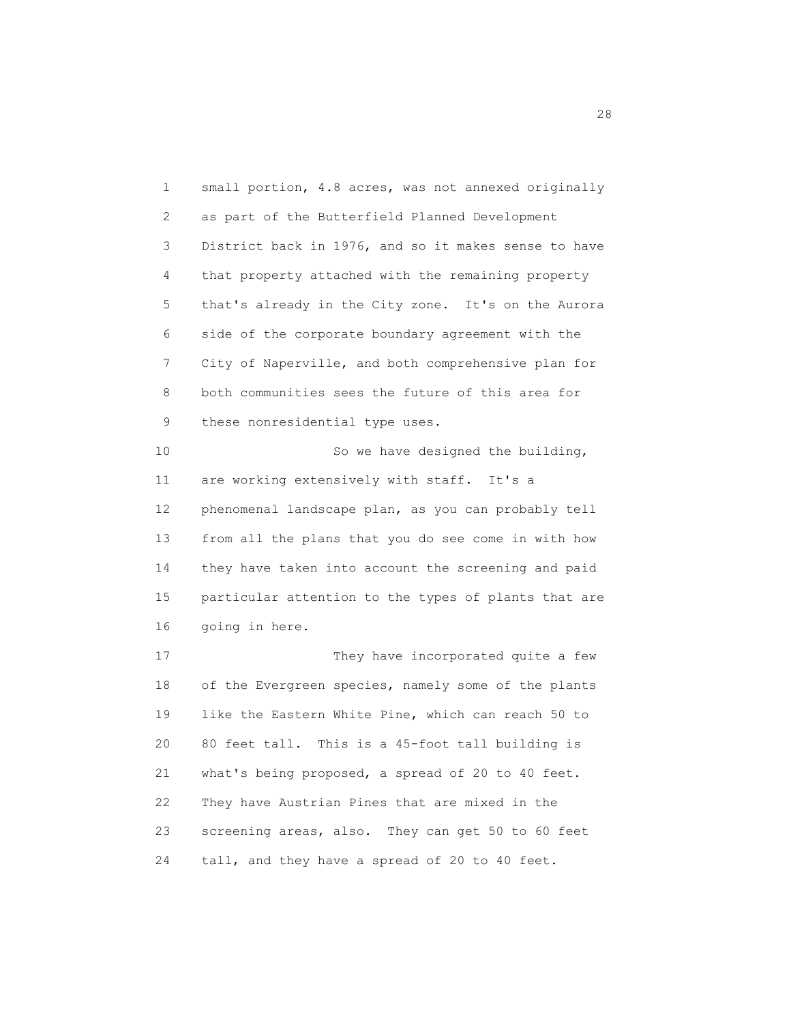1 small portion, 4.8 acres, was not annexed originally 2 as part of the Butterfield Planned Development 3 District back in 1976, and so it makes sense to have 4 that property attached with the remaining property 5 that's already in the City zone. It's on the Aurora 6 side of the corporate boundary agreement with the 7 City of Naperville, and both comprehensive plan for 8 both communities sees the future of this area for 9 these nonresidential type uses. 10 So we have designed the building, 11 are working extensively with staff. It's a 12 phenomenal landscape plan, as you can probably tell 13 from all the plans that you do see come in with how 14 they have taken into account the screening and paid 15 particular attention to the types of plants that are 16 going in here. 17 They have incorporated quite a few 18 of the Evergreen species, namely some of the plants 19 like the Eastern White Pine, which can reach 50 to 20 80 feet tall. This is a 45-foot tall building is 21 what's being proposed, a spread of 20 to 40 feet. 22 They have Austrian Pines that are mixed in the

24 tall, and they have a spread of 20 to 40 feet.

23 screening areas, also. They can get 50 to 60 feet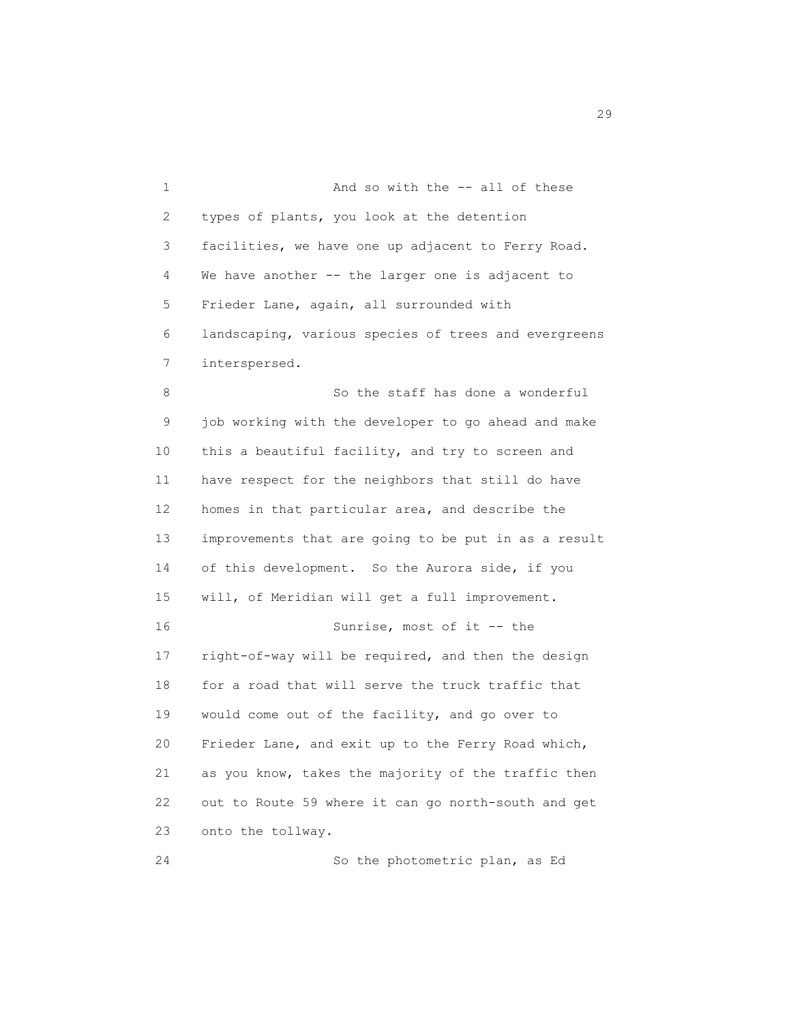1 And so with the -- all of these 2 types of plants, you look at the detention 3 facilities, we have one up adjacent to Ferry Road. 4 We have another -- the larger one is adjacent to 5 Frieder Lane, again, all surrounded with 6 landscaping, various species of trees and evergreens 7 interspersed. 8 So the staff has done a wonderful 9 job working with the developer to go ahead and make 10 this a beautiful facility, and try to screen and 11 have respect for the neighbors that still do have 12 homes in that particular area, and describe the 13 improvements that are going to be put in as a result 14 of this development. So the Aurora side, if you 15 will, of Meridian will get a full improvement. 16 Sunrise, most of it -- the 17 right-of-way will be required, and then the design 18 for a road that will serve the truck traffic that 19 would come out of the facility, and go over to 20 Frieder Lane, and exit up to the Ferry Road which, 21 as you know, takes the majority of the traffic then 22 out to Route 59 where it can go north-south and get 23 onto the tollway.

24 So the photometric plan, as Ed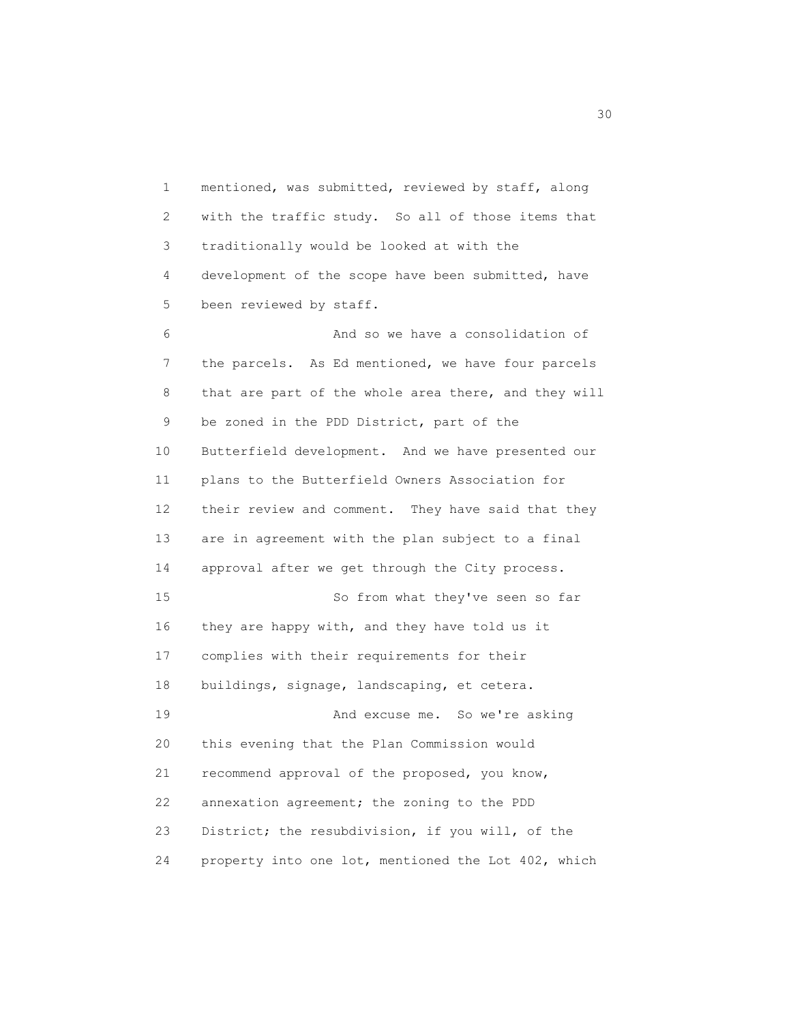1 mentioned, was submitted, reviewed by staff, along 2 with the traffic study. So all of those items that 3 traditionally would be looked at with the 4 development of the scope have been submitted, have 5 been reviewed by staff.

 6 And so we have a consolidation of 7 the parcels. As Ed mentioned, we have four parcels 8 that are part of the whole area there, and they will 9 be zoned in the PDD District, part of the 10 Butterfield development. And we have presented our 11 plans to the Butterfield Owners Association for 12 their review and comment. They have said that they 13 are in agreement with the plan subject to a final 14 approval after we get through the City process. 15 So from what they've seen so far 16 they are happy with, and they have told us it 17 complies with their requirements for their 18 buildings, signage, landscaping, et cetera. 19 And excuse me. So we're asking 20 this evening that the Plan Commission would 21 recommend approval of the proposed, you know, 22 annexation agreement; the zoning to the PDD 23 District; the resubdivision, if you will, of the 24 property into one lot, mentioned the Lot 402, which

 $30<sup>o</sup>$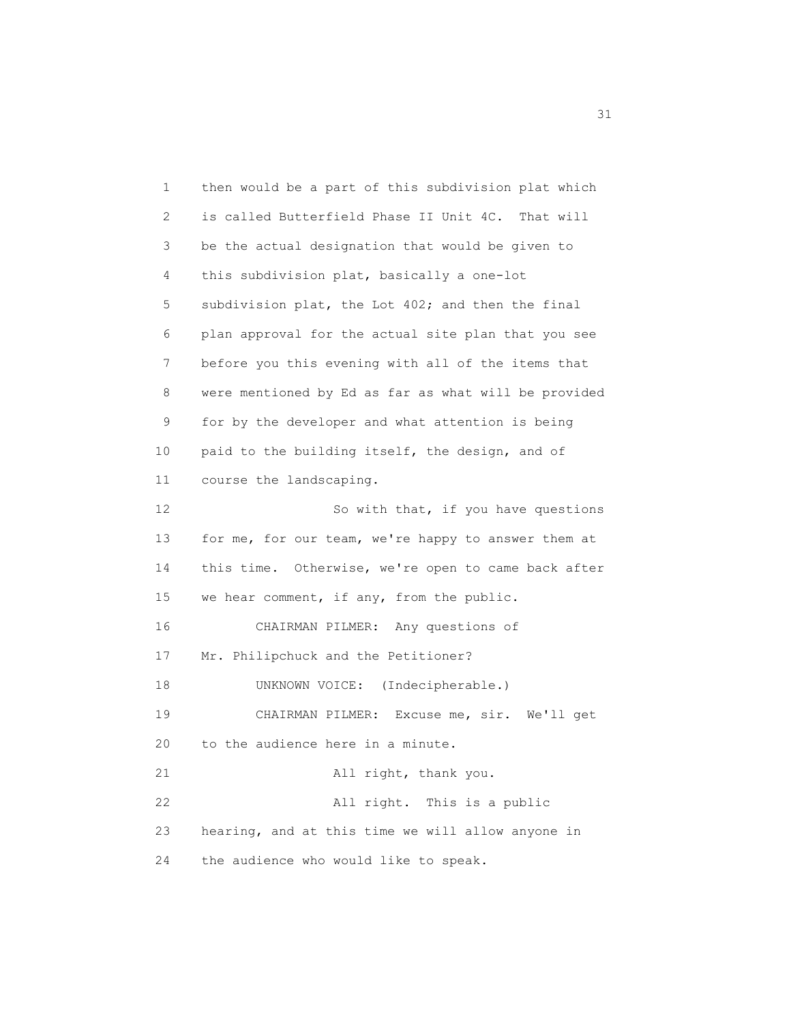1 then would be a part of this subdivision plat which 2 is called Butterfield Phase II Unit 4C. That will 3 be the actual designation that would be given to 4 this subdivision plat, basically a one-lot 5 subdivision plat, the Lot 402; and then the final 6 plan approval for the actual site plan that you see 7 before you this evening with all of the items that 8 were mentioned by Ed as far as what will be provided 9 for by the developer and what attention is being 10 paid to the building itself, the design, and of 11 course the landscaping. 12 So with that, if you have questions 13 for me, for our team, we're happy to answer them at 14 this time. Otherwise, we're open to came back after 15 we hear comment, if any, from the public. 16 CHAIRMAN PILMER: Any questions of 17 Mr. Philipchuck and the Petitioner? 18 UNKNOWN VOICE: (Indecipherable.) 19 CHAIRMAN PILMER: Excuse me, sir. We'll get 20 to the audience here in a minute. 21 All right, thank you. 22 All right. This is a public 23 hearing, and at this time we will allow anyone in 24 the audience who would like to speak.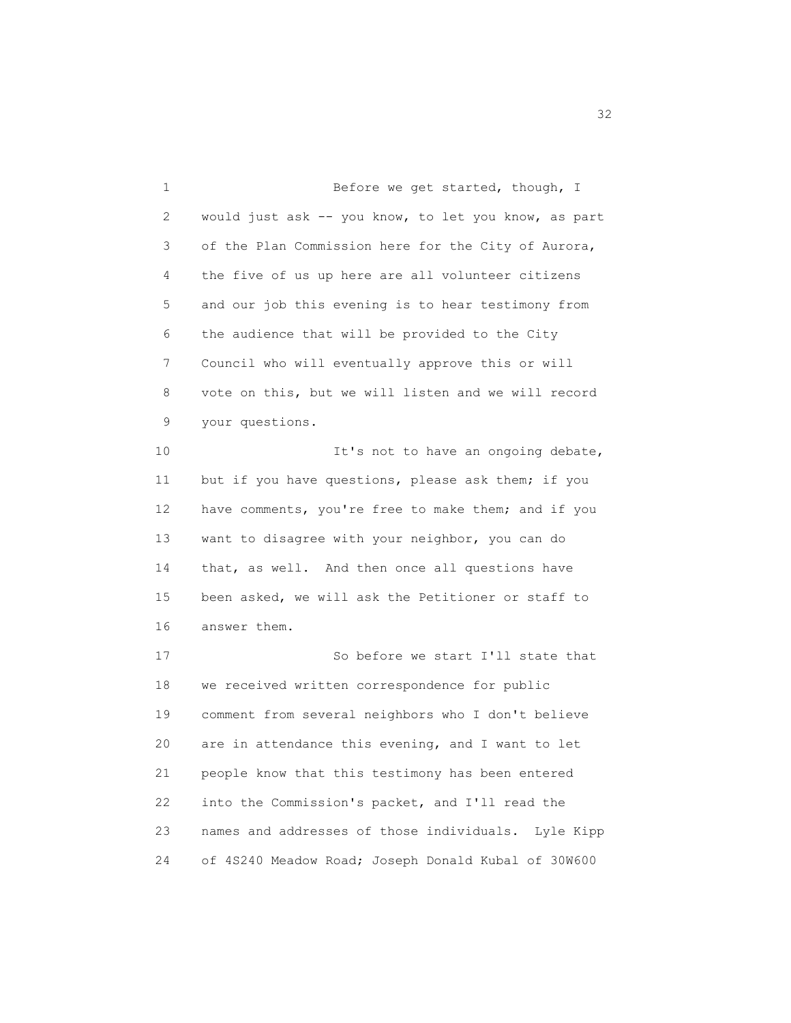1 Before we get started, though, I 2 would just ask -- you know, to let you know, as part 3 of the Plan Commission here for the City of Aurora, 4 the five of us up here are all volunteer citizens 5 and our job this evening is to hear testimony from 6 the audience that will be provided to the City 7 Council who will eventually approve this or will 8 vote on this, but we will listen and we will record 9 your questions. 10 **It's not to have an ongoing debate,**  11 but if you have questions, please ask them; if you 12 have comments, you're free to make them; and if you 13 want to disagree with your neighbor, you can do 14 that, as well. And then once all questions have 15 been asked, we will ask the Petitioner or staff to 16 answer them. 17 So before we start I'll state that 18 we received written correspondence for public 19 comment from several neighbors who I don't believe 20 are in attendance this evening, and I want to let 21 people know that this testimony has been entered 22 into the Commission's packet, and I'll read the 23 names and addresses of those individuals. Lyle Kipp 24 of 4S240 Meadow Road; Joseph Donald Kubal of 30W600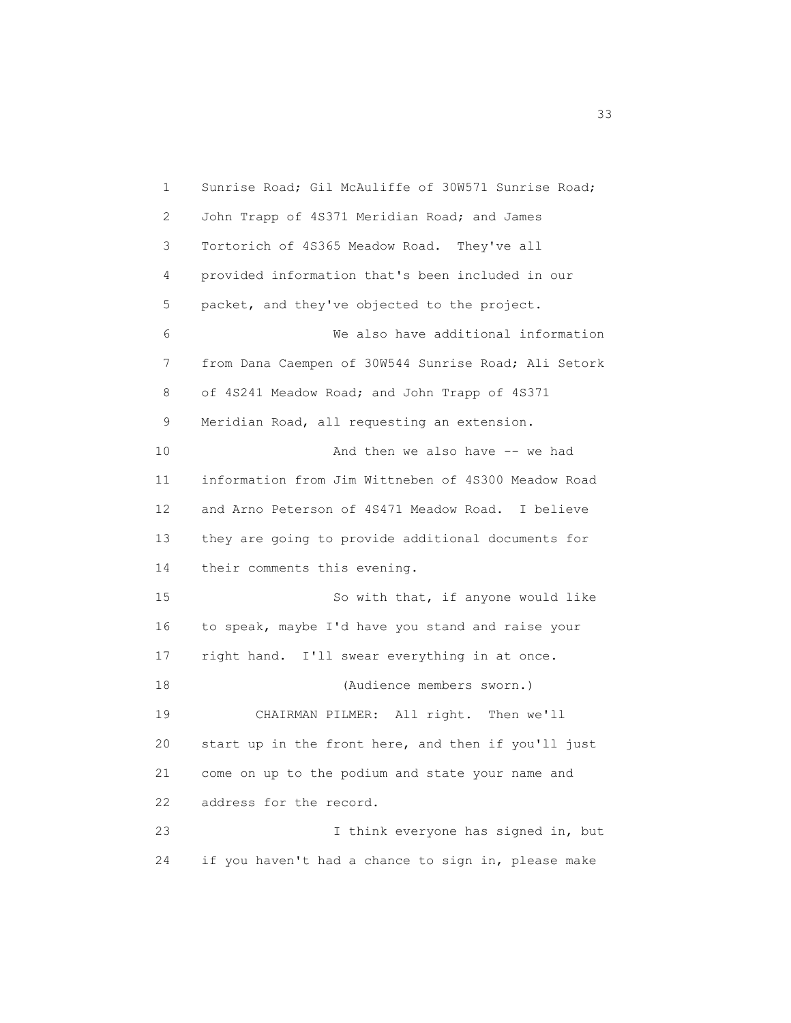1 Sunrise Road; Gil McAuliffe of 30W571 Sunrise Road; 2 John Trapp of 4S371 Meridian Road; and James 3 Tortorich of 4S365 Meadow Road. They've all 4 provided information that's been included in our 5 packet, and they've objected to the project. 6 We also have additional information 7 from Dana Caempen of 30W544 Sunrise Road; Ali Setork 8 of 4S241 Meadow Road; and John Trapp of 4S371 9 Meridian Road, all requesting an extension. 10 And then we also have -- we had 11 information from Jim Wittneben of 4S300 Meadow Road 12 and Arno Peterson of 4S471 Meadow Road. I believe 13 they are going to provide additional documents for 14 their comments this evening. 15 So with that, if anyone would like 16 to speak, maybe I'd have you stand and raise your 17 right hand. I'll swear everything in at once. 18 (Audience members sworn.) 19 CHAIRMAN PILMER: All right. Then we'll 20 start up in the front here, and then if you'll just 21 come on up to the podium and state your name and 22 address for the record. 23 I think everyone has signed in, but 24 if you haven't had a chance to sign in, please make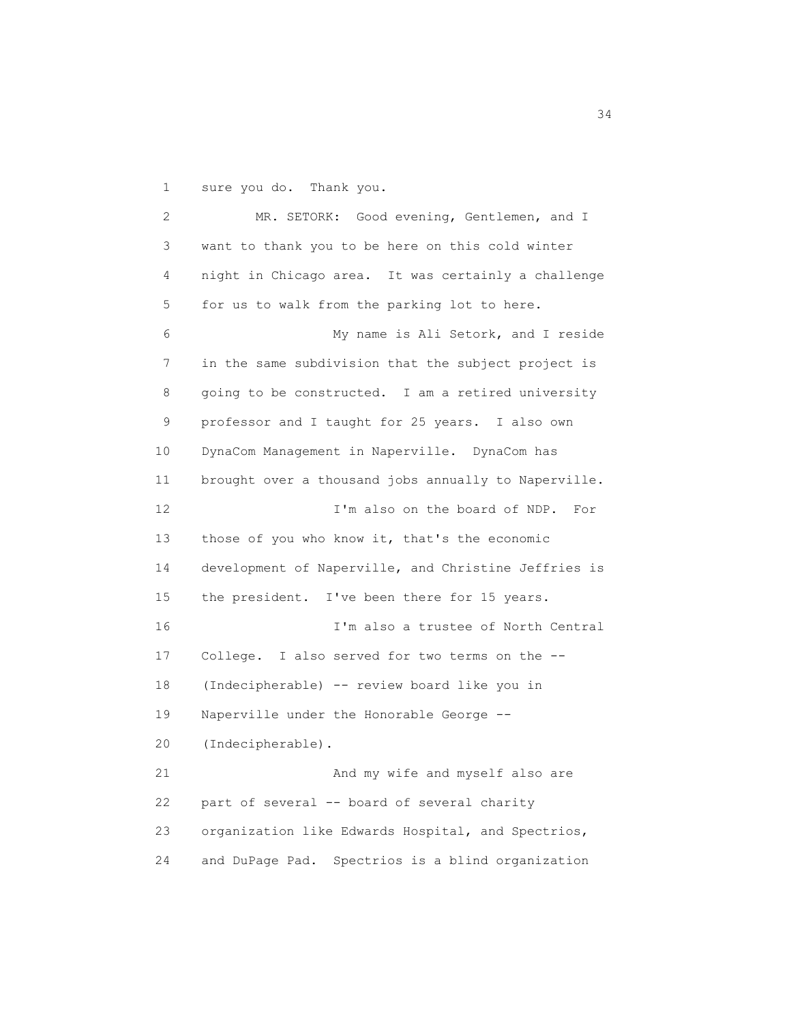1 sure you do. Thank you.

 2 MR. SETORK: Good evening, Gentlemen, and I 3 want to thank you to be here on this cold winter 4 night in Chicago area. It was certainly a challenge 5 for us to walk from the parking lot to here. 6 My name is Ali Setork, and I reside 7 in the same subdivision that the subject project is 8 going to be constructed. I am a retired university 9 professor and I taught for 25 years. I also own 10 DynaCom Management in Naperville. DynaCom has 11 brought over a thousand jobs annually to Naperville. 12 I'm also on the board of NDP. For 13 those of you who know it, that's the economic 14 development of Naperville, and Christine Jeffries is 15 the president. I've been there for 15 years. 16 I'm also a trustee of North Central 17 College. I also served for two terms on the -- 18 (Indecipherable) -- review board like you in 19 Naperville under the Honorable George -- 20 (Indecipherable). 21 And my wife and myself also are 22 part of several -- board of several charity 23 organization like Edwards Hospital, and Spectrios, 24 and DuPage Pad. Spectrios is a blind organization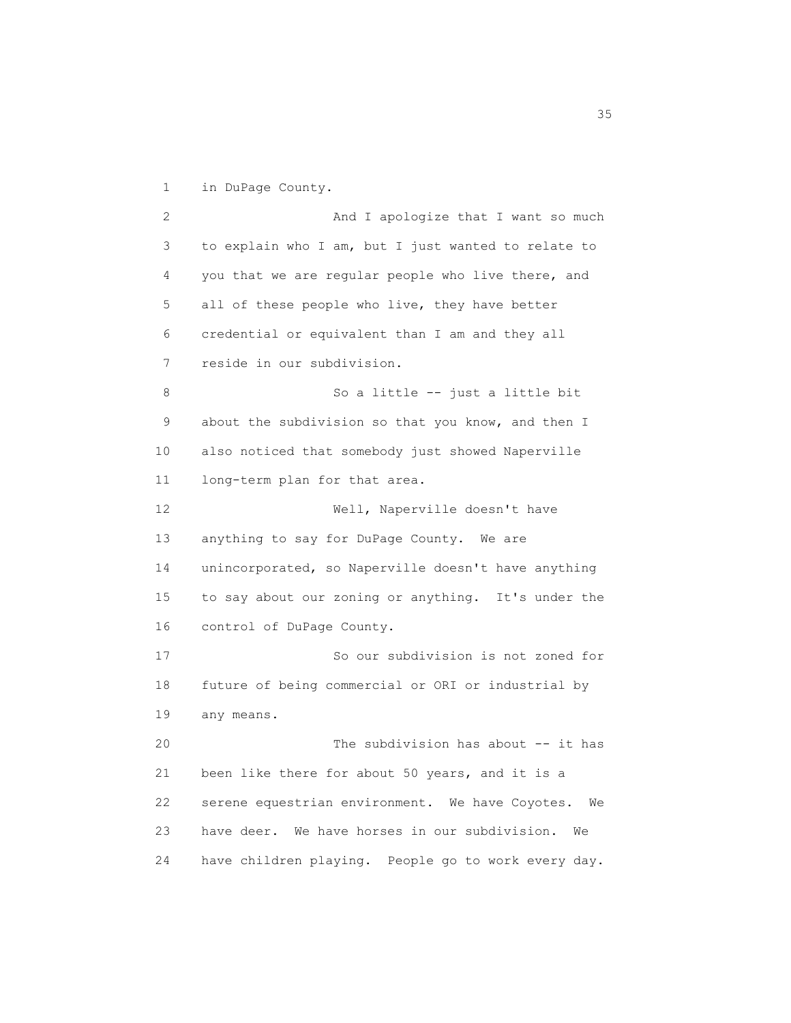1 in DuPage County.

2 And I apologize that I want so much 3 to explain who I am, but I just wanted to relate to 4 you that we are regular people who live there, and 5 all of these people who live, they have better 6 credential or equivalent than I am and they all 7 reside in our subdivision. 8 So a little -- just a little bit 9 about the subdivision so that you know, and then I 10 also noticed that somebody just showed Naperville 11 long-term plan for that area. 12 Well, Naperville doesn't have 13 anything to say for DuPage County. We are 14 unincorporated, so Naperville doesn't have anything 15 to say about our zoning or anything. It's under the 16 control of DuPage County. 17 So our subdivision is not zoned for 18 future of being commercial or ORI or industrial by 19 any means. 20 The subdivision has about -- it has 21 been like there for about 50 years, and it is a 22 serene equestrian environment. We have Coyotes. We 23 have deer. We have horses in our subdivision. We 24 have children playing. People go to work every day.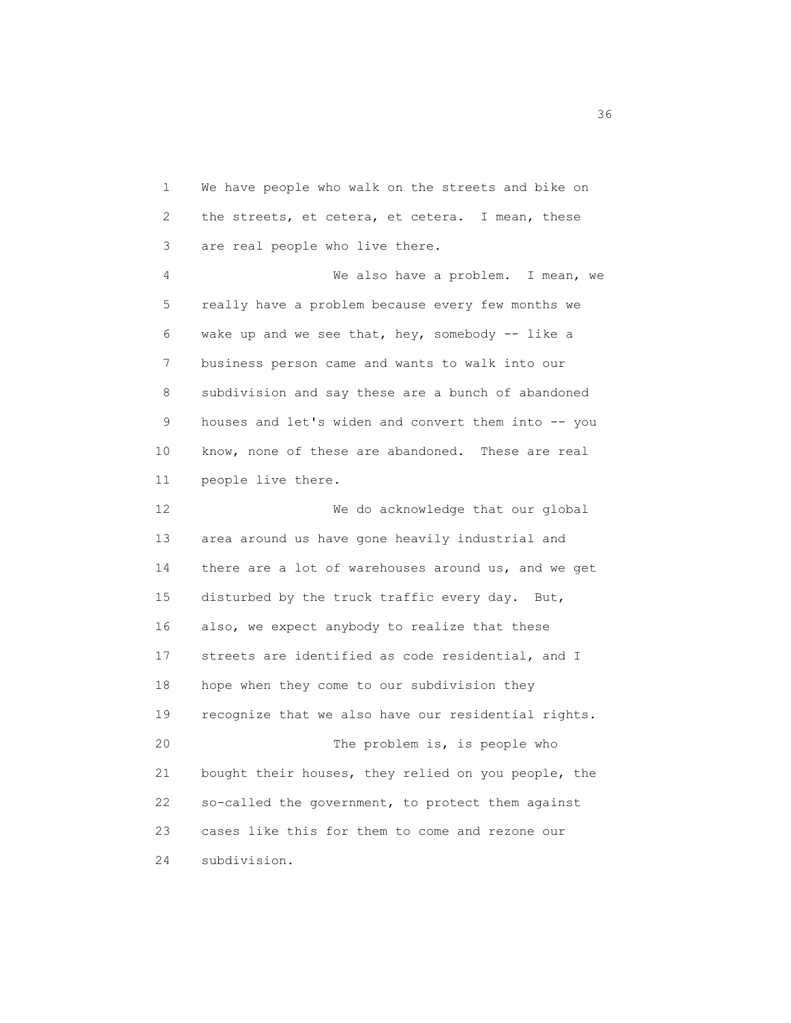1 We have people who walk on the streets and bike on 2 the streets, et cetera, et cetera. I mean, these 3 are real people who live there. 4 We also have a problem. I mean, we 5 really have a problem because every few months we 6 wake up and we see that, hey, somebody -- like a 7 business person came and wants to walk into our 8 subdivision and say these are a bunch of abandoned 9 houses and let's widen and convert them into -- you 10 know, none of these are abandoned. These are real 11 people live there. 12 We do acknowledge that our global 13 area around us have gone heavily industrial and 14 there are a lot of warehouses around us, and we get 15 disturbed by the truck traffic every day. But, 16 also, we expect anybody to realize that these 17 streets are identified as code residential, and I 18 hope when they come to our subdivision they 19 recognize that we also have our residential rights. 20 The problem is, is people who 21 bought their houses, they relied on you people, the 22 so-called the government, to protect them against 23 cases like this for them to come and rezone our 24 subdivision.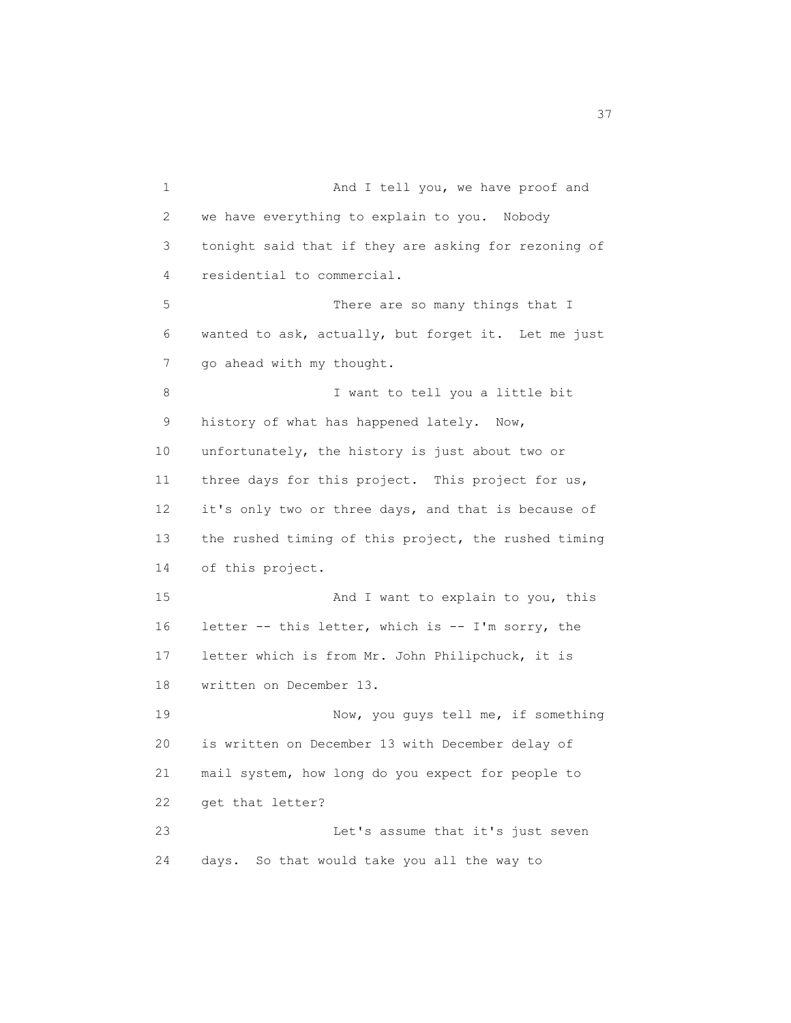1 And I tell you, we have proof and 2 we have everything to explain to you. Nobody 3 tonight said that if they are asking for rezoning of 4 residential to commercial. 5 There are so many things that I 6 wanted to ask, actually, but forget it. Let me just 7 go ahead with my thought. 8 I want to tell you a little bit 9 history of what has happened lately. Now, 10 unfortunately, the history is just about two or 11 three days for this project. This project for us, 12 it's only two or three days, and that is because of 13 the rushed timing of this project, the rushed timing 14 of this project. 15 And I want to explain to you, this 16 letter -- this letter, which is -- I'm sorry, the 17 letter which is from Mr. John Philipchuck, it is 18 written on December 13. 19 Now, you guys tell me, if something 20 is written on December 13 with December delay of 21 mail system, how long do you expect for people to 22 get that letter? 23 Let's assume that it's just seven 24 days. So that would take you all the way to

<u>37</u>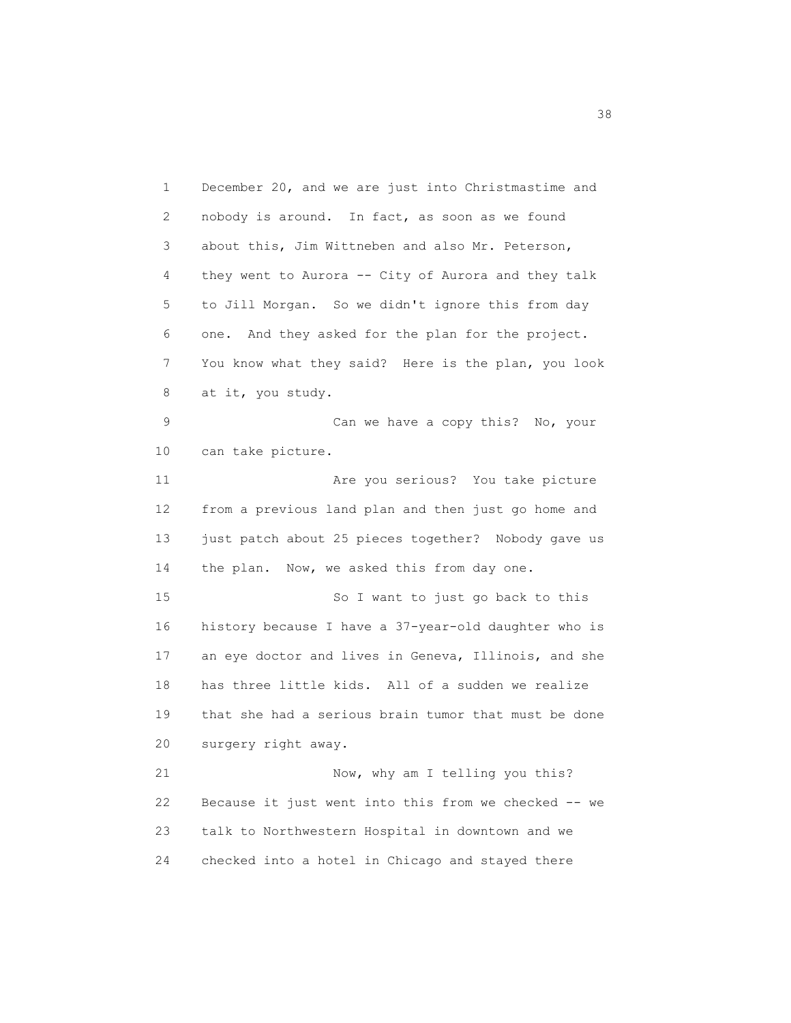1 December 20, and we are just into Christmastime and 2 nobody is around. In fact, as soon as we found 3 about this, Jim Wittneben and also Mr. Peterson, 4 they went to Aurora -- City of Aurora and they talk 5 to Jill Morgan. So we didn't ignore this from day 6 one. And they asked for the plan for the project. 7 You know what they said? Here is the plan, you look 8 at it, you study. 9 Can we have a copy this? No, your 10 can take picture. 11 Are you serious? You take picture 12 from a previous land plan and then just go home and 13 just patch about 25 pieces together? Nobody gave us 14 the plan. Now, we asked this from day one. 15 So I want to just go back to this 16 history because I have a 37-year-old daughter who is 17 an eye doctor and lives in Geneva, Illinois, and she 18 has three little kids. All of a sudden we realize 19 that she had a serious brain tumor that must be done 20 surgery right away. 21 Now, why am I telling you this? 22 Because it just went into this from we checked -- we 23 talk to Northwestern Hospital in downtown and we 24 checked into a hotel in Chicago and stayed there

<u>38 and 2001 and 2002 and 2003 and 2003 and 2003 and 2003 and 2003 and 2003 and 2003 and 2003 and 2003 and 200</u>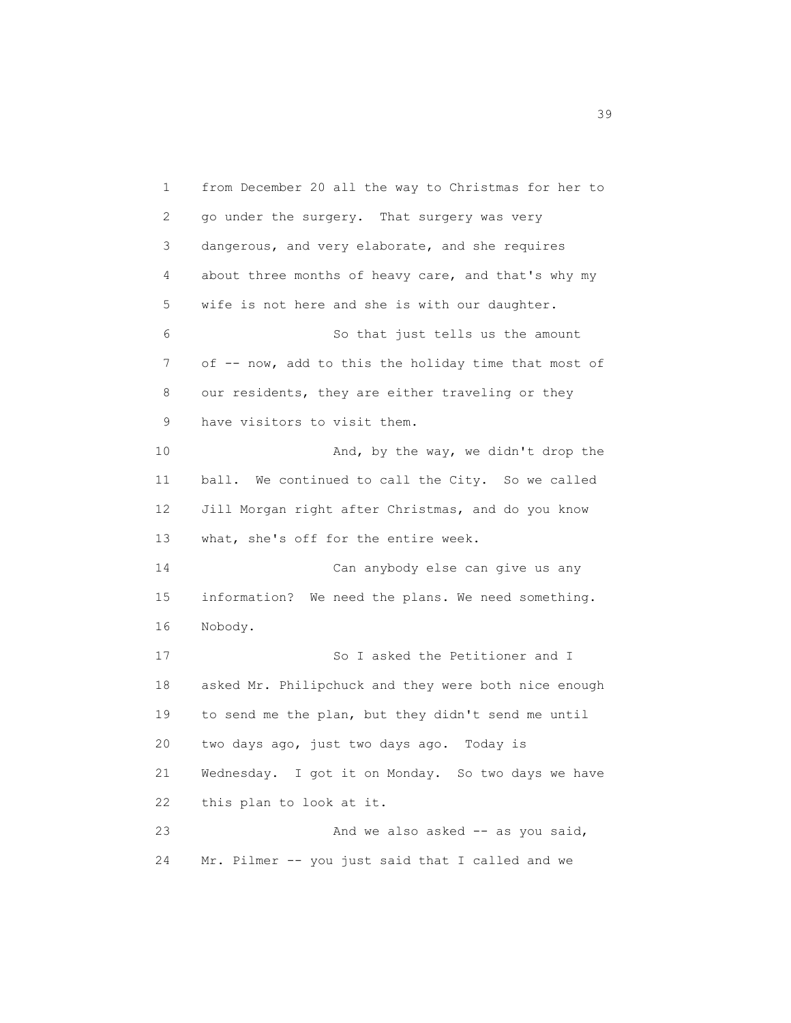1 from December 20 all the way to Christmas for her to 2 go under the surgery. That surgery was very 3 dangerous, and very elaborate, and she requires 4 about three months of heavy care, and that's why my 5 wife is not here and she is with our daughter. 6 So that just tells us the amount 7 of -- now, add to this the holiday time that most of 8 our residents, they are either traveling or they 9 have visitors to visit them. 10 And, by the way, we didn't drop the 11 ball. We continued to call the City. So we called 12 Jill Morgan right after Christmas, and do you know 13 what, she's off for the entire week. 14 Can anybody else can give us any 15 information? We need the plans. We need something. 16 Nobody. 17 So I asked the Petitioner and I 18 asked Mr. Philipchuck and they were both nice enough 19 to send me the plan, but they didn't send me until 20 two days ago, just two days ago. Today is 21 Wednesday. I got it on Monday. So two days we have 22 this plan to look at it. 23 And we also asked -- as you said, 24 Mr. Pilmer -- you just said that I called and we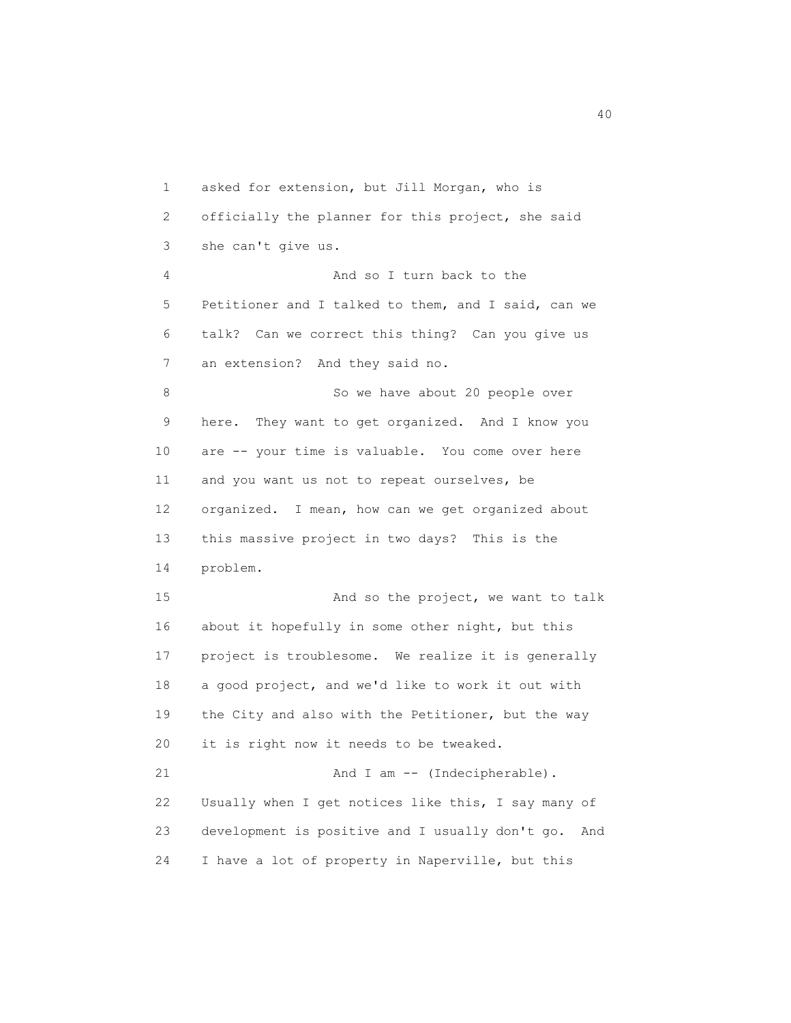1 asked for extension, but Jill Morgan, who is 2 officially the planner for this project, she said 3 she can't give us. 4 And so I turn back to the 5 Petitioner and I talked to them, and I said, can we 6 talk? Can we correct this thing? Can you give us 7 an extension? And they said no. 8 So we have about 20 people over 9 here. They want to get organized. And I know you 10 are -- your time is valuable. You come over here 11 and you want us not to repeat ourselves, be 12 organized. I mean, how can we get organized about 13 this massive project in two days? This is the 14 problem. 15 And so the project, we want to talk 16 about it hopefully in some other night, but this 17 project is troublesome. We realize it is generally 18 a good project, and we'd like to work it out with 19 the City and also with the Petitioner, but the way 20 it is right now it needs to be tweaked. 21 And I am -- (Indecipherable). 22 Usually when I get notices like this, I say many of 23 development is positive and I usually don't go. And 24 I have a lot of property in Naperville, but this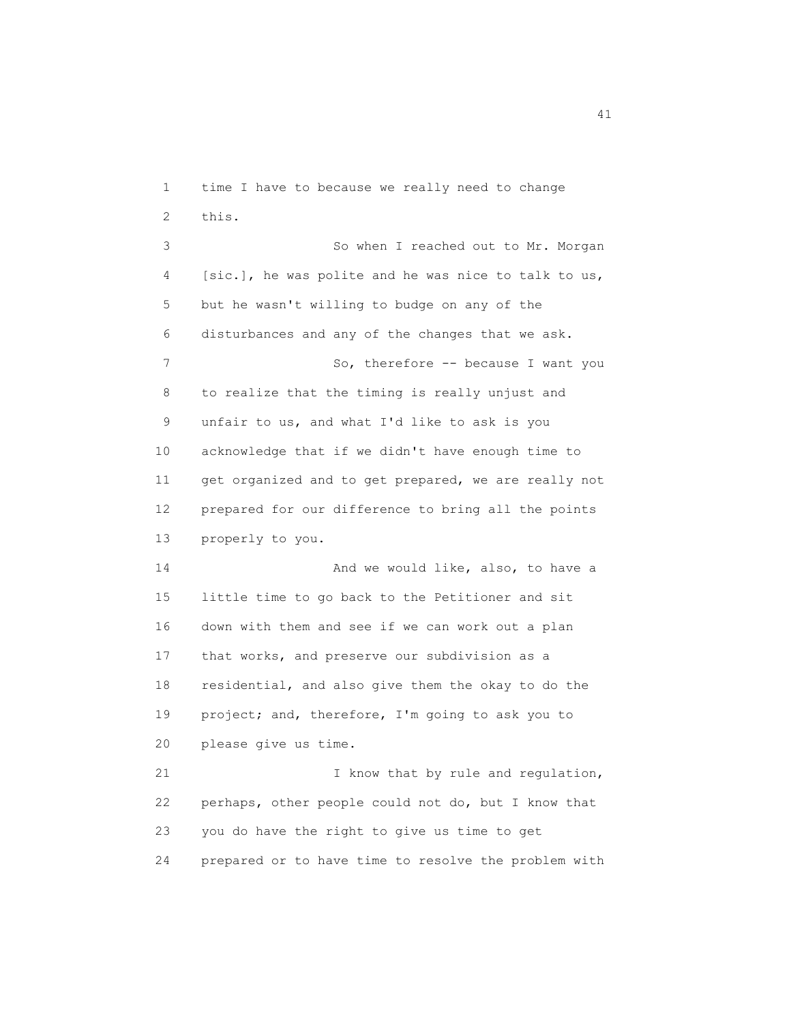1 time I have to because we really need to change 2 this. 3 So when I reached out to Mr. Morgan 4 [sic.], he was polite and he was nice to talk to us, 5 but he wasn't willing to budge on any of the 6 disturbances and any of the changes that we ask. 7 So, therefore -- because I want you 8 to realize that the timing is really unjust and 9 unfair to us, and what I'd like to ask is you 10 acknowledge that if we didn't have enough time to 11 get organized and to get prepared, we are really not 12 prepared for our difference to bring all the points 13 properly to you. 14 And we would like, also, to have a 15 little time to go back to the Petitioner and sit 16 down with them and see if we can work out a plan 17 that works, and preserve our subdivision as a 18 residential, and also give them the okay to do the 19 project; and, therefore, I'm going to ask you to 20 please give us time. 21 I know that by rule and regulation, 22 perhaps, other people could not do, but I know that 23 you do have the right to give us time to get 24 prepared or to have time to resolve the problem with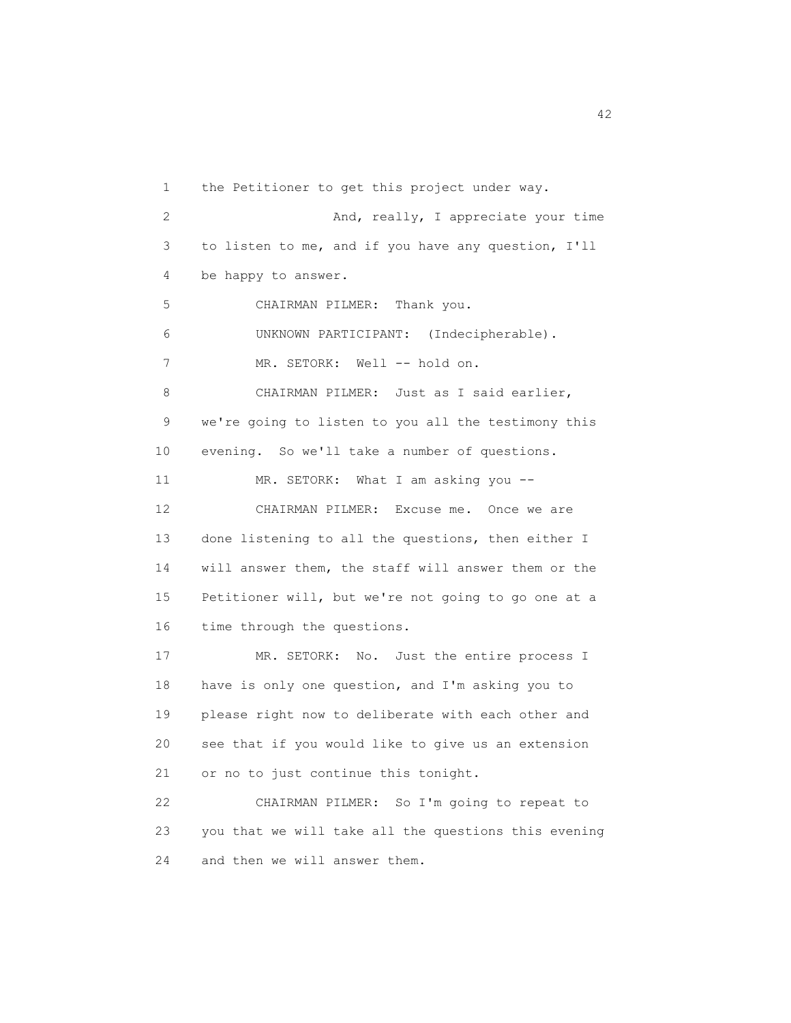1 the Petitioner to get this project under way. 2 And, really, I appreciate your time 3 to listen to me, and if you have any question, I'll 4 be happy to answer. 5 CHAIRMAN PILMER: Thank you. 6 UNKNOWN PARTICIPANT: (Indecipherable). 7 MR. SETORK: Well -- hold on. 8 CHAIRMAN PILMER: Just as I said earlier, 9 we're going to listen to you all the testimony this 10 evening. So we'll take a number of questions. 11 MR. SETORK: What I am asking you -- 12 CHAIRMAN PILMER: Excuse me. Once we are 13 done listening to all the questions, then either I 14 will answer them, the staff will answer them or the 15 Petitioner will, but we're not going to go one at a 16 time through the questions. 17 MR. SETORK: No. Just the entire process I 18 have is only one question, and I'm asking you to 19 please right now to deliberate with each other and 20 see that if you would like to give us an extension 21 or no to just continue this tonight. 22 CHAIRMAN PILMER: So I'm going to repeat to 23 you that we will take all the questions this evening 24 and then we will answer them.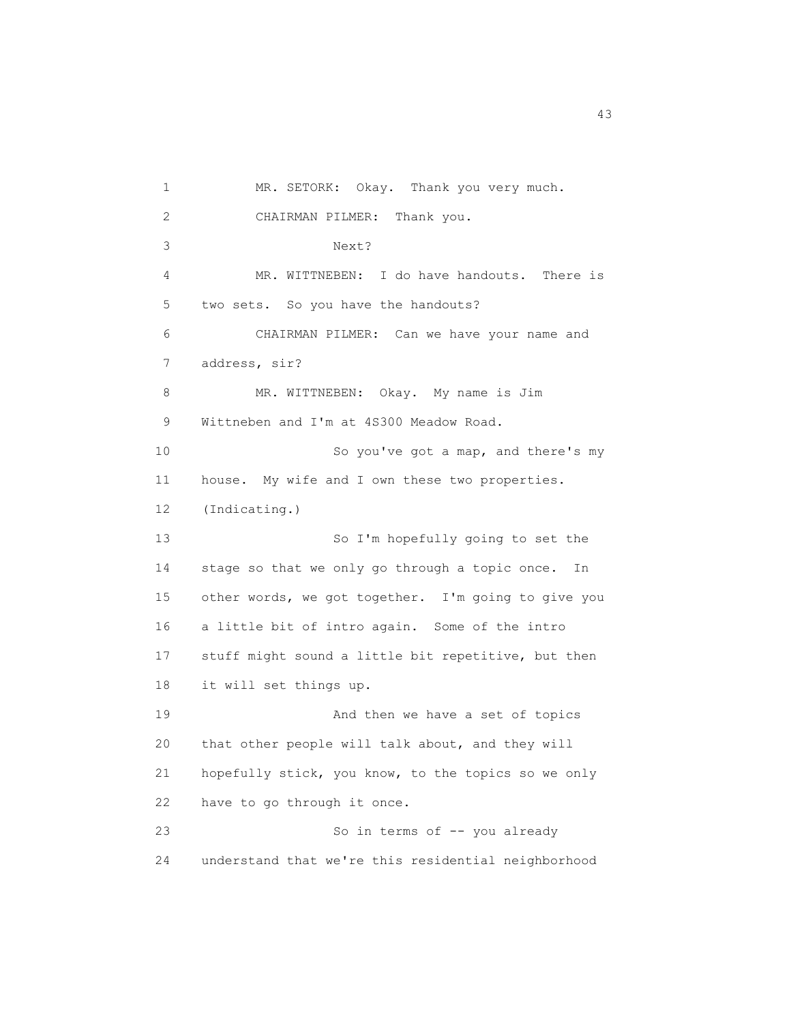1 MR. SETORK: Okay. Thank you very much. 2 CHAIRMAN PILMER: Thank you. 3 Next? 4 MR. WITTNEBEN: I do have handouts. There is 5 two sets. So you have the handouts? 6 CHAIRMAN PILMER: Can we have your name and 7 address, sir? 8 MR. WITTNEBEN: Okay. My name is Jim 9 Wittneben and I'm at 4S300 Meadow Road. 10 So you've got a map, and there's my 11 house. My wife and I own these two properties. 12 (Indicating.) 13 So I'm hopefully going to set the 14 stage so that we only go through a topic once. In 15 other words, we got together. I'm going to give you 16 a little bit of intro again. Some of the intro 17 stuff might sound a little bit repetitive, but then 18 it will set things up. 19 And then we have a set of topics 20 that other people will talk about, and they will 21 hopefully stick, you know, to the topics so we only 22 have to go through it once. 23 So in terms of  $-$  you already 24 understand that we're this residential neighborhood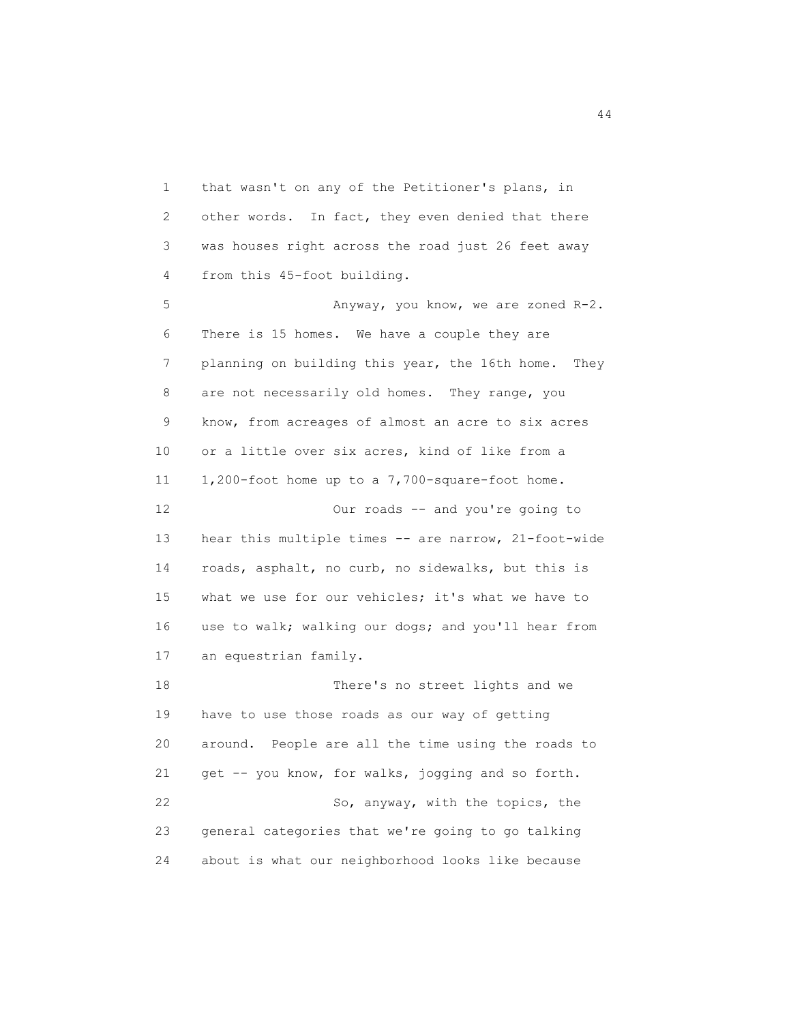1 that wasn't on any of the Petitioner's plans, in 2 other words. In fact, they even denied that there 3 was houses right across the road just 26 feet away 4 from this 45-foot building.

5 Anyway, you know, we are zoned R-2. 6 There is 15 homes. We have a couple they are 7 planning on building this year, the 16th home. They 8 are not necessarily old homes. They range, you 9 know, from acreages of almost an acre to six acres 10 or a little over six acres, kind of like from a 11 1,200-foot home up to a 7,700-square-foot home. 12 Our roads -- and you're going to 13 hear this multiple times -- are narrow, 21-foot-wide 14 roads, asphalt, no curb, no sidewalks, but this is 15 what we use for our vehicles; it's what we have to 16 use to walk; walking our dogs; and you'll hear from 17 an equestrian family. 18 There's no street lights and we 19 have to use those roads as our way of getting 20 around. People are all the time using the roads to 21 get -- you know, for walks, jogging and so forth. 22 So, anyway, with the topics, the

 23 general categories that we're going to go talking 24 about is what our neighborhood looks like because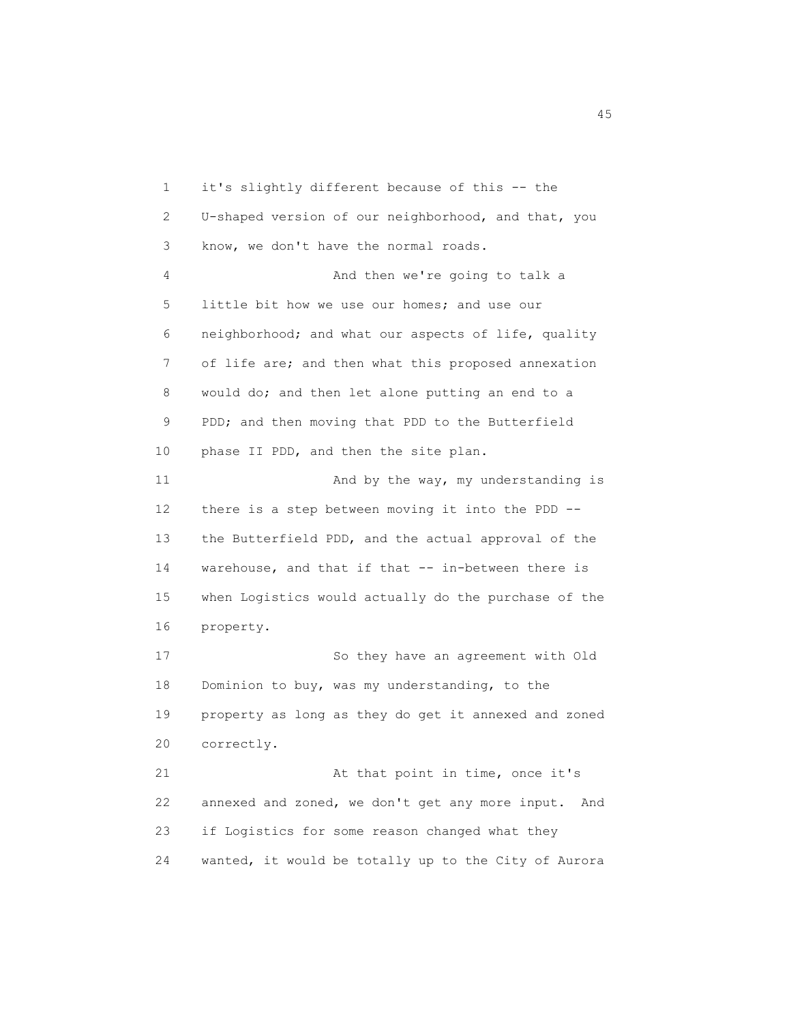1 it's slightly different because of this -- the 2 U-shaped version of our neighborhood, and that, you 3 know, we don't have the normal roads. 4 And then we're going to talk a 5 little bit how we use our homes; and use our 6 neighborhood; and what our aspects of life, quality 7 of life are; and then what this proposed annexation 8 would do; and then let alone putting an end to a 9 PDD; and then moving that PDD to the Butterfield 10 phase II PDD, and then the site plan. 11 And by the way, my understanding is 12 there is a step between moving it into the PDD -- 13 the Butterfield PDD, and the actual approval of the 14 warehouse, and that if that -- in-between there is 15 when Logistics would actually do the purchase of the 16 property. 17 So they have an agreement with Old 18 Dominion to buy, was my understanding, to the 19 property as long as they do get it annexed and zoned 20 correctly. 21 At that point in time, once it's 22 annexed and zoned, we don't get any more input. And 23 if Logistics for some reason changed what they 24 wanted, it would be totally up to the City of Aurora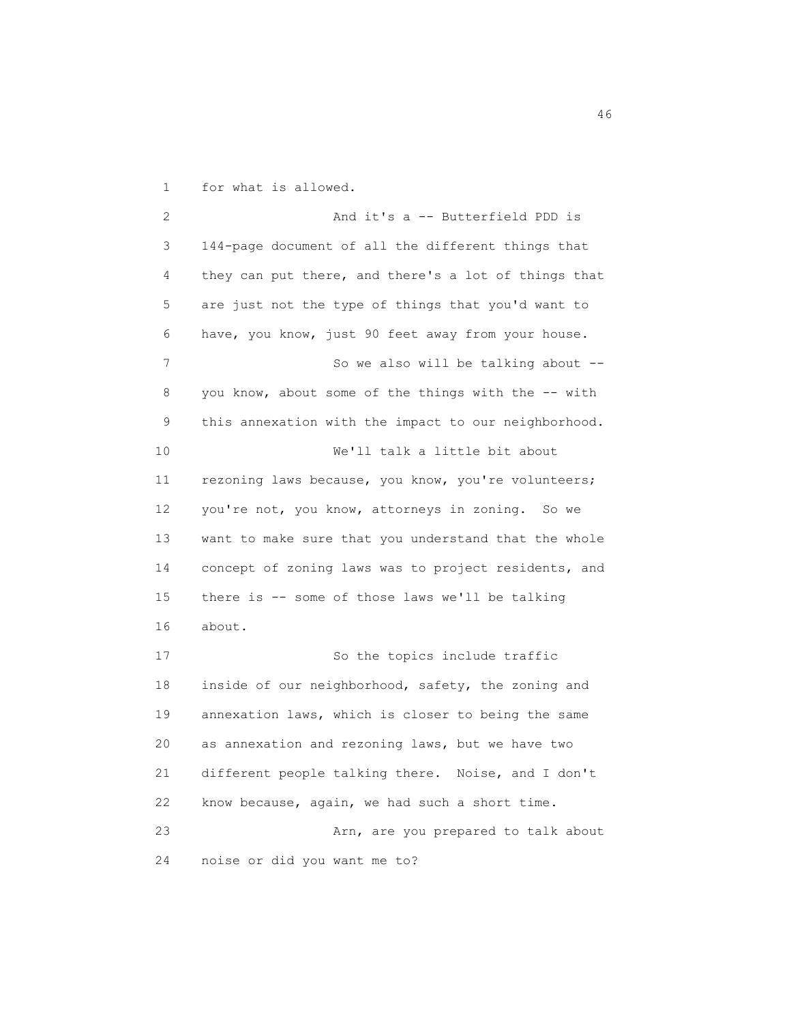1 for what is allowed.

 2 And it's a -- Butterfield PDD is 3 144-page document of all the different things that 4 they can put there, and there's a lot of things that 5 are just not the type of things that you'd want to 6 have, you know, just 90 feet away from your house. 7 So we also will be talking about --8 you know, about some of the things with the -- with 9 this annexation with the impact to our neighborhood. 10 We'll talk a little bit about 11 rezoning laws because, you know, you're volunteers; 12 you're not, you know, attorneys in zoning. So we 13 want to make sure that you understand that the whole 14 concept of zoning laws was to project residents, and 15 there is -- some of those laws we'll be talking 16 about. 17 So the topics include traffic 18 inside of our neighborhood, safety, the zoning and 19 annexation laws, which is closer to being the same 20 as annexation and rezoning laws, but we have two 21 different people talking there. Noise, and I don't 22 know because, again, we had such a short time. 23 Arn, are you prepared to talk about 24 noise or did you want me to?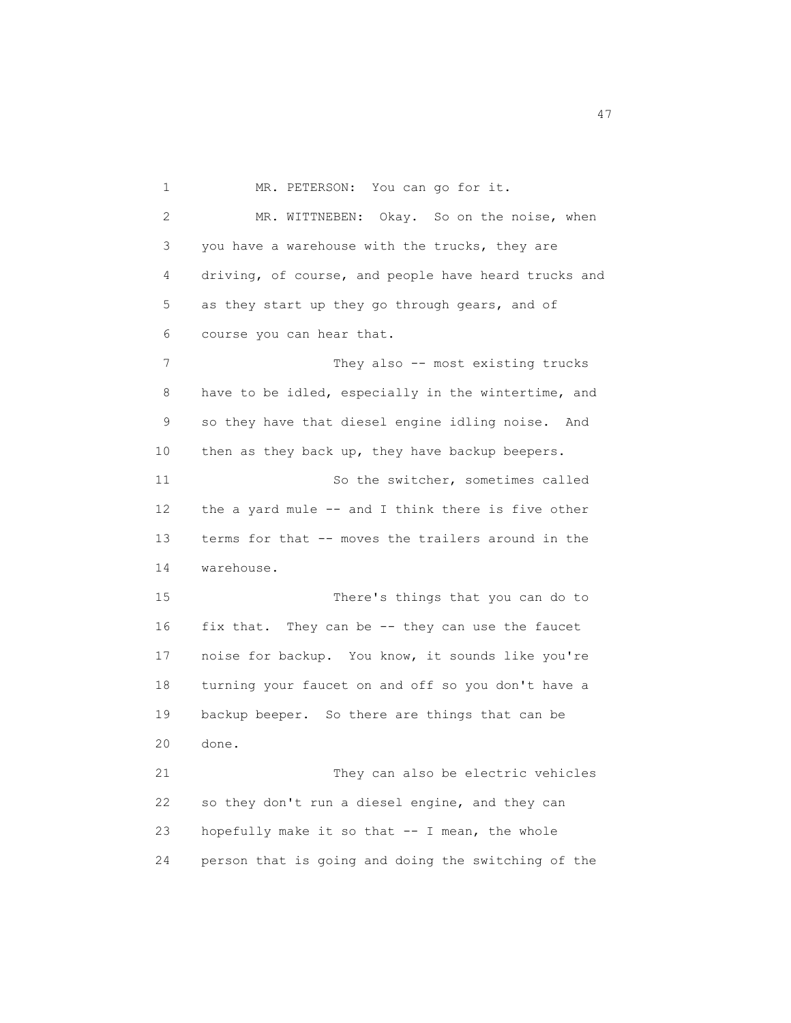1 MR. PETERSON: You can go for it. 2 MR. WITTNEBEN: Okay. So on the noise, when 3 you have a warehouse with the trucks, they are 4 driving, of course, and people have heard trucks and 5 as they start up they go through gears, and of 6 course you can hear that. 7 They also -- most existing trucks 8 have to be idled, especially in the wintertime, and 9 so they have that diesel engine idling noise. And 10 then as they back up, they have backup beepers. 11 So the switcher, sometimes called 12 the a yard mule -- and I think there is five other 13 terms for that -- moves the trailers around in the 14 warehouse. 15 There's things that you can do to 16 fix that. They can be -- they can use the faucet 17 noise for backup. You know, it sounds like you're 18 turning your faucet on and off so you don't have a 19 backup beeper. So there are things that can be 20 done. 21 They can also be electric vehicles 22 so they don't run a diesel engine, and they can 23 hopefully make it so that -- I mean, the whole

24 person that is going and doing the switching of the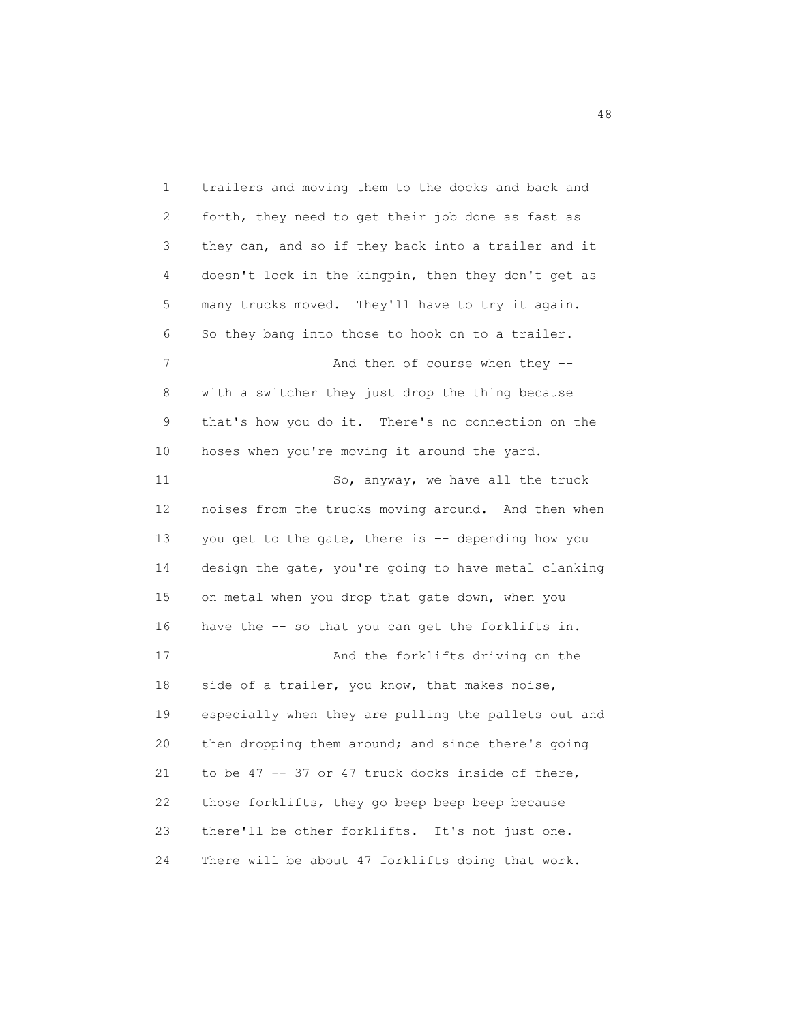1 trailers and moving them to the docks and back and 2 forth, they need to get their job done as fast as 3 they can, and so if they back into a trailer and it 4 doesn't lock in the kingpin, then they don't get as 5 many trucks moved. They'll have to try it again. 6 So they bang into those to hook on to a trailer. 7 And then of course when they -- 8 with a switcher they just drop the thing because 9 that's how you do it. There's no connection on the 10 hoses when you're moving it around the yard. 11 So, anyway, we have all the truck 12 noises from the trucks moving around. And then when 13 you get to the gate, there is -- depending how you 14 design the gate, you're going to have metal clanking 15 on metal when you drop that gate down, when you 16 have the -- so that you can get the forklifts in. 17 And the forklifts driving on the 18 side of a trailer, you know, that makes noise, 19 especially when they are pulling the pallets out and 20 then dropping them around; and since there's going 21 to be 47 -- 37 or 47 truck docks inside of there, 22 those forklifts, they go beep beep beep because 23 there'll be other forklifts. It's not just one. 24 There will be about 47 forklifts doing that work.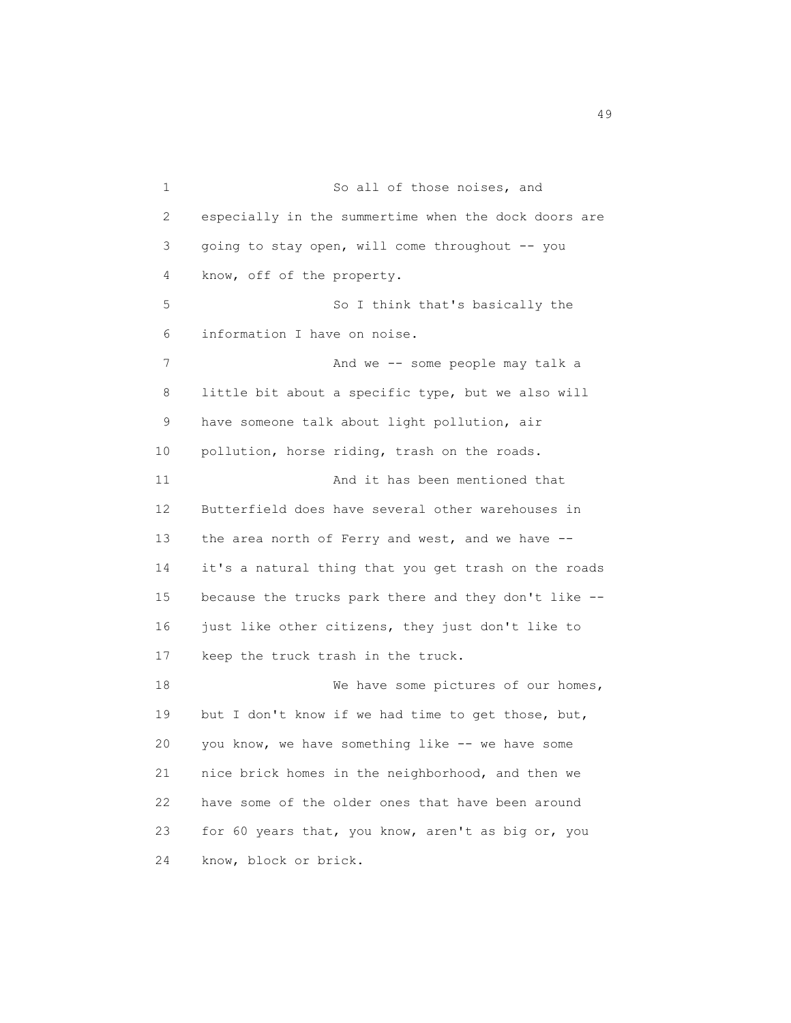1 So all of those noises, and 2 especially in the summertime when the dock doors are 3 going to stay open, will come throughout -- you 4 know, off of the property. 5 So I think that's basically the 6 information I have on noise. 7 And we -- some people may talk a 8 little bit about a specific type, but we also will 9 have someone talk about light pollution, air 10 pollution, horse riding, trash on the roads. 11 And it has been mentioned that 12 Butterfield does have several other warehouses in 13 the area north of Ferry and west, and we have -- 14 it's a natural thing that you get trash on the roads 15 because the trucks park there and they don't like -- 16 just like other citizens, they just don't like to 17 keep the truck trash in the truck. 18 We have some pictures of our homes, 19 but I don't know if we had time to get those, but, 20 you know, we have something like -- we have some 21 nice brick homes in the neighborhood, and then we 22 have some of the older ones that have been around 23 for 60 years that, you know, aren't as big or, you 24 know, block or brick.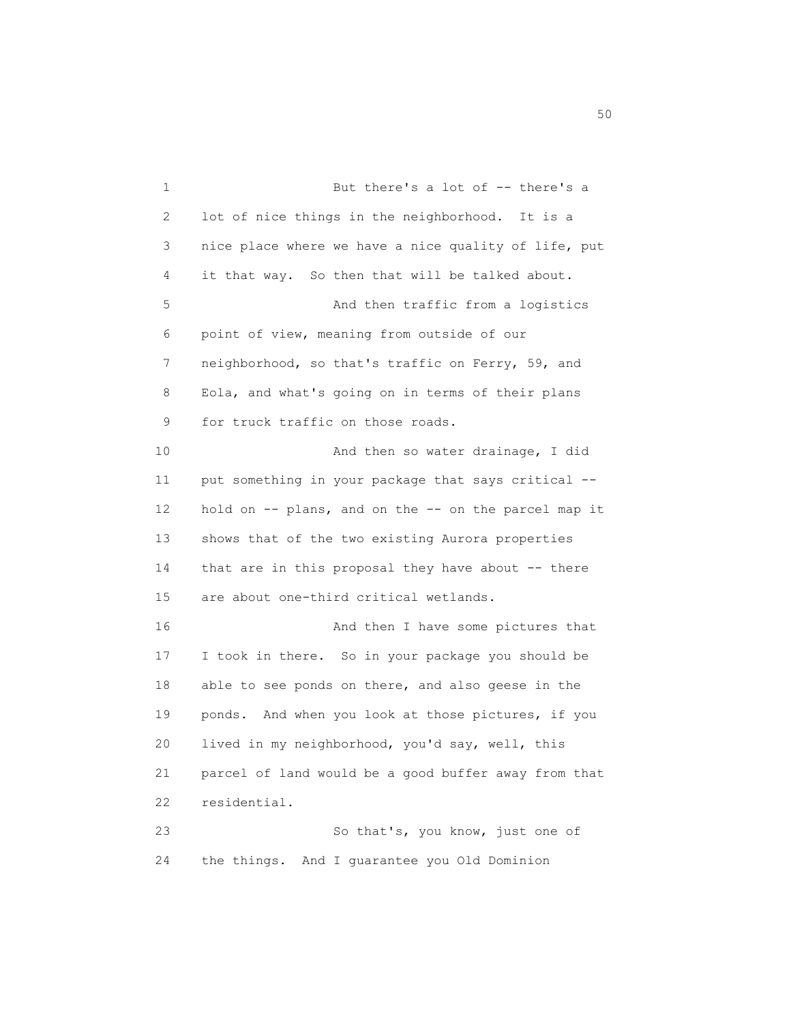1 But there's a lot of -- there's a 2 lot of nice things in the neighborhood. It is a 3 nice place where we have a nice quality of life, put 4 it that way. So then that will be talked about. 5 And then traffic from a logistics 6 point of view, meaning from outside of our 7 neighborhood, so that's traffic on Ferry, 59, and 8 Eola, and what's going on in terms of their plans 9 for truck traffic on those roads. 10 And then so water drainage, I did 11 put something in your package that says critical -- 12 hold on -- plans, and on the -- on the parcel map it 13 shows that of the two existing Aurora properties 14 that are in this proposal they have about -- there 15 are about one-third critical wetlands. 16 And then I have some pictures that 17 I took in there. So in your package you should be 18 able to see ponds on there, and also geese in the 19 ponds. And when you look at those pictures, if you 20 lived in my neighborhood, you'd say, well, this 21 parcel of land would be a good buffer away from that 22 residential. 23 So that's, you know, just one of 24 the things. And I guarantee you Old Dominion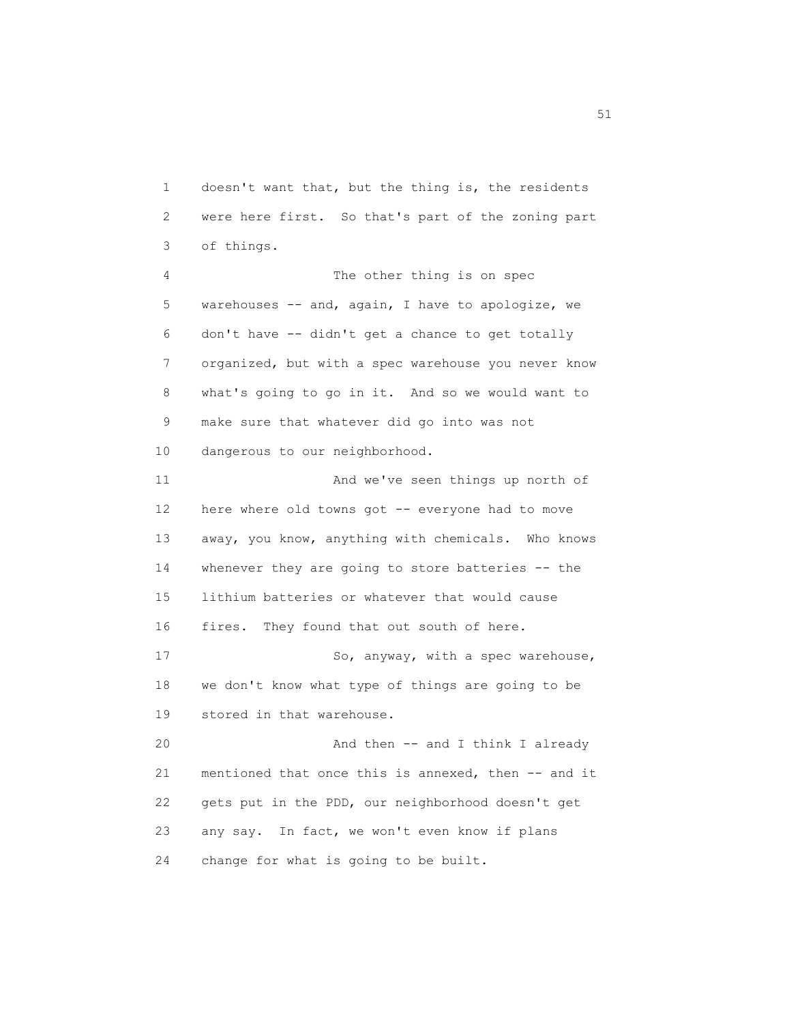1 doesn't want that, but the thing is, the residents 2 were here first. So that's part of the zoning part 3 of things. 4 The other thing is on spec 5 warehouses -- and, again, I have to apologize, we 6 don't have -- didn't get a chance to get totally 7 organized, but with a spec warehouse you never know 8 what's going to go in it. And so we would want to 9 make sure that whatever did go into was not 10 dangerous to our neighborhood. 11 And we've seen things up north of 12 here where old towns got -- everyone had to move 13 away, you know, anything with chemicals. Who knows 14 whenever they are going to store batteries -- the 15 lithium batteries or whatever that would cause 16 fires. They found that out south of here. 17 So, anyway, with a spec warehouse, 18 we don't know what type of things are going to be 19 stored in that warehouse. 20 And then -- and I think I already 21 mentioned that once this is annexed, then -- and it 22 gets put in the PDD, our neighborhood doesn't get 23 any say. In fact, we won't even know if plans 24 change for what is going to be built.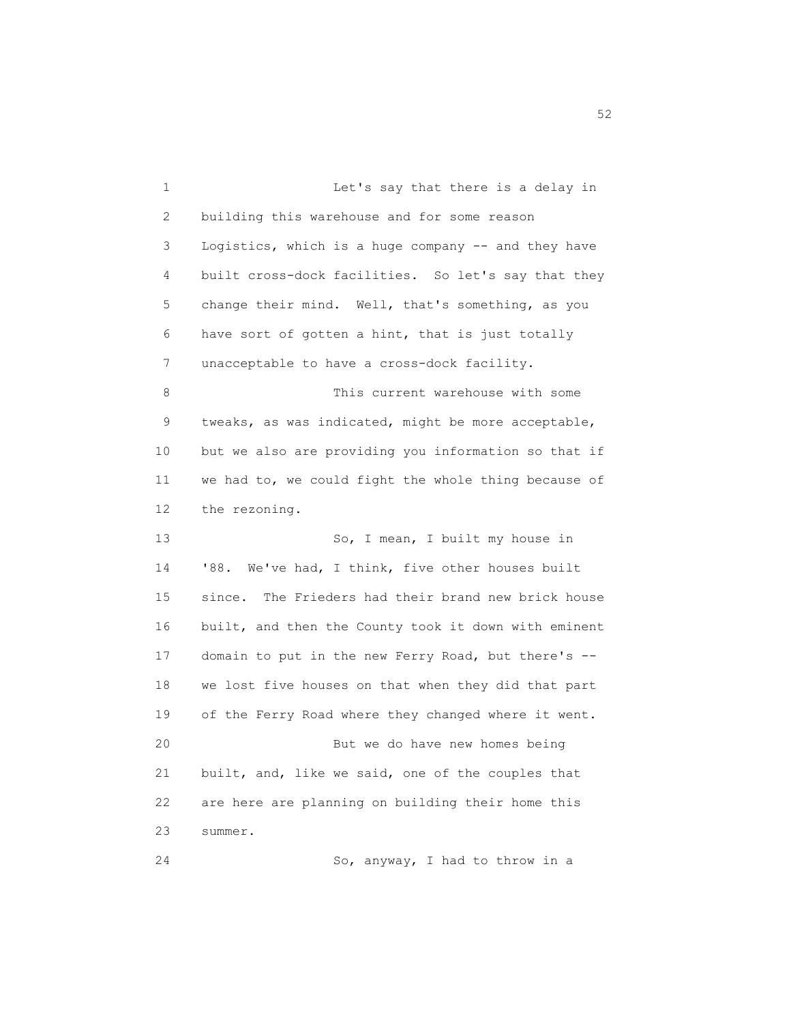1 Let's say that there is a delay in 2 building this warehouse and for some reason 3 Logistics, which is a huge company -- and they have 4 built cross-dock facilities. So let's say that they 5 change their mind. Well, that's something, as you 6 have sort of gotten a hint, that is just totally 7 unacceptable to have a cross-dock facility. 8 This current warehouse with some 9 tweaks, as was indicated, might be more acceptable, 10 but we also are providing you information so that if 11 we had to, we could fight the whole thing because of 12 the rezoning. 13 So, I mean, I built my house in 14 '88. We've had, I think, five other houses built 15 since. The Frieders had their brand new brick house 16 built, and then the County took it down with eminent 17 domain to put in the new Ferry Road, but there's -- 18 we lost five houses on that when they did that part 19 of the Ferry Road where they changed where it went. 20 But we do have new homes being 21 built, and, like we said, one of the couples that 22 are here are planning on building their home this 23 summer. 24 So, anyway, I had to throw in a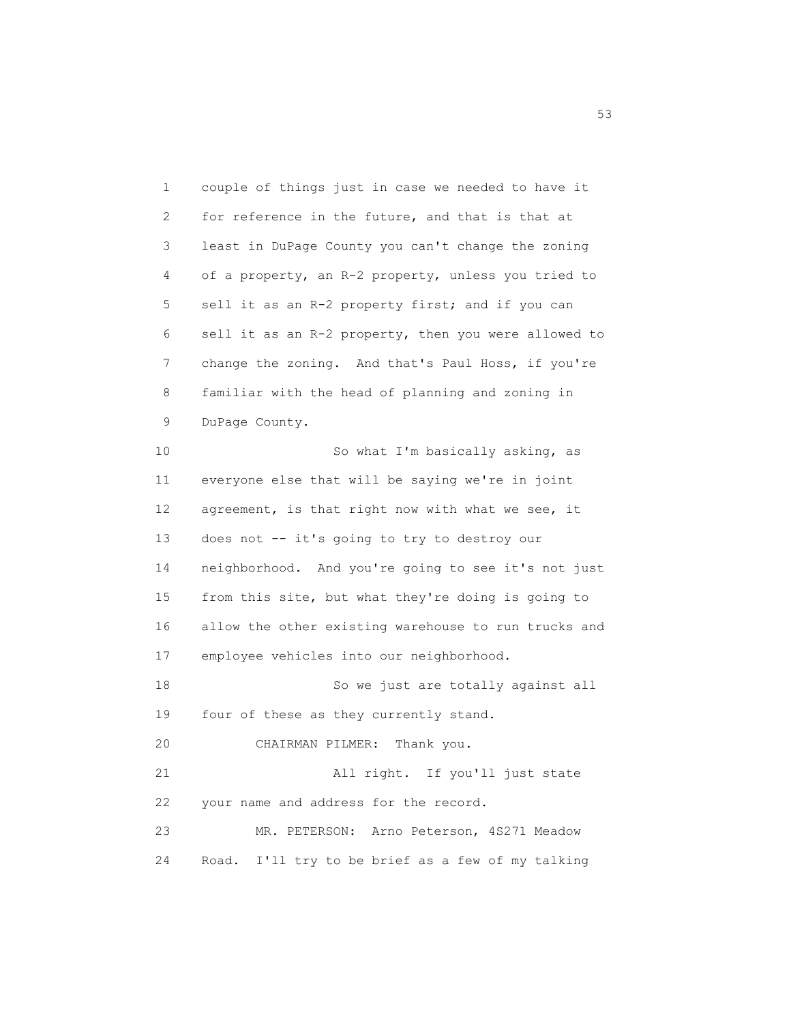1 couple of things just in case we needed to have it 2 for reference in the future, and that is that at 3 least in DuPage County you can't change the zoning 4 of a property, an R-2 property, unless you tried to 5 sell it as an R-2 property first; and if you can 6 sell it as an R-2 property, then you were allowed to 7 change the zoning. And that's Paul Hoss, if you're 8 familiar with the head of planning and zoning in 9 DuPage County. 10 So what I'm basically asking, as 11 everyone else that will be saying we're in joint 12 agreement, is that right now with what we see, it 13 does not -- it's going to try to destroy our 14 neighborhood. And you're going to see it's not just 15 from this site, but what they're doing is going to 16 allow the other existing warehouse to run trucks and 17 employee vehicles into our neighborhood. 18 So we just are totally against all 19 four of these as they currently stand. 20 CHAIRMAN PILMER: Thank you. 21 All right. If you'll just state 22 your name and address for the record. 23 MR. PETERSON: Arno Peterson, 4S271 Meadow 24 Road. I'll try to be brief as a few of my talking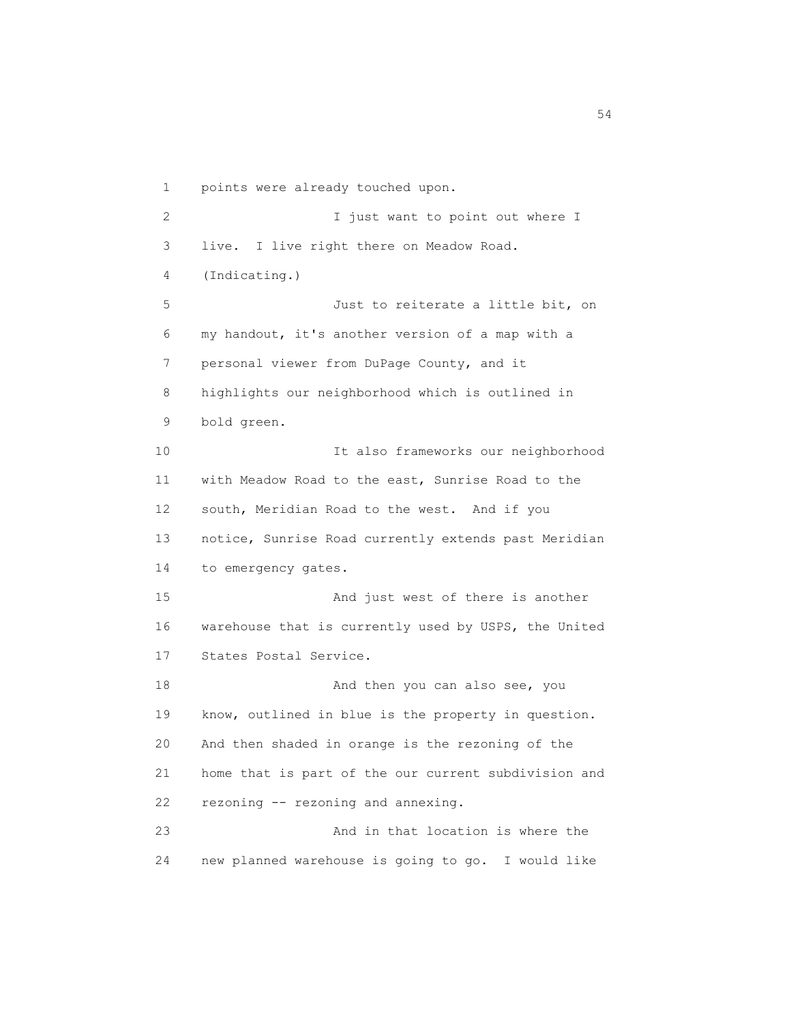1 points were already touched upon. 2 I just want to point out where I 3 live. I live right there on Meadow Road. 4 (Indicating.) 5 Just to reiterate a little bit, on 6 my handout, it's another version of a map with a 7 personal viewer from DuPage County, and it 8 highlights our neighborhood which is outlined in 9 bold green. 10 It also frameworks our neighborhood 11 with Meadow Road to the east, Sunrise Road to the 12 south, Meridian Road to the west. And if you 13 notice, Sunrise Road currently extends past Meridian 14 to emergency gates. 15 And just west of there is another 16 warehouse that is currently used by USPS, the United 17 States Postal Service. 18 And then you can also see, you 19 know, outlined in blue is the property in question. 20 And then shaded in orange is the rezoning of the 21 home that is part of the our current subdivision and 22 rezoning -- rezoning and annexing. 23 And in that location is where the 24 new planned warehouse is going to go. I would like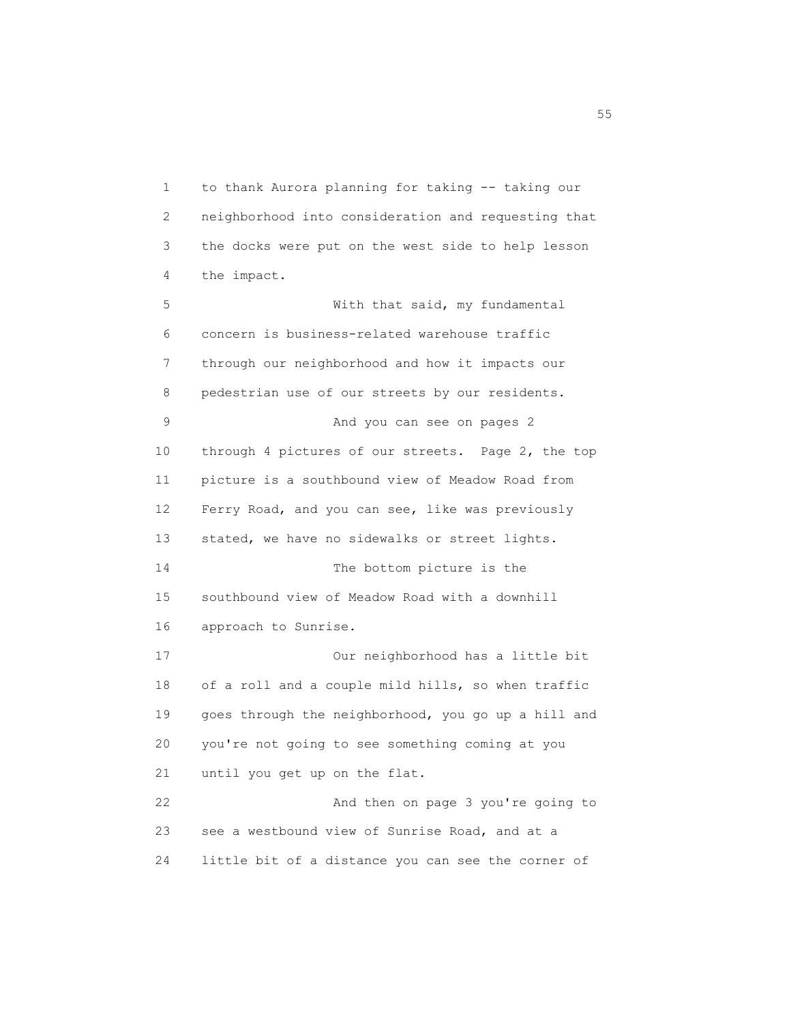1 to thank Aurora planning for taking -- taking our 2 neighborhood into consideration and requesting that 3 the docks were put on the west side to help lesson 4 the impact. 5 With that said, my fundamental 6 concern is business-related warehouse traffic 7 through our neighborhood and how it impacts our 8 pedestrian use of our streets by our residents. 9 And you can see on pages 2 10 through 4 pictures of our streets. Page 2, the top 11 picture is a southbound view of Meadow Road from 12 Ferry Road, and you can see, like was previously 13 stated, we have no sidewalks or street lights. 14 The bottom picture is the 15 southbound view of Meadow Road with a downhill 16 approach to Sunrise. 17 Our neighborhood has a little bit 18 of a roll and a couple mild hills, so when traffic 19 goes through the neighborhood, you go up a hill and 20 you're not going to see something coming at you 21 until you get up on the flat. 22 And then on page 3 you're going to 23 see a westbound view of Sunrise Road, and at a 24 little bit of a distance you can see the corner of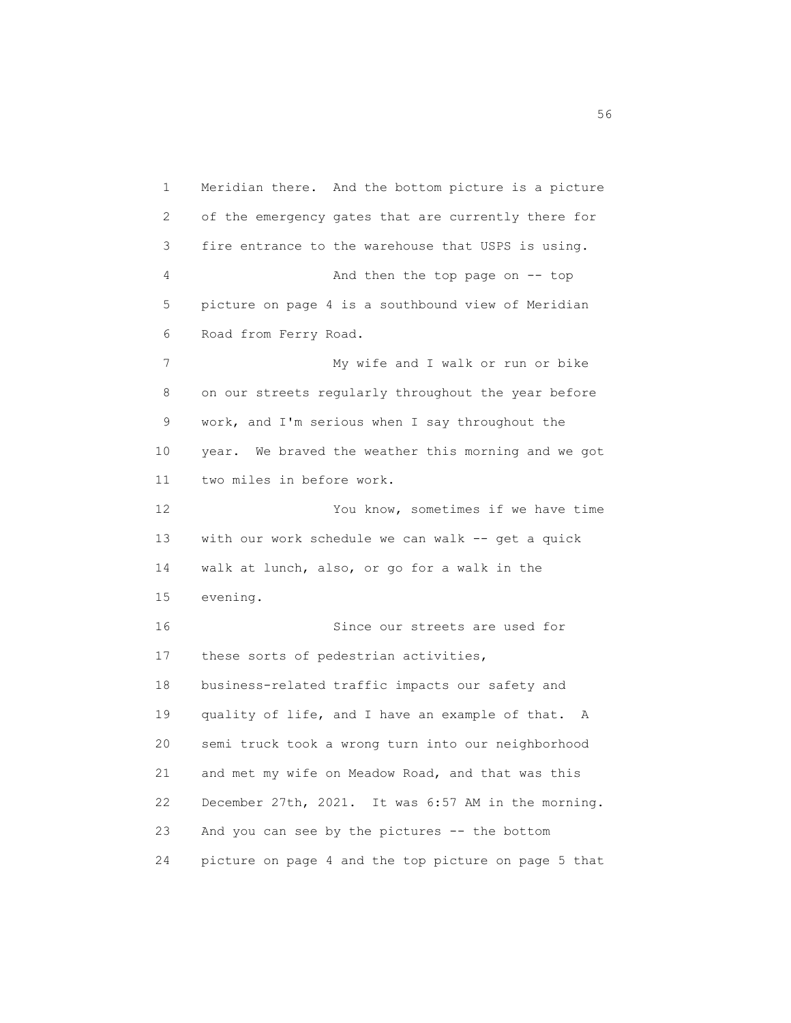1 Meridian there. And the bottom picture is a picture 2 of the emergency gates that are currently there for 3 fire entrance to the warehouse that USPS is using. 4 And then the top page on -- top 5 picture on page 4 is a southbound view of Meridian 6 Road from Ferry Road. 7 My wife and I walk or run or bike 8 on our streets regularly throughout the year before 9 work, and I'm serious when I say throughout the 10 year. We braved the weather this morning and we got 11 two miles in before work. 12 You know, sometimes if we have time 13 with our work schedule we can walk -- get a quick 14 walk at lunch, also, or go for a walk in the 15 evening. 16 Since our streets are used for 17 these sorts of pedestrian activities, 18 business-related traffic impacts our safety and 19 quality of life, and I have an example of that. A 20 semi truck took a wrong turn into our neighborhood 21 and met my wife on Meadow Road, and that was this 22 December 27th, 2021. It was 6:57 AM in the morning. 23 And you can see by the pictures -- the bottom 24 picture on page 4 and the top picture on page 5 that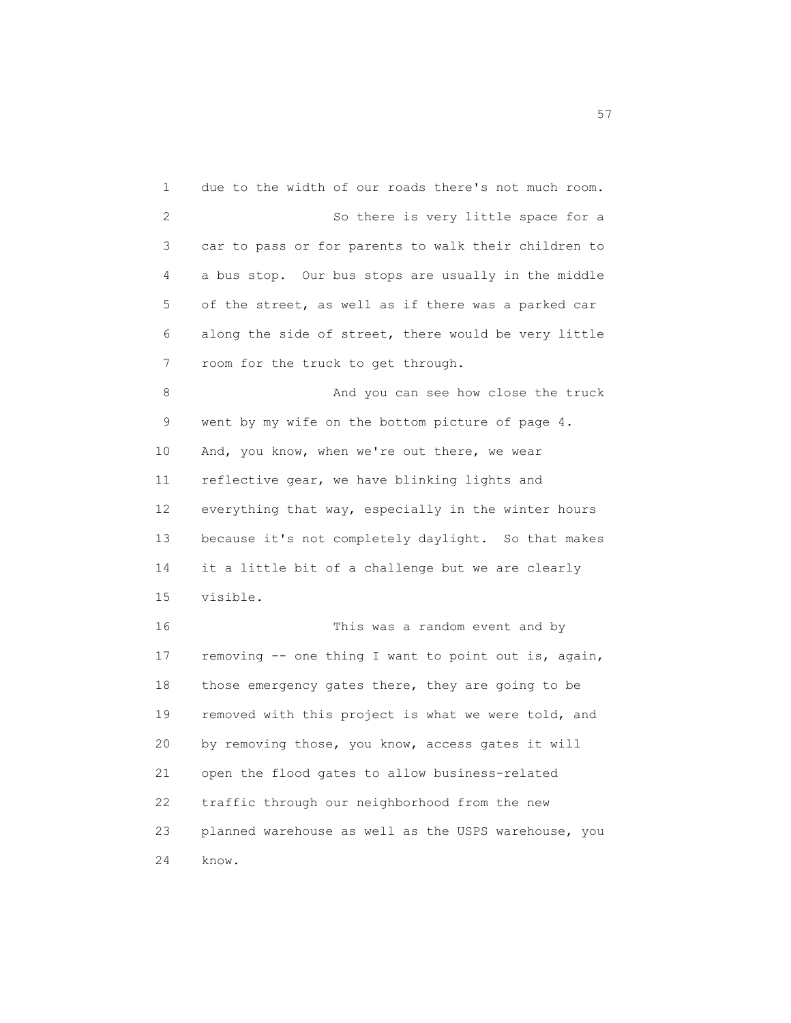1 due to the width of our roads there's not much room. 2 So there is very little space for a 3 car to pass or for parents to walk their children to 4 a bus stop. Our bus stops are usually in the middle 5 of the street, as well as if there was a parked car 6 along the side of street, there would be very little 7 room for the truck to get through. 8 And you can see how close the truck 9 went by my wife on the bottom picture of page 4. 10 And, you know, when we're out there, we wear 11 reflective gear, we have blinking lights and 12 everything that way, especially in the winter hours 13 because it's not completely daylight. So that makes 14 it a little bit of a challenge but we are clearly 15 visible. 16 This was a random event and by 17 removing -- one thing I want to point out is, again, 18 those emergency gates there, they are going to be 19 removed with this project is what we were told, and 20 by removing those, you know, access gates it will 21 open the flood gates to allow business-related 22 traffic through our neighborhood from the new 23 planned warehouse as well as the USPS warehouse, you 24 know.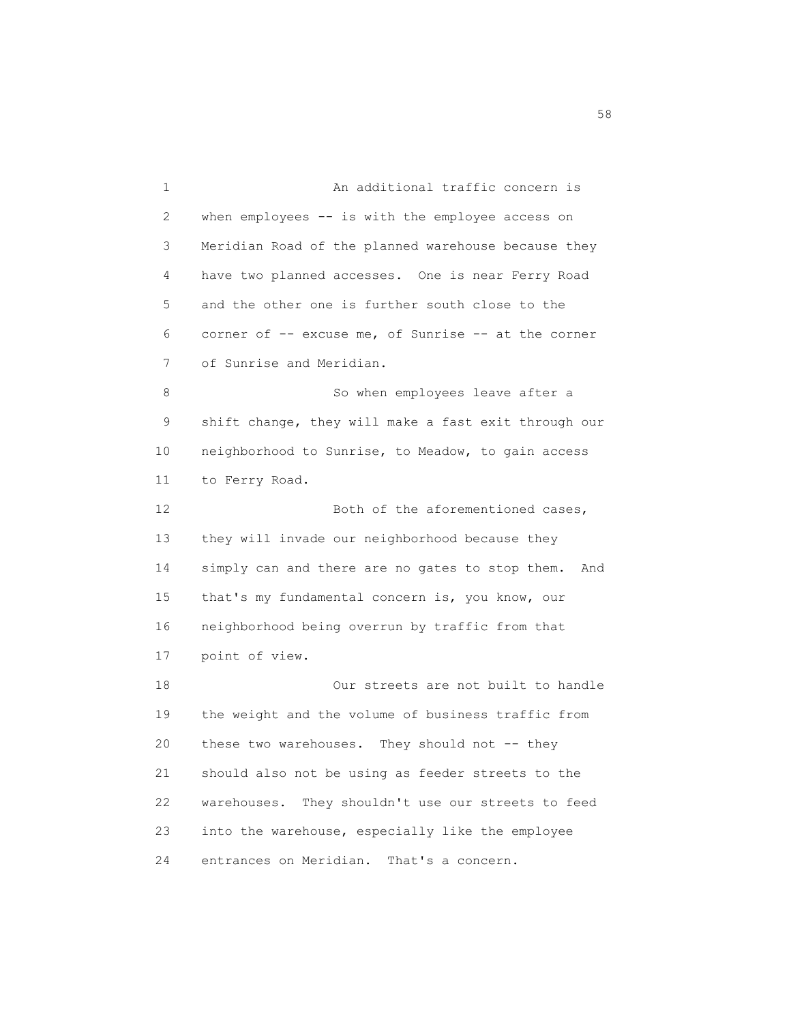1 An additional traffic concern is 2 when employees -- is with the employee access on 3 Meridian Road of the planned warehouse because they 4 have two planned accesses. One is near Ferry Road 5 and the other one is further south close to the 6 corner of -- excuse me, of Sunrise -- at the corner 7 of Sunrise and Meridian. 8 So when employees leave after a 9 shift change, they will make a fast exit through our 10 neighborhood to Sunrise, to Meadow, to gain access 11 to Ferry Road. 12 Both of the aforementioned cases, 13 they will invade our neighborhood because they 14 simply can and there are no gates to stop them. And 15 that's my fundamental concern is, you know, our 16 neighborhood being overrun by traffic from that 17 point of view. 18 Our streets are not built to handle 19 the weight and the volume of business traffic from 20 these two warehouses. They should not -- they 21 should also not be using as feeder streets to the 22 warehouses. They shouldn't use our streets to feed 23 into the warehouse, especially like the employee 24 entrances on Meridian. That's a concern.

 $58<sup>8</sup>$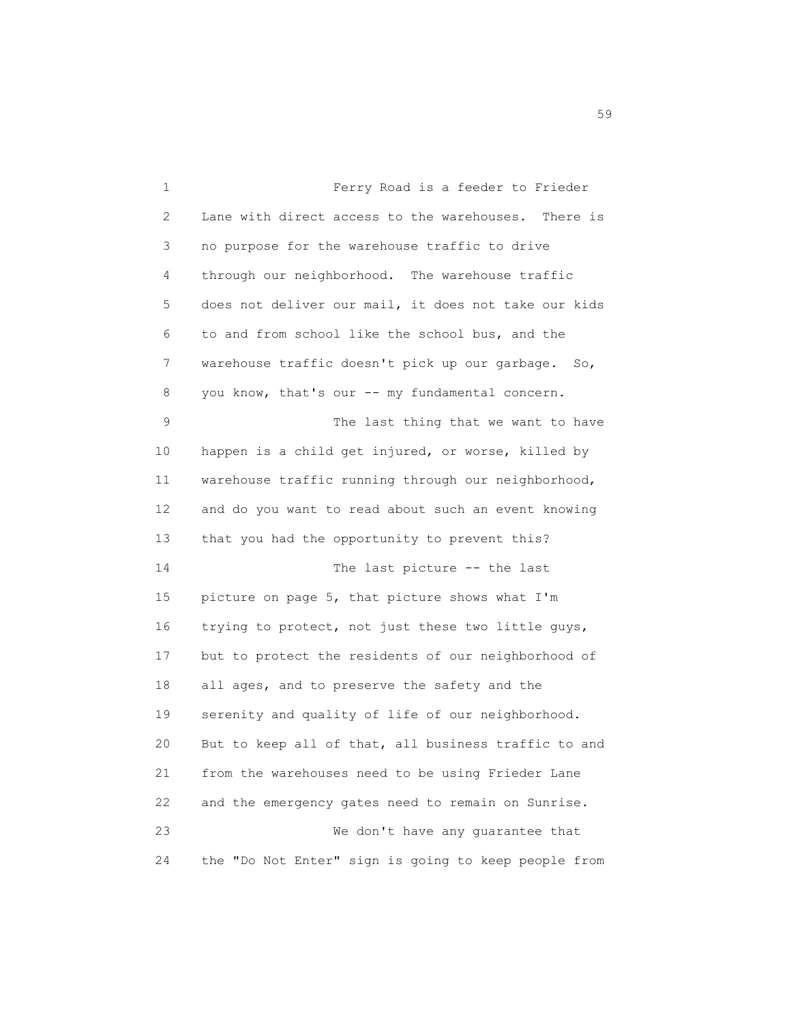1 Ferry Road is a feeder to Frieder 2 Lane with direct access to the warehouses. There is 3 no purpose for the warehouse traffic to drive 4 through our neighborhood. The warehouse traffic 5 does not deliver our mail, it does not take our kids 6 to and from school like the school bus, and the 7 warehouse traffic doesn't pick up our garbage. So, 8 you know, that's our -- my fundamental concern. 9 The last thing that we want to have 10 happen is a child get injured, or worse, killed by 11 warehouse traffic running through our neighborhood, 12 and do you want to read about such an event knowing 13 that you had the opportunity to prevent this? 14 The last picture -- the last 15 picture on page 5, that picture shows what I'm 16 trying to protect, not just these two little guys, 17 but to protect the residents of our neighborhood of 18 all ages, and to preserve the safety and the 19 serenity and quality of life of our neighborhood. 20 But to keep all of that, all business traffic to and 21 from the warehouses need to be using Frieder Lane 22 and the emergency gates need to remain on Sunrise. 23 We don't have any guarantee that 24 the "Do Not Enter" sign is going to keep people from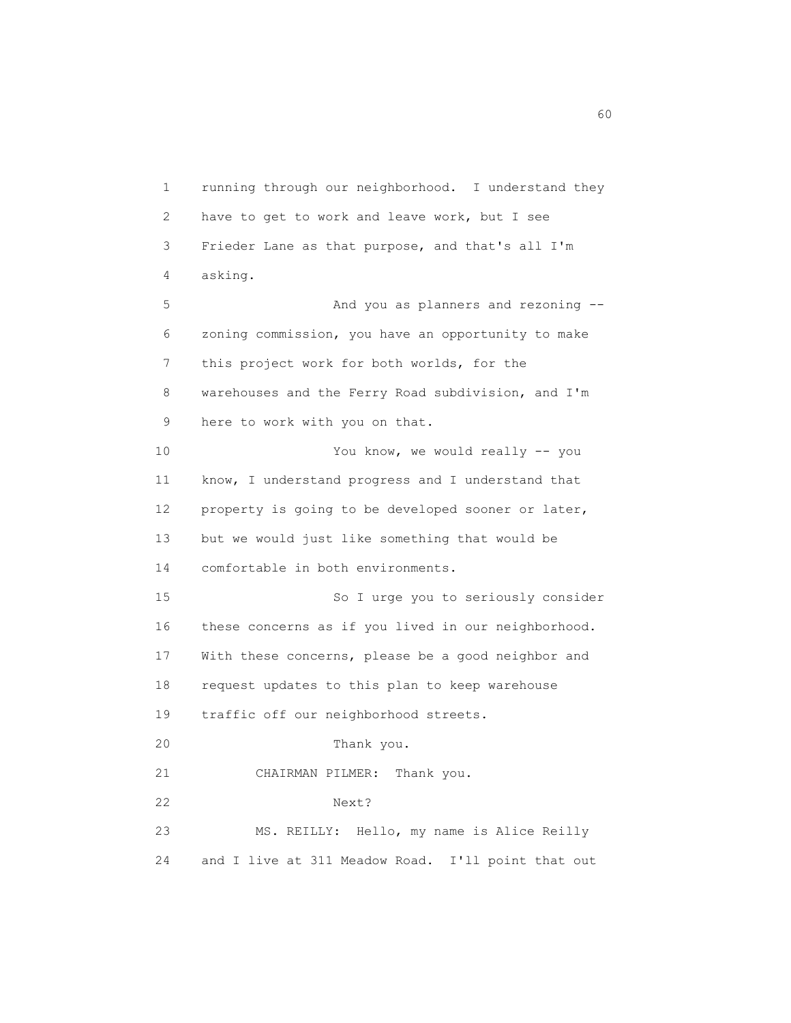1 running through our neighborhood. I understand they 2 have to get to work and leave work, but I see 3 Frieder Lane as that purpose, and that's all I'm 4 asking. 5 And you as planners and rezoning -- 6 zoning commission, you have an opportunity to make 7 this project work for both worlds, for the 8 warehouses and the Ferry Road subdivision, and I'm 9 here to work with you on that. 10 You know, we would really -- you 11 know, I understand progress and I understand that 12 property is going to be developed sooner or later, 13 but we would just like something that would be 14 comfortable in both environments. 15 So I urge you to seriously consider 16 these concerns as if you lived in our neighborhood. 17 With these concerns, please be a good neighbor and 18 request updates to this plan to keep warehouse 19 traffic off our neighborhood streets. 20 Thank you. 21 CHAIRMAN PILMER: Thank you. 22 Next? 23 MS. REILLY: Hello, my name is Alice Reilly 24 and I live at 311 Meadow Road. I'll point that out

 $\sim$  60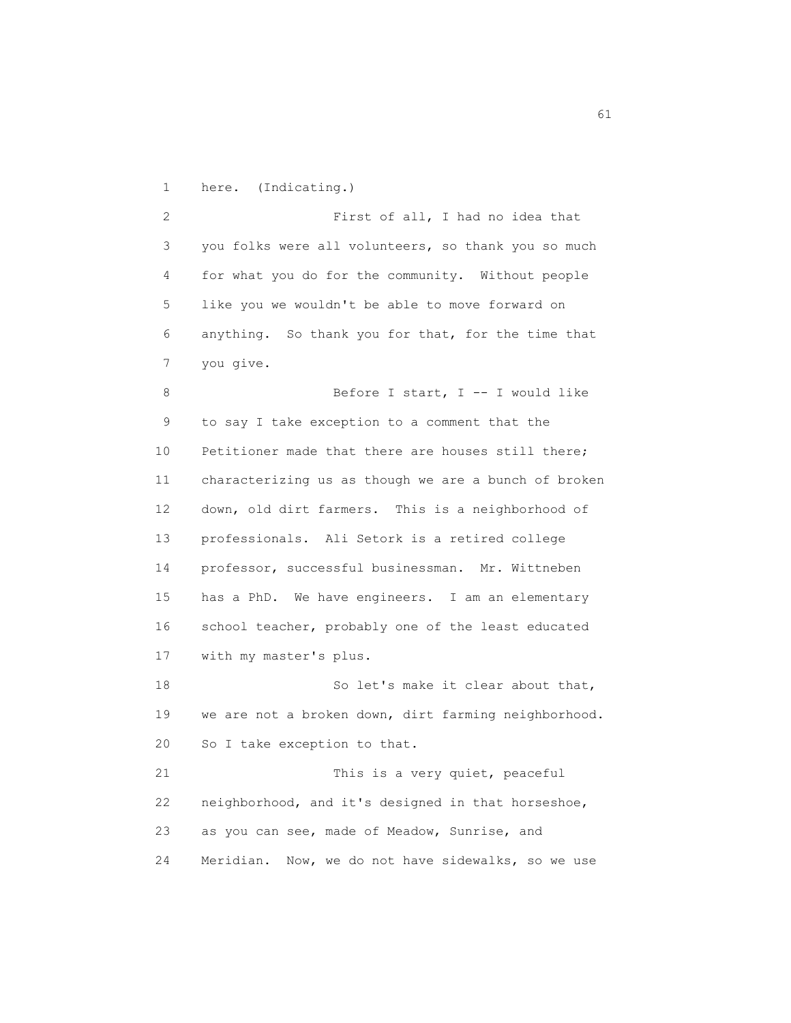1 here. (Indicating.)

 2 First of all, I had no idea that 3 you folks were all volunteers, so thank you so much 4 for what you do for the community. Without people 5 like you we wouldn't be able to move forward on 6 anything. So thank you for that, for the time that 7 you give.

8 Before I start, I -- I would like 9 to say I take exception to a comment that the 10 Petitioner made that there are houses still there; 11 characterizing us as though we are a bunch of broken 12 down, old dirt farmers. This is a neighborhood of 13 professionals. Ali Setork is a retired college 14 professor, successful businessman. Mr. Wittneben 15 has a PhD. We have engineers. I am an elementary 16 school teacher, probably one of the least educated 17 with my master's plus.

18 So let's make it clear about that, 19 we are not a broken down, dirt farming neighborhood. 20 So I take exception to that. 21 This is a very quiet, peaceful

 22 neighborhood, and it's designed in that horseshoe, 23 as you can see, made of Meadow, Sunrise, and 24 Meridian. Now, we do not have sidewalks, so we use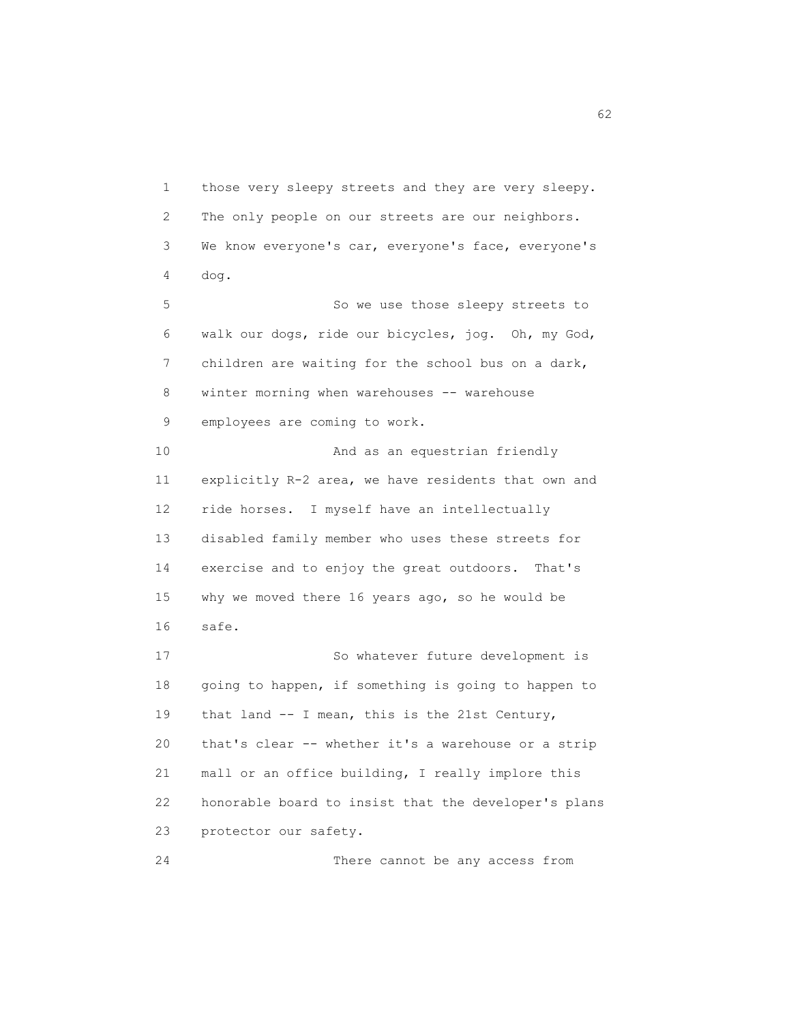1 those very sleepy streets and they are very sleepy. 2 The only people on our streets are our neighbors. 3 We know everyone's car, everyone's face, everyone's 4 dog. 5 So we use those sleepy streets to 6 walk our dogs, ride our bicycles, jog. Oh, my God, 7 children are waiting for the school bus on a dark, 8 winter morning when warehouses -- warehouse 9 employees are coming to work. 10 And as an equestrian friendly 11 explicitly R-2 area, we have residents that own and 12 ride horses. I myself have an intellectually 13 disabled family member who uses these streets for 14 exercise and to enjoy the great outdoors. That's 15 why we moved there 16 years ago, so he would be 16 safe. 17 So whatever future development is 18 going to happen, if something is going to happen to 19 that land -- I mean, this is the 21st Century, 20 that's clear -- whether it's a warehouse or a strip 21 mall or an office building, I really implore this 22 honorable board to insist that the developer's plans 23 protector our safety.

24 There cannot be any access from

 $\sim$  62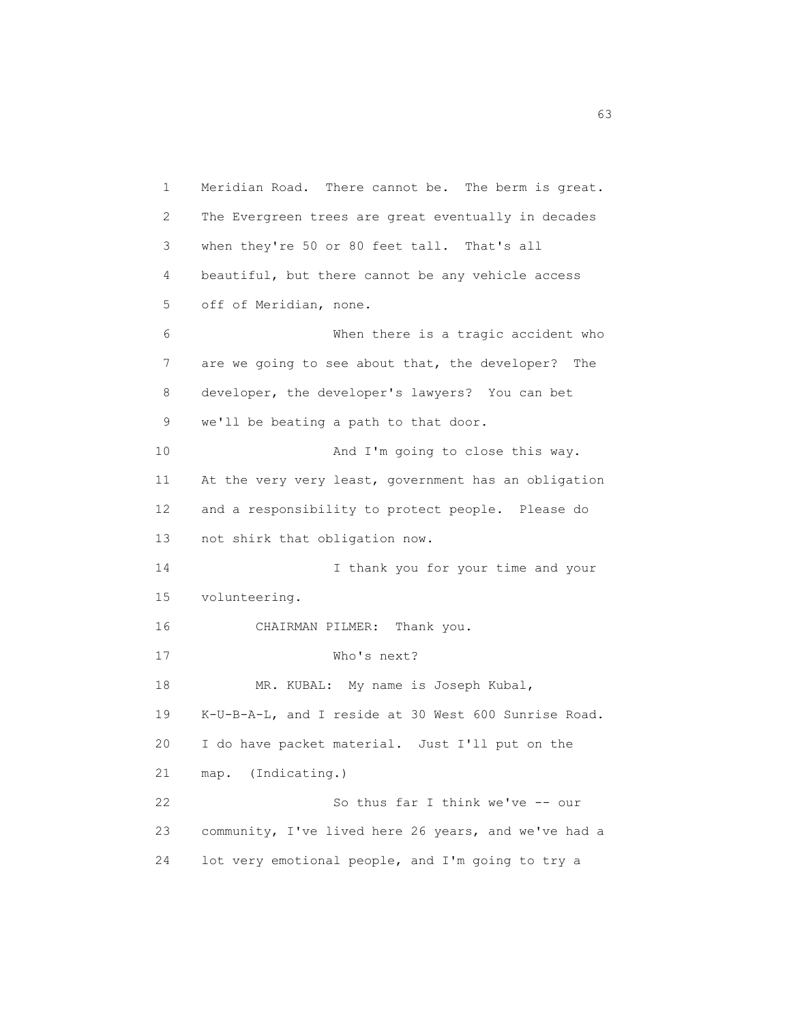1 Meridian Road. There cannot be. The berm is great. 2 The Evergreen trees are great eventually in decades 3 when they're 50 or 80 feet tall. That's all 4 beautiful, but there cannot be any vehicle access 5 off of Meridian, none. 6 When there is a tragic accident who 7 are we going to see about that, the developer? The 8 developer, the developer's lawyers? You can bet 9 we'll be beating a path to that door. 10 And I'm going to close this way. 11 At the very very least, government has an obligation 12 and a responsibility to protect people. Please do 13 not shirk that obligation now. 14 I thank you for your time and your 15 volunteering. 16 CHAIRMAN PILMER: Thank you. 17 Who's next? 18 MR. KUBAL: My name is Joseph Kubal, 19 K-U-B-A-L, and I reside at 30 West 600 Sunrise Road. 20 I do have packet material. Just I'll put on the 21 map. (Indicating.) 22 So thus far I think we've -- our 23 community, I've lived here 26 years, and we've had a 24 lot very emotional people, and I'm going to try a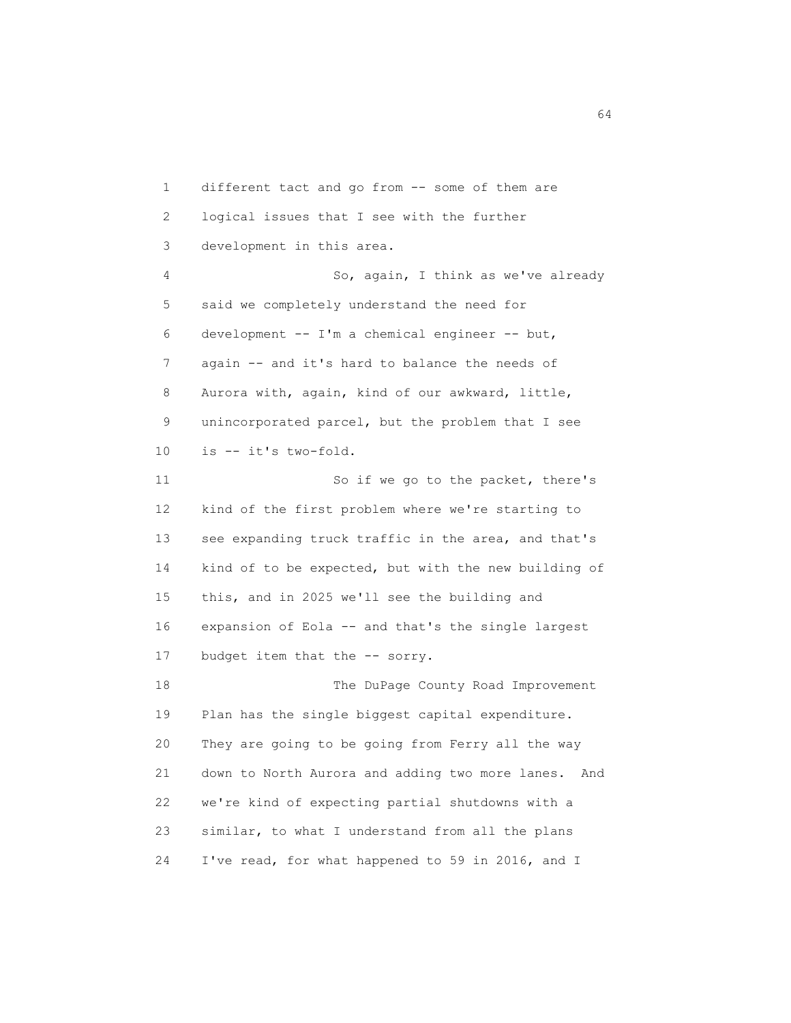1 different tact and go from -- some of them are 2 logical issues that I see with the further 3 development in this area. 4 So, again, I think as we've already 5 said we completely understand the need for 6 development -- I'm a chemical engineer -- but, 7 again -- and it's hard to balance the needs of 8 Aurora with, again, kind of our awkward, little, 9 unincorporated parcel, but the problem that I see 10 is -- it's two-fold. 11 So if we go to the packet, there's 12 kind of the first problem where we're starting to 13 see expanding truck traffic in the area, and that's 14 kind of to be expected, but with the new building of 15 this, and in 2025 we'll see the building and 16 expansion of Eola -- and that's the single largest 17 budget item that the -- sorry. 18 The DuPage County Road Improvement 19 Plan has the single biggest capital expenditure. 20 They are going to be going from Ferry all the way 21 down to North Aurora and adding two more lanes. And 22 we're kind of expecting partial shutdowns with a 23 similar, to what I understand from all the plans 24 I've read, for what happened to 59 in 2016, and I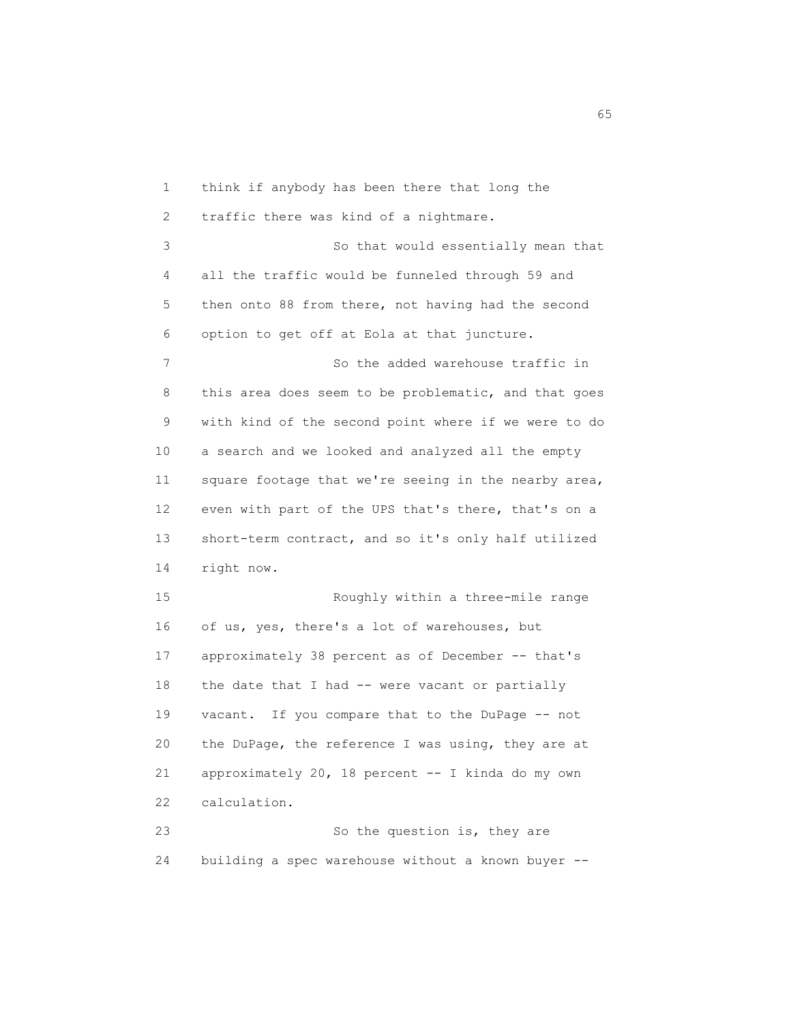1 think if anybody has been there that long the 2 traffic there was kind of a nightmare. 3 So that would essentially mean that 4 all the traffic would be funneled through 59 and 5 then onto 88 from there, not having had the second 6 option to get off at Eola at that juncture. 7 So the added warehouse traffic in 8 this area does seem to be problematic, and that goes 9 with kind of the second point where if we were to do 10 a search and we looked and analyzed all the empty 11 square footage that we're seeing in the nearby area, 12 even with part of the UPS that's there, that's on a 13 short-term contract, and so it's only half utilized 14 right now. 15 Roughly within a three-mile range 16 of us, yes, there's a lot of warehouses, but 17 approximately 38 percent as of December -- that's 18 the date that I had -- were vacant or partially 19 vacant. If you compare that to the DuPage -- not 20 the DuPage, the reference I was using, they are at 21 approximately 20, 18 percent -- I kinda do my own 22 calculation. 23 So the question is, they are

24 building a spec warehouse without a known buyer --

 $\sim$  65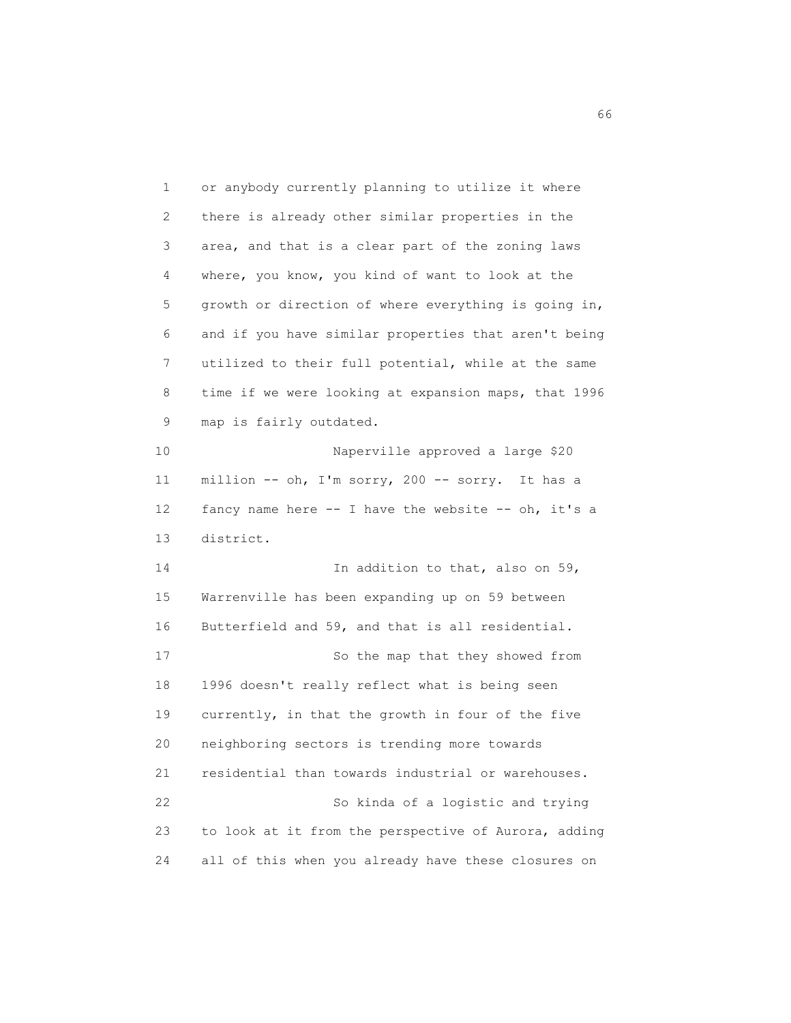1 or anybody currently planning to utilize it where 2 there is already other similar properties in the 3 area, and that is a clear part of the zoning laws 4 where, you know, you kind of want to look at the 5 growth or direction of where everything is going in, 6 and if you have similar properties that aren't being 7 utilized to their full potential, while at the same 8 time if we were looking at expansion maps, that 1996 9 map is fairly outdated. 10 Naperville approved a large \$20 11 million -- oh, I'm sorry, 200 -- sorry. It has a 12 fancy name here -- I have the website -- oh, it's a 13 district. 14 In addition to that, also on 59, 15 Warrenville has been expanding up on 59 between 16 Butterfield and 59, and that is all residential. 17 So the map that they showed from 18 1996 doesn't really reflect what is being seen 19 currently, in that the growth in four of the five 20 neighboring sectors is trending more towards 21 residential than towards industrial or warehouses. 22 So kinda of a logistic and trying 23 to look at it from the perspective of Aurora, adding 24 all of this when you already have these closures on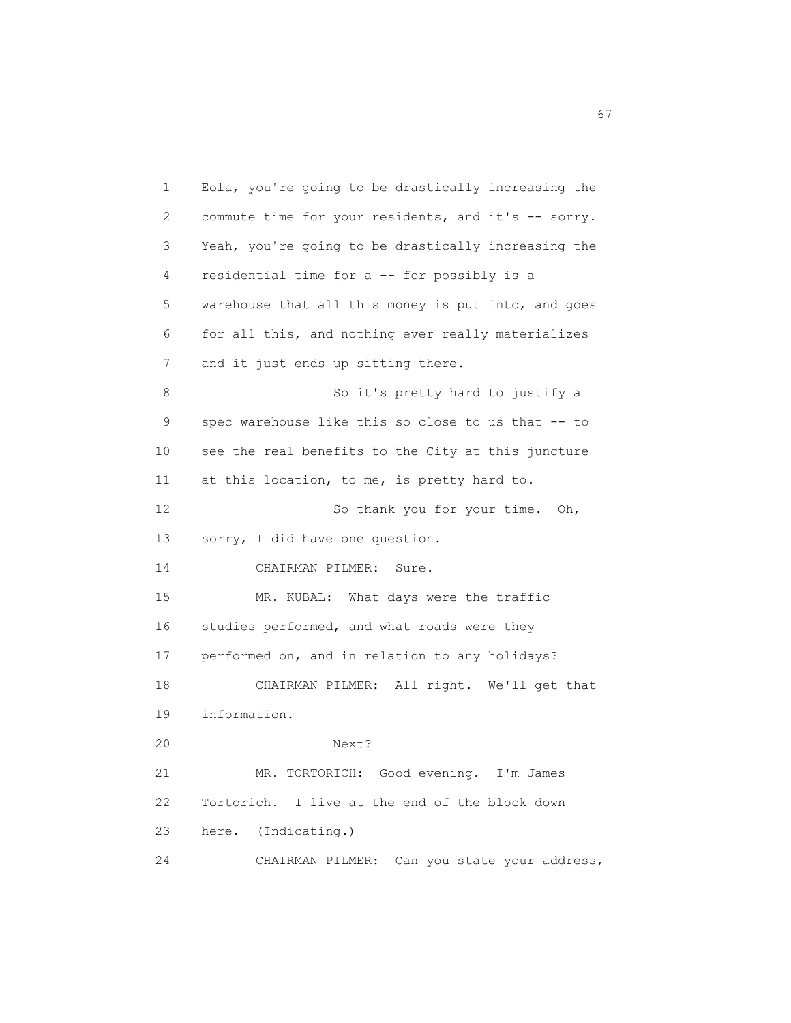1 Eola, you're going to be drastically increasing the 2 commute time for your residents, and it's -- sorry. 3 Yeah, you're going to be drastically increasing the 4 residential time for a -- for possibly is a 5 warehouse that all this money is put into, and goes 6 for all this, and nothing ever really materializes 7 and it just ends up sitting there. 8 So it's pretty hard to justify a 9 spec warehouse like this so close to us that -- to 10 see the real benefits to the City at this juncture 11 at this location, to me, is pretty hard to. 12 So thank you for your time. Oh, 13 sorry, I did have one question. 14 CHAIRMAN PILMER: Sure. 15 MR. KUBAL: What days were the traffic 16 studies performed, and what roads were they 17 performed on, and in relation to any holidays? 18 CHAIRMAN PILMER: All right. We'll get that 19 information. 20 Next? 21 MR. TORTORICH: Good evening. I'm James 22 Tortorich. I live at the end of the block down 23 here. (Indicating.) 24 CHAIRMAN PILMER: Can you state your address,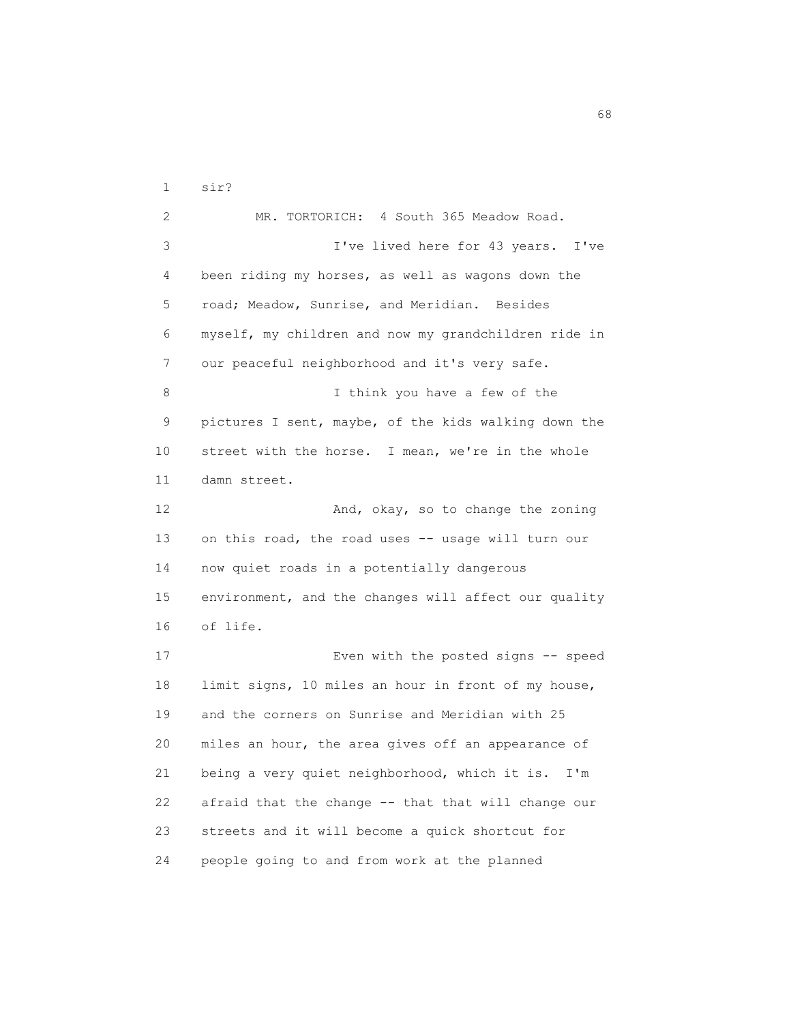1 sir? 2 MR. TORTORICH: 4 South 365 Meadow Road. 3 I've lived here for 43 years. I've 4 been riding my horses, as well as wagons down the 5 road; Meadow, Sunrise, and Meridian. Besides 6 myself, my children and now my grandchildren ride in 7 our peaceful neighborhood and it's very safe. 8 I think you have a few of the 9 pictures I sent, maybe, of the kids walking down the 10 street with the horse. I mean, we're in the whole 11 damn street. 12 And, okay, so to change the zoning 13 on this road, the road uses -- usage will turn our 14 now quiet roads in a potentially dangerous 15 environment, and the changes will affect our quality 16 of life. 17 Even with the posted signs -- speed 18 limit signs, 10 miles an hour in front of my house, 19 and the corners on Sunrise and Meridian with 25 20 miles an hour, the area gives off an appearance of 21 being a very quiet neighborhood, which it is. I'm 22 afraid that the change -- that that will change our 23 streets and it will become a quick shortcut for 24 people going to and from work at the planned

 $\sim$  68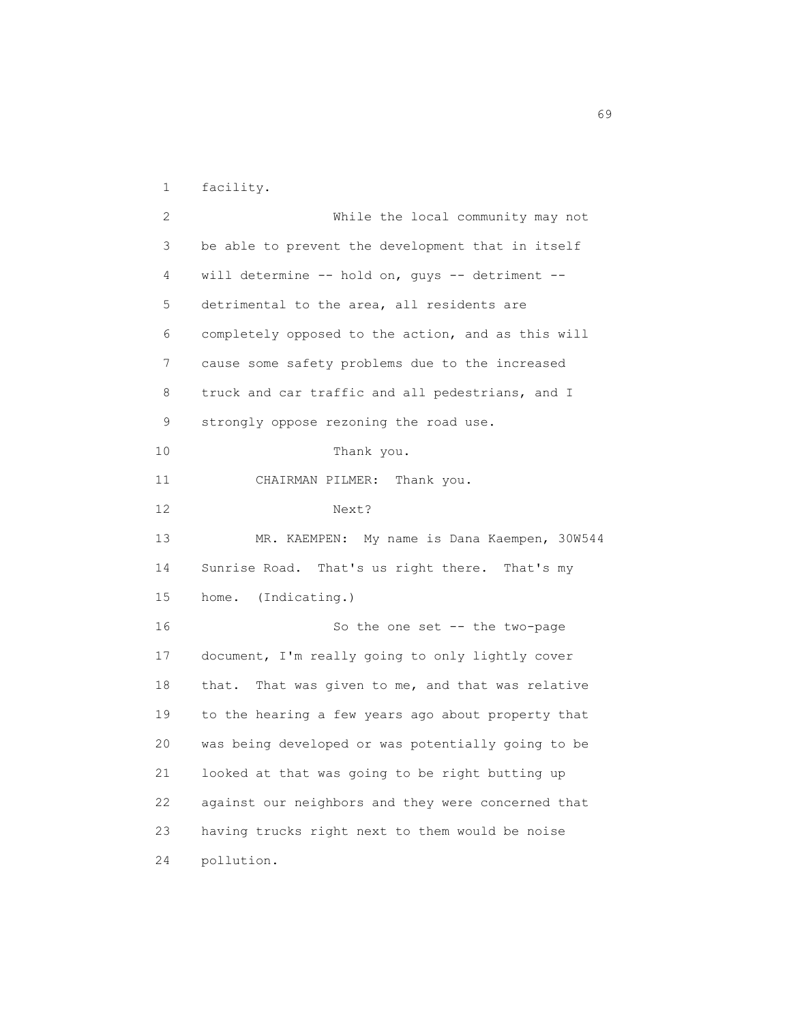1 facility.

 2 While the local community may not 3 be able to prevent the development that in itself 4 will determine -- hold on, guys -- detriment -- 5 detrimental to the area, all residents are 6 completely opposed to the action, and as this will 7 cause some safety problems due to the increased 8 truck and car traffic and all pedestrians, and I 9 strongly oppose rezoning the road use. 10 Thank you. 11 CHAIRMAN PILMER: Thank you. 12 Next? 13 MR. KAEMPEN: My name is Dana Kaempen, 30W544 14 Sunrise Road. That's us right there. That's my 15 home. (Indicating.) 16 So the one set -- the two-page 17 document, I'm really going to only lightly cover 18 that. That was given to me, and that was relative 19 to the hearing a few years ago about property that 20 was being developed or was potentially going to be 21 looked at that was going to be right butting up 22 against our neighbors and they were concerned that 23 having trucks right next to them would be noise 24 pollution.

 $\sim$  69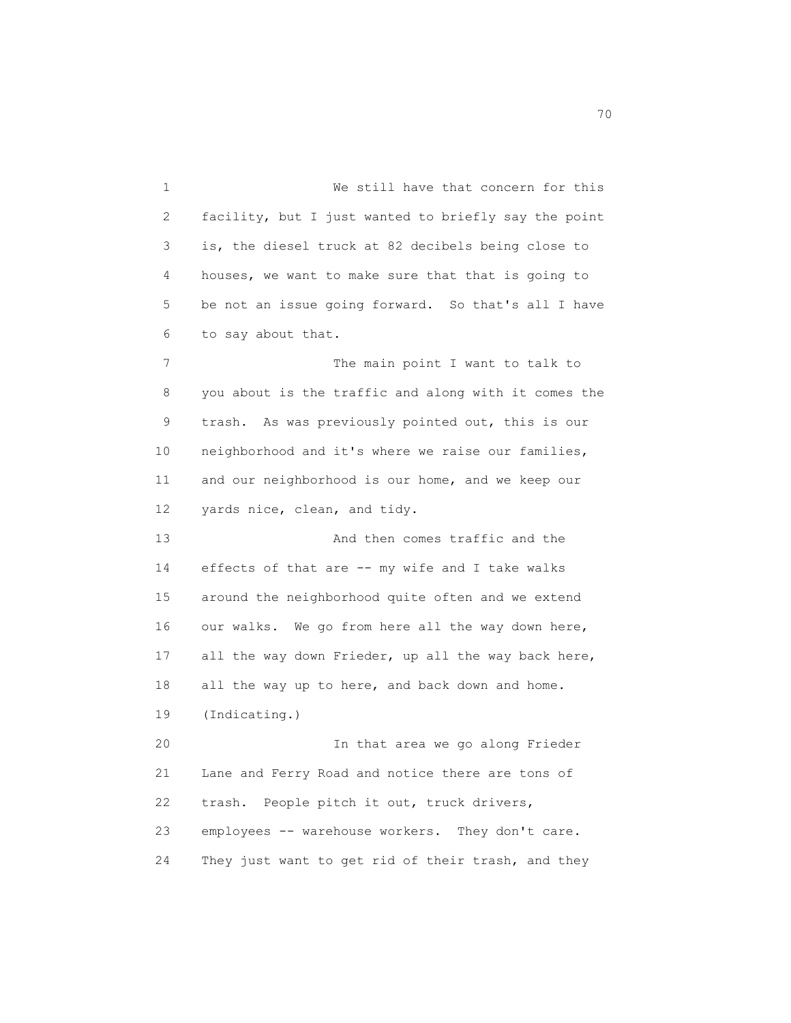1 We still have that concern for this 2 facility, but I just wanted to briefly say the point 3 is, the diesel truck at 82 decibels being close to 4 houses, we want to make sure that that is going to 5 be not an issue going forward. So that's all I have 6 to say about that. 7 The main point I want to talk to 8 you about is the traffic and along with it comes the 9 trash. As was previously pointed out, this is our 10 neighborhood and it's where we raise our families, 11 and our neighborhood is our home, and we keep our 12 yards nice, clean, and tidy. 13 And then comes traffic and the 14 effects of that are -- my wife and I take walks 15 around the neighborhood quite often and we extend 16 our walks. We go from here all the way down here, 17 all the way down Frieder, up all the way back here, 18 all the way up to here, and back down and home. 19 (Indicating.) 20 In that area we go along Frieder 21 Lane and Ferry Road and notice there are tons of 22 trash. People pitch it out, truck drivers, 23 employees -- warehouse workers. They don't care. 24 They just want to get rid of their trash, and they

not a contract the contract of the contract of the contract of the contract of the contract of the contract of the contract of the contract of the contract of the contract of the contract of the contract of the contract of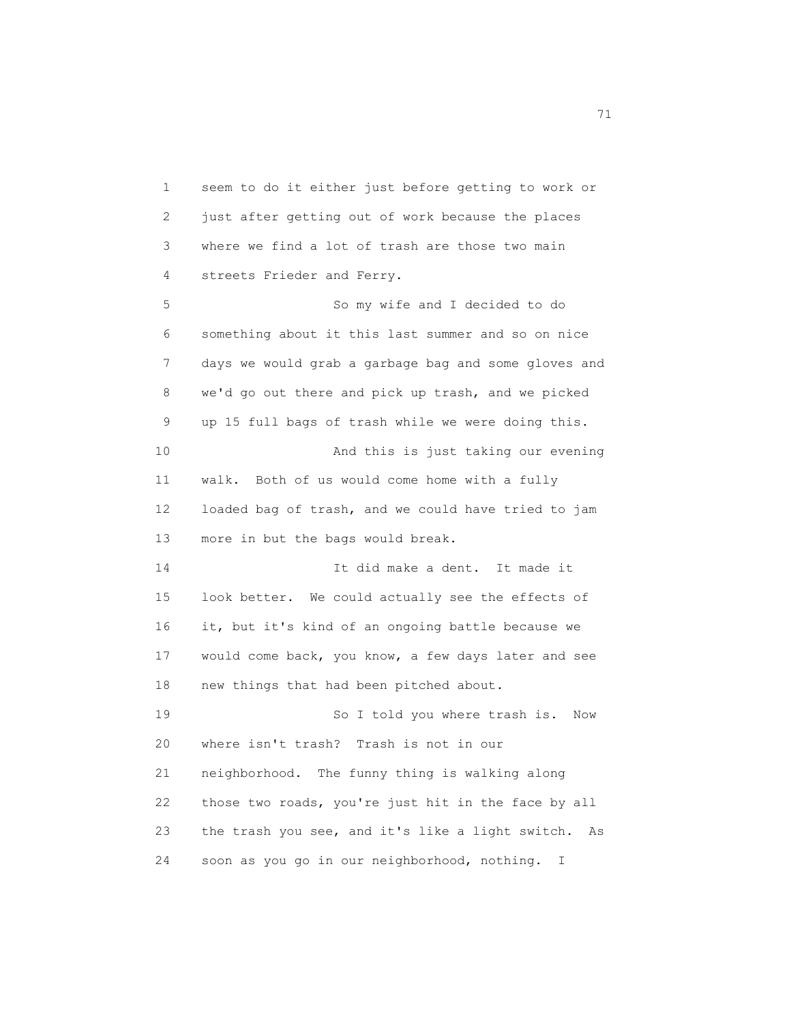1 seem to do it either just before getting to work or 2 just after getting out of work because the places 3 where we find a lot of trash are those two main 4 streets Frieder and Ferry. 5 So my wife and I decided to do 6 something about it this last summer and so on nice 7 days we would grab a garbage bag and some gloves and 8 we'd go out there and pick up trash, and we picked 9 up 15 full bags of trash while we were doing this. 10 And this is just taking our evening 11 walk. Both of us would come home with a fully 12 loaded bag of trash, and we could have tried to jam 13 more in but the bags would break. 14 It did make a dent. It made it 15 look better. We could actually see the effects of 16 it, but it's kind of an ongoing battle because we 17 would come back, you know, a few days later and see 18 new things that had been pitched about. 19 So I told you where trash is. Now 20 where isn't trash? Trash is not in our 21 neighborhood. The funny thing is walking along 22 those two roads, you're just hit in the face by all 23 the trash you see, and it's like a light switch. As 24 soon as you go in our neighborhood, nothing. I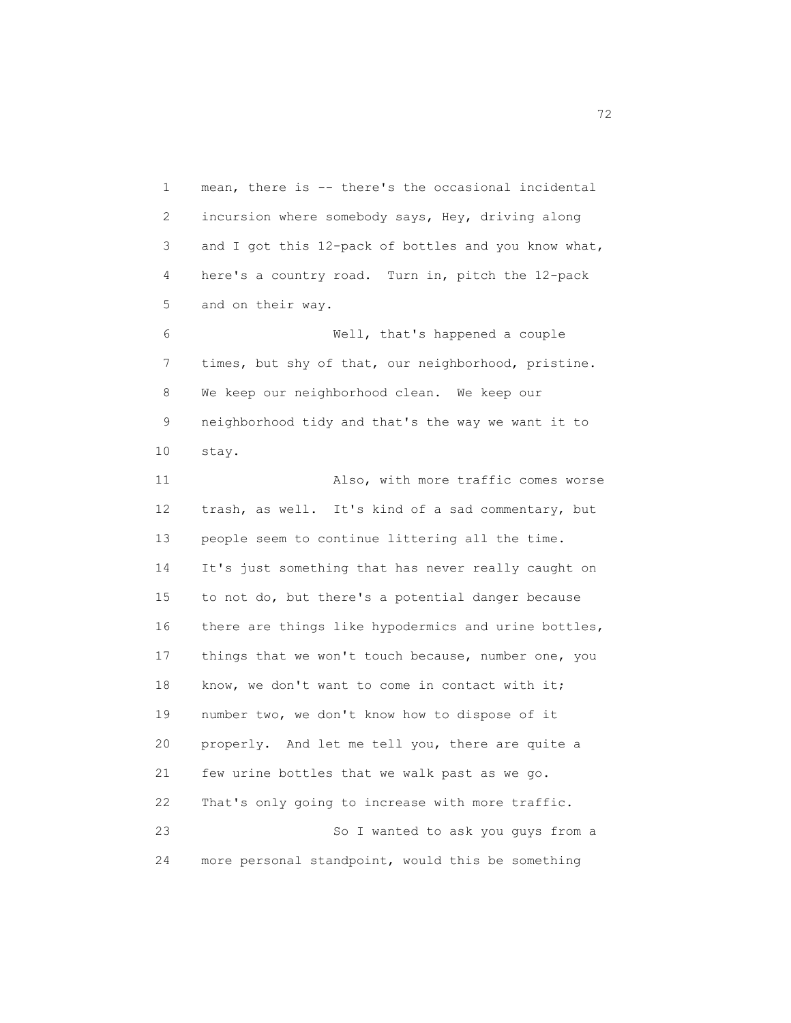1 mean, there is -- there's the occasional incidental 2 incursion where somebody says, Hey, driving along 3 and I got this 12-pack of bottles and you know what, 4 here's a country road. Turn in, pitch the 12-pack 5 and on their way.

 6 Well, that's happened a couple 7 times, but shy of that, our neighborhood, pristine. 8 We keep our neighborhood clean. We keep our 9 neighborhood tidy and that's the way we want it to 10 stay.

 11 Also, with more traffic comes worse 12 trash, as well. It's kind of a sad commentary, but 13 people seem to continue littering all the time. 14 It's just something that has never really caught on 15 to not do, but there's a potential danger because 16 there are things like hypodermics and urine bottles, 17 things that we won't touch because, number one, you 18 know, we don't want to come in contact with it; 19 number two, we don't know how to dispose of it 20 properly. And let me tell you, there are quite a 21 few urine bottles that we walk past as we go. 22 That's only going to increase with more traffic. 23 So I wanted to ask you guys from a 24 more personal standpoint, would this be something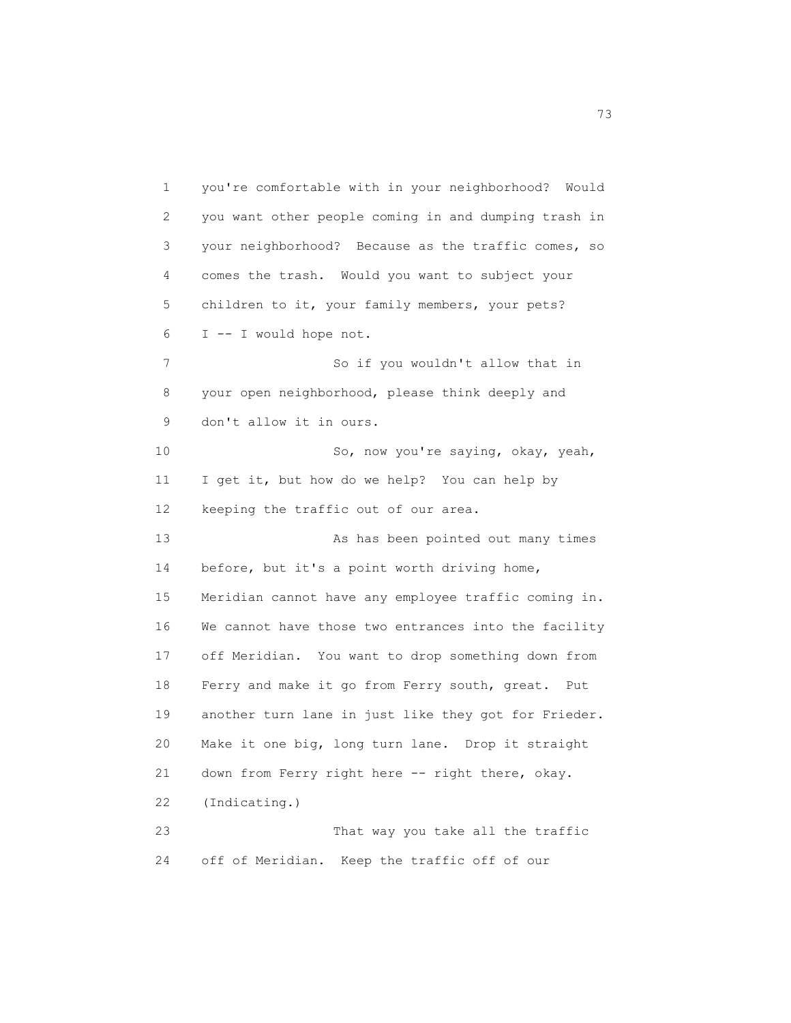1 you're comfortable with in your neighborhood? Would 2 you want other people coming in and dumping trash in 3 your neighborhood? Because as the traffic comes, so 4 comes the trash. Would you want to subject your 5 children to it, your family members, your pets? 6 I -- I would hope not. 7 So if you wouldn't allow that in 8 your open neighborhood, please think deeply and 9 don't allow it in ours. 10 So, now you're saying, okay, yeah, 11 I get it, but how do we help? You can help by 12 keeping the traffic out of our area. 13 As has been pointed out many times 14 before, but it's a point worth driving home, 15 Meridian cannot have any employee traffic coming in. 16 We cannot have those two entrances into the facility 17 off Meridian. You want to drop something down from 18 Ferry and make it go from Ferry south, great. Put 19 another turn lane in just like they got for Frieder. 20 Make it one big, long turn lane. Drop it straight 21 down from Ferry right here -- right there, okay. 22 (Indicating.) 23 That way you take all the traffic

24 off of Meridian. Keep the traffic off of our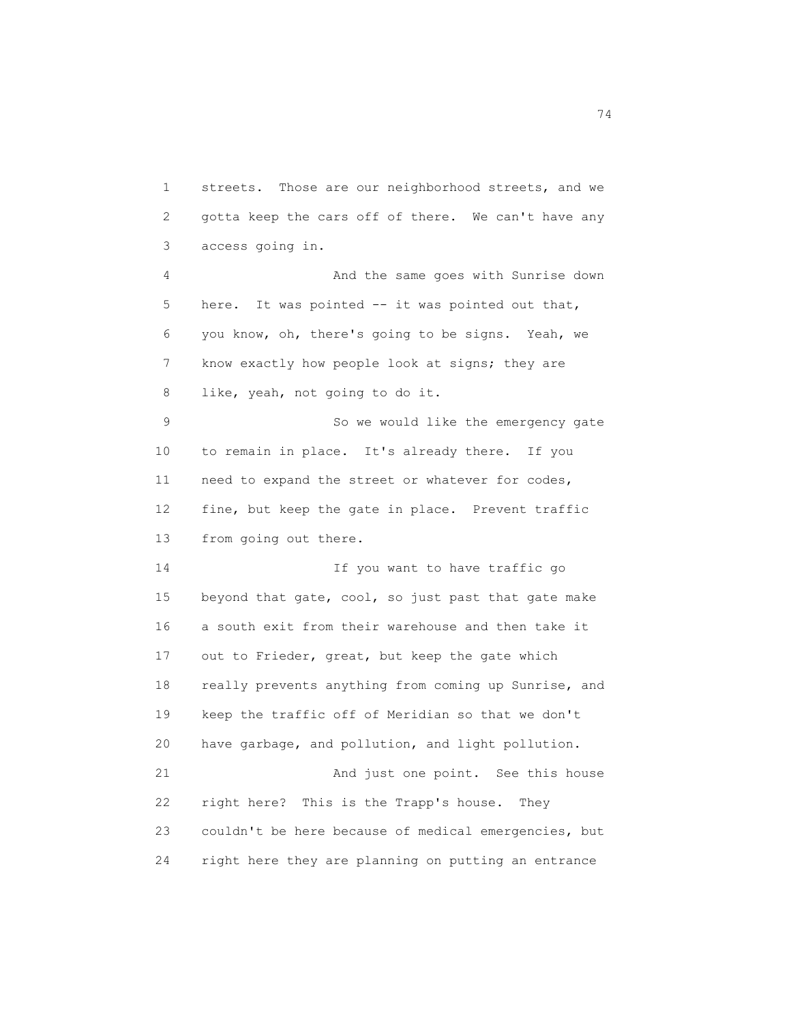1 streets. Those are our neighborhood streets, and we 2 gotta keep the cars off of there. We can't have any 3 access going in. 4 And the same goes with Sunrise down 5 here. It was pointed -- it was pointed out that, 6 you know, oh, there's going to be signs. Yeah, we 7 know exactly how people look at signs; they are 8 like, yeah, not going to do it. 9 So we would like the emergency gate 10 to remain in place. It's already there. If you 11 need to expand the street or whatever for codes, 12 fine, but keep the gate in place. Prevent traffic 13 from going out there. 14 If you want to have traffic go 15 beyond that gate, cool, so just past that gate make 16 a south exit from their warehouse and then take it 17 out to Frieder, great, but keep the gate which 18 really prevents anything from coming up Sunrise, and 19 keep the traffic off of Meridian so that we don't 20 have garbage, and pollution, and light pollution. 21 And just one point. See this house 22 right here? This is the Trapp's house. They 23 couldn't be here because of medical emergencies, but 24 right here they are planning on putting an entrance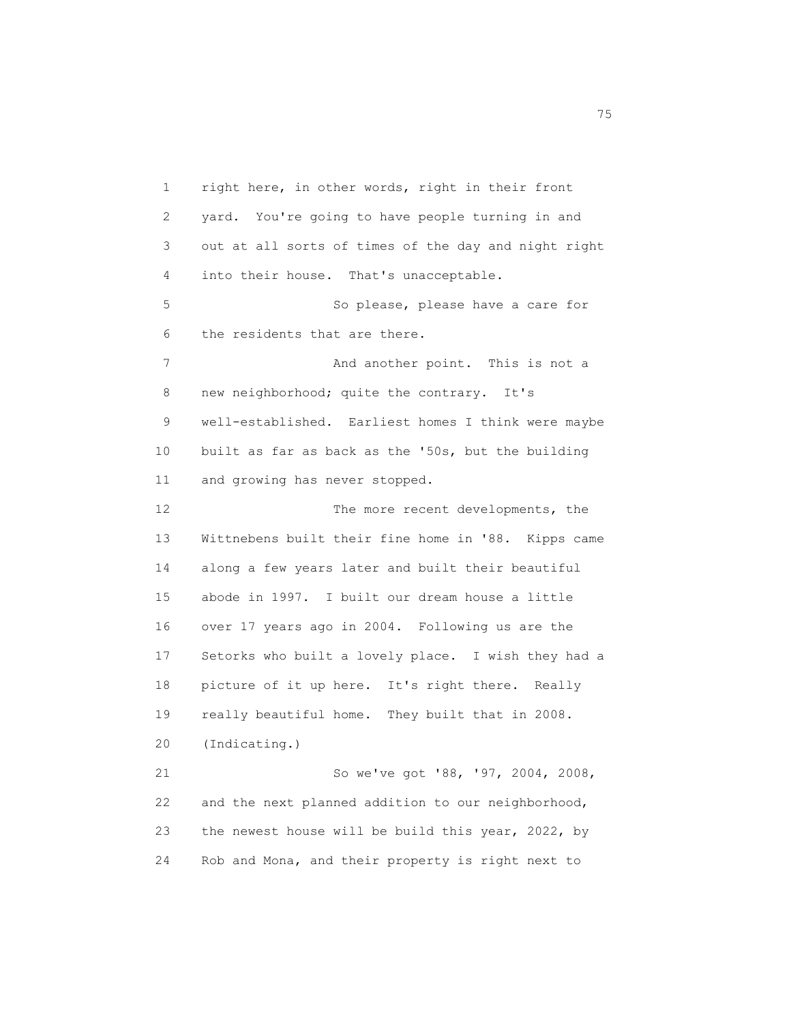1 right here, in other words, right in their front 2 yard. You're going to have people turning in and 3 out at all sorts of times of the day and night right 4 into their house. That's unacceptable. 5 So please, please have a care for 6 the residents that are there. 7 And another point. This is not a 8 new neighborhood; quite the contrary. It's 9 well-established. Earliest homes I think were maybe 10 built as far as back as the '50s, but the building 11 and growing has never stopped. 12 The more recent developments, the 13 Wittnebens built their fine home in '88. Kipps came 14 along a few years later and built their beautiful 15 abode in 1997. I built our dream house a little 16 over 17 years ago in 2004. Following us are the 17 Setorks who built a lovely place. I wish they had a 18 picture of it up here. It's right there. Really 19 really beautiful home. They built that in 2008. 20 (Indicating.) 21 So we've got '88, '97, 2004, 2008, 22 and the next planned addition to our neighborhood, 23 the newest house will be build this year, 2022, by 24 Rob and Mona, and their property is right next to

<u>75</u> and 2012 and 2012 and 2012 and 2012 and 2012 and 2012 and 2012 and 2012 and 2012 and 2012 and 2012 and 201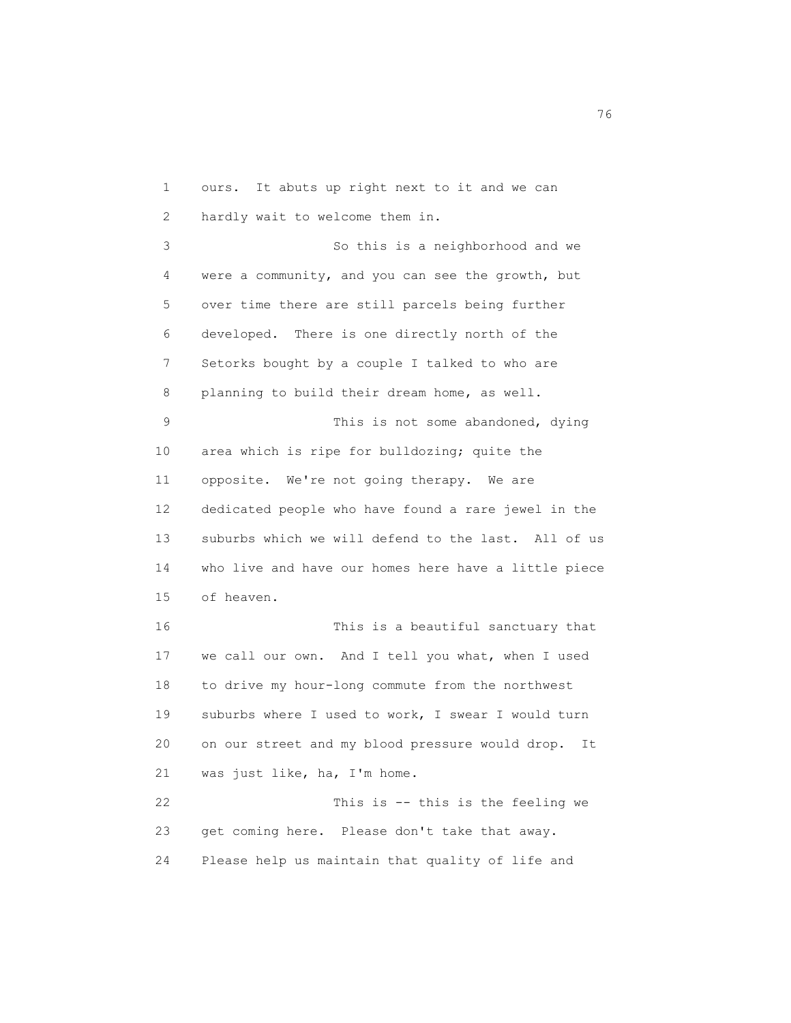1 ours. It abuts up right next to it and we can 2 hardly wait to welcome them in. 3 So this is a neighborhood and we 4 were a community, and you can see the growth, but 5 over time there are still parcels being further 6 developed. There is one directly north of the 7 Setorks bought by a couple I talked to who are 8 planning to build their dream home, as well. 9 This is not some abandoned, dying 10 area which is ripe for bulldozing; quite the 11 opposite. We're not going therapy. We are 12 dedicated people who have found a rare jewel in the 13 suburbs which we will defend to the last. All of us 14 who live and have our homes here have a little piece 15 of heaven. 16 This is a beautiful sanctuary that 17 we call our own. And I tell you what, when I used 18 to drive my hour-long commute from the northwest 19 suburbs where I used to work, I swear I would turn 20 on our street and my blood pressure would drop. It 21 was just like, ha, I'm home. 22 This is -- this is the feeling we 23 get coming here. Please don't take that away. 24 Please help us maintain that quality of life and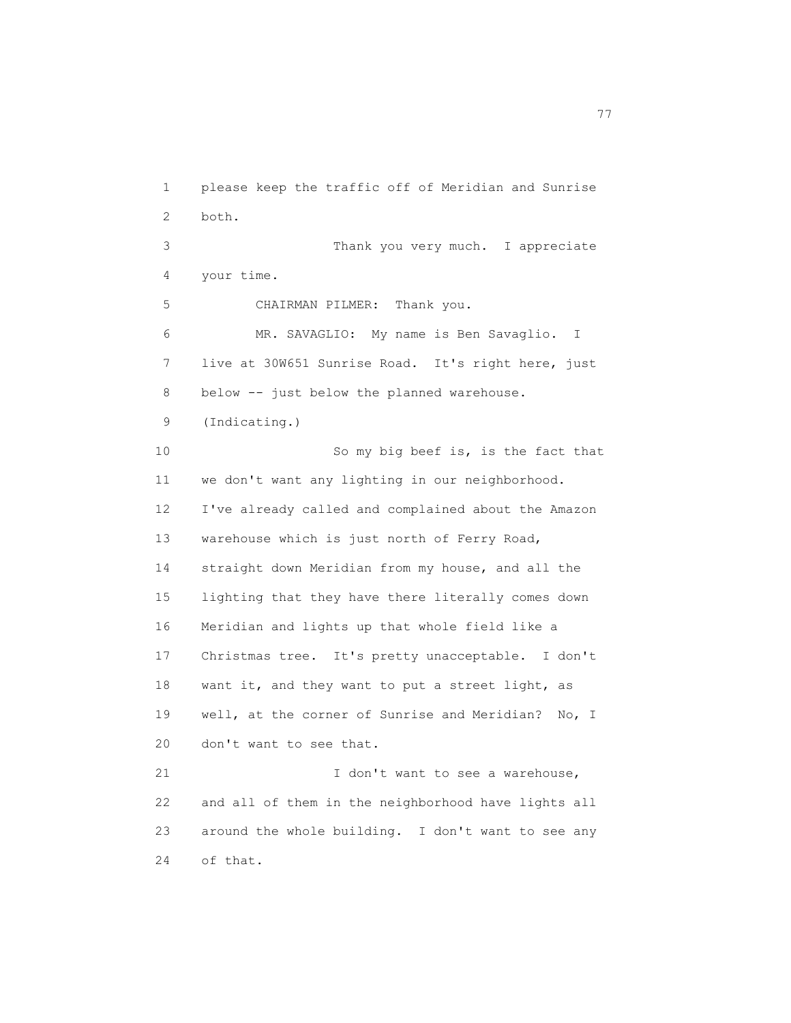1 please keep the traffic off of Meridian and Sunrise 2 both. 3 Thank you very much. I appreciate 4 your time. 5 CHAIRMAN PILMER: Thank you. 6 MR. SAVAGLIO: My name is Ben Savaglio. I 7 live at 30W651 Sunrise Road. It's right here, just 8 below -- just below the planned warehouse. 9 (Indicating.) 10 So my big beef is, is the fact that 11 we don't want any lighting in our neighborhood. 12 I've already called and complained about the Amazon 13 warehouse which is just north of Ferry Road, 14 straight down Meridian from my house, and all the 15 lighting that they have there literally comes down 16 Meridian and lights up that whole field like a 17 Christmas tree. It's pretty unacceptable. I don't 18 want it, and they want to put a street light, as 19 well, at the corner of Sunrise and Meridian? No, I 20 don't want to see that. 21 I don't want to see a warehouse, 22 and all of them in the neighborhood have lights all 23 around the whole building. I don't want to see any 24 of that.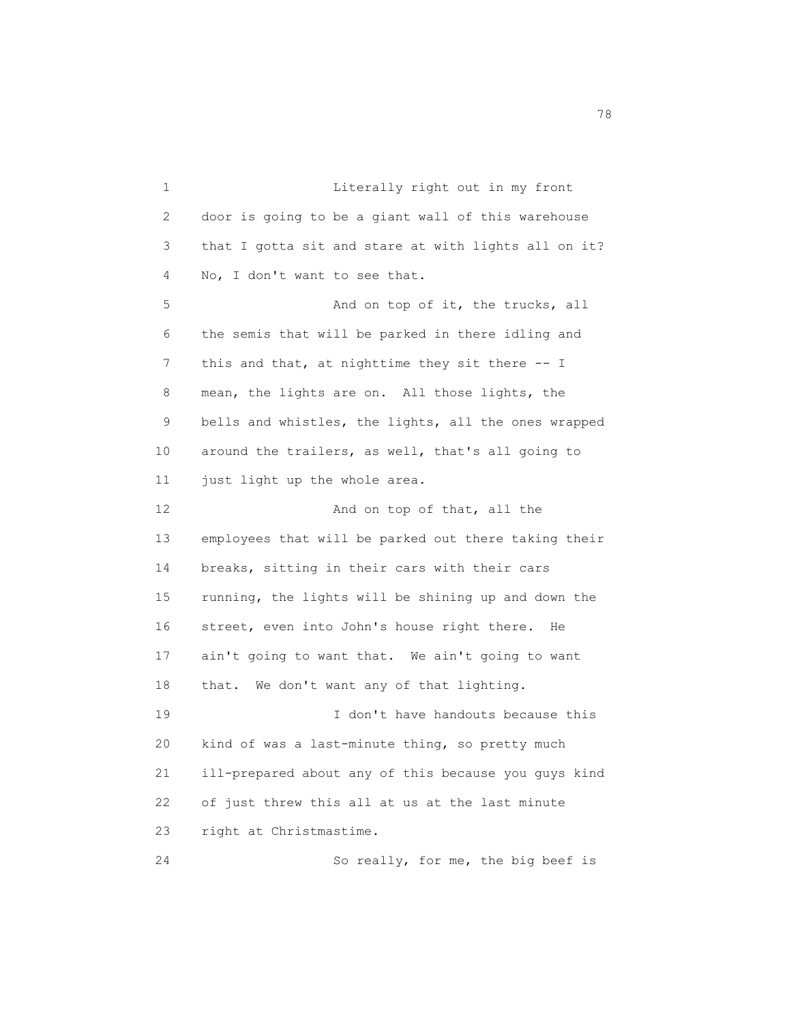1 Literally right out in my front 2 door is going to be a giant wall of this warehouse 3 that I gotta sit and stare at with lights all on it? 4 No, I don't want to see that. 5 And on top of it, the trucks, all 6 the semis that will be parked in there idling and 7 this and that, at nighttime they sit there -- I 8 mean, the lights are on. All those lights, the 9 bells and whistles, the lights, all the ones wrapped 10 around the trailers, as well, that's all going to 11 just light up the whole area. 12 And on top of that, all the 13 employees that will be parked out there taking their 14 breaks, sitting in their cars with their cars 15 running, the lights will be shining up and down the 16 street, even into John's house right there. He 17 ain't going to want that. We ain't going to want 18 that. We don't want any of that lighting. 19 I don't have handouts because this 20 kind of was a last-minute thing, so pretty much 21 ill-prepared about any of this because you guys kind 22 of just threw this all at us at the last minute 23 right at Christmastime. 24 So really, for me, the big beef is

na na matsayang mga kasang mga kalendaryon ng mga kasang mga kasang mga kasang mga kasang mga kasang mga kasan<br>Mga kasang mga kasang mga kasang mga kasang mga kasang mga kasang mga kasang mga kasang mga kasang mga kasang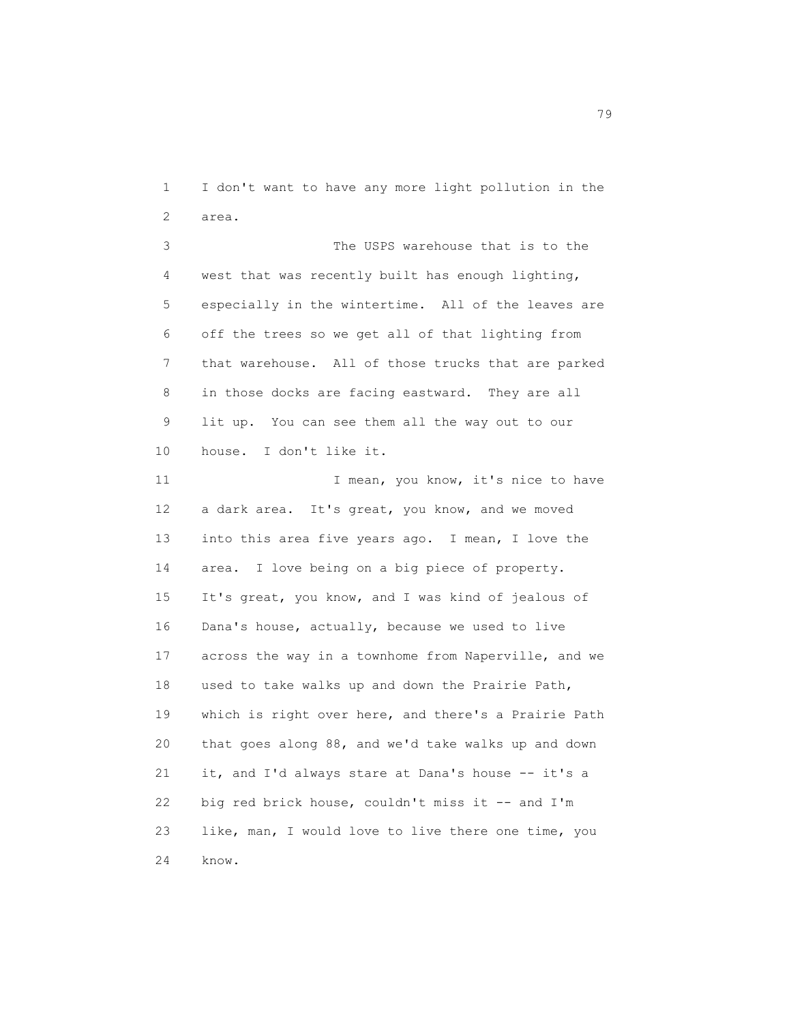1 I don't want to have any more light pollution in the 2 area.

 3 The USPS warehouse that is to the 4 west that was recently built has enough lighting, 5 especially in the wintertime. All of the leaves are 6 off the trees so we get all of that lighting from 7 that warehouse. All of those trucks that are parked 8 in those docks are facing eastward. They are all 9 lit up. You can see them all the way out to our 10 house. I don't like it.

11 I mean, you know, it's nice to have 12 a dark area. It's great, you know, and we moved 13 into this area five years ago. I mean, I love the 14 area. I love being on a big piece of property. 15 It's great, you know, and I was kind of jealous of 16 Dana's house, actually, because we used to live 17 across the way in a townhome from Naperville, and we 18 used to take walks up and down the Prairie Path, 19 which is right over here, and there's a Prairie Path 20 that goes along 88, and we'd take walks up and down 21 it, and I'd always stare at Dana's house -- it's a 22 big red brick house, couldn't miss it -- and I'm 23 like, man, I would love to live there one time, you 24 know.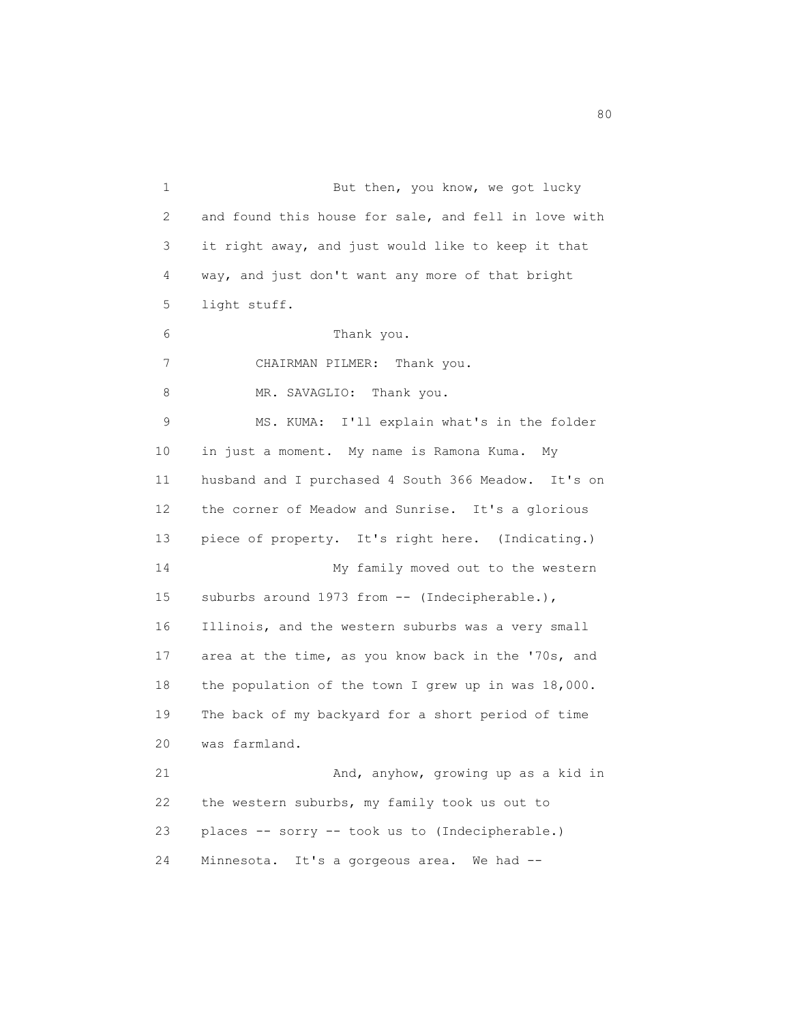1 But then, you know, we got lucky 2 and found this house for sale, and fell in love with 3 it right away, and just would like to keep it that 4 way, and just don't want any more of that bright 5 light stuff. 6 Thank you. 7 CHAIRMAN PILMER: Thank you. 8 MR. SAVAGLIO: Thank you. 9 MS. KUMA: I'll explain what's in the folder 10 in just a moment. My name is Ramona Kuma. My 11 husband and I purchased 4 South 366 Meadow. It's on 12 the corner of Meadow and Sunrise. It's a glorious 13 piece of property. It's right here. (Indicating.) 14 My family moved out to the western 15 suburbs around 1973 from -- (Indecipherable.), 16 Illinois, and the western suburbs was a very small 17 area at the time, as you know back in the '70s, and 18 the population of the town I grew up in was 18,000. 19 The back of my backyard for a short period of time 20 was farmland. 21 And, anyhow, growing up as a kid in 22 the western suburbs, my family took us out to 23 places -- sorry -- took us to (Indecipherable.) 24 Minnesota. It's a gorgeous area. We had --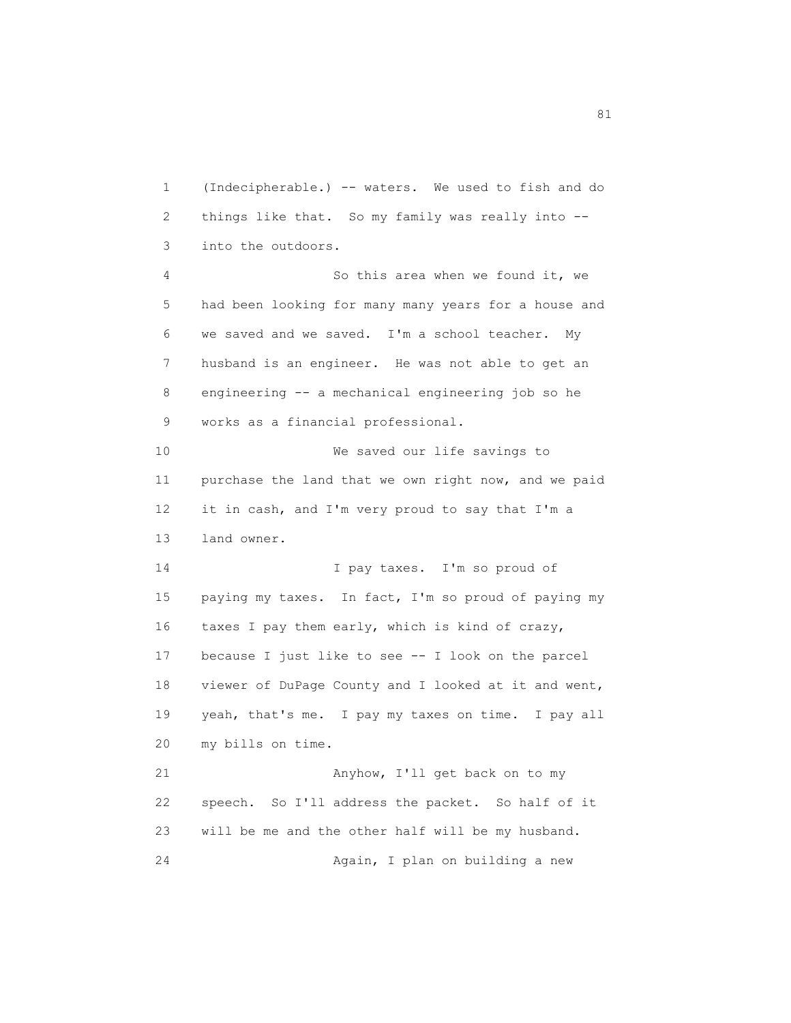1 (Indecipherable.) -- waters. We used to fish and do 2 things like that. So my family was really into -- 3 into the outdoors. 4 So this area when we found it, we 5 had been looking for many many years for a house and 6 we saved and we saved. I'm a school teacher. My 7 husband is an engineer. He was not able to get an 8 engineering -- a mechanical engineering job so he 9 works as a financial professional. 10 We saved our life savings to 11 purchase the land that we own right now, and we paid 12 it in cash, and I'm very proud to say that I'm a 13 land owner. 14 I pay taxes. I'm so proud of 15 paying my taxes. In fact, I'm so proud of paying my 16 taxes I pay them early, which is kind of crazy, 17 because I just like to see -- I look on the parcel 18 viewer of DuPage County and I looked at it and went, 19 yeah, that's me. I pay my taxes on time. I pay all 20 my bills on time. 21 Anyhow, I'll get back on to my 22 speech. So I'll address the packet. So half of it 23 will be me and the other half will be my husband. 24 Again, I plan on building a new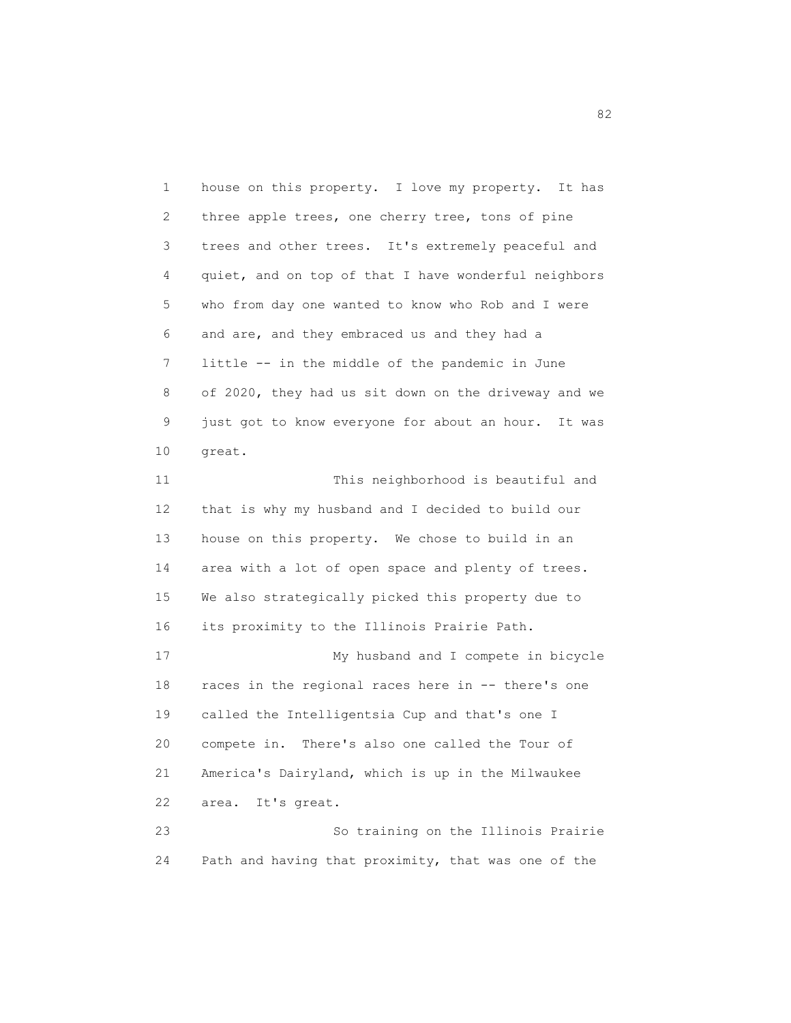1 house on this property. I love my property. It has 2 three apple trees, one cherry tree, tons of pine 3 trees and other trees. It's extremely peaceful and 4 quiet, and on top of that I have wonderful neighbors 5 who from day one wanted to know who Rob and I were 6 and are, and they embraced us and they had a 7 little -- in the middle of the pandemic in June 8 of 2020, they had us sit down on the driveway and we 9 just got to know everyone for about an hour. It was 10 great. 11 This neighborhood is beautiful and 12 that is why my husband and I decided to build our 13 house on this property. We chose to build in an 14 area with a lot of open space and plenty of trees. 15 We also strategically picked this property due to 16 its proximity to the Illinois Prairie Path. 17 My husband and I compete in bicycle 18 races in the regional races here in -- there's one 19 called the Intelligentsia Cup and that's one I 20 compete in. There's also one called the Tour of 21 America's Dairyland, which is up in the Milwaukee 22 area. It's great. 23 So training on the Illinois Prairie 24 Path and having that proximity, that was one of the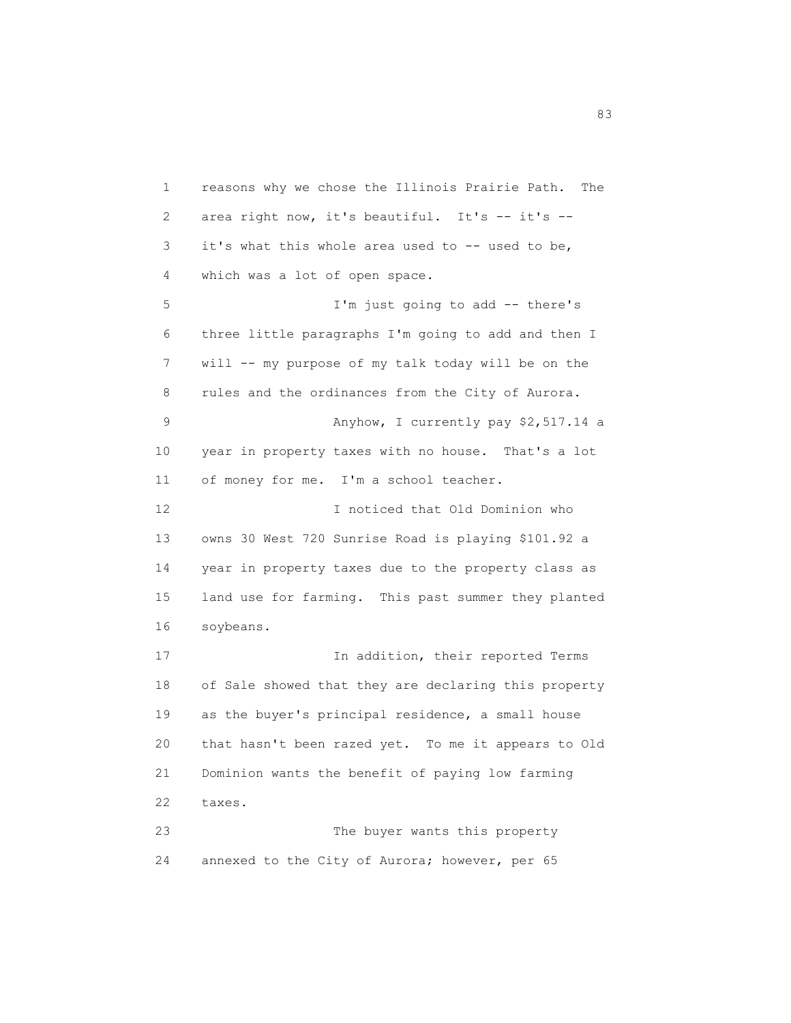1 reasons why we chose the Illinois Prairie Path. The 2 area right now, it's beautiful. It's -- it's -- 3 it's what this whole area used to -- used to be, 4 which was a lot of open space. 5 I'm just going to add -- there's 6 three little paragraphs I'm going to add and then I 7 will -- my purpose of my talk today will be on the 8 rules and the ordinances from the City of Aurora. 9 Anyhow, I currently pay \$2,517.14 a 10 year in property taxes with no house. That's a lot 11 of money for me. I'm a school teacher. 12 I noticed that Old Dominion who 13 owns 30 West 720 Sunrise Road is playing \$101.92 a 14 year in property taxes due to the property class as 15 land use for farming. This past summer they planted 16 soybeans. 17 In addition, their reported Terms 18 of Sale showed that they are declaring this property 19 as the buyer's principal residence, a small house 20 that hasn't been razed yet. To me it appears to Old 21 Dominion wants the benefit of paying low farming 22 taxes. 23 The buyer wants this property 24 annexed to the City of Aurora; however, per 65

en 1980 en 1980 en 1980 en 1980 en 1980 en 1980 en 1980 en 1980 en 1980 en 1980 en 1980 en 1980 en 1980 en 19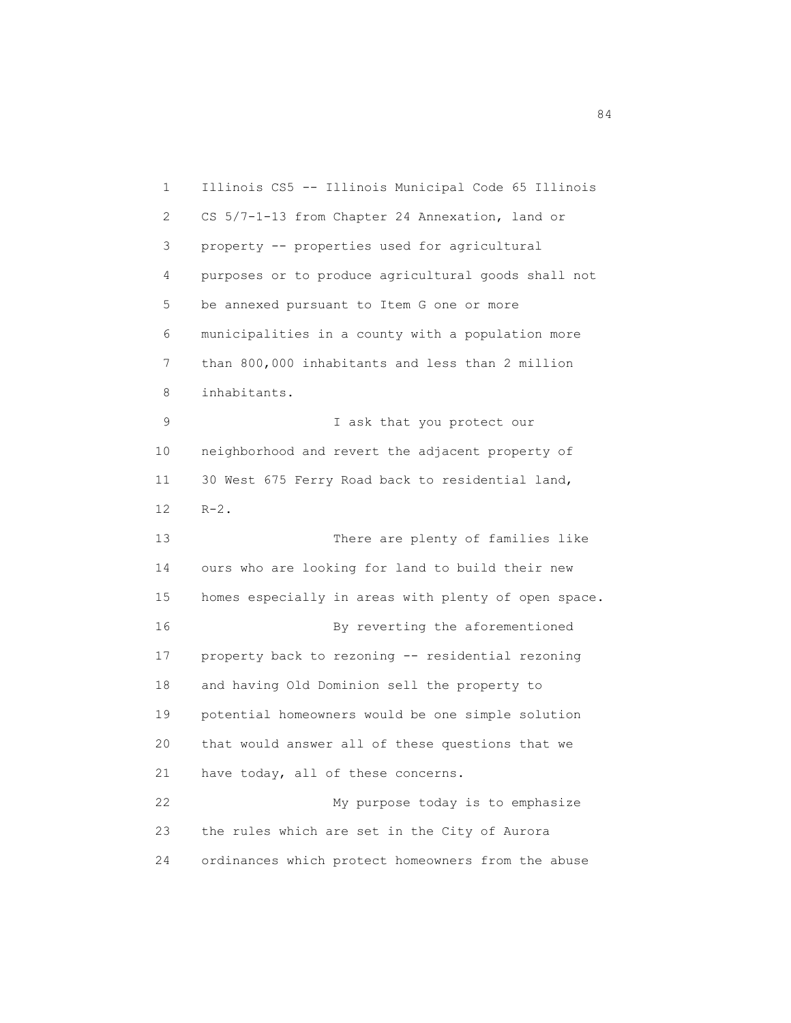1 Illinois CS5 -- Illinois Municipal Code 65 Illinois 2 CS 5/7-1-13 from Chapter 24 Annexation, land or 3 property -- properties used for agricultural 4 purposes or to produce agricultural goods shall not 5 be annexed pursuant to Item G one or more 6 municipalities in a county with a population more 7 than 800,000 inhabitants and less than 2 million 8 inhabitants. 9 I ask that you protect our 10 neighborhood and revert the adjacent property of 11 30 West 675 Ferry Road back to residential land, 12 R-2. 13 There are plenty of families like 14 ours who are looking for land to build their new 15 homes especially in areas with plenty of open space. 16 By reverting the aforementioned 17 property back to rezoning -- residential rezoning 18 and having Old Dominion sell the property to 19 potential homeowners would be one simple solution 20 that would answer all of these questions that we 21 have today, all of these concerns. 22 My purpose today is to emphasize 23 the rules which are set in the City of Aurora 24 ordinances which protect homeowners from the abuse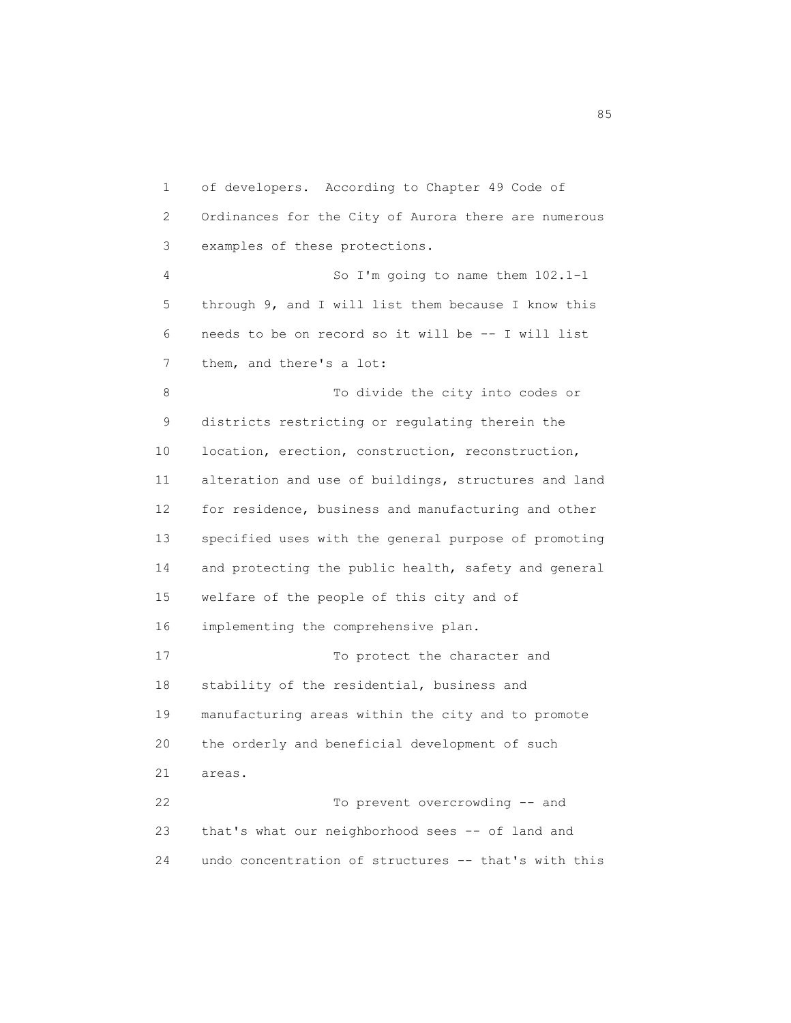1 of developers. According to Chapter 49 Code of 2 Ordinances for the City of Aurora there are numerous 3 examples of these protections. 4 So I'm going to name them 102.1-1 5 through 9, and I will list them because I know this 6 needs to be on record so it will be -- I will list 7 them, and there's a lot: 8 To divide the city into codes or 9 districts restricting or regulating therein the 10 location, erection, construction, reconstruction, 11 alteration and use of buildings, structures and land 12 for residence, business and manufacturing and other 13 specified uses with the general purpose of promoting 14 and protecting the public health, safety and general 15 welfare of the people of this city and of 16 implementing the comprehensive plan. 17 To protect the character and 18 stability of the residential, business and 19 manufacturing areas within the city and to promote 20 the orderly and beneficial development of such 21 areas. 22 To prevent overcrowding -- and 23 that's what our neighborhood sees -- of land and 24 undo concentration of structures -- that's with this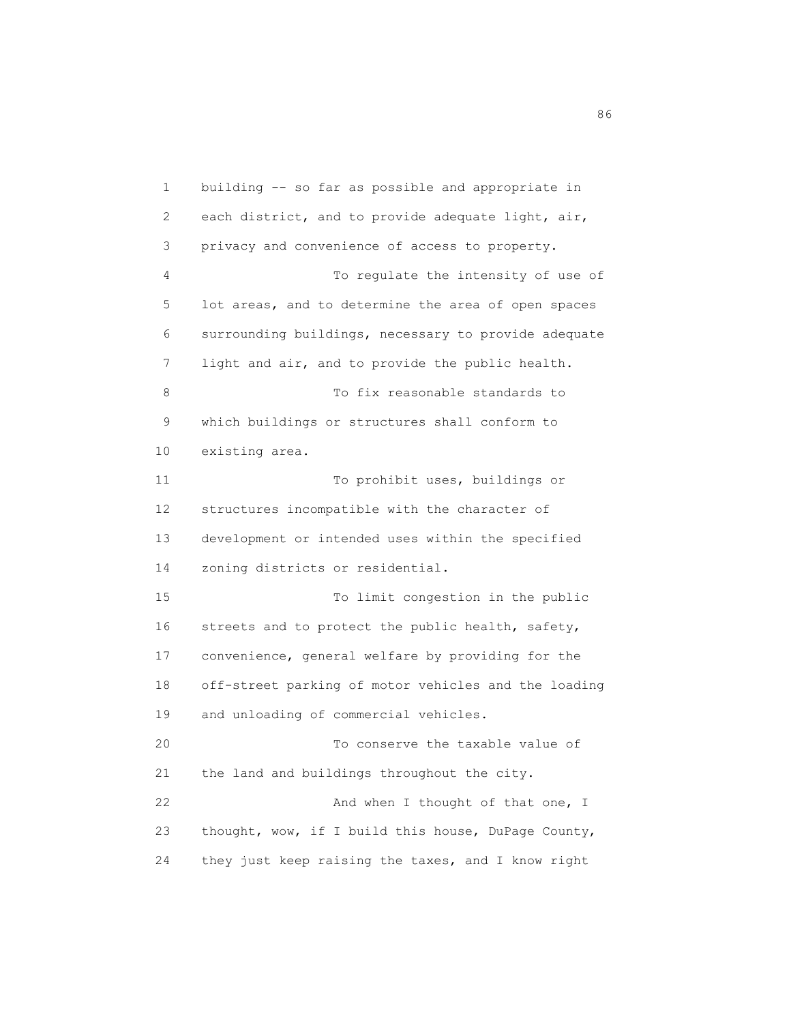1 building -- so far as possible and appropriate in 2 each district, and to provide adequate light, air, 3 privacy and convenience of access to property. 4 To regulate the intensity of use of 5 lot areas, and to determine the area of open spaces 6 surrounding buildings, necessary to provide adequate 7 light and air, and to provide the public health. 8 To fix reasonable standards to 9 which buildings or structures shall conform to 10 existing area. 11 To prohibit uses, buildings or 12 structures incompatible with the character of 13 development or intended uses within the specified 14 zoning districts or residential. 15 To limit congestion in the public 16 streets and to protect the public health, safety, 17 convenience, general welfare by providing for the 18 off-street parking of motor vehicles and the loading 19 and unloading of commercial vehicles. 20 To conserve the taxable value of 21 the land and buildings throughout the city. 22 And when I thought of that one, I 23 thought, wow, if I build this house, DuPage County, 24 they just keep raising the taxes, and I know right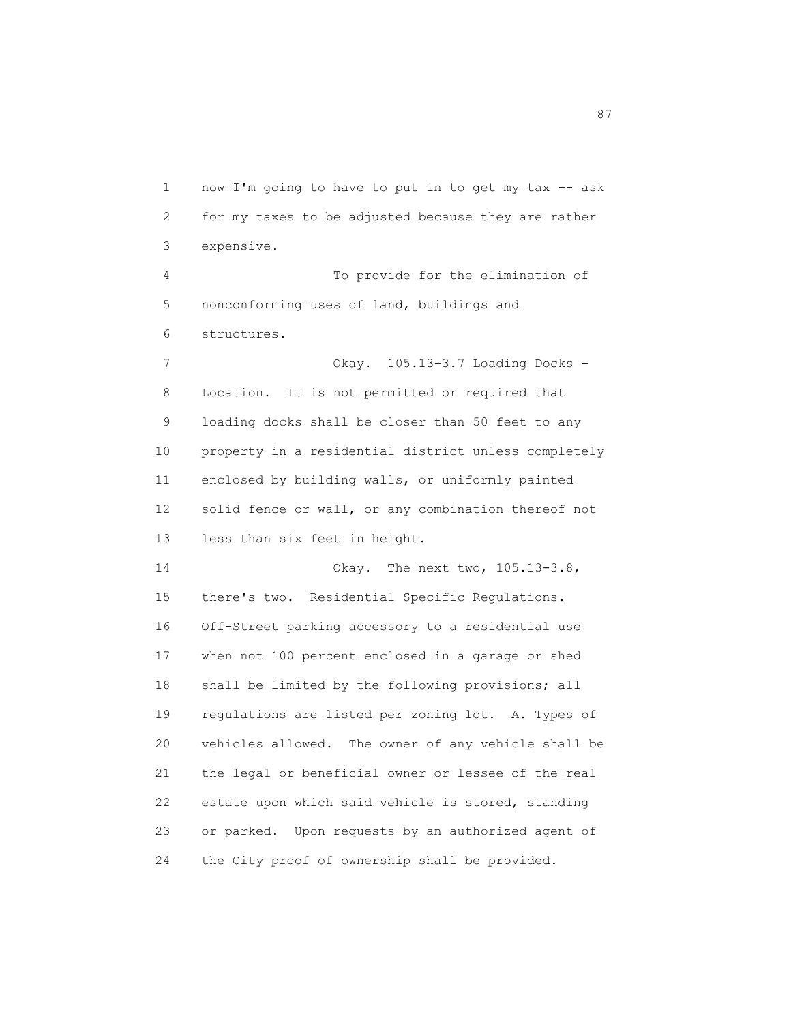1 now I'm going to have to put in to get my tax -- ask 2 for my taxes to be adjusted because they are rather 3 expensive. 4 To provide for the elimination of 5 nonconforming uses of land, buildings and 6 structures. 7 Okay. 105.13-3.7 Loading Docks - 8 Location. It is not permitted or required that 9 loading docks shall be closer than 50 feet to any 10 property in a residential district unless completely 11 enclosed by building walls, or uniformly painted 12 solid fence or wall, or any combination thereof not 13 less than six feet in height. 14 Okay. The next two, 105.13-3.8, 15 there's two. Residential Specific Regulations. 16 Off-Street parking accessory to a residential use 17 when not 100 percent enclosed in a garage or shed 18 shall be limited by the following provisions; all 19 regulations are listed per zoning lot. A. Types of 20 vehicles allowed. The owner of any vehicle shall be 21 the legal or beneficial owner or lessee of the real 22 estate upon which said vehicle is stored, standing 23 or parked. Upon requests by an authorized agent of 24 the City proof of ownership shall be provided.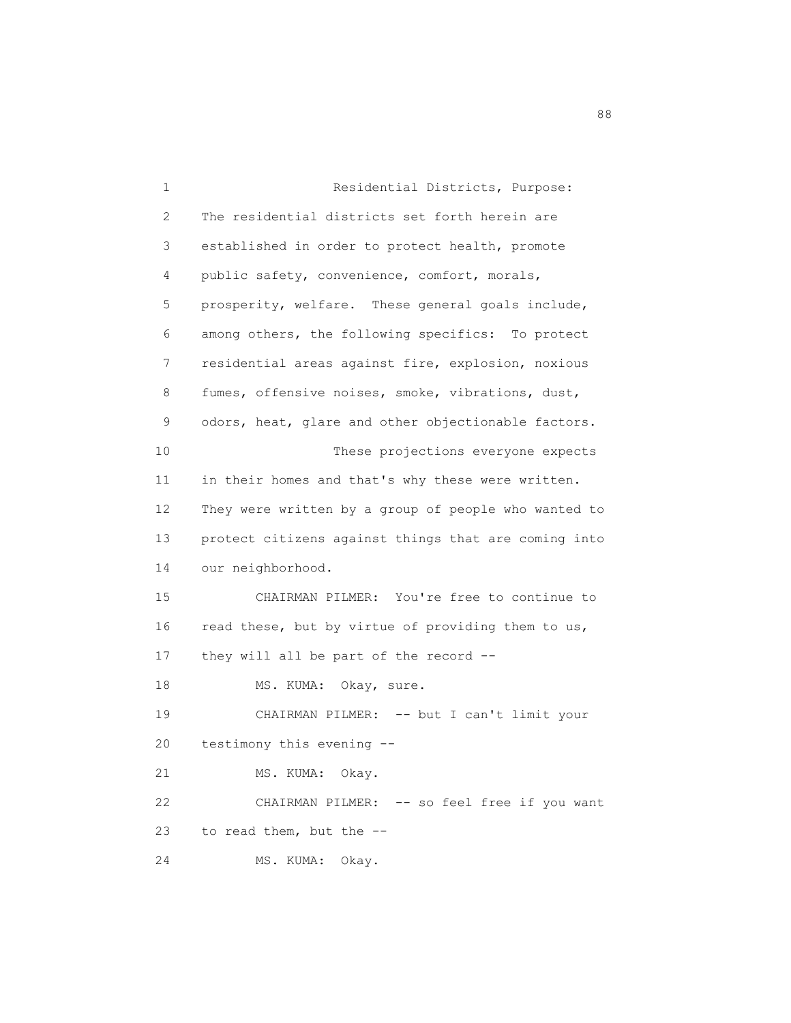1 Residential Districts, Purpose: 2 The residential districts set forth herein are 3 established in order to protect health, promote 4 public safety, convenience, comfort, morals, 5 prosperity, welfare. These general goals include, 6 among others, the following specifics: To protect 7 residential areas against fire, explosion, noxious 8 fumes, offensive noises, smoke, vibrations, dust, 9 odors, heat, glare and other objectionable factors. 10 These projections everyone expects 11 in their homes and that's why these were written. 12 They were written by a group of people who wanted to 13 protect citizens against things that are coming into 14 our neighborhood. 15 CHAIRMAN PILMER: You're free to continue to 16 read these, but by virtue of providing them to us, 17 they will all be part of the record -- 18 MS. KUMA: Okay, sure. 19 CHAIRMAN PILMER: -- but I can't limit your 20 testimony this evening -- 21 MS. KUMA: Okay. 22 CHAIRMAN PILMER: -- so feel free if you want 23 to read them, but the -- 24 MS. KUMA: Okay.

en de la construction de la construction de la construction de la construction de la construction de la constr<br>1888 : le construction de la construction de la construction de la construction de la construction de la const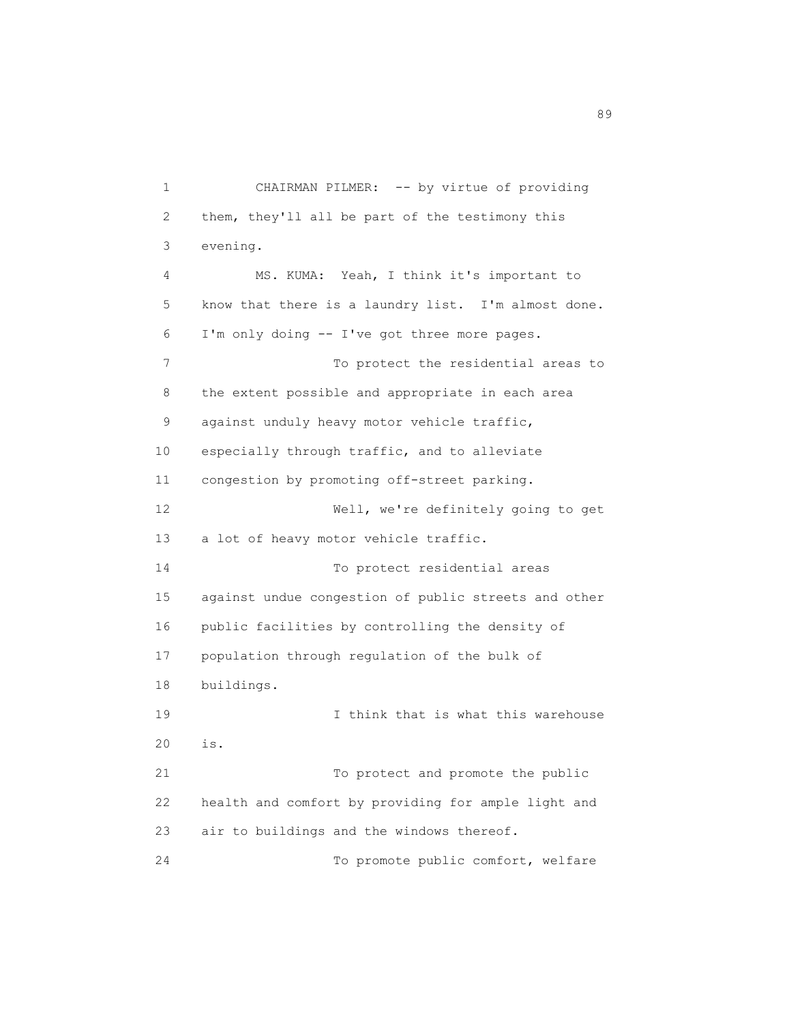1 CHAIRMAN PILMER: -- by virtue of providing 2 them, they'll all be part of the testimony this 3 evening. 4 MS. KUMA: Yeah, I think it's important to 5 know that there is a laundry list. I'm almost done. 6 I'm only doing -- I've got three more pages. 7 To protect the residential areas to 8 the extent possible and appropriate in each area 9 against unduly heavy motor vehicle traffic, 10 especially through traffic, and to alleviate 11 congestion by promoting off-street parking. 12 Well, we're definitely going to get 13 a lot of heavy motor vehicle traffic. 14 To protect residential areas 15 against undue congestion of public streets and other 16 public facilities by controlling the density of 17 population through regulation of the bulk of 18 buildings. 19 19 I think that is what this warehouse 20 is. 21 To protect and promote the public 22 health and comfort by providing for ample light and 23 air to buildings and the windows thereof. 24 To promote public comfort, welfare

en de la construction de la construction de la construction de la construction de la construction de la constr<br>1990 : la construction de la construction de la construction de la construction de la construction de la const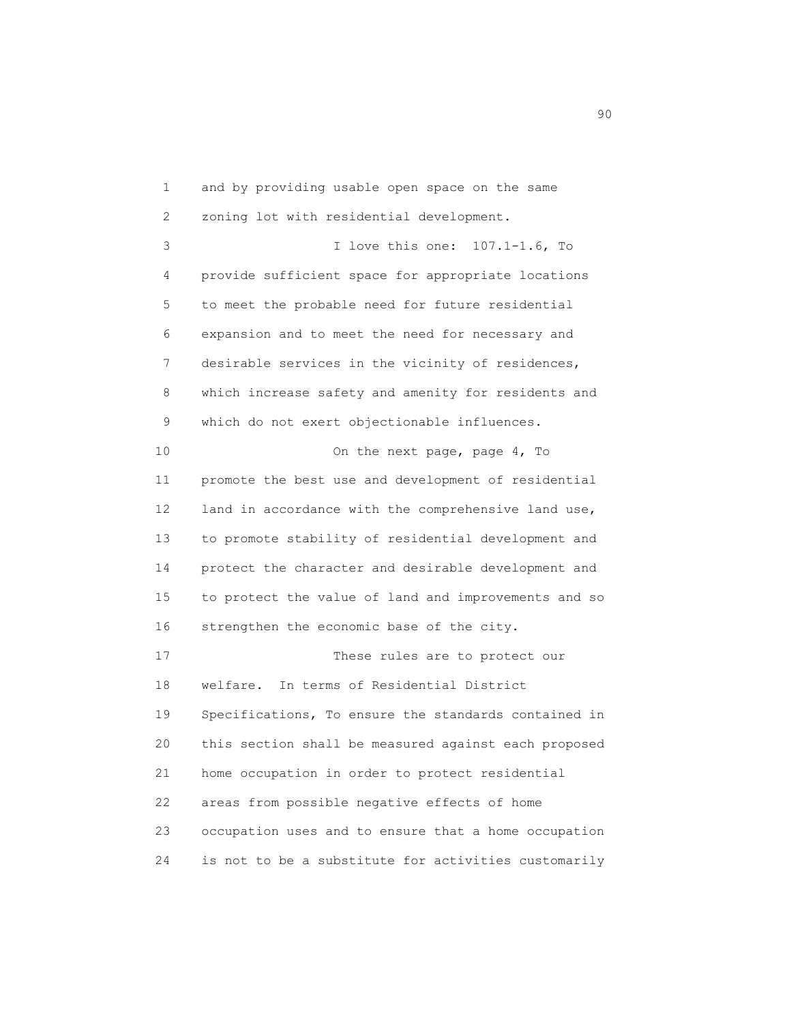1 and by providing usable open space on the same 2 zoning lot with residential development. 3 I love this one: 107.1-1.6, To 4 provide sufficient space for appropriate locations 5 to meet the probable need for future residential 6 expansion and to meet the need for necessary and 7 desirable services in the vicinity of residences, 8 which increase safety and amenity for residents and 9 which do not exert objectionable influences. 10 On the next page, page 4, To 11 promote the best use and development of residential 12 land in accordance with the comprehensive land use, 13 to promote stability of residential development and 14 protect the character and desirable development and 15 to protect the value of land and improvements and so 16 strengthen the economic base of the city. 17 These rules are to protect our 18 welfare. In terms of Residential District 19 Specifications, To ensure the standards contained in 20 this section shall be measured against each proposed 21 home occupation in order to protect residential 22 areas from possible negative effects of home 23 occupation uses and to ensure that a home occupation 24 is not to be a substitute for activities customarily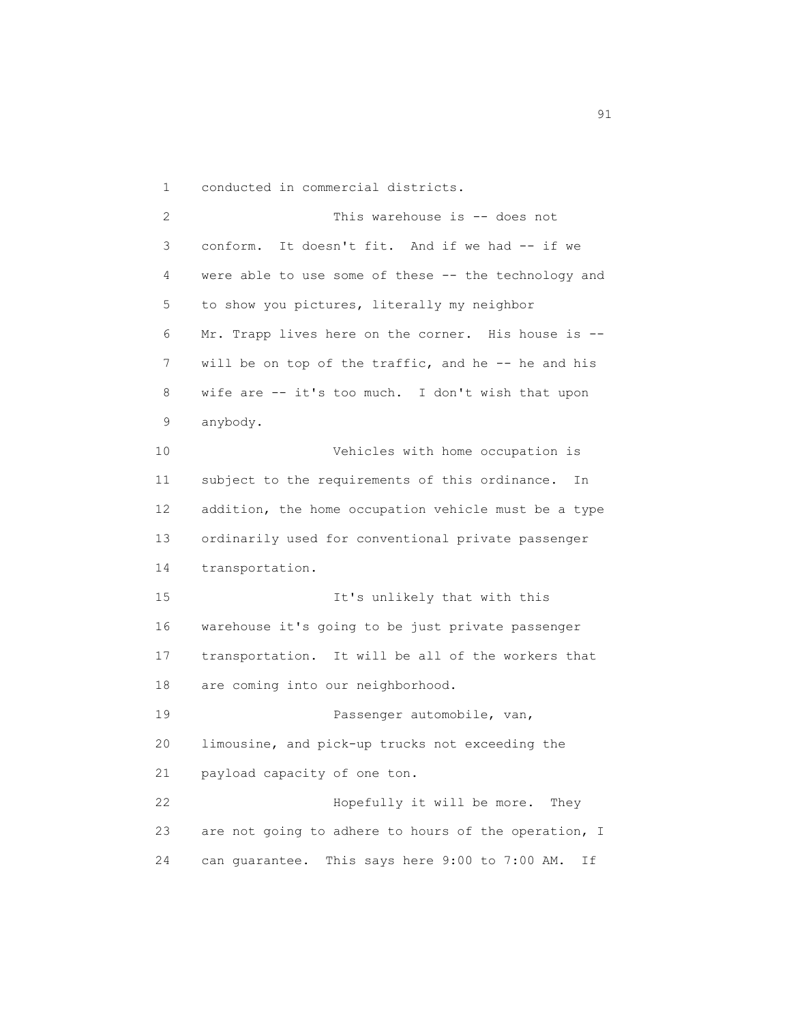1 conducted in commercial districts.

 2 This warehouse is -- does not 3 conform. It doesn't fit. And if we had -- if we 4 were able to use some of these -- the technology and 5 to show you pictures, literally my neighbor 6 Mr. Trapp lives here on the corner. His house is -- 7 will be on top of the traffic, and he -- he and his 8 wife are -- it's too much. I don't wish that upon 9 anybody. 10 Vehicles with home occupation is 11 subject to the requirements of this ordinance. In 12 addition, the home occupation vehicle must be a type 13 ordinarily used for conventional private passenger 14 transportation. 15 It's unlikely that with this 16 warehouse it's going to be just private passenger 17 transportation. It will be all of the workers that 18 are coming into our neighborhood. 19 **Passenger automobile, van,**  20 limousine, and pick-up trucks not exceeding the 21 payload capacity of one ton. 22 Hopefully it will be more. They 23 are not going to adhere to hours of the operation, I 24 can guarantee. This says here 9:00 to 7:00 AM. If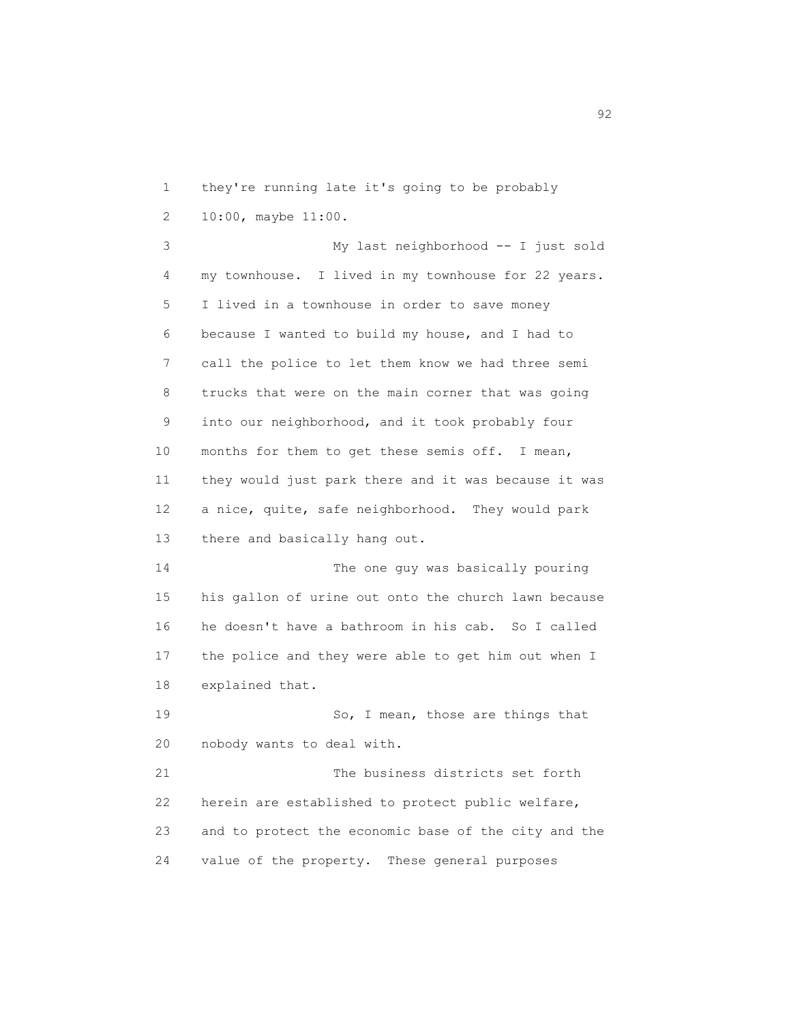1 they're running late it's going to be probably 2 10:00, maybe 11:00. 3 My last neighborhood -- I just sold 4 my townhouse. I lived in my townhouse for 22 years. 5 I lived in a townhouse in order to save money 6 because I wanted to build my house, and I had to 7 call the police to let them know we had three semi 8 trucks that were on the main corner that was going 9 into our neighborhood, and it took probably four 10 months for them to get these semis off. I mean, 11 they would just park there and it was because it was 12 a nice, quite, safe neighborhood. They would park 13 there and basically hang out. 14 The one guy was basically pouring 15 his gallon of urine out onto the church lawn because 16 he doesn't have a bathroom in his cab. So I called 17 the police and they were able to get him out when I 18 explained that. 19 So, I mean, those are things that 20 nobody wants to deal with. 21 The business districts set forth 22 herein are established to protect public welfare, 23 and to protect the economic base of the city and the 24 value of the property. These general purposes

 $\sim$  92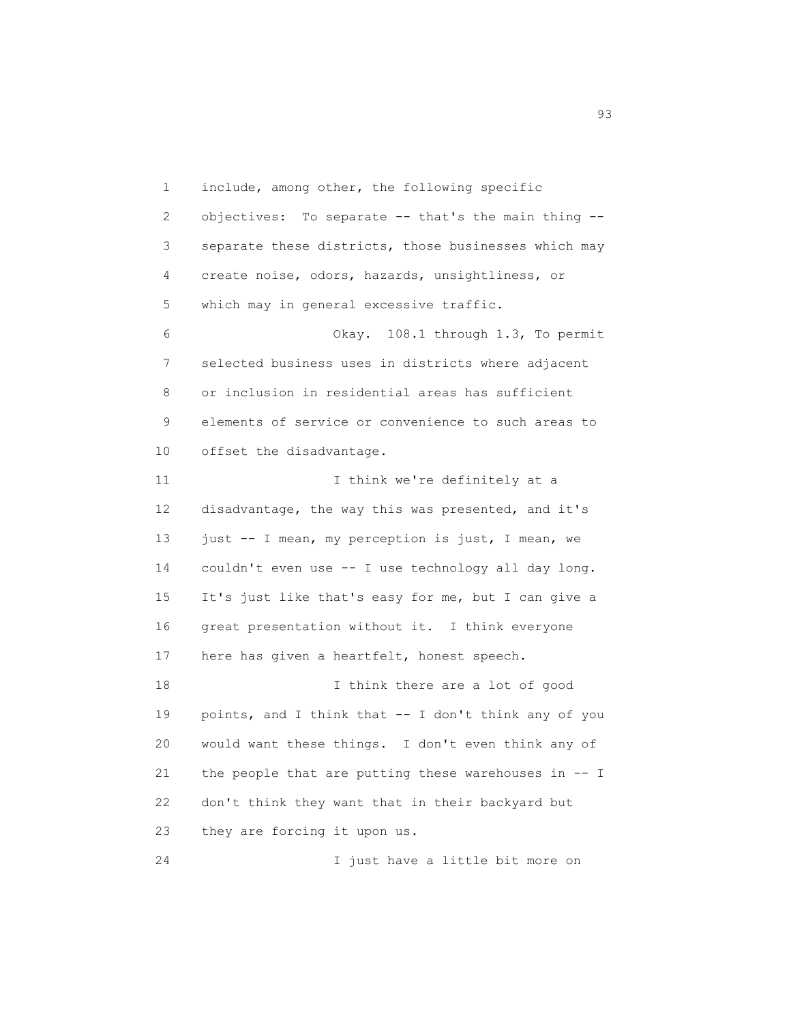1 include, among other, the following specific 2 objectives: To separate -- that's the main thing -- 3 separate these districts, those businesses which may 4 create noise, odors, hazards, unsightliness, or 5 which may in general excessive traffic. 6 Okay. 108.1 through 1.3, To permit 7 selected business uses in districts where adjacent 8 or inclusion in residential areas has sufficient 9 elements of service or convenience to such areas to 10 offset the disadvantage. 11 11 I think we're definitely at a 12 disadvantage, the way this was presented, and it's 13 just -- I mean, my perception is just, I mean, we 14 couldn't even use -- I use technology all day long. 15 It's just like that's easy for me, but I can give a 16 great presentation without it. I think everyone 17 here has given a heartfelt, honest speech. 18 I think there are a lot of good 19 points, and I think that -- I don't think any of you 20 would want these things. I don't even think any of 21 the people that are putting these warehouses in -- I 22 don't think they want that in their backyard but 23 they are forcing it upon us.

24 I just have a little bit more on

en 1992 en 1993 en 1993 en 1993 en 1993 en 1993 en 1993 en 1993 en 1993 en 1993 en 1993 en 1993 en 1993 en 19<br>1993 en 1993 en 1993 en 1993 en 1993 en 1993 en 1993 en 1993 en 1993 en 1993 en 1993 en 1993 en 1993 en 1993 e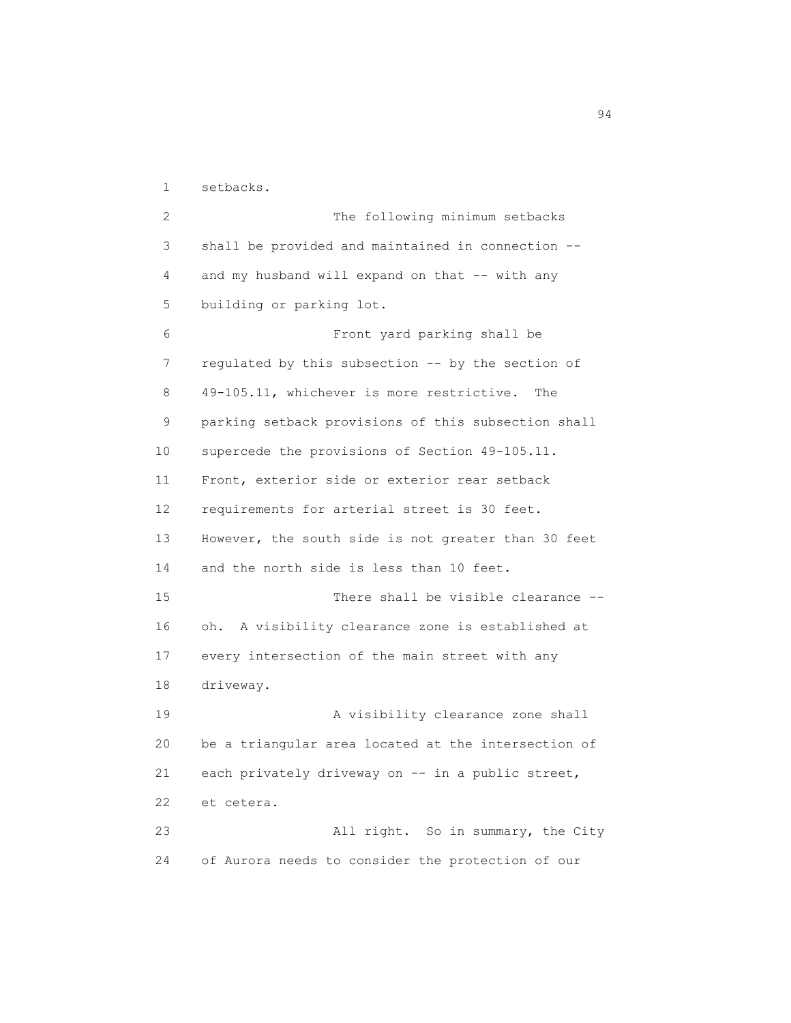1 setbacks.

 2 The following minimum setbacks 3 shall be provided and maintained in connection -- 4 and my husband will expand on that -- with any 5 building or parking lot. 6 Front yard parking shall be 7 regulated by this subsection -- by the section of 8 49-105.11, whichever is more restrictive. The 9 parking setback provisions of this subsection shall 10 supercede the provisions of Section 49-105.11. 11 Front, exterior side or exterior rear setback 12 requirements for arterial street is 30 feet. 13 However, the south side is not greater than 30 feet 14 and the north side is less than 10 feet. 15 There shall be visible clearance -- 16 oh. A visibility clearance zone is established at 17 every intersection of the main street with any 18 driveway. 19 A visibility clearance zone shall 20 be a triangular area located at the intersection of 21 each privately driveway on -- in a public street, 22 et cetera. 23 All right. So in summary, the City 24 of Aurora needs to consider the protection of our

94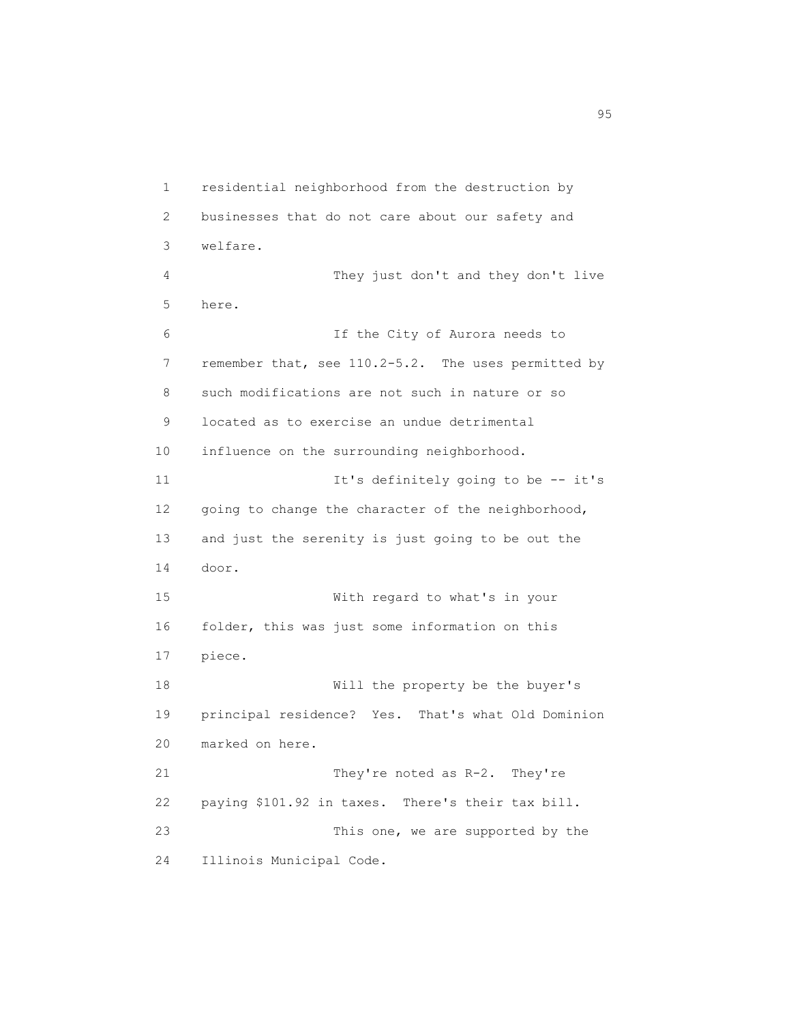1 residential neighborhood from the destruction by 2 businesses that do not care about our safety and 3 welfare. 4 They just don't and they don't live 5 here. 6 If the City of Aurora needs to 7 remember that, see 110.2-5.2. The uses permitted by 8 such modifications are not such in nature or so 9 located as to exercise an undue detrimental 10 influence on the surrounding neighborhood. 11 It's definitely going to be -- it's 12 going to change the character of the neighborhood, 13 and just the serenity is just going to be out the 14 door. 15 With regard to what's in your 16 folder, this was just some information on this 17 piece. 18 Will the property be the buyer's 19 principal residence? Yes. That's what Old Dominion 20 marked on here. 21 They're noted as R-2. They're 22 paying \$101.92 in taxes. There's their tax bill. 23 This one, we are supported by the 24 Illinois Municipal Code.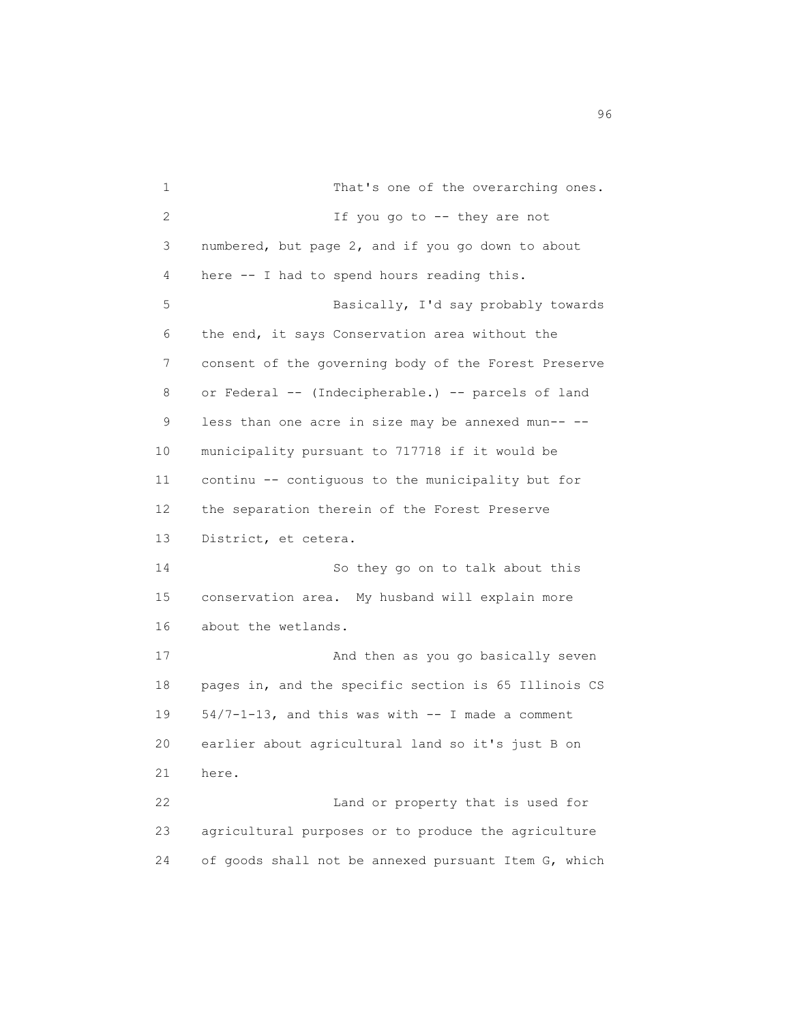1 That's one of the overarching ones. 2 If you go to -- they are not 3 numbered, but page 2, and if you go down to about 4 here -- I had to spend hours reading this. 5 Basically, I'd say probably towards 6 the end, it says Conservation area without the 7 consent of the governing body of the Forest Preserve 8 or Federal -- (Indecipherable.) -- parcels of land 9 less than one acre in size may be annexed mun-- -- 10 municipality pursuant to 717718 if it would be 11 continu -- contiguous to the municipality but for 12 the separation therein of the Forest Preserve 13 District, et cetera. 14 So they go on to talk about this 15 conservation area. My husband will explain more 16 about the wetlands. 17 And then as you go basically seven 18 pages in, and the specific section is 65 Illinois CS 19 54/7-1-13, and this was with -- I made a comment 20 earlier about agricultural land so it's just B on 21 here. 22 Land or property that is used for 23 agricultural purposes or to produce the agriculture 24 of goods shall not be annexed pursuant Item G, which

en de la construction de la construction de la construction de la construction de la construction de la constr<br>1960 : la construction de la construction de la construction de la construction de la construction de la const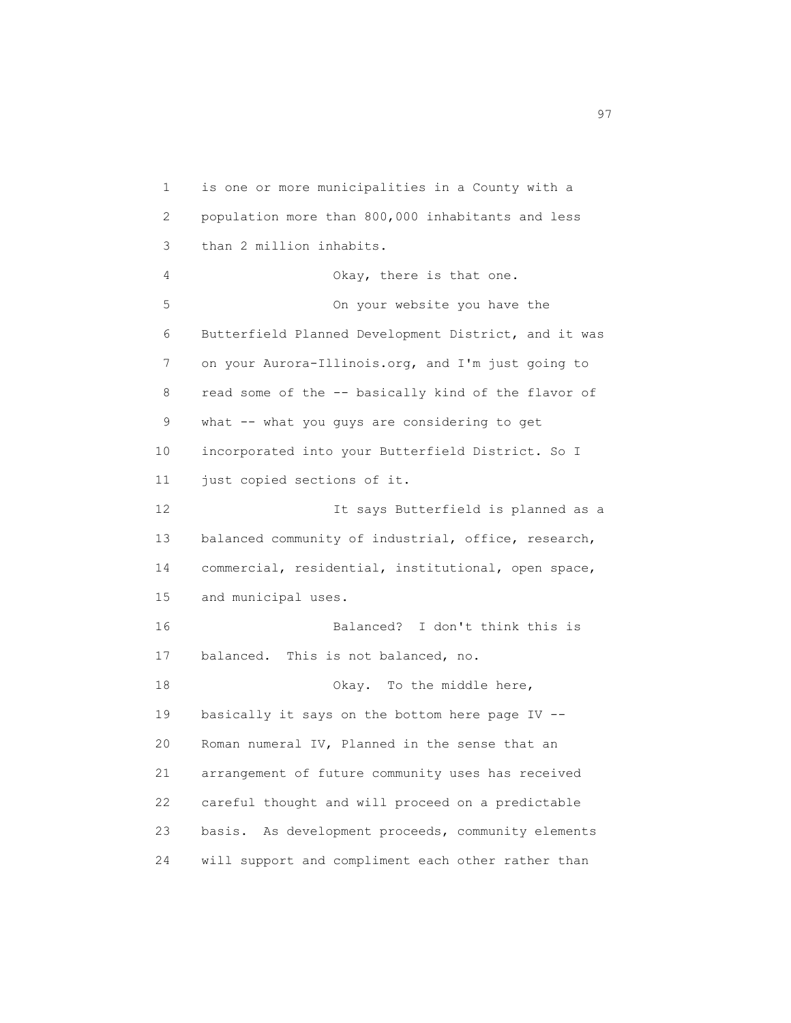1 is one or more municipalities in a County with a 2 population more than 800,000 inhabitants and less 3 than 2 million inhabits. 4 Okay, there is that one. 5 On your website you have the 6 Butterfield Planned Development District, and it was 7 on your Aurora-Illinois.org, and I'm just going to 8 read some of the -- basically kind of the flavor of 9 what -- what you guys are considering to get 10 incorporated into your Butterfield District. So I 11 just copied sections of it. 12 It says Butterfield is planned as a 13 balanced community of industrial, office, research, 14 commercial, residential, institutional, open space, 15 and municipal uses. 16 Balanced? I don't think this is 17 balanced. This is not balanced, no. 18 Okay. To the middle here, 19 basically it says on the bottom here page IV -- 20 Roman numeral IV, Planned in the sense that an 21 arrangement of future community uses has received 22 careful thought and will proceed on a predictable 23 basis. As development proceeds, community elements 24 will support and compliment each other rather than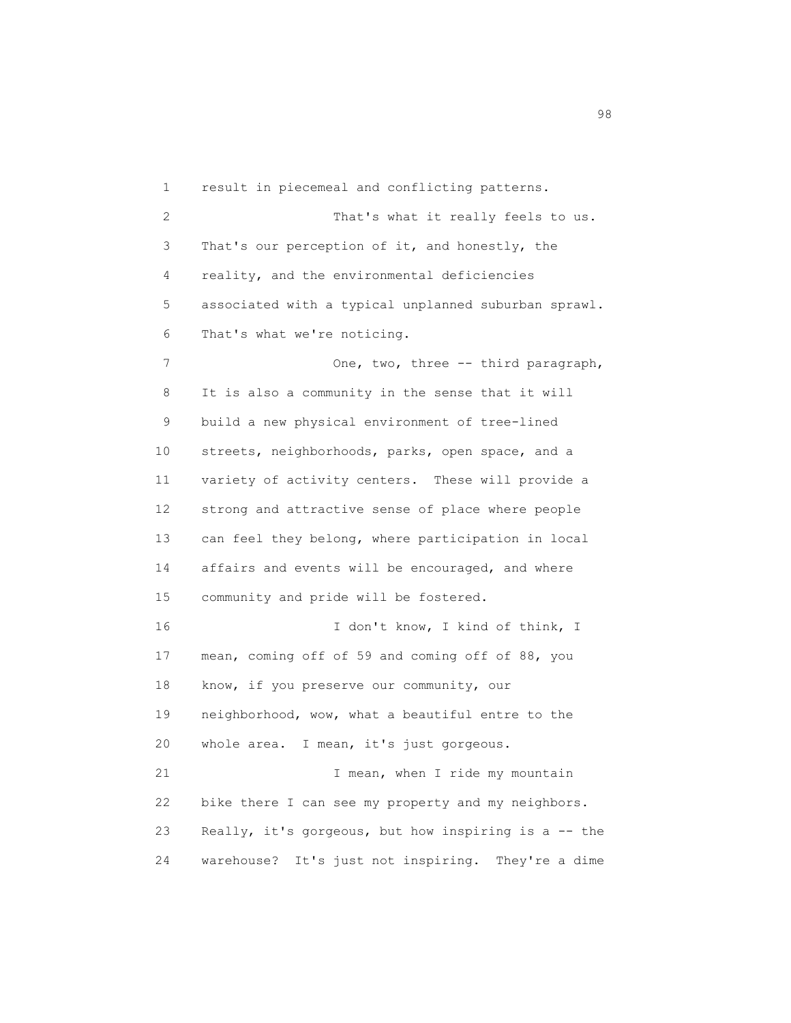1 result in piecemeal and conflicting patterns. 2 That's what it really feels to us. 3 That's our perception of it, and honestly, the 4 reality, and the environmental deficiencies 5 associated with a typical unplanned suburban sprawl. 6 That's what we're noticing. 7 One, two, three -- third paragraph, 8 It is also a community in the sense that it will 9 build a new physical environment of tree-lined 10 streets, neighborhoods, parks, open space, and a 11 variety of activity centers. These will provide a 12 strong and attractive sense of place where people 13 can feel they belong, where participation in local 14 affairs and events will be encouraged, and where 15 community and pride will be fostered. 16 I don't know, I kind of think, I 17 mean, coming off of 59 and coming off of 88, you 18 know, if you preserve our community, our 19 neighborhood, wow, what a beautiful entre to the 20 whole area. I mean, it's just gorgeous. 21 I mean, when I ride my mountain 22 bike there I can see my property and my neighbors. 23 Really, it's gorgeous, but how inspiring is a -- the 24 warehouse? It's just not inspiring. They're a dime

en 1980 en 1980 en 1980 en 1980 en 1980 en 1980 en 1980 en 1980 en 1980 en 1980 en 1980 en 1980 en 1980 en 19<br>De grote en 1980 en 1980 en 1980 en 1980 en 1980 en 1980 en 1980 en 1980 en 1980 en 1980 en 1980 en 1980 en 19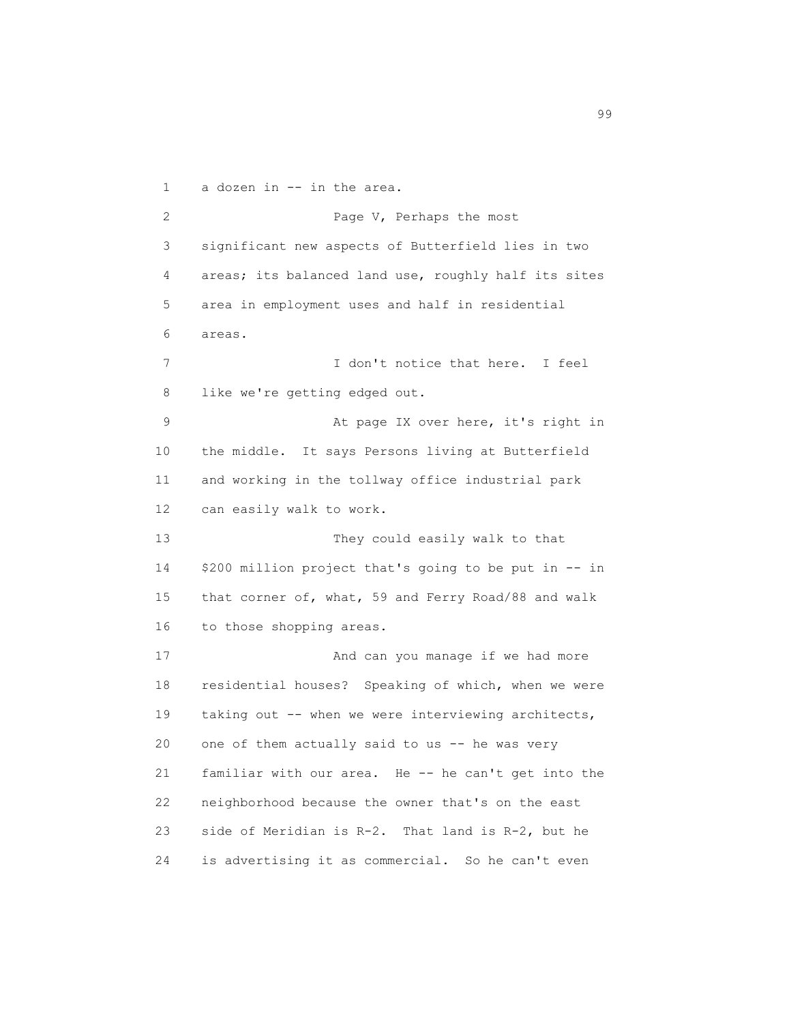1 a dozen in -- in the area. 2 Page V, Perhaps the most 3 significant new aspects of Butterfield lies in two 4 areas; its balanced land use, roughly half its sites 5 area in employment uses and half in residential 6 areas. 7 I don't notice that here. I feel 8 like we're getting edged out. 9 At page IX over here, it's right in 10 the middle. It says Persons living at Butterfield 11 and working in the tollway office industrial park 12 can easily walk to work. 13 They could easily walk to that 14 \$200 million project that's going to be put in -- in 15 that corner of, what, 59 and Ferry Road/88 and walk 16 to those shopping areas. 17 And can you manage if we had more 18 residential houses? Speaking of which, when we were 19 taking out -- when we were interviewing architects, 20 one of them actually said to us -- he was very 21 familiar with our area. He -- he can't get into the 22 neighborhood because the owner that's on the east 23 side of Meridian is R-2. That land is R-2, but he 24 is advertising it as commercial. So he can't even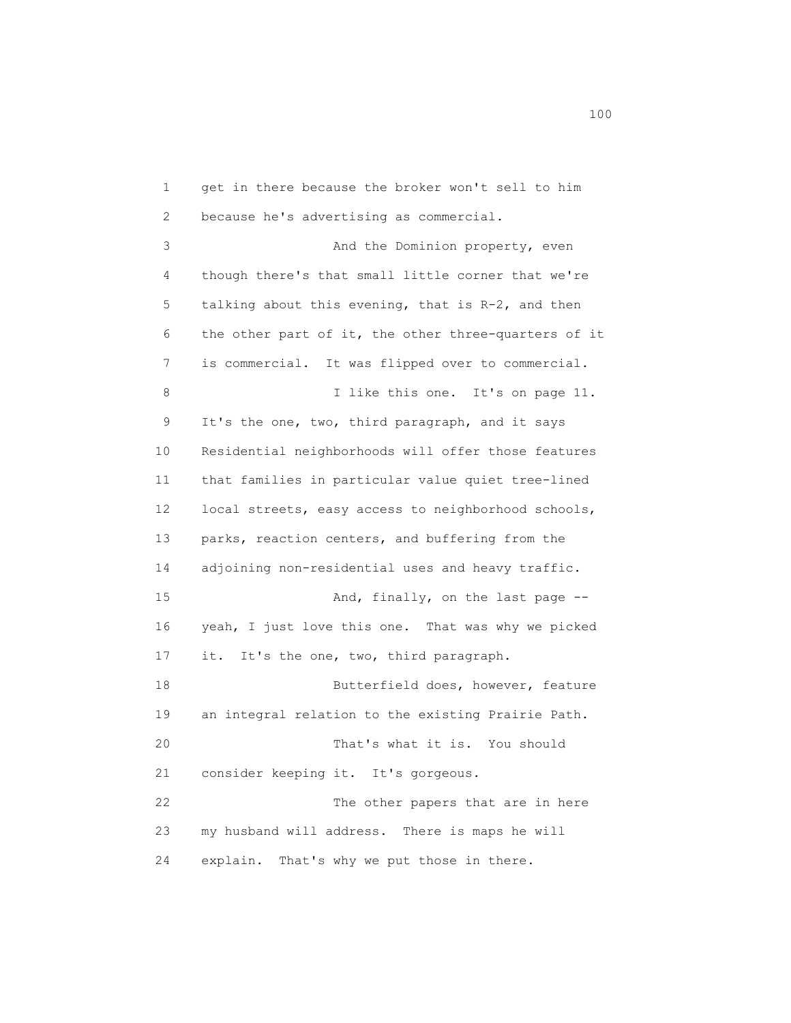1 get in there because the broker won't sell to him 2 because he's advertising as commercial. 3 And the Dominion property, even 4 though there's that small little corner that we're 5 talking about this evening, that is R-2, and then 6 the other part of it, the other three-quarters of it 7 is commercial. It was flipped over to commercial. 8 I like this one. It's on page 11. 9 It's the one, two, third paragraph, and it says 10 Residential neighborhoods will offer those features 11 that families in particular value quiet tree-lined 12 local streets, easy access to neighborhood schools, 13 parks, reaction centers, and buffering from the 14 adjoining non-residential uses and heavy traffic. 15 And, finally, on the last page -- 16 yeah, I just love this one. That was why we picked 17 it. It's the one, two, third paragraph. 18 Butterfield does, however, feature 19 an integral relation to the existing Prairie Path. 20 That's what it is. You should 21 consider keeping it. It's gorgeous. 22 The other papers that are in here 23 my husband will address. There is maps he will 24 explain. That's why we put those in there.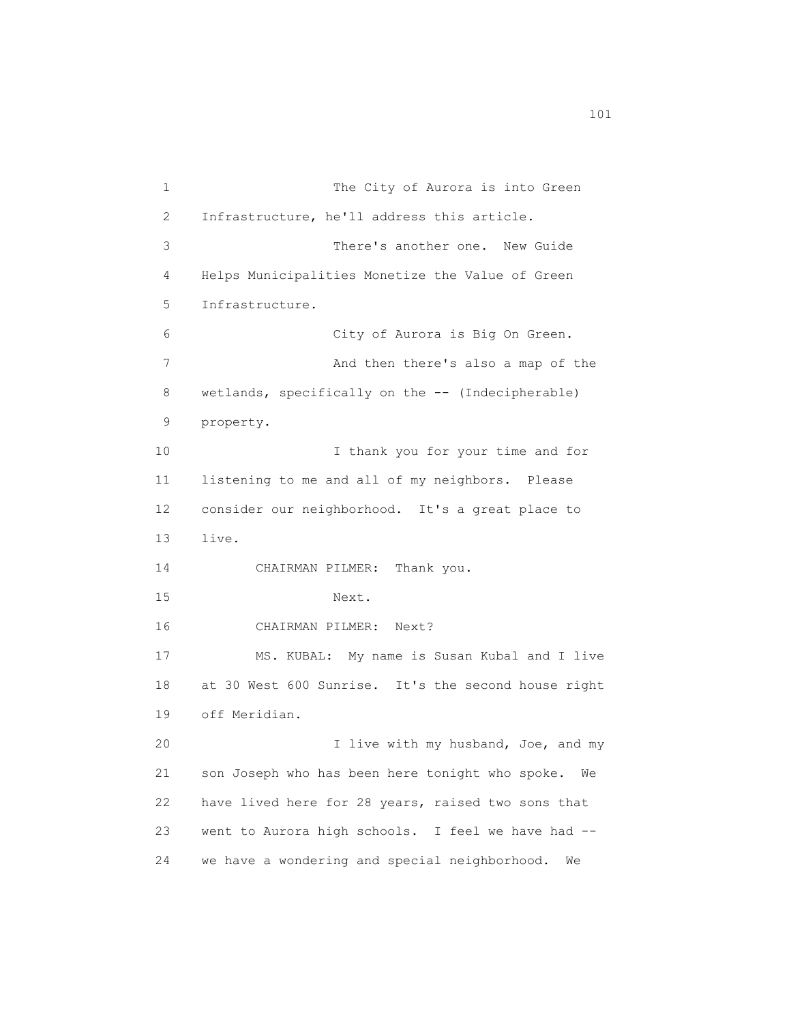1 The City of Aurora is into Green 2 Infrastructure, he'll address this article. 3 There's another one. New Guide 4 Helps Municipalities Monetize the Value of Green 5 Infrastructure. 6 City of Aurora is Big On Green. 7 And then there's also a map of the 8 wetlands, specifically on the -- (Indecipherable) 9 property. 10 I thank you for your time and for 11 listening to me and all of my neighbors. Please 12 consider our neighborhood. It's a great place to 13 live. 14 CHAIRMAN PILMER: Thank you. 15 Next. 16 CHAIRMAN PILMER: Next? 17 MS. KUBAL: My name is Susan Kubal and I live 18 at 30 West 600 Sunrise. It's the second house right 19 off Meridian. 20 I live with my husband, Joe, and my 21 son Joseph who has been here tonight who spoke. We 22 have lived here for 28 years, raised two sons that 23 went to Aurora high schools. I feel we have had -- 24 we have a wondering and special neighborhood. We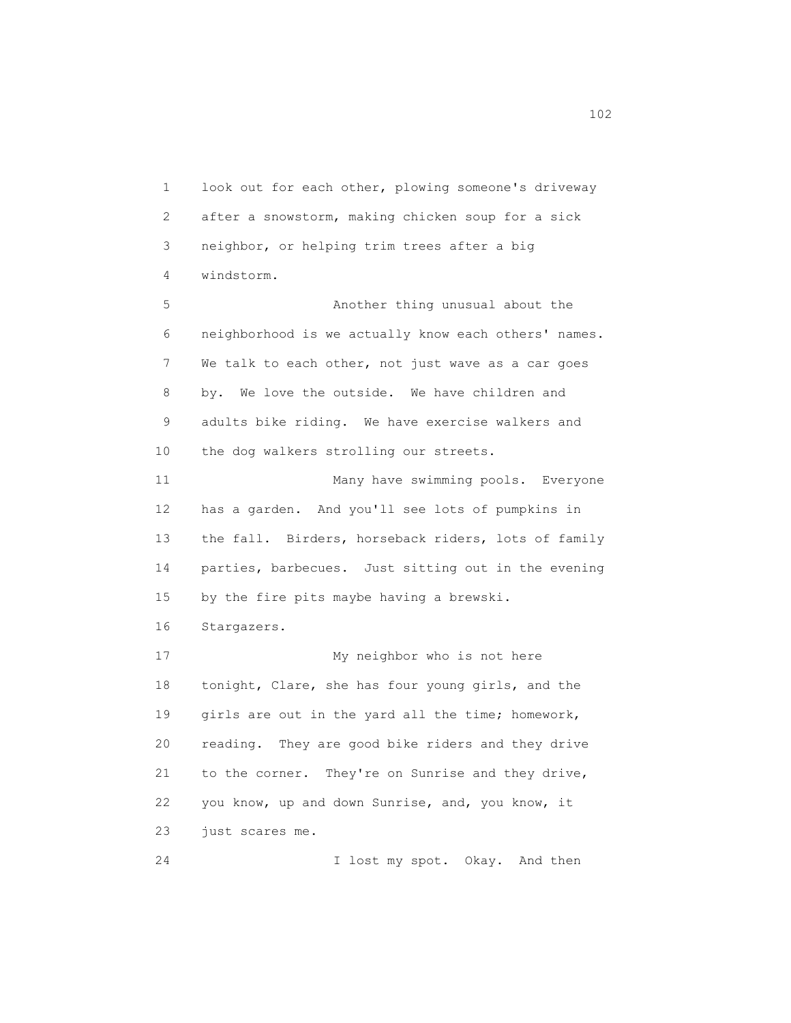1 look out for each other, plowing someone's driveway 2 after a snowstorm, making chicken soup for a sick 3 neighbor, or helping trim trees after a big 4 windstorm.

 5 Another thing unusual about the 6 neighborhood is we actually know each others' names. 7 We talk to each other, not just wave as a car goes 8 by. We love the outside. We have children and 9 adults bike riding. We have exercise walkers and 10 the dog walkers strolling our streets.

 11 Many have swimming pools. Everyone 12 has a garden. And you'll see lots of pumpkins in 13 the fall. Birders, horseback riders, lots of family 14 parties, barbecues. Just sitting out in the evening 15 by the fire pits maybe having a brewski.

16 Stargazers.

17 My neighbor who is not here 18 tonight, Clare, she has four young girls, and the 19 girls are out in the yard all the time; homework, 20 reading. They are good bike riders and they drive 21 to the corner. They're on Sunrise and they drive, 22 you know, up and down Sunrise, and, you know, it 23 just scares me.

24 I lost my spot. Okay. And then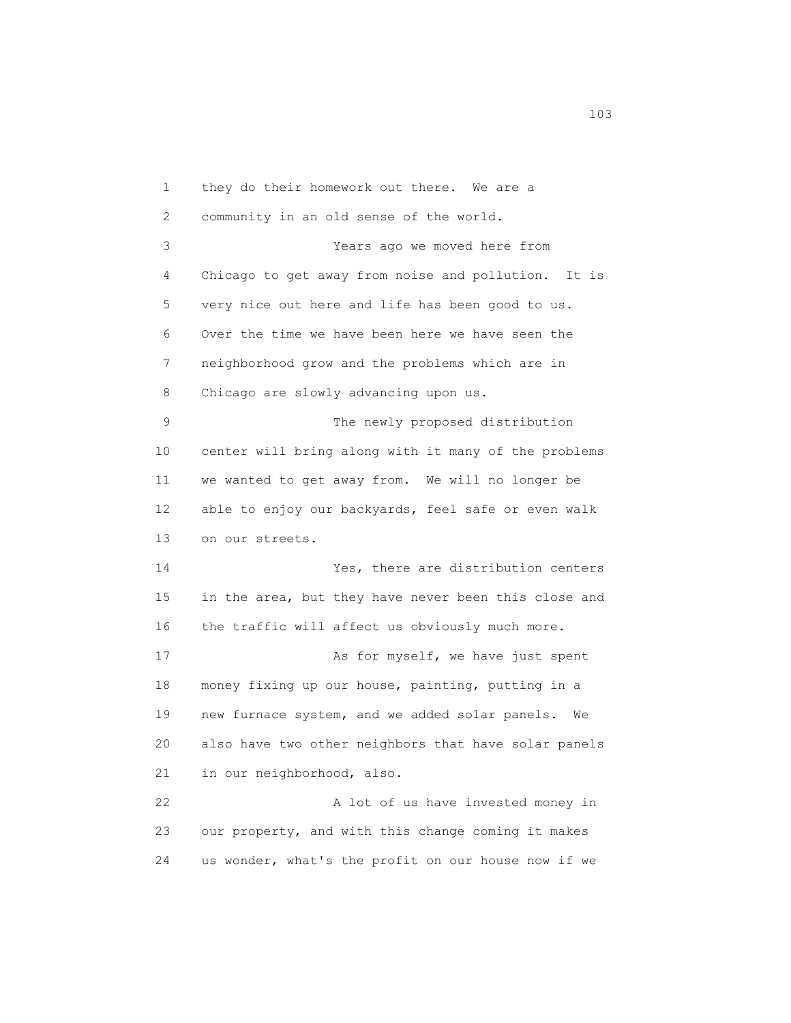1 they do their homework out there. We are a 2 community in an old sense of the world. 3 Years ago we moved here from 4 Chicago to get away from noise and pollution. It is 5 very nice out here and life has been good to us. 6 Over the time we have been here we have seen the 7 neighborhood grow and the problems which are in 8 Chicago are slowly advancing upon us. 9 The newly proposed distribution 10 center will bring along with it many of the problems 11 we wanted to get away from. We will no longer be 12 able to enjoy our backyards, feel safe or even walk 13 on our streets. 14 Yes, there are distribution centers 15 in the area, but they have never been this close and 16 the traffic will affect us obviously much more. 17 As for myself, we have just spent 18 money fixing up our house, painting, putting in a 19 new furnace system, and we added solar panels. We 20 also have two other neighbors that have solar panels 21 in our neighborhood, also. 22 A lot of us have invested money in 23 our property, and with this change coming it makes 24 us wonder, what's the profit on our house now if we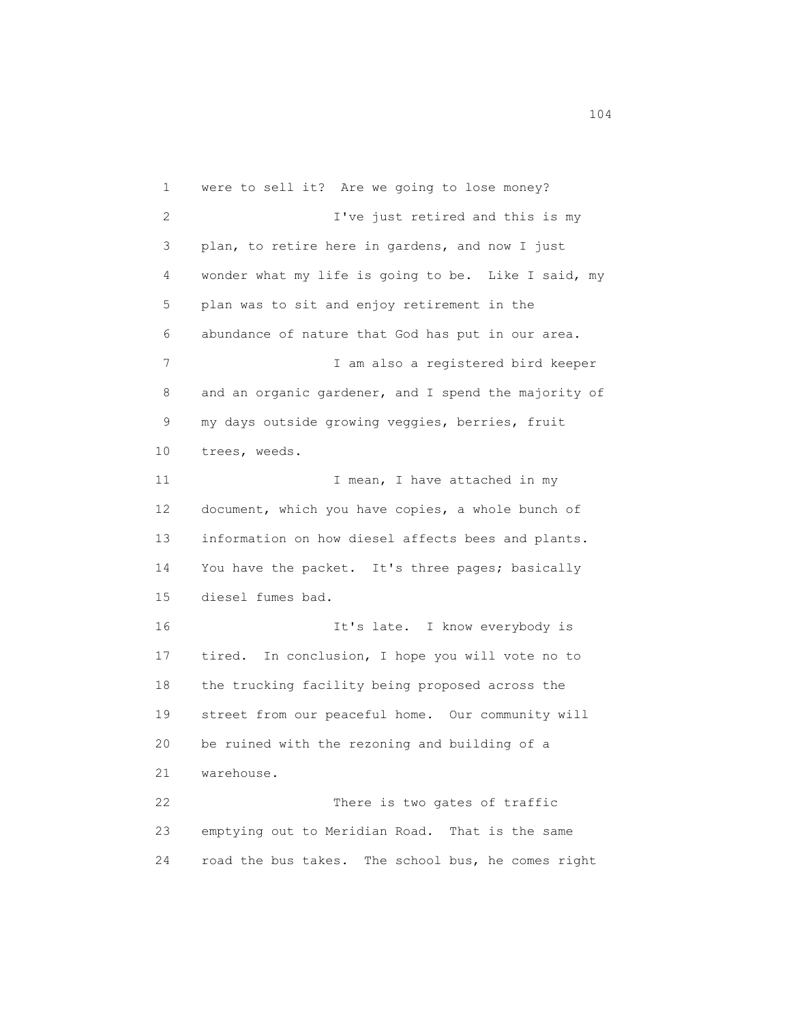1 were to sell it? Are we going to lose money? 2 I've just retired and this is my 3 plan, to retire here in gardens, and now I just 4 wonder what my life is going to be. Like I said, my 5 plan was to sit and enjoy retirement in the 6 abundance of nature that God has put in our area. 7 I am also a registered bird keeper 8 and an organic gardener, and I spend the majority of 9 my days outside growing veggies, berries, fruit 10 trees, weeds. 11 I mean, I have attached in my 12 document, which you have copies, a whole bunch of 13 information on how diesel affects bees and plants. 14 You have the packet. It's three pages; basically 15 diesel fumes bad. 16 It's late. I know everybody is 17 tired. In conclusion, I hope you will vote no to 18 the trucking facility being proposed across the 19 street from our peaceful home. Our community will 20 be ruined with the rezoning and building of a 21 warehouse. 22 There is two gates of traffic 23 emptying out to Meridian Road. That is the same 24 road the bus takes. The school bus, he comes right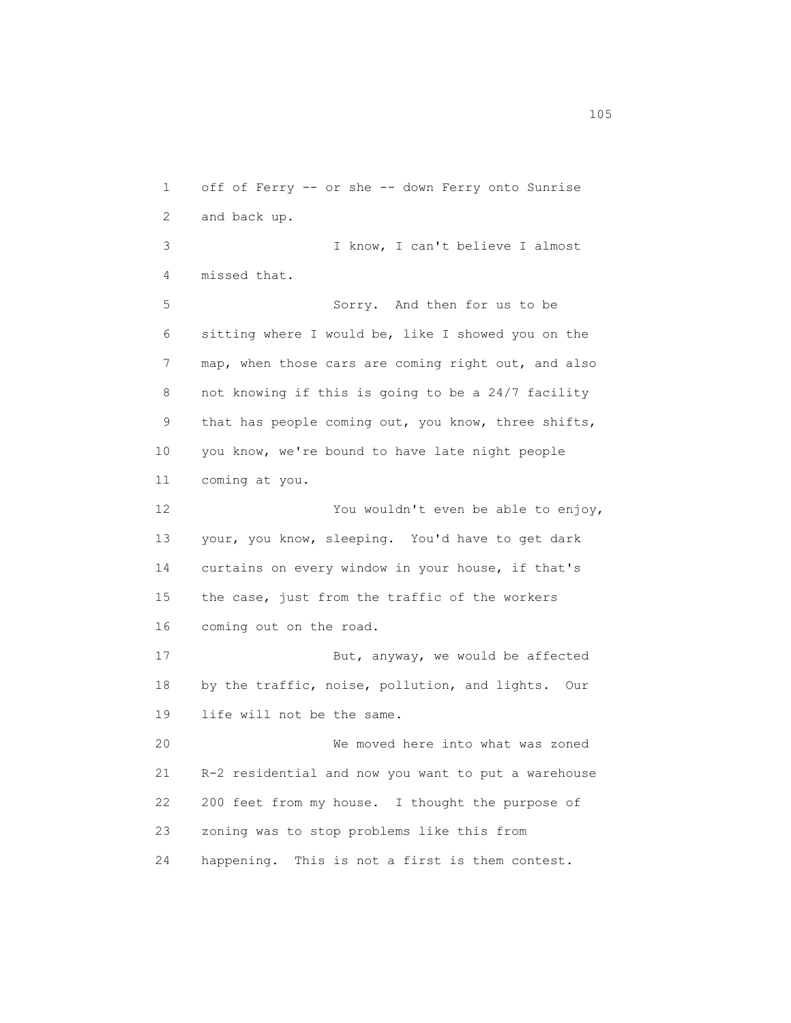1 off of Ferry -- or she -- down Ferry onto Sunrise 2 and back up. 3 I know, I can't believe I almost 4 missed that. 5 Sorry. And then for us to be 6 sitting where I would be, like I showed you on the 7 map, when those cars are coming right out, and also 8 not knowing if this is going to be a 24/7 facility 9 that has people coming out, you know, three shifts, 10 you know, we're bound to have late night people 11 coming at you. 12 You wouldn't even be able to enjoy, 13 your, you know, sleeping. You'd have to get dark 14 curtains on every window in your house, if that's 15 the case, just from the traffic of the workers 16 coming out on the road. 17 But, anyway, we would be affected 18 by the traffic, noise, pollution, and lights. Our 19 life will not be the same. 20 We moved here into what was zoned 21 R-2 residential and now you want to put a warehouse 22 200 feet from my house. I thought the purpose of 23 zoning was to stop problems like this from 24 happening. This is not a first is them contest.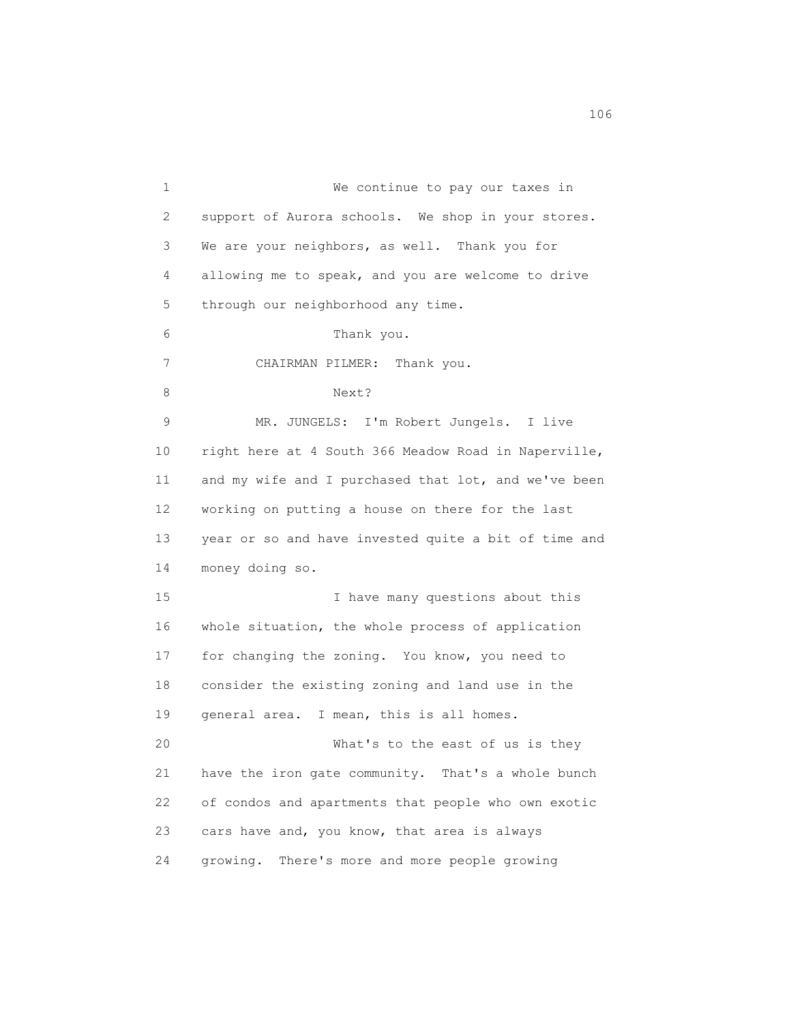1 We continue to pay our taxes in 2 support of Aurora schools. We shop in your stores. 3 We are your neighbors, as well. Thank you for 4 allowing me to speak, and you are welcome to drive 5 through our neighborhood any time. 6 Thank you. 7 CHAIRMAN PILMER: Thank you. 8 Next? 9 MR. JUNGELS: I'm Robert Jungels. I live 10 right here at 4 South 366 Meadow Road in Naperville, 11 and my wife and I purchased that lot, and we've been 12 working on putting a house on there for the last 13 year or so and have invested quite a bit of time and 14 money doing so. 15 I have many questions about this 16 whole situation, the whole process of application 17 for changing the zoning. You know, you need to 18 consider the existing zoning and land use in the 19 general area. I mean, this is all homes. 20 What's to the east of us is they 21 have the iron gate community. That's a whole bunch 22 of condos and apartments that people who own exotic 23 cars have and, you know, that area is always 24 growing. There's more and more people growing

106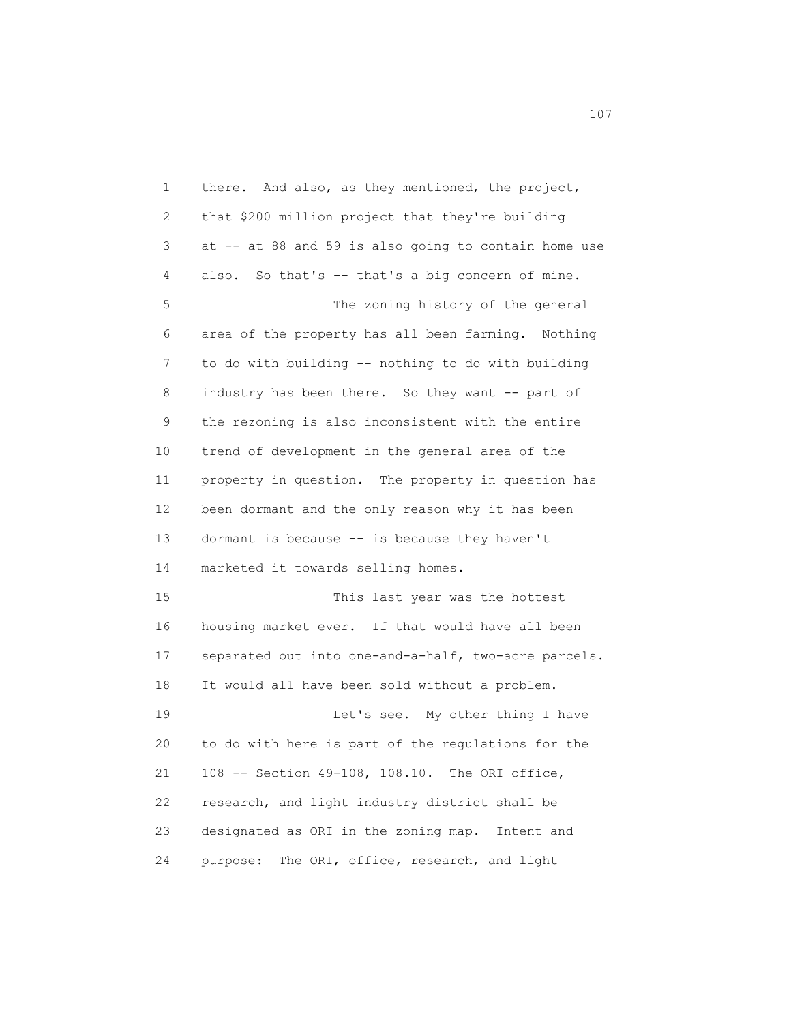1 there. And also, as they mentioned, the project, 2 that \$200 million project that they're building 3 at -- at 88 and 59 is also going to contain home use 4 also. So that's -- that's a big concern of mine. 5 The zoning history of the general 6 area of the property has all been farming. Nothing 7 to do with building -- nothing to do with building 8 industry has been there. So they want -- part of 9 the rezoning is also inconsistent with the entire 10 trend of development in the general area of the 11 property in question. The property in question has 12 been dormant and the only reason why it has been 13 dormant is because -- is because they haven't 14 marketed it towards selling homes. 15 This last year was the hottest 16 housing market ever. If that would have all been 17 separated out into one-and-a-half, two-acre parcels. 18 It would all have been sold without a problem. 19 Let's see. My other thing I have 20 to do with here is part of the regulations for the 21 108 -- Section 49-108, 108.10. The ORI office, 22 research, and light industry district shall be 23 designated as ORI in the zoning map. Intent and 24 purpose: The ORI, office, research, and light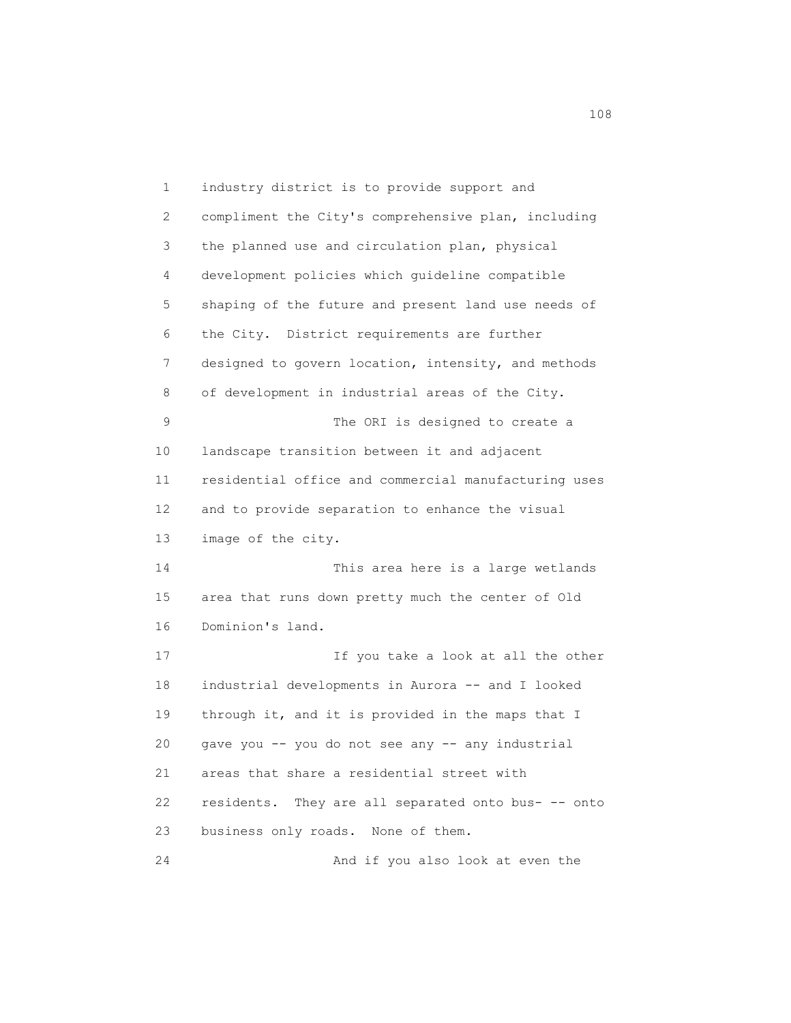1 industry district is to provide support and 2 compliment the City's comprehensive plan, including 3 the planned use and circulation plan, physical 4 development policies which guideline compatible 5 shaping of the future and present land use needs of 6 the City. District requirements are further 7 designed to govern location, intensity, and methods 8 of development in industrial areas of the City. 9 The ORI is designed to create a 10 landscape transition between it and adjacent 11 residential office and commercial manufacturing uses 12 and to provide separation to enhance the visual 13 image of the city. 14 This area here is a large wetlands 15 area that runs down pretty much the center of Old 16 Dominion's land. 17 If you take a look at all the other 18 industrial developments in Aurora -- and I looked 19 through it, and it is provided in the maps that I 20 gave you -- you do not see any -- any industrial 21 areas that share a residential street with 22 residents. They are all separated onto bus- -- onto 23 business only roads. None of them. 24 And if you also look at even the

108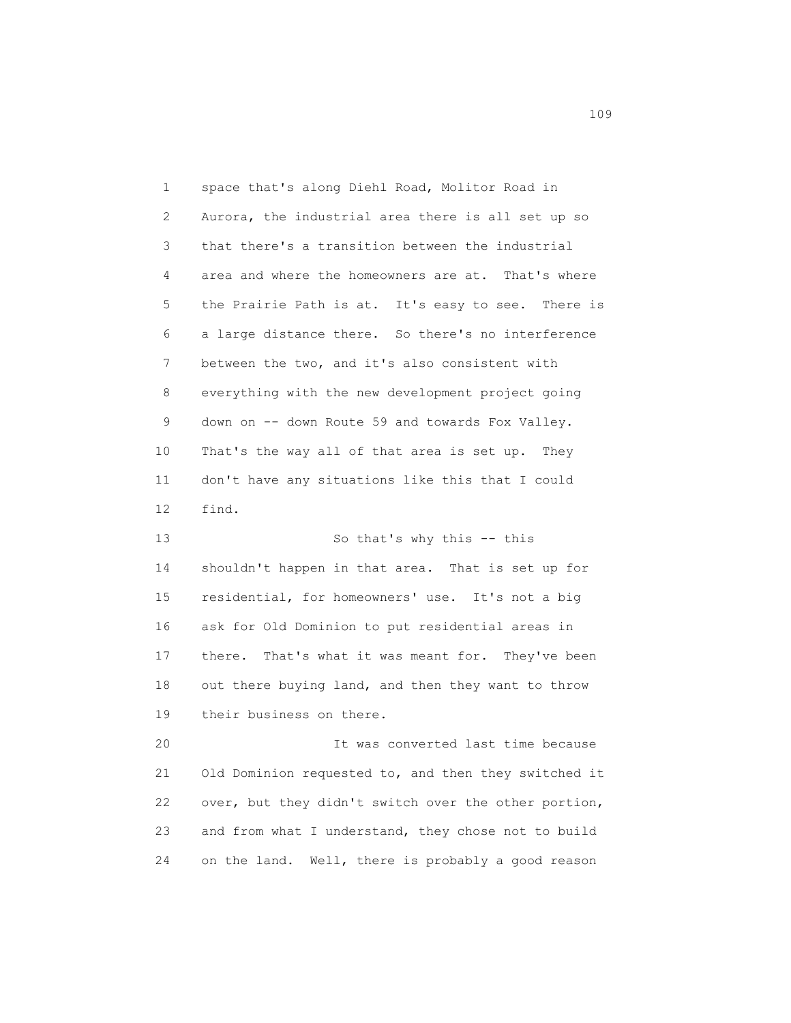1 space that's along Diehl Road, Molitor Road in 2 Aurora, the industrial area there is all set up so 3 that there's a transition between the industrial 4 area and where the homeowners are at. That's where 5 the Prairie Path is at. It's easy to see. There is 6 a large distance there. So there's no interference 7 between the two, and it's also consistent with 8 everything with the new development project going 9 down on -- down Route 59 and towards Fox Valley. 10 That's the way all of that area is set up. They 11 don't have any situations like this that I could 12 find. 13 So that's why this -- this

 14 shouldn't happen in that area. That is set up for 15 residential, for homeowners' use. It's not a big 16 ask for Old Dominion to put residential areas in 17 there. That's what it was meant for. They've been 18 out there buying land, and then they want to throw 19 their business on there.

 20 It was converted last time because 21 Old Dominion requested to, and then they switched it 22 over, but they didn't switch over the other portion, 23 and from what I understand, they chose not to build 24 on the land. Well, there is probably a good reason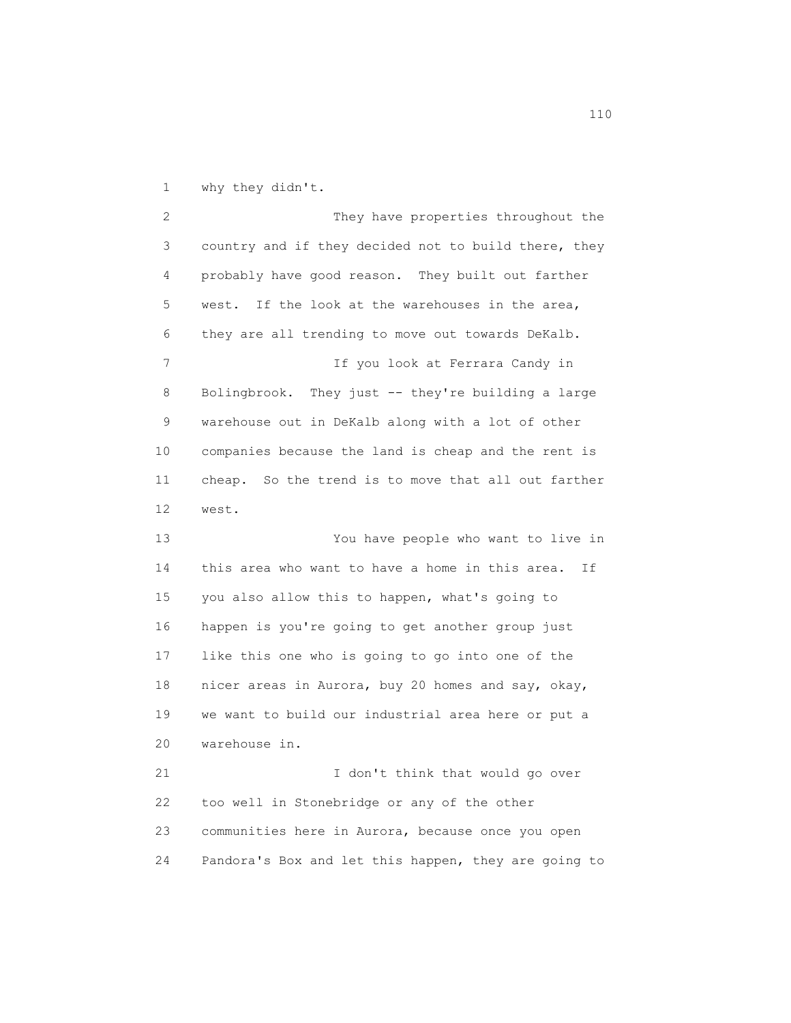1 why they didn't.

 2 They have properties throughout the 3 country and if they decided not to build there, they 4 probably have good reason. They built out farther 5 west. If the look at the warehouses in the area, 6 they are all trending to move out towards DeKalb. 7 11 If you look at Ferrara Candy in 8 Bolingbrook. They just -- they're building a large 9 warehouse out in DeKalb along with a lot of other 10 companies because the land is cheap and the rent is 11 cheap. So the trend is to move that all out farther 12 west. 13 You have people who want to live in 14 this area who want to have a home in this area. If 15 you also allow this to happen, what's going to 16 happen is you're going to get another group just 17 like this one who is going to go into one of the 18 nicer areas in Aurora, buy 20 homes and say, okay, 19 we want to build our industrial area here or put a 20 warehouse in. 21 I don't think that would go over 22 too well in Stonebridge or any of the other 23 communities here in Aurora, because once you open 24 Pandora's Box and let this happen, they are going to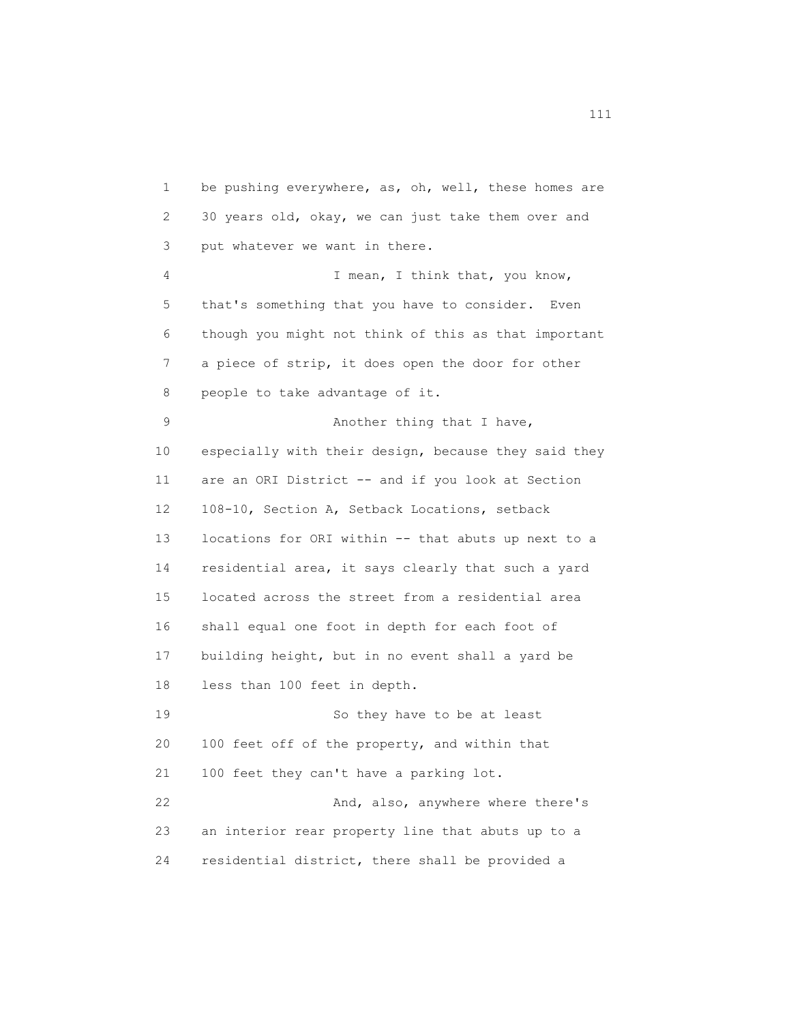1 be pushing everywhere, as, oh, well, these homes are 2 30 years old, okay, we can just take them over and 3 put whatever we want in there. 4 I mean, I think that, you know, 5 that's something that you have to consider. Even 6 though you might not think of this as that important 7 a piece of strip, it does open the door for other 8 people to take advantage of it. 9 Another thing that I have, 10 especially with their design, because they said they 11 are an ORI District -- and if you look at Section 12 108-10, Section A, Setback Locations, setback 13 locations for ORI within -- that abuts up next to a 14 residential area, it says clearly that such a yard 15 located across the street from a residential area 16 shall equal one foot in depth for each foot of 17 building height, but in no event shall a yard be 18 less than 100 feet in depth. 19 So they have to be at least 20 100 feet off of the property, and within that 21 100 feet they can't have a parking lot. 22 And, also, anywhere where there's 23 an interior rear property line that abuts up to a 24 residential district, there shall be provided a

111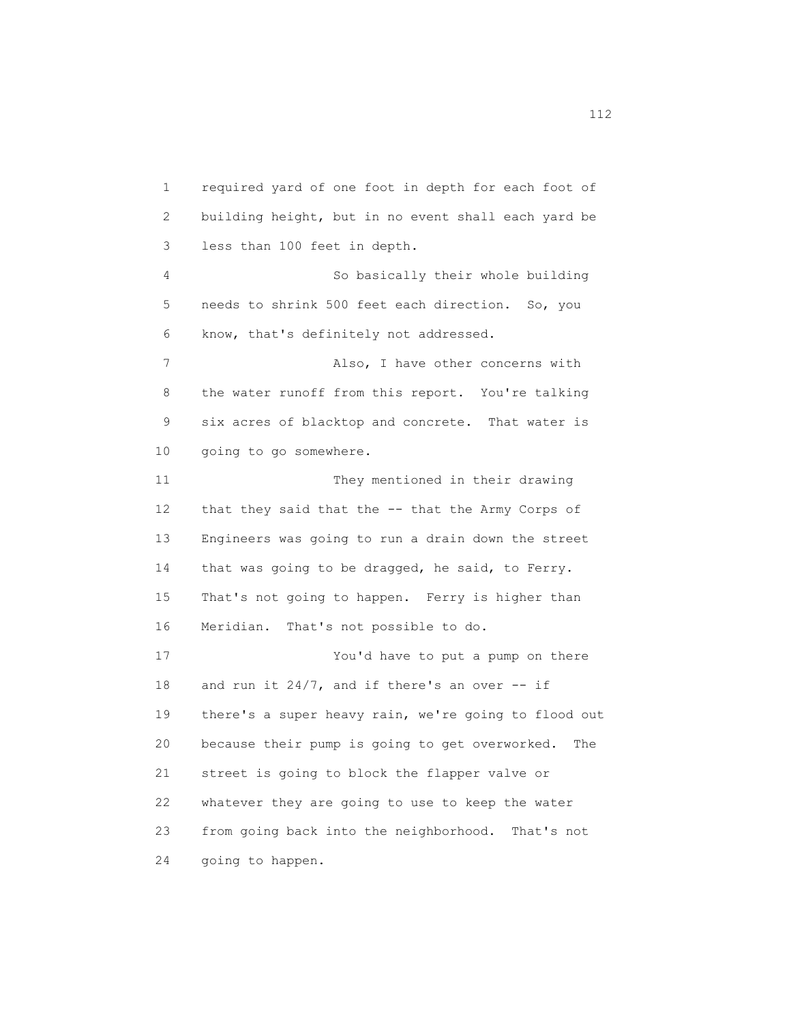1 required yard of one foot in depth for each foot of 2 building height, but in no event shall each yard be 3 less than 100 feet in depth. 4 So basically their whole building 5 needs to shrink 500 feet each direction. So, you 6 know, that's definitely not addressed. 7 Also, I have other concerns with 8 the water runoff from this report. You're talking 9 six acres of blacktop and concrete. That water is 10 going to go somewhere. 11 They mentioned in their drawing 12 that they said that the -- that the Army Corps of 13 Engineers was going to run a drain down the street 14 that was going to be dragged, he said, to Ferry. 15 That's not going to happen. Ferry is higher than 16 Meridian. That's not possible to do. 17 You'd have to put a pump on there 18 and run it  $24/7$ , and if there's an over  $-$  if 19 there's a super heavy rain, we're going to flood out 20 because their pump is going to get overworked. The 21 street is going to block the flapper valve or 22 whatever they are going to use to keep the water 23 from going back into the neighborhood. That's not 24 going to happen.

112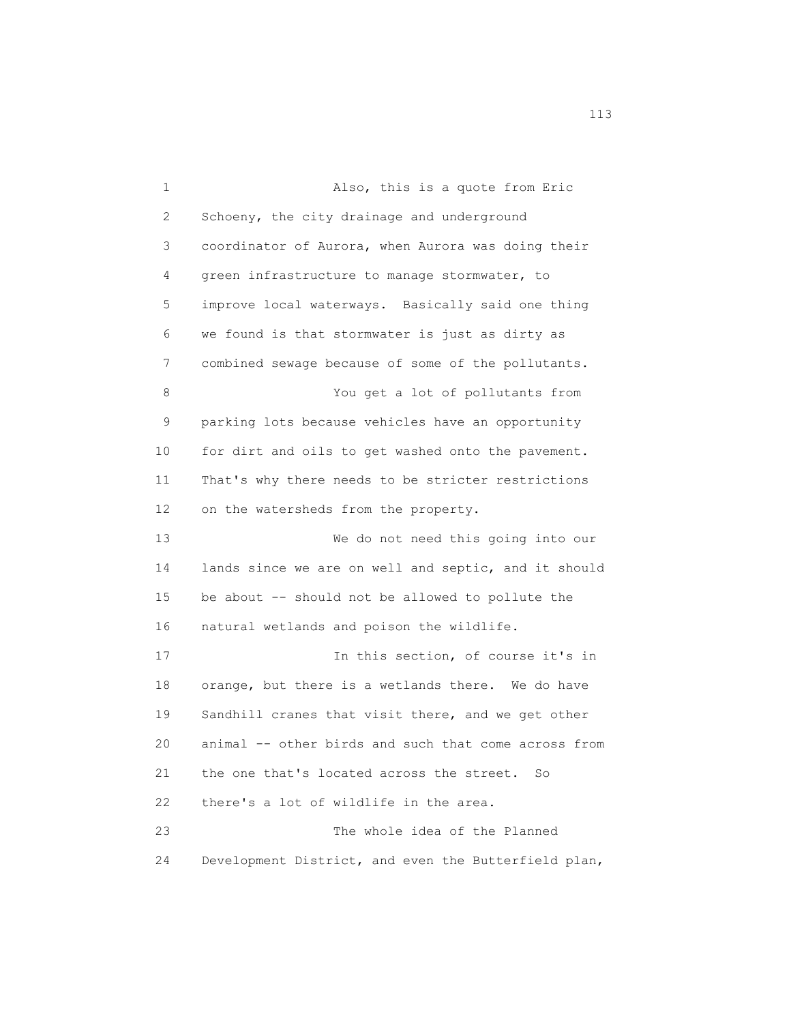1 Also, this is a quote from Eric 2 Schoeny, the city drainage and underground 3 coordinator of Aurora, when Aurora was doing their 4 green infrastructure to manage stormwater, to 5 improve local waterways. Basically said one thing 6 we found is that stormwater is just as dirty as 7 combined sewage because of some of the pollutants. 8 You get a lot of pollutants from 9 parking lots because vehicles have an opportunity 10 for dirt and oils to get washed onto the pavement. 11 That's why there needs to be stricter restrictions 12 on the watersheds from the property. 13 We do not need this going into our 14 lands since we are on well and septic, and it should 15 be about -- should not be allowed to pollute the 16 natural wetlands and poison the wildlife. 17 17 In this section, of course it's in 18 orange, but there is a wetlands there. We do have 19 Sandhill cranes that visit there, and we get other 20 animal -- other birds and such that come across from 21 the one that's located across the street. So 22 there's a lot of wildlife in the area. 23 The whole idea of the Planned 24 Development District, and even the Butterfield plan,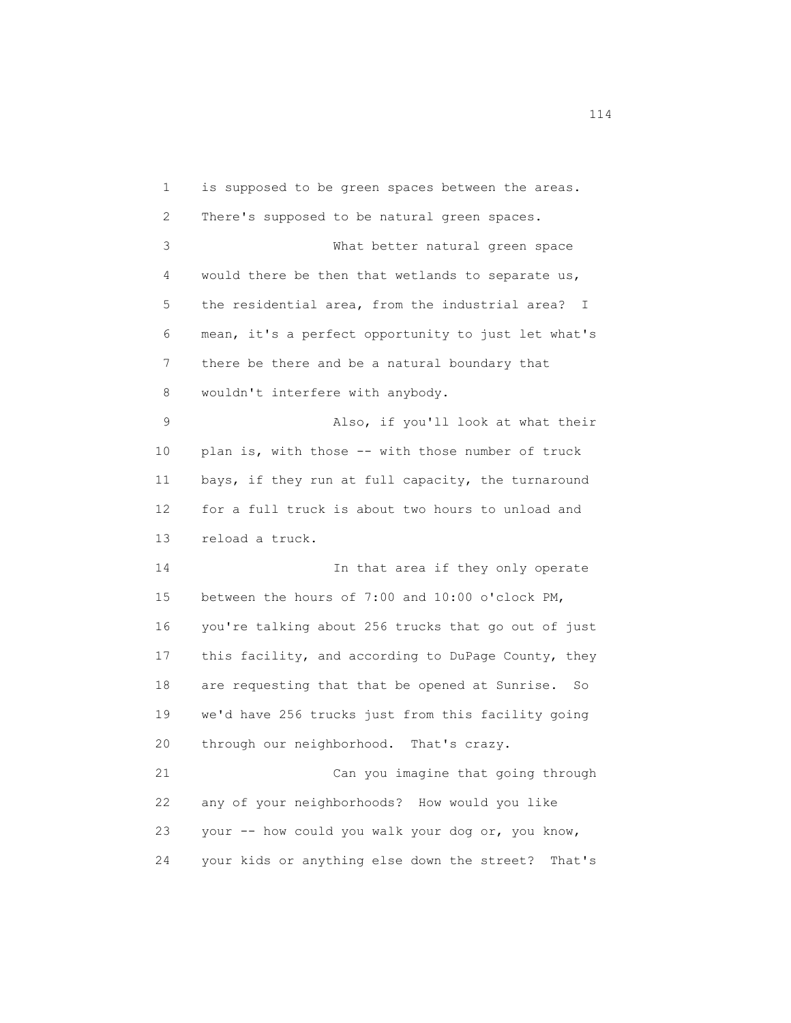1 is supposed to be green spaces between the areas. 2 There's supposed to be natural green spaces. 3 What better natural green space 4 would there be then that wetlands to separate us, 5 the residential area, from the industrial area? I 6 mean, it's a perfect opportunity to just let what's 7 there be there and be a natural boundary that 8 wouldn't interfere with anybody. 9 Also, if you'll look at what their 10 plan is, with those -- with those number of truck 11 bays, if they run at full capacity, the turnaround 12 for a full truck is about two hours to unload and 13 reload a truck. 14 In that area if they only operate 15 between the hours of 7:00 and 10:00 o'clock PM, 16 you're talking about 256 trucks that go out of just 17 this facility, and according to DuPage County, they 18 are requesting that that be opened at Sunrise. So 19 we'd have 256 trucks just from this facility going 20 through our neighborhood. That's crazy. 21 Can you imagine that going through 22 any of your neighborhoods? How would you like 23 your -- how could you walk your dog or, you know, 24 your kids or anything else down the street? That's

114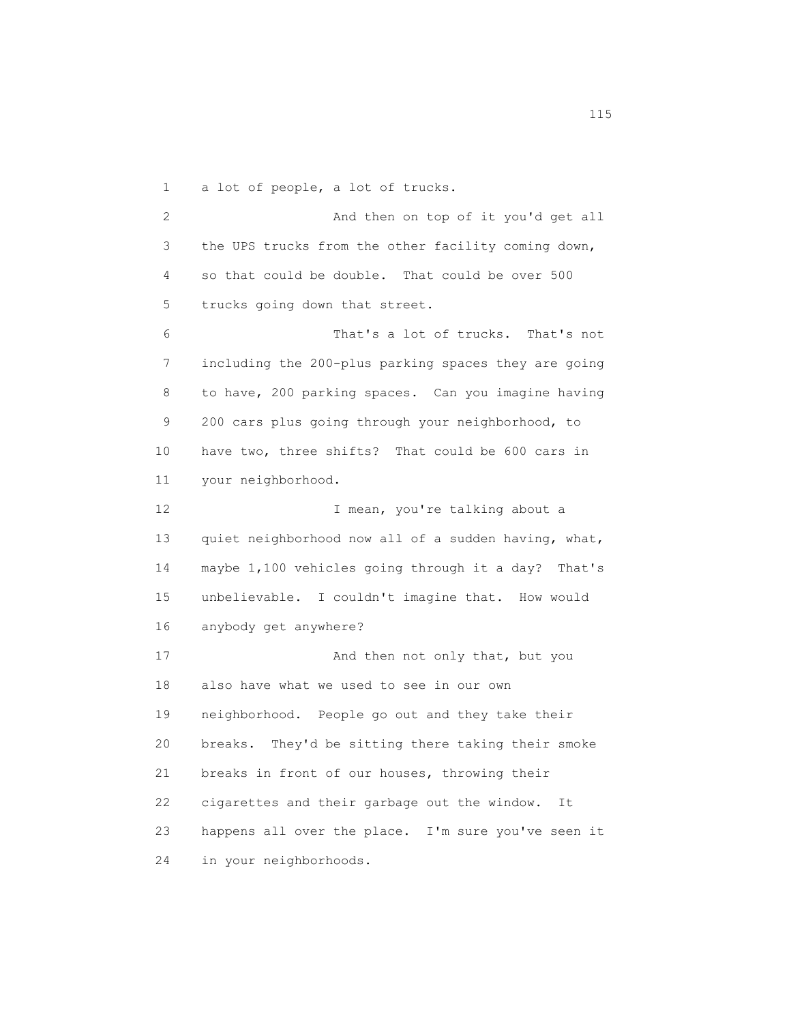1 a lot of people, a lot of trucks.

2 And then on top of it you'd get all 3 the UPS trucks from the other facility coming down, 4 so that could be double. That could be over 500 5 trucks going down that street.

 6 That's a lot of trucks. That's not 7 including the 200-plus parking spaces they are going 8 to have, 200 parking spaces. Can you imagine having 9 200 cars plus going through your neighborhood, to 10 have two, three shifts? That could be 600 cars in 11 your neighborhood.

12 I mean, you're talking about a 13 quiet neighborhood now all of a sudden having, what, 14 maybe 1,100 vehicles going through it a day? That's 15 unbelievable. I couldn't imagine that. How would 16 anybody get anywhere?

17 And then not only that, but you 18 also have what we used to see in our own 19 neighborhood. People go out and they take their 20 breaks. They'd be sitting there taking their smoke 21 breaks in front of our houses, throwing their 22 cigarettes and their garbage out the window. It 23 happens all over the place. I'm sure you've seen it 24 in your neighborhoods.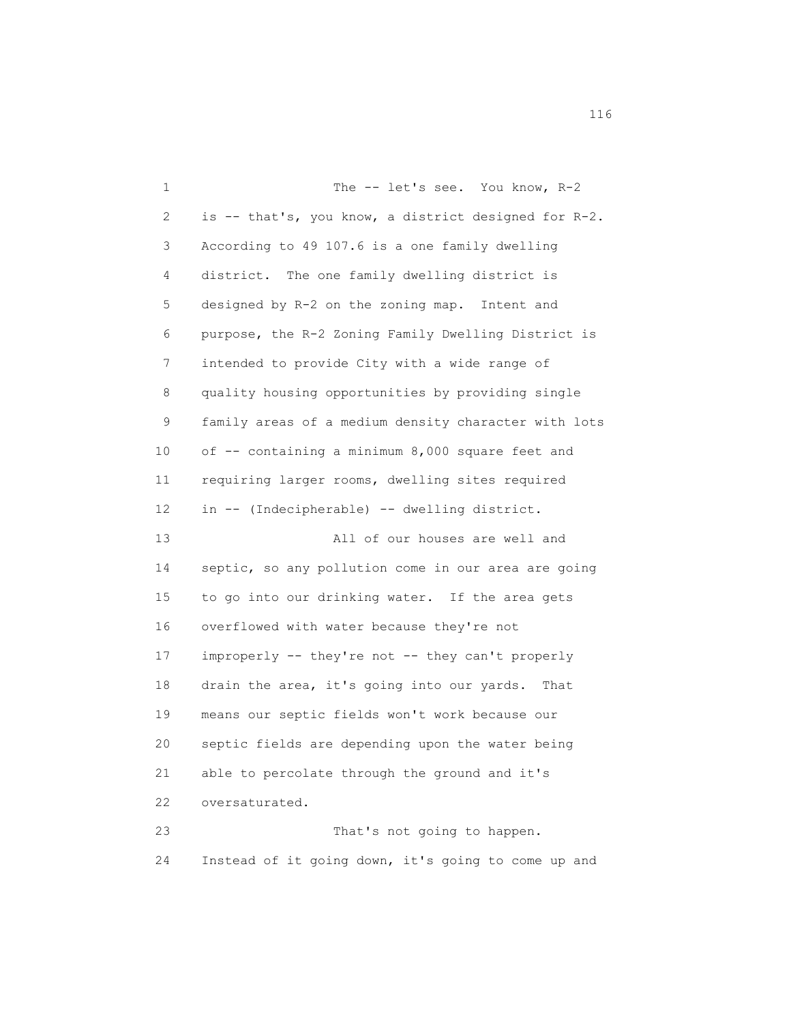1 The -- let's see. You know, R-2 2 is -- that's, you know, a district designed for R-2. 3 According to 49 107.6 is a one family dwelling 4 district. The one family dwelling district is 5 designed by R-2 on the zoning map. Intent and 6 purpose, the R-2 Zoning Family Dwelling District is 7 intended to provide City with a wide range of 8 quality housing opportunities by providing single 9 family areas of a medium density character with lots 10 of -- containing a minimum 8,000 square feet and 11 requiring larger rooms, dwelling sites required 12 in -- (Indecipherable) -- dwelling district. 13 All of our houses are well and 14 septic, so any pollution come in our area are going 15 to go into our drinking water. If the area gets 16 overflowed with water because they're not 17 improperly -- they're not -- they can't properly 18 drain the area, it's going into our yards. That 19 means our septic fields won't work because our 20 septic fields are depending upon the water being 21 able to percolate through the ground and it's 22 oversaturated. 23 That's not going to happen.

24 Instead of it going down, it's going to come up and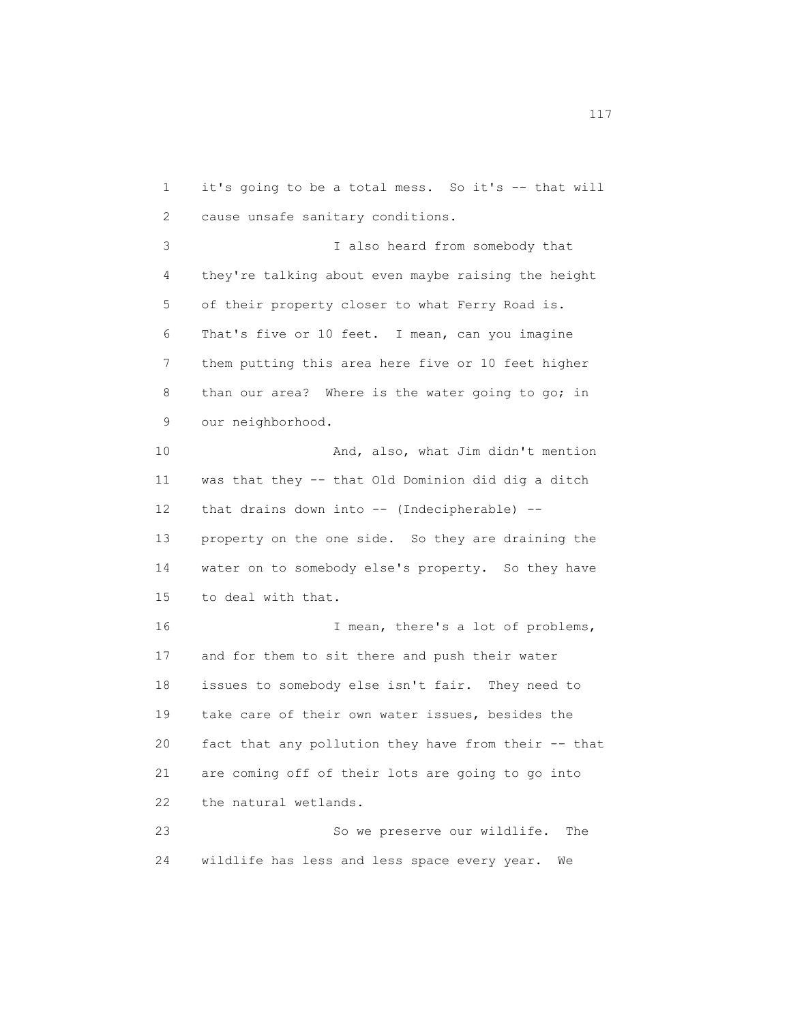1 it's going to be a total mess. So it's -- that will 2 cause unsafe sanitary conditions. 3 I also heard from somebody that 4 they're talking about even maybe raising the height 5 of their property closer to what Ferry Road is. 6 That's five or 10 feet. I mean, can you imagine 7 them putting this area here five or 10 feet higher 8 than our area? Where is the water going to go; in 9 our neighborhood. 10 And, also, what Jim didn't mention 11 was that they -- that Old Dominion did dig a ditch 12 that drains down into -- (Indecipherable) -- 13 property on the one side. So they are draining the 14 water on to somebody else's property. So they have 15 to deal with that. 16 I mean, there's a lot of problems, 17 and for them to sit there and push their water 18 issues to somebody else isn't fair. They need to 19 take care of their own water issues, besides the 20 fact that any pollution they have from their -- that 21 are coming off of their lots are going to go into 22 the natural wetlands. 23 So we preserve our wildlife. The 24 wildlife has less and less space every year. We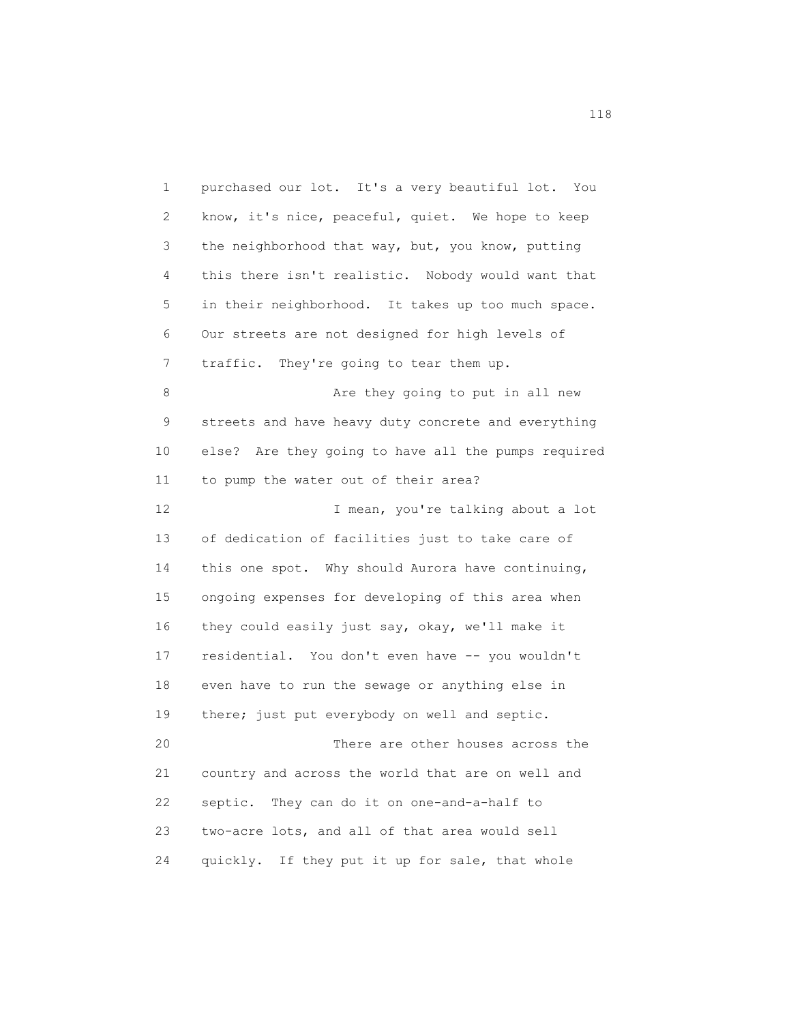1 purchased our lot. It's a very beautiful lot. You 2 know, it's nice, peaceful, quiet. We hope to keep 3 the neighborhood that way, but, you know, putting 4 this there isn't realistic. Nobody would want that 5 in their neighborhood. It takes up too much space. 6 Our streets are not designed for high levels of 7 traffic. They're going to tear them up. 8 Are they going to put in all new 9 streets and have heavy duty concrete and everything 10 else? Are they going to have all the pumps required 11 to pump the water out of their area? 12 I mean, you're talking about a lot 13 of dedication of facilities just to take care of 14 this one spot. Why should Aurora have continuing, 15 ongoing expenses for developing of this area when 16 they could easily just say, okay, we'll make it 17 residential. You don't even have -- you wouldn't 18 even have to run the sewage or anything else in 19 there; just put everybody on well and septic. 20 There are other houses across the 21 country and across the world that are on well and 22 septic. They can do it on one-and-a-half to 23 two-acre lots, and all of that area would sell 24 quickly. If they put it up for sale, that whole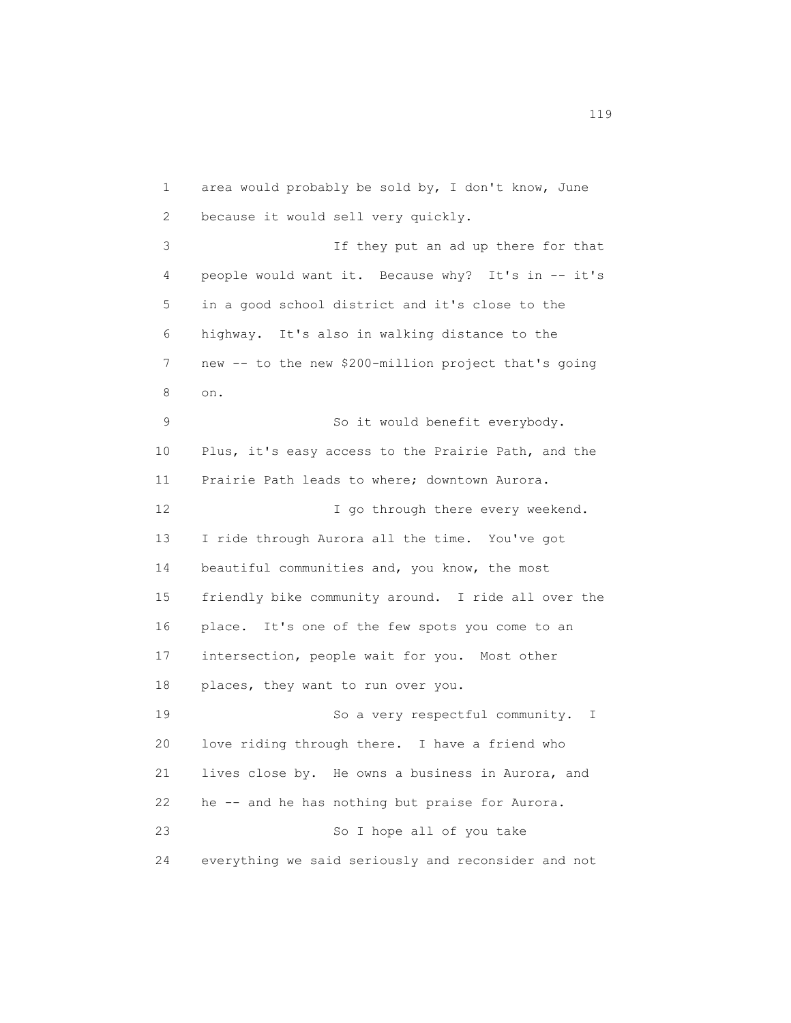1 area would probably be sold by, I don't know, June 2 because it would sell very quickly. 3 If they put an ad up there for that 4 people would want it. Because why? It's in -- it's 5 in a good school district and it's close to the 6 highway. It's also in walking distance to the 7 new -- to the new \$200-million project that's going 8 on. 9 So it would benefit everybody. 10 Plus, it's easy access to the Prairie Path, and the 11 Prairie Path leads to where; downtown Aurora. 12 I go through there every weekend. 13 I ride through Aurora all the time. You've got 14 beautiful communities and, you know, the most 15 friendly bike community around. I ride all over the 16 place. It's one of the few spots you come to an 17 intersection, people wait for you. Most other 18 places, they want to run over you. 19 So a very respectful community. I 20 love riding through there. I have a friend who 21 lives close by. He owns a business in Aurora, and 22 he -- and he has nothing but praise for Aurora. 23 So I hope all of you take 24 everything we said seriously and reconsider and not

n 119 and 119 and 119 and 119 and 119 and 119 and 119 and 119 and 119 and 119 and 119 and 119 and 119 and 119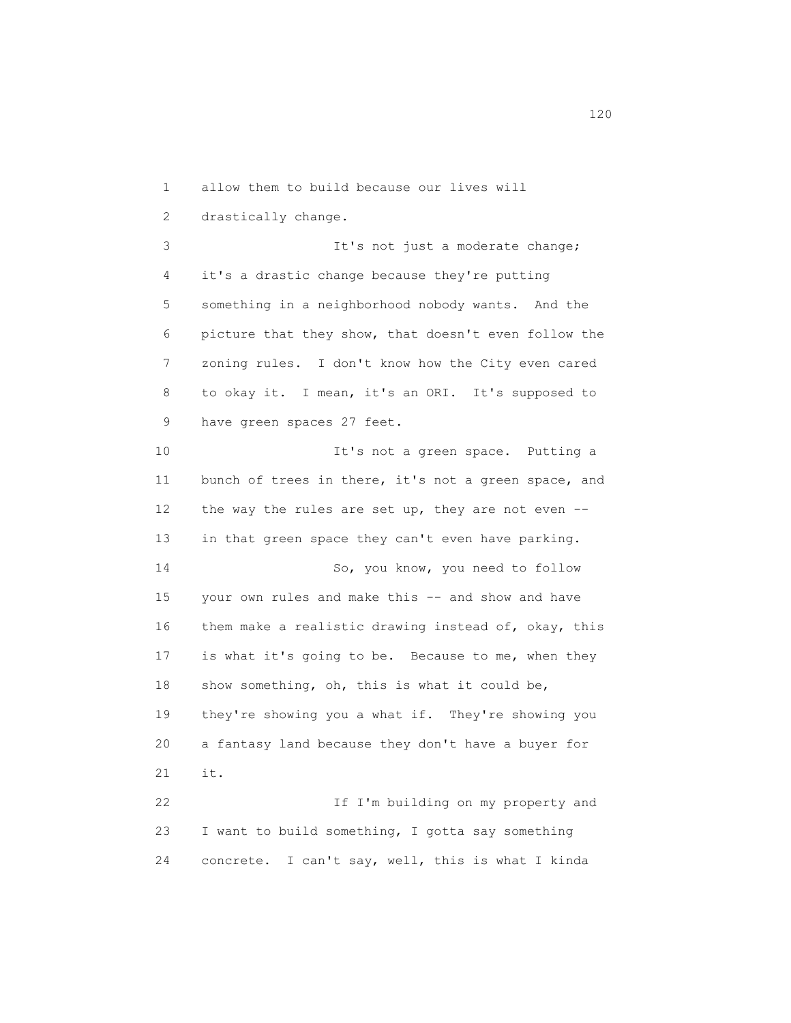1 allow them to build because our lives will 2 drastically change. 3 It's not just a moderate change; 4 it's a drastic change because they're putting 5 something in a neighborhood nobody wants. And the 6 picture that they show, that doesn't even follow the 7 zoning rules. I don't know how the City even cared 8 to okay it. I mean, it's an ORI. It's supposed to 9 have green spaces 27 feet. 10 10 It's not a green space. Putting a 11 bunch of trees in there, it's not a green space, and 12 the way the rules are set up, they are not even -- 13 in that green space they can't even have parking. 14 So, you know, you need to follow 15 your own rules and make this -- and show and have 16 them make a realistic drawing instead of, okay, this 17 is what it's going to be. Because to me, when they 18 show something, oh, this is what it could be, 19 they're showing you a what if. They're showing you 20 a fantasy land because they don't have a buyer for 21 it. 22 If I'm building on my property and 23 I want to build something, I gotta say something 24 concrete. I can't say, well, this is what I kinda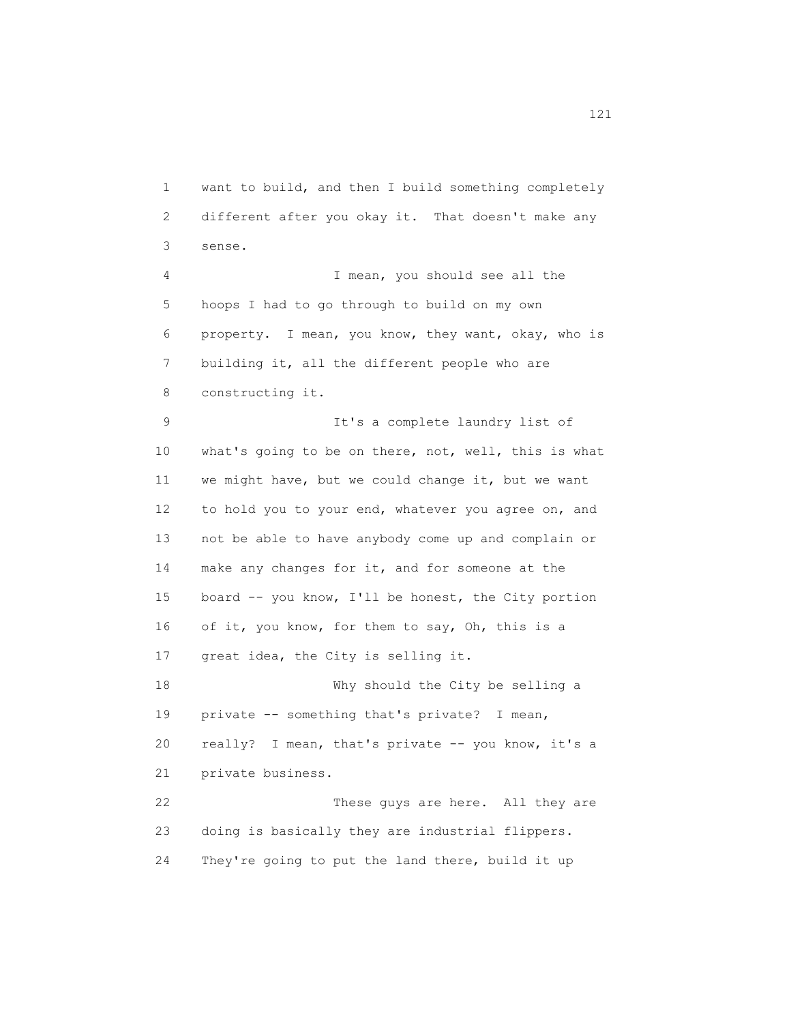1 want to build, and then I build something completely 2 different after you okay it. That doesn't make any 3 sense.

 4 I mean, you should see all the 5 hoops I had to go through to build on my own 6 property. I mean, you know, they want, okay, who is 7 building it, all the different people who are 8 constructing it.

 9 It's a complete laundry list of 10 what's going to be on there, not, well, this is what 11 we might have, but we could change it, but we want 12 to hold you to your end, whatever you agree on, and 13 not be able to have anybody come up and complain or 14 make any changes for it, and for someone at the 15 board -- you know, I'll be honest, the City portion 16 of it, you know, for them to say, Oh, this is a 17 great idea, the City is selling it. 18 Why should the City be selling a 19 private -- something that's private? I mean, 20 really? I mean, that's private -- you know, it's a 21 private business. 22 These guys are here. All they are 23 doing is basically they are industrial flippers.

24 They're going to put the land there, build it up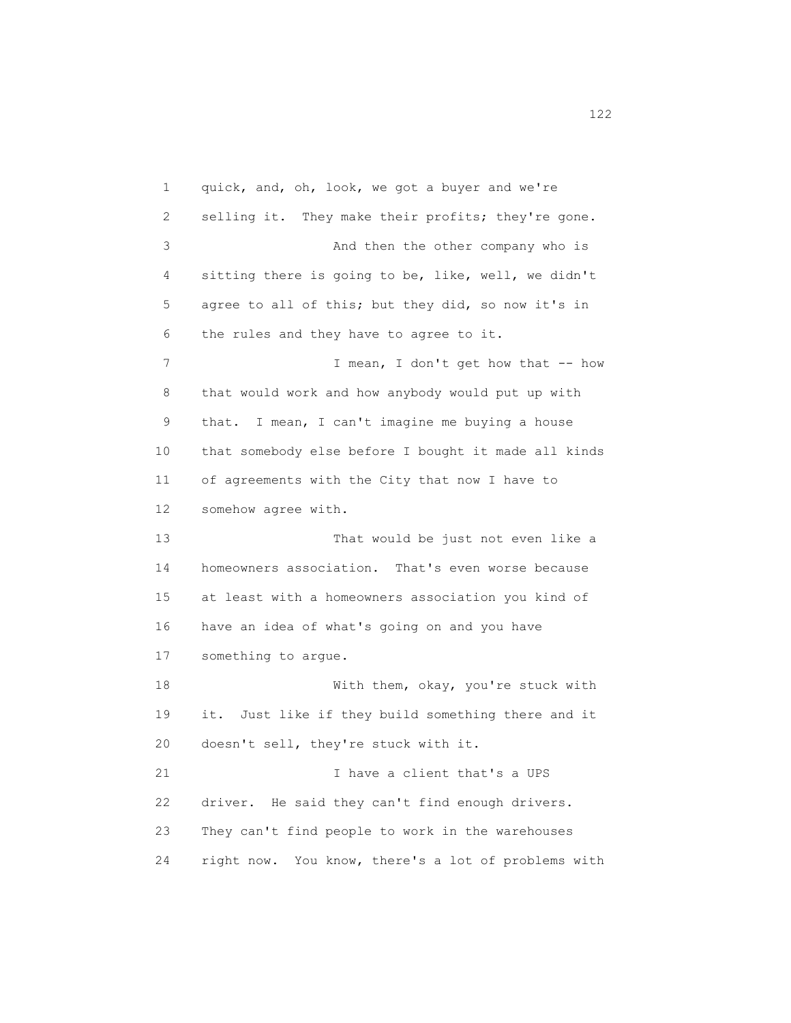1 quick, and, oh, look, we got a buyer and we're 2 selling it. They make their profits; they're gone. 3 And then the other company who is 4 sitting there is going to be, like, well, we didn't 5 agree to all of this; but they did, so now it's in 6 the rules and they have to agree to it. 7 I mean, I don't get how that -- how 8 that would work and how anybody would put up with 9 that. I mean, I can't imagine me buying a house 10 that somebody else before I bought it made all kinds 11 of agreements with the City that now I have to 12 somehow agree with. 13 That would be just not even like a 14 homeowners association. That's even worse because 15 at least with a homeowners association you kind of 16 have an idea of what's going on and you have 17 something to argue. 18 With them, okay, you're stuck with 19 it. Just like if they build something there and it 20 doesn't sell, they're stuck with it. 21 I have a client that's a UPS 22 driver. He said they can't find enough drivers. 23 They can't find people to work in the warehouses 24 right now. You know, there's a lot of problems with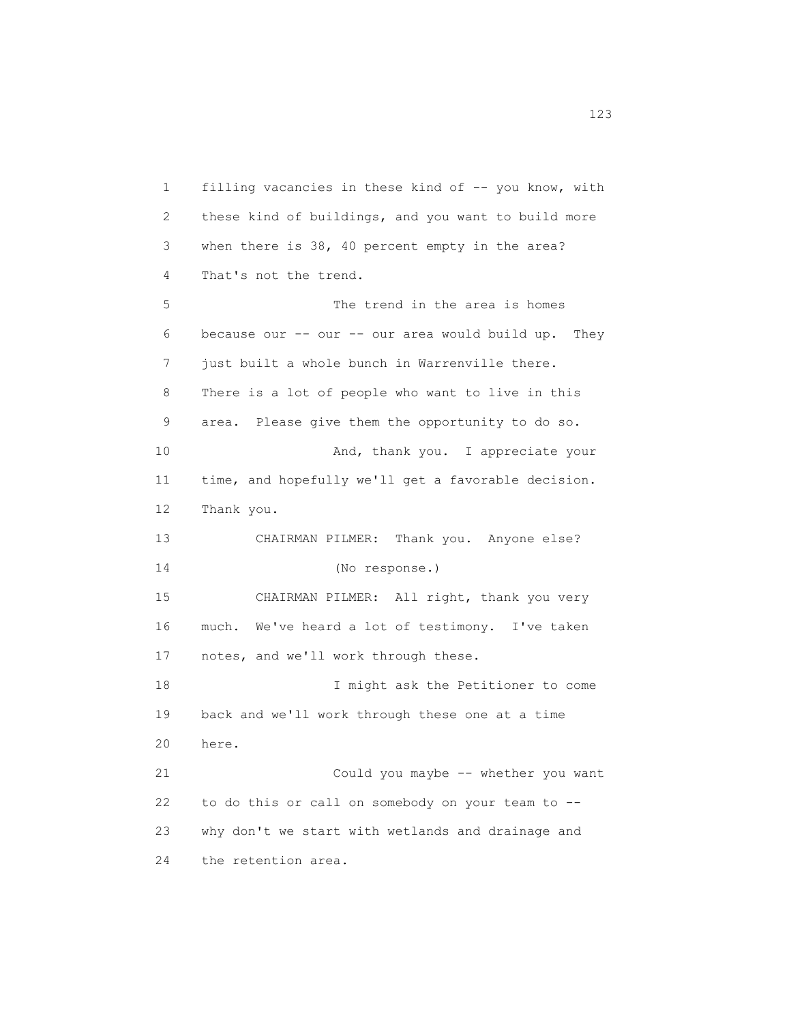1 filling vacancies in these kind of -- you know, with 2 these kind of buildings, and you want to build more 3 when there is 38, 40 percent empty in the area? 4 That's not the trend. 5 The trend in the area is homes 6 because our -- our -- our area would build up. They 7 just built a whole bunch in Warrenville there. 8 There is a lot of people who want to live in this 9 area. Please give them the opportunity to do so. 10 And, thank you. I appreciate your 11 time, and hopefully we'll get a favorable decision. 12 Thank you. 13 CHAIRMAN PILMER: Thank you. Anyone else? 14 (No response.) 15 CHAIRMAN PILMER: All right, thank you very 16 much. We've heard a lot of testimony. I've taken 17 notes, and we'll work through these. 18 I might ask the Petitioner to come 19 back and we'll work through these one at a time 20 here. 21 Could you maybe -- whether you want 22 to do this or call on somebody on your team to -- 23 why don't we start with wetlands and drainage and 24 the retention area.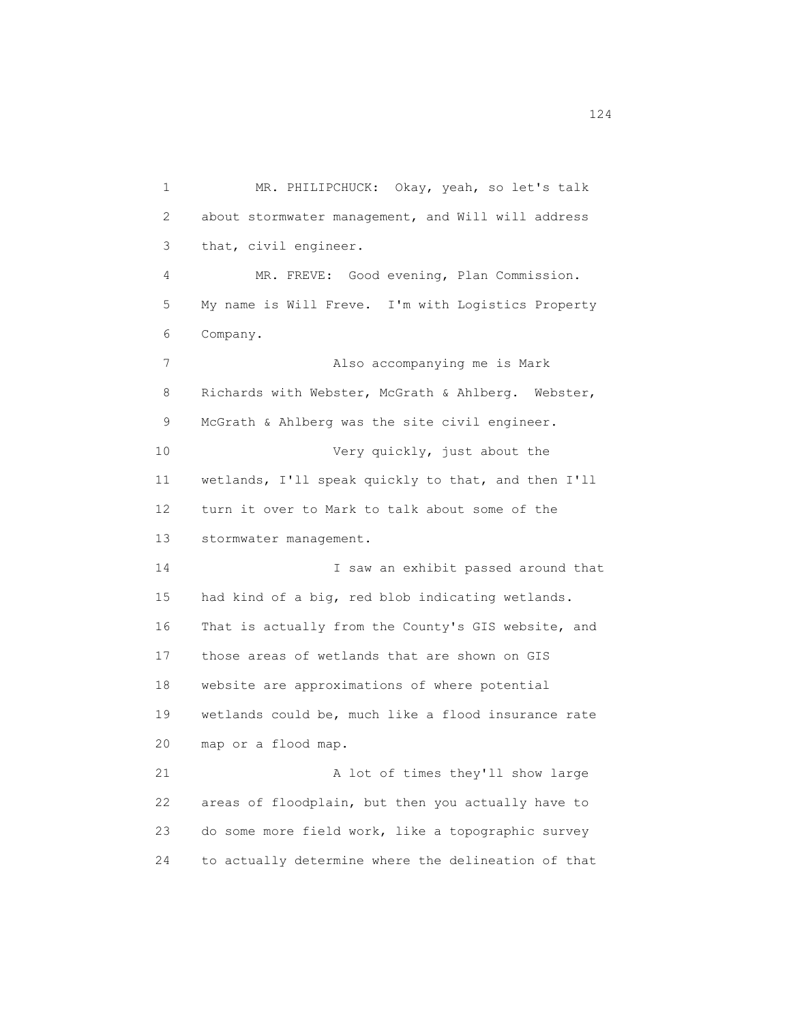1 MR. PHILIPCHUCK: Okay, yeah, so let's talk 2 about stormwater management, and Will will address 3 that, civil engineer. 4 MR. FREVE: Good evening, Plan Commission. 5 My name is Will Freve. I'm with Logistics Property 6 Company. 7 Also accompanying me is Mark 8 Richards with Webster, McGrath & Ahlberg. Webster, 9 McGrath & Ahlberg was the site civil engineer. 10 Very quickly, just about the 11 wetlands, I'll speak quickly to that, and then I'll 12 turn it over to Mark to talk about some of the 13 stormwater management. 14 I saw an exhibit passed around that 15 had kind of a big, red blob indicating wetlands. 16 That is actually from the County's GIS website, and 17 those areas of wetlands that are shown on GIS 18 website are approximations of where potential 19 wetlands could be, much like a flood insurance rate 20 map or a flood map. 21 A lot of times they'll show large 22 areas of floodplain, but then you actually have to 23 do some more field work, like a topographic survey 24 to actually determine where the delineation of that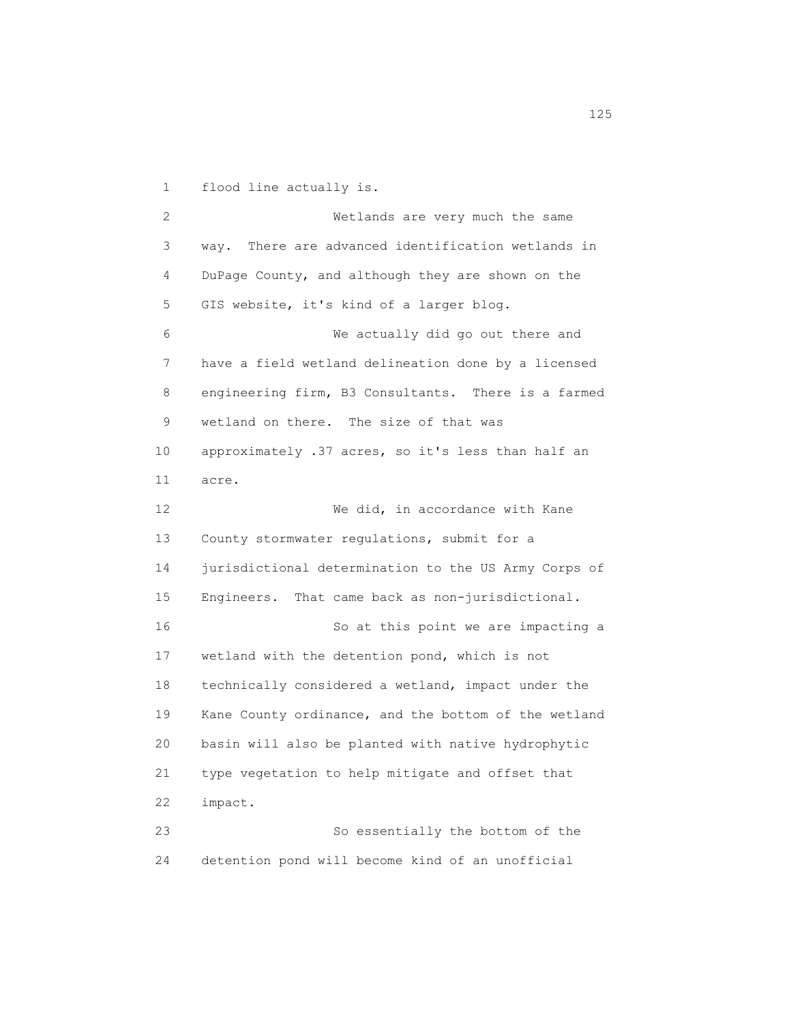1 flood line actually is. 2 Wetlands are very much the same 3 way. There are advanced identification wetlands in 4 DuPage County, and although they are shown on the 5 GIS website, it's kind of a larger blog. 6 We actually did go out there and 7 have a field wetland delineation done by a licensed 8 engineering firm, B3 Consultants. There is a farmed 9 wetland on there. The size of that was 10 approximately .37 acres, so it's less than half an 11 acre. 12 We did, in accordance with Kane 13 County stormwater regulations, submit for a 14 jurisdictional determination to the US Army Corps of 15 Engineers. That came back as non-jurisdictional. 16 So at this point we are impacting a 17 wetland with the detention pond, which is not 18 technically considered a wetland, impact under the 19 Kane County ordinance, and the bottom of the wetland 20 basin will also be planted with native hydrophytic 21 type vegetation to help mitigate and offset that 22 impact. 23 So essentially the bottom of the 24 detention pond will become kind of an unofficial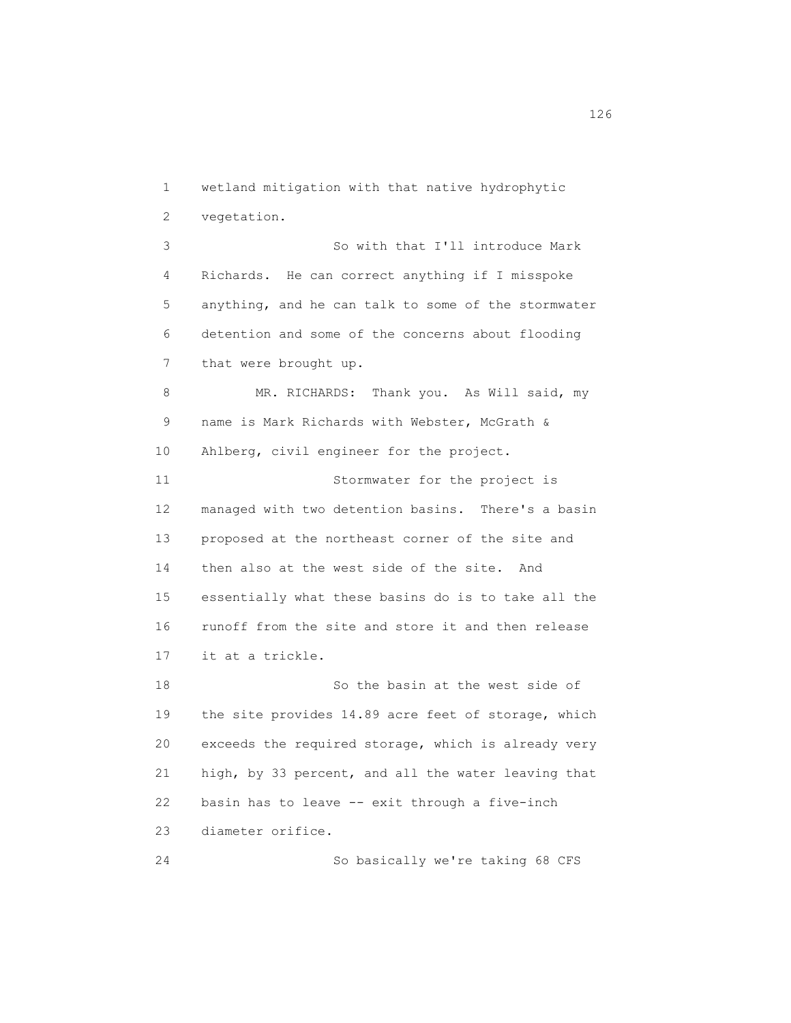1 wetland mitigation with that native hydrophytic 2 vegetation. 3 So with that I'll introduce Mark 4 Richards. He can correct anything if I misspoke 5 anything, and he can talk to some of the stormwater 6 detention and some of the concerns about flooding 7 that were brought up. 8 MR. RICHARDS: Thank you. As Will said, my 9 name is Mark Richards with Webster, McGrath & 10 Ahlberg, civil engineer for the project. 11 Stormwater for the project is 12 managed with two detention basins. There's a basin 13 proposed at the northeast corner of the site and 14 then also at the west side of the site. And 15 essentially what these basins do is to take all the 16 runoff from the site and store it and then release 17 it at a trickle. 18 So the basin at the west side of 19 the site provides 14.89 acre feet of storage, which 20 exceeds the required storage, which is already very 21 high, by 33 percent, and all the water leaving that 22 basin has to leave -- exit through a five-inch 23 diameter orifice. 24 So basically we're taking 68 CFS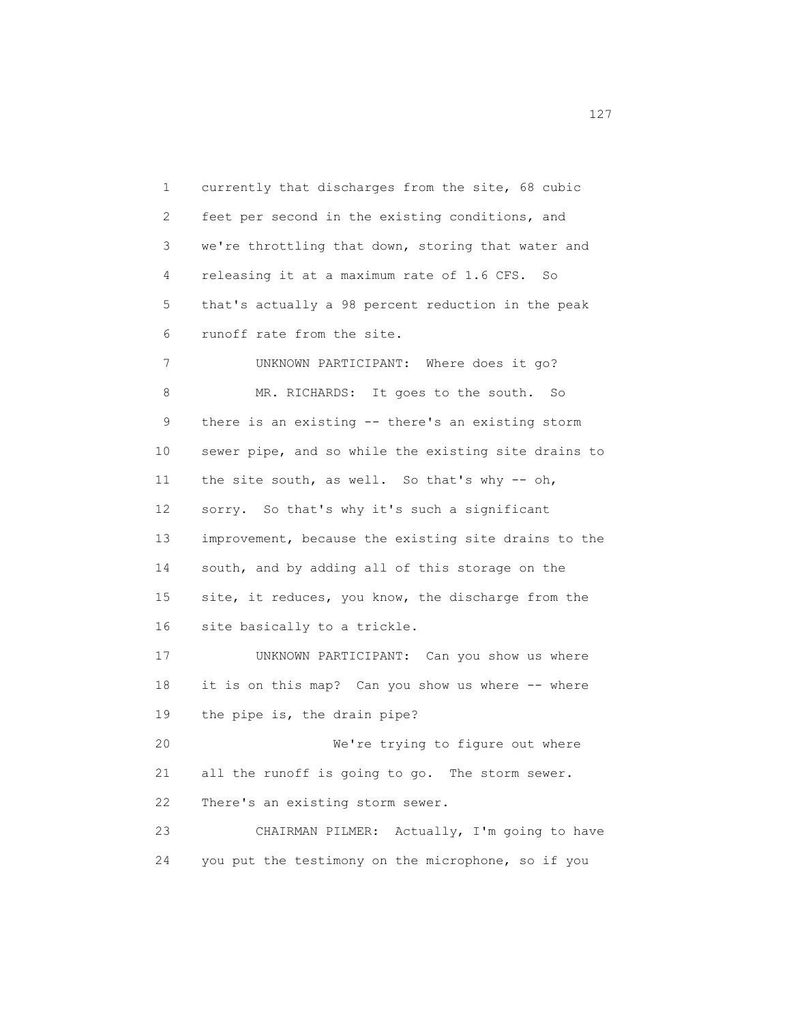1 currently that discharges from the site, 68 cubic 2 feet per second in the existing conditions, and 3 we're throttling that down, storing that water and 4 releasing it at a maximum rate of 1.6 CFS. So 5 that's actually a 98 percent reduction in the peak 6 runoff rate from the site. 7 UNKNOWN PARTICIPANT: Where does it go? 8 MR. RICHARDS: It goes to the south. So 9 there is an existing -- there's an existing storm 10 sewer pipe, and so while the existing site drains to 11 the site south, as well. So that's why -- oh, 12 sorry. So that's why it's such a significant 13 improvement, because the existing site drains to the 14 south, and by adding all of this storage on the 15 site, it reduces, you know, the discharge from the 16 site basically to a trickle. 17 UNKNOWN PARTICIPANT: Can you show us where 18 it is on this map? Can you show us where -- where 19 the pipe is, the drain pipe? 20 We're trying to figure out where 21 all the runoff is going to go. The storm sewer. 22 There's an existing storm sewer. 23 CHAIRMAN PILMER: Actually, I'm going to have 24 you put the testimony on the microphone, so if you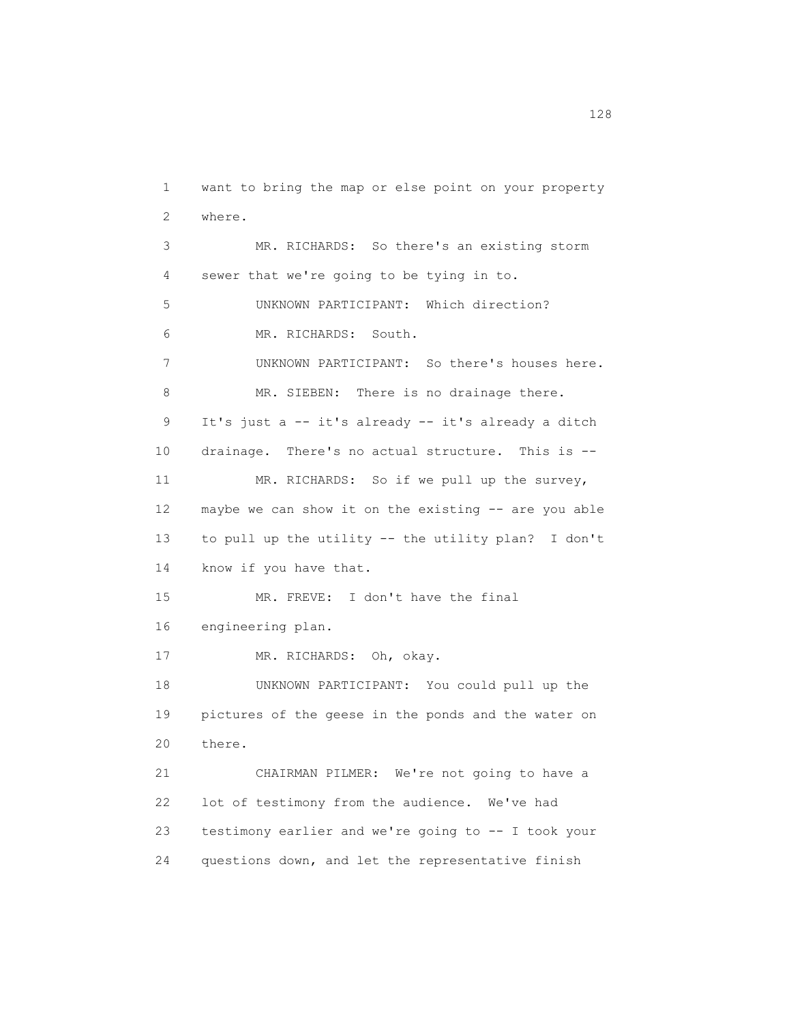1 want to bring the map or else point on your property 2 where. 3 MR. RICHARDS: So there's an existing storm 4 sewer that we're going to be tying in to. 5 UNKNOWN PARTICIPANT: Which direction? 6 MR. RICHARDS: South. 7 UNKNOWN PARTICIPANT: So there's houses here. 8 MR. SIEBEN: There is no drainage there. 9 It's just a -- it's already -- it's already a ditch 10 drainage. There's no actual structure. This is -- 11 MR. RICHARDS: So if we pull up the survey, 12 maybe we can show it on the existing -- are you able 13 to pull up the utility -- the utility plan? I don't 14 know if you have that. 15 MR. FREVE: I don't have the final 16 engineering plan. 17 MR. RICHARDS: Oh, okay. 18 UNKNOWN PARTICIPANT: You could pull up the 19 pictures of the geese in the ponds and the water on 20 there. 21 CHAIRMAN PILMER: We're not going to have a 22 lot of testimony from the audience. We've had 23 testimony earlier and we're going to -- I took your 24 questions down, and let the representative finish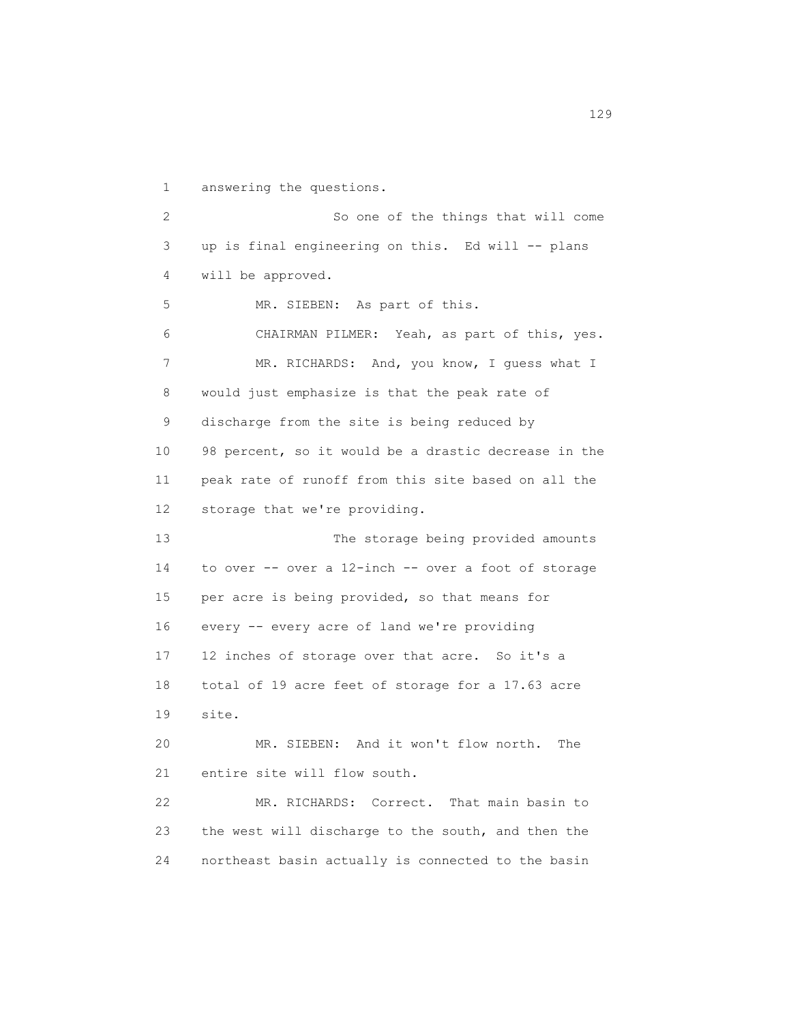1 answering the questions. 2 So one of the things that will come 3 up is final engineering on this. Ed will -- plans 4 will be approved. 5 MR. SIEBEN: As part of this. 6 CHAIRMAN PILMER: Yeah, as part of this, yes. 7 MR. RICHARDS: And, you know, I guess what I 8 would just emphasize is that the peak rate of 9 discharge from the site is being reduced by 10 98 percent, so it would be a drastic decrease in the 11 peak rate of runoff from this site based on all the 12 storage that we're providing. 13 The storage being provided amounts 14 to over -- over a 12-inch -- over a foot of storage 15 per acre is being provided, so that means for 16 every -- every acre of land we're providing 17 12 inches of storage over that acre. So it's a 18 total of 19 acre feet of storage for a 17.63 acre 19 site. 20 MR. SIEBEN: And it won't flow north. The 21 entire site will flow south. 22 MR. RICHARDS: Correct. That main basin to 23 the west will discharge to the south, and then the 24 northeast basin actually is connected to the basin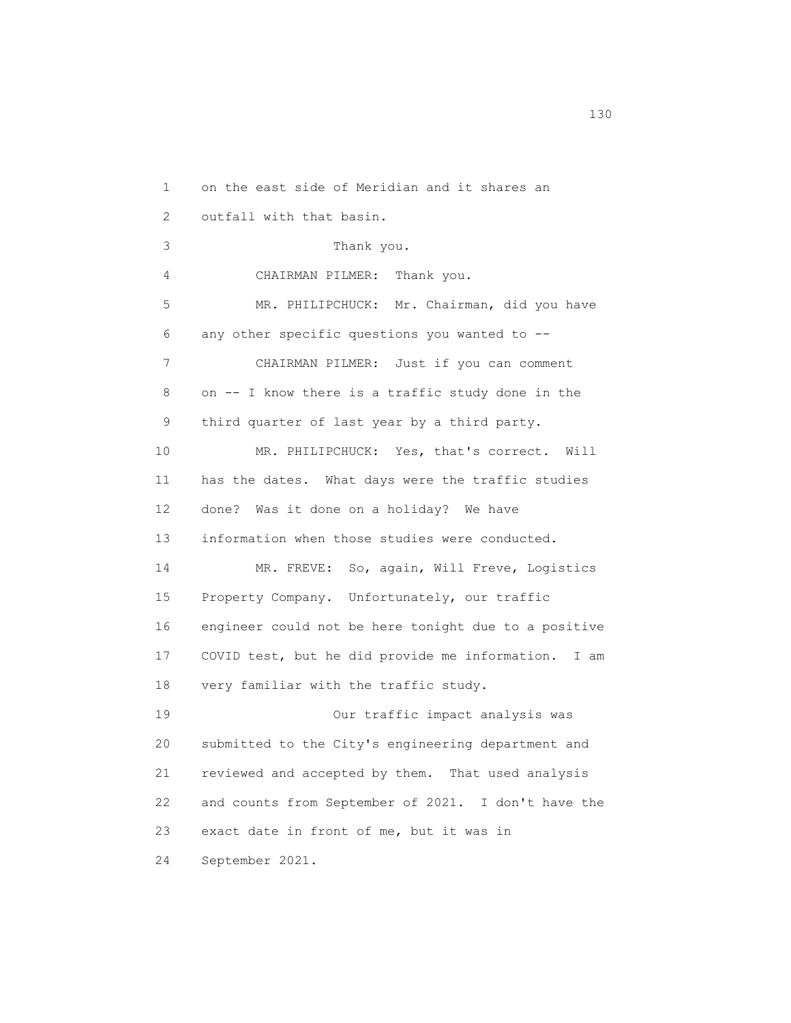1 on the east side of Meridian and it shares an 2 outfall with that basin. 3 Thank you. 4 CHAIRMAN PILMER: Thank you. 5 MR. PHILIPCHUCK: Mr. Chairman, did you have 6 any other specific questions you wanted to -- 7 CHAIRMAN PILMER: Just if you can comment 8 on -- I know there is a traffic study done in the 9 third quarter of last year by a third party. 10 MR. PHILIPCHUCK: Yes, that's correct. Will 11 has the dates. What days were the traffic studies 12 done? Was it done on a holiday? We have 13 information when those studies were conducted. 14 MR. FREVE: So, again, Will Freve, Logistics 15 Property Company. Unfortunately, our traffic 16 engineer could not be here tonight due to a positive 17 COVID test, but he did provide me information. I am 18 very familiar with the traffic study. 19 Our traffic impact analysis was 20 submitted to the City's engineering department and 21 reviewed and accepted by them. That used analysis 22 and counts from September of 2021. I don't have the 23 exact date in front of me, but it was in 24 September 2021.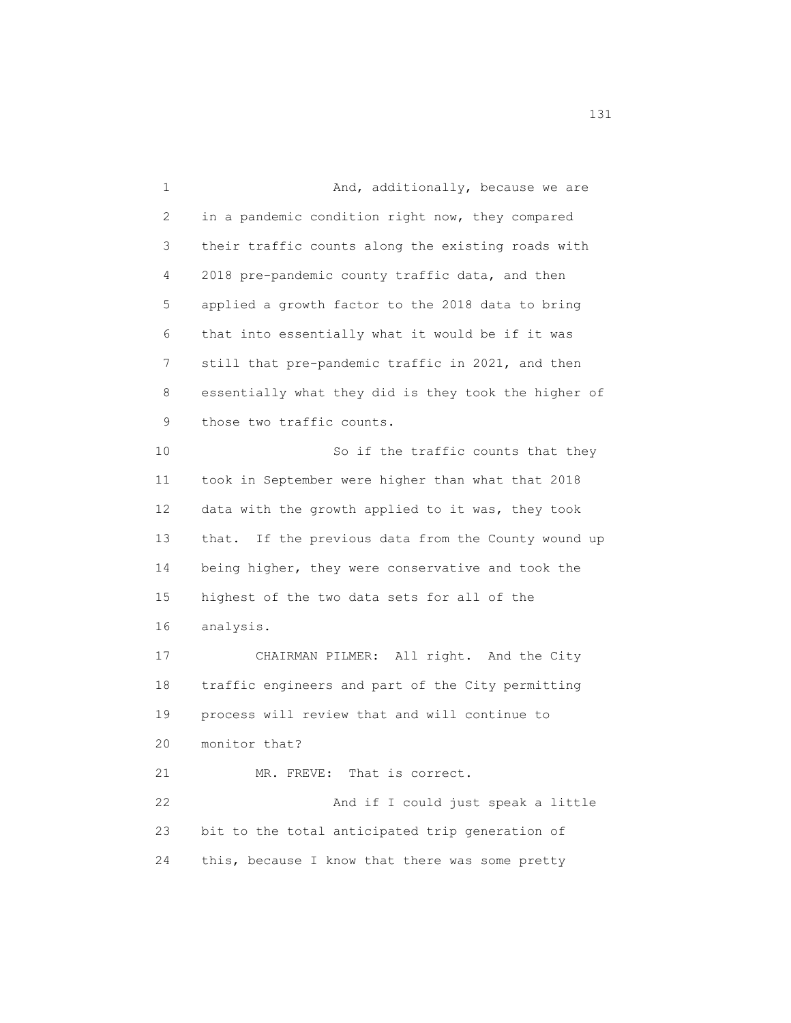1 And, additionally, because we are 2 in a pandemic condition right now, they compared 3 their traffic counts along the existing roads with 4 2018 pre-pandemic county traffic data, and then 5 applied a growth factor to the 2018 data to bring 6 that into essentially what it would be if it was 7 still that pre-pandemic traffic in 2021, and then 8 essentially what they did is they took the higher of 9 those two traffic counts. 10 So if the traffic counts that they 11 took in September were higher than what that 2018 12 data with the growth applied to it was, they took 13 that. If the previous data from the County wound up 14 being higher, they were conservative and took the 15 highest of the two data sets for all of the 16 analysis. 17 CHAIRMAN PILMER: All right. And the City 18 traffic engineers and part of the City permitting 19 process will review that and will continue to 20 monitor that? 21 MR. FREVE: That is correct. 22 And if I could just speak a little 23 bit to the total anticipated trip generation of 24 this, because I know that there was some pretty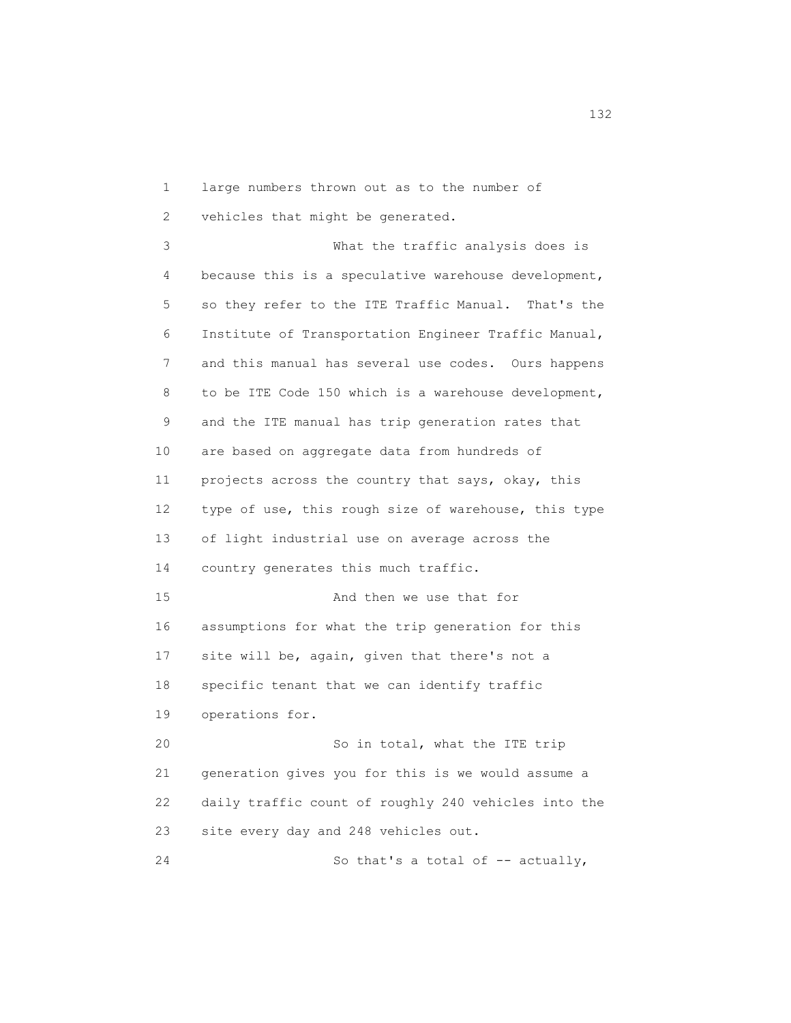1 large numbers thrown out as to the number of 2 vehicles that might be generated. 3 What the traffic analysis does is 4 because this is a speculative warehouse development, 5 so they refer to the ITE Traffic Manual. That's the 6 Institute of Transportation Engineer Traffic Manual,

 7 and this manual has several use codes. Ours happens 8 to be ITE Code 150 which is a warehouse development, 9 and the ITE manual has trip generation rates that 10 are based on aggregate data from hundreds of 11 projects across the country that says, okay, this 12 type of use, this rough size of warehouse, this type 13 of light industrial use on average across the 14 country generates this much traffic. 15 And then we use that for 16 assumptions for what the trip generation for this 17 site will be, again, given that there's not a 18 specific tenant that we can identify traffic 19 operations for.

 20 So in total, what the ITE trip 21 generation gives you for this is we would assume a 22 daily traffic count of roughly 240 vehicles into the 23 site every day and 248 vehicles out.

24 So that's a total of -- actually,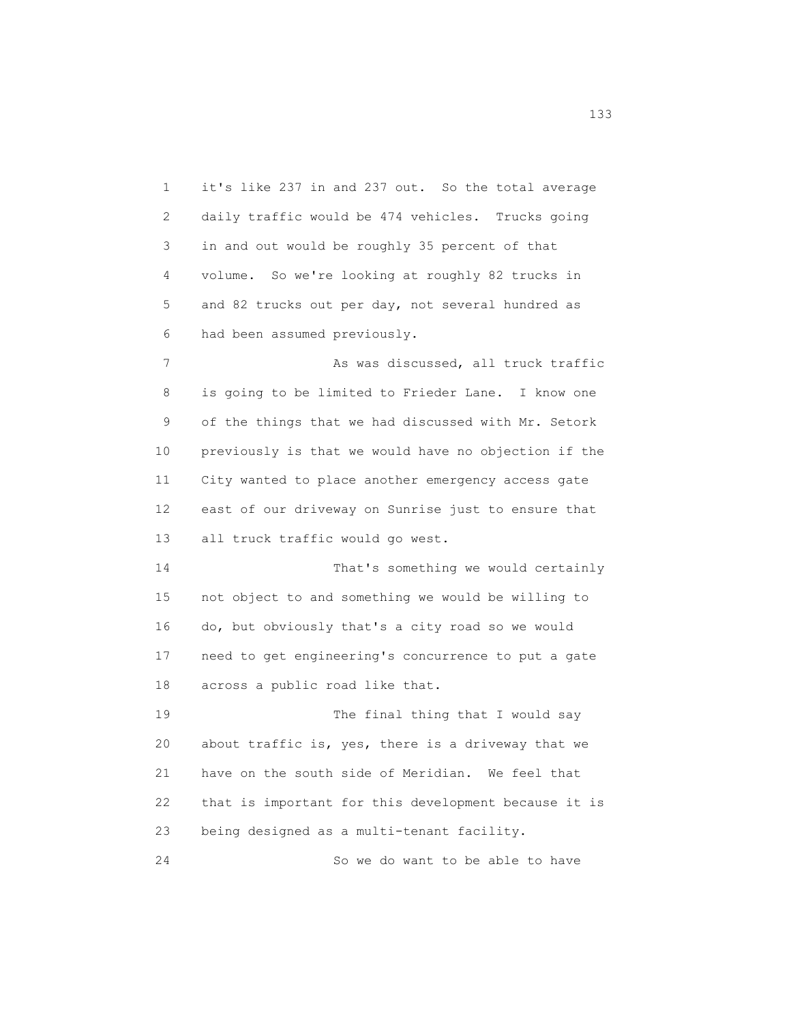1 it's like 237 in and 237 out. So the total average 2 daily traffic would be 474 vehicles. Trucks going 3 in and out would be roughly 35 percent of that 4 volume. So we're looking at roughly 82 trucks in 5 and 82 trucks out per day, not several hundred as 6 had been assumed previously. 7 As was discussed, all truck traffic 8 is going to be limited to Frieder Lane. I know one 9 of the things that we had discussed with Mr. Setork 10 previously is that we would have no objection if the 11 City wanted to place another emergency access gate 12 east of our driveway on Sunrise just to ensure that 13 all truck traffic would go west. 14 That's something we would certainly 15 not object to and something we would be willing to 16 do, but obviously that's a city road so we would 17 need to get engineering's concurrence to put a gate 18 across a public road like that. 19 The final thing that I would say 20 about traffic is, yes, there is a driveway that we 21 have on the south side of Meridian. We feel that 22 that is important for this development because it is 23 being designed as a multi-tenant facility. 24 So we do want to be able to have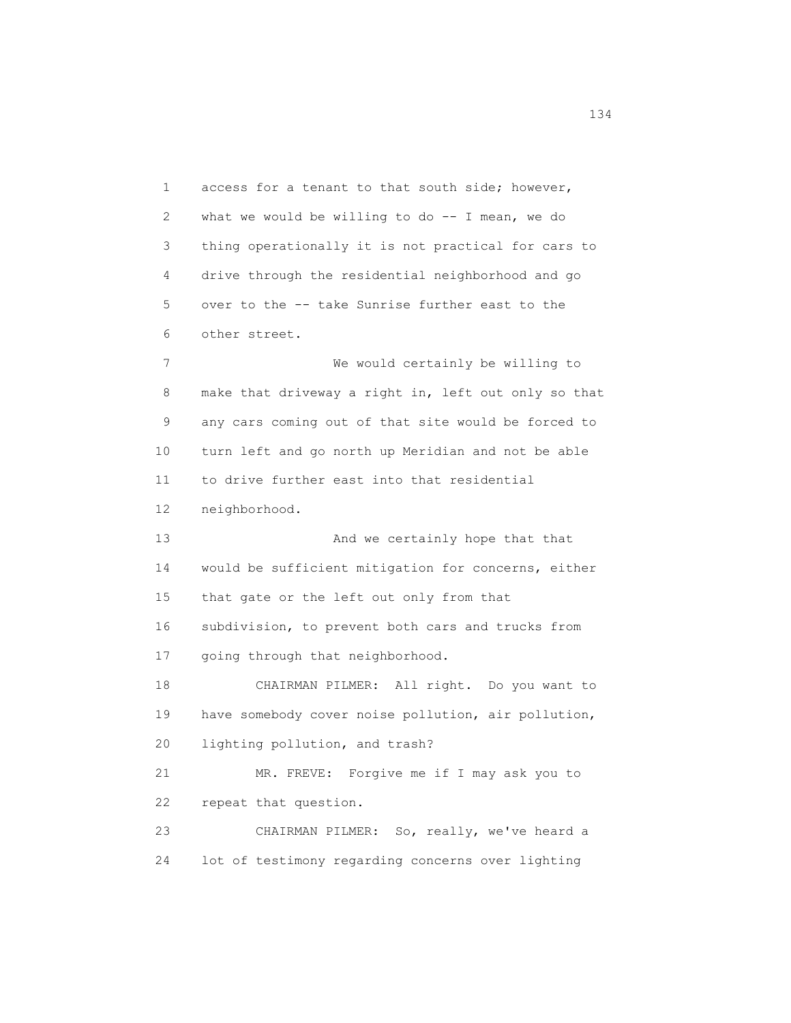1 access for a tenant to that south side; however, 2 what we would be willing to do -- I mean, we do 3 thing operationally it is not practical for cars to 4 drive through the residential neighborhood and go 5 over to the -- take Sunrise further east to the 6 other street. 7 We would certainly be willing to 8 make that driveway a right in, left out only so that 9 any cars coming out of that site would be forced to 10 turn left and go north up Meridian and not be able 11 to drive further east into that residential 12 neighborhood. 13 And we certainly hope that that 14 would be sufficient mitigation for concerns, either 15 that gate or the left out only from that 16 subdivision, to prevent both cars and trucks from 17 going through that neighborhood. 18 CHAIRMAN PILMER: All right. Do you want to 19 have somebody cover noise pollution, air pollution, 20 lighting pollution, and trash? 21 MR. FREVE: Forgive me if I may ask you to 22 repeat that question. 23 CHAIRMAN PILMER: So, really, we've heard a 24 lot of testimony regarding concerns over lighting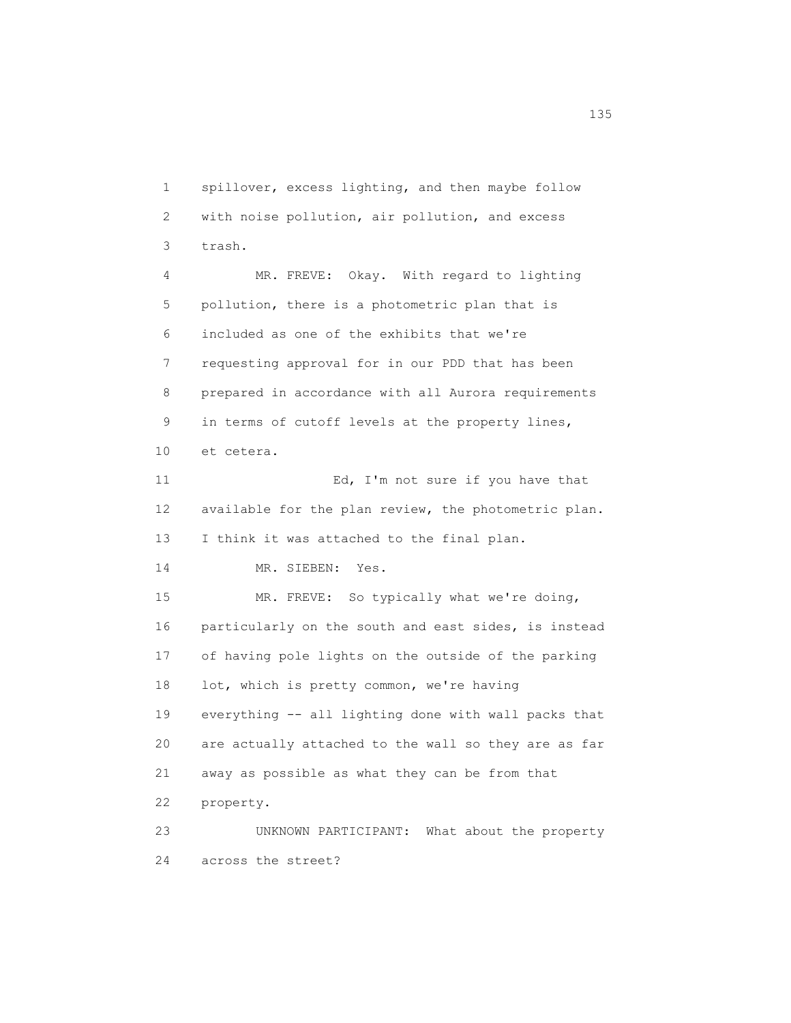1 spillover, excess lighting, and then maybe follow 2 with noise pollution, air pollution, and excess 3 trash. 4 MR. FREVE: Okay. With regard to lighting 5 pollution, there is a photometric plan that is 6 included as one of the exhibits that we're 7 requesting approval for in our PDD that has been 8 prepared in accordance with all Aurora requirements 9 in terms of cutoff levels at the property lines, 10 et cetera. 11 Ed, I'm not sure if you have that 12 available for the plan review, the photometric plan. 13 I think it was attached to the final plan. 14 MR. SIEBEN: Yes. 15 MR. FREVE: So typically what we're doing, 16 particularly on the south and east sides, is instead 17 of having pole lights on the outside of the parking 18 lot, which is pretty common, we're having 19 everything -- all lighting done with wall packs that 20 are actually attached to the wall so they are as far 21 away as possible as what they can be from that 22 property. 23 UNKNOWN PARTICIPANT: What about the property 24 across the street?

n 135 and 135 and 135 and 135 and 135 and 135 and 135 and 135 and 135 and 135 and 135 and 135 and 135 and 136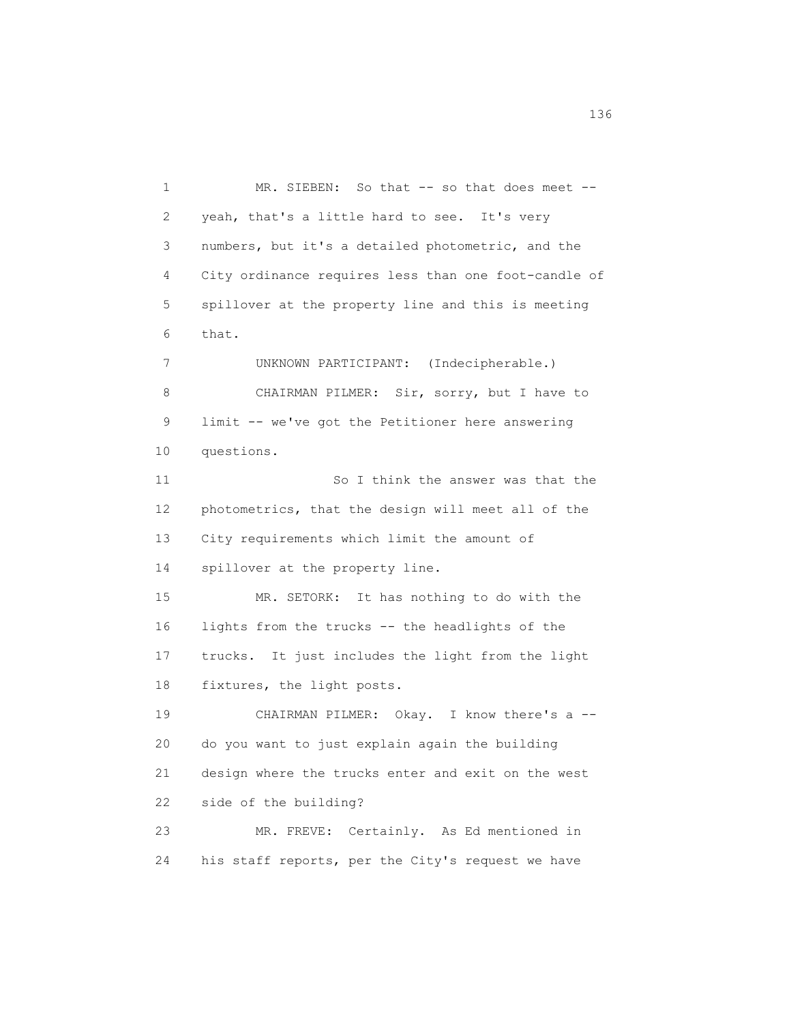1 MR. SIEBEN: So that -- so that does meet -- 2 yeah, that's a little hard to see. It's very 3 numbers, but it's a detailed photometric, and the 4 City ordinance requires less than one foot-candle of 5 spillover at the property line and this is meeting 6 that. 7 UNKNOWN PARTICIPANT: (Indecipherable.) 8 CHAIRMAN PILMER: Sir, sorry, but I have to 9 limit -- we've got the Petitioner here answering 10 questions. 11 So I think the answer was that the 12 photometrics, that the design will meet all of the 13 City requirements which limit the amount of 14 spillover at the property line. 15 MR. SETORK: It has nothing to do with the 16 lights from the trucks -- the headlights of the 17 trucks. It just includes the light from the light 18 fixtures, the light posts. 19 CHAIRMAN PILMER: Okay. I know there's a -- 20 do you want to just explain again the building 21 design where the trucks enter and exit on the west 22 side of the building? 23 MR. FREVE: Certainly. As Ed mentioned in 24 his staff reports, per the City's request we have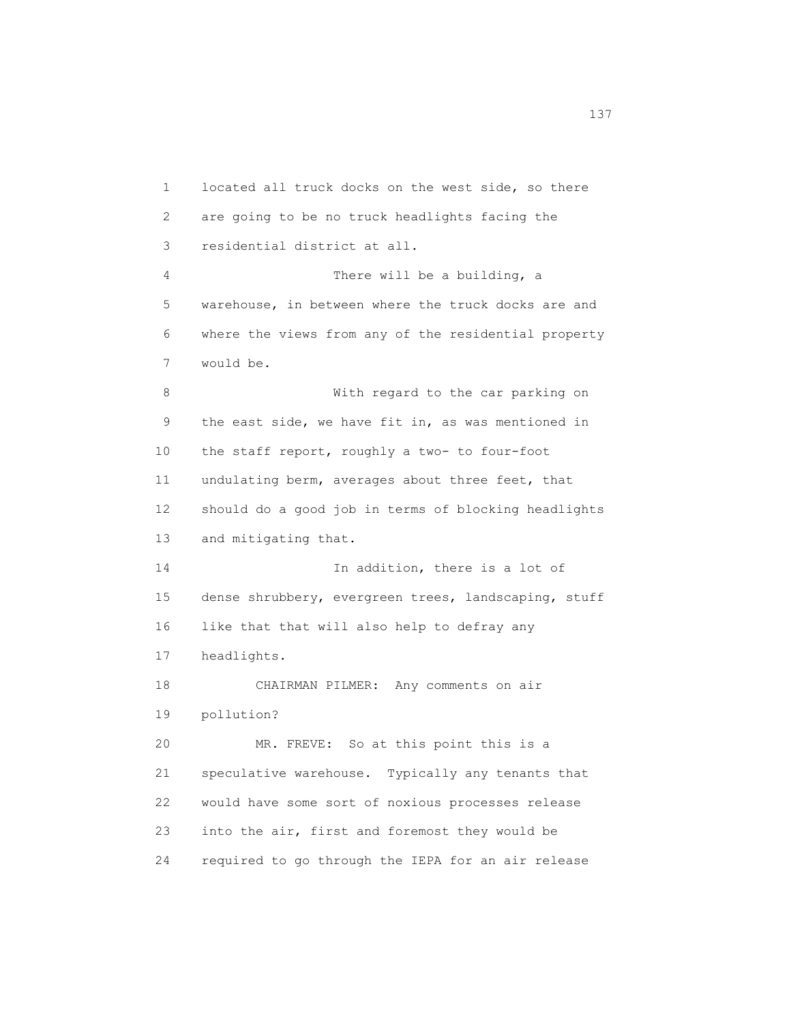1 located all truck docks on the west side, so there 2 are going to be no truck headlights facing the 3 residential district at all. 4 There will be a building, a 5 warehouse, in between where the truck docks are and 6 where the views from any of the residential property 7 would be. 8 With regard to the car parking on 9 the east side, we have fit in, as was mentioned in 10 the staff report, roughly a two- to four-foot 11 undulating berm, averages about three feet, that 12 should do a good job in terms of blocking headlights 13 and mitigating that. 14 In addition, there is a lot of 15 dense shrubbery, evergreen trees, landscaping, stuff 16 like that that will also help to defray any 17 headlights. 18 CHAIRMAN PILMER: Any comments on air 19 pollution? 20 MR. FREVE: So at this point this is a 21 speculative warehouse. Typically any tenants that 22 would have some sort of noxious processes release 23 into the air, first and foremost they would be 24 required to go through the IEPA for an air release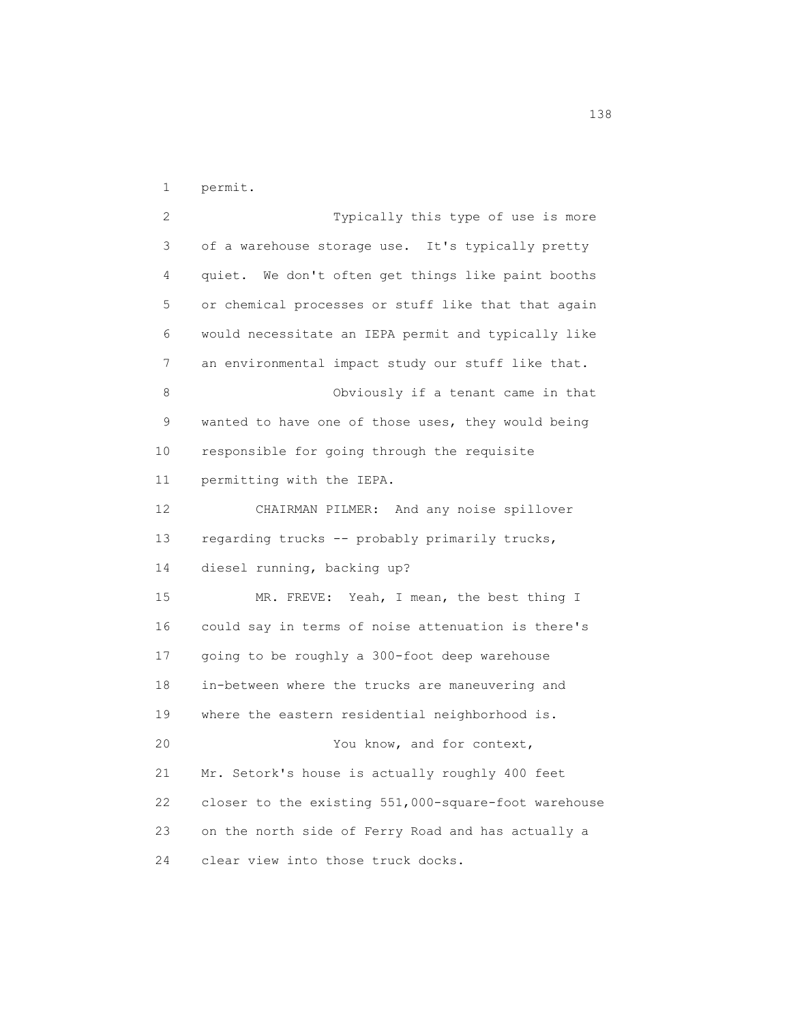1 permit.

 2 Typically this type of use is more 3 of a warehouse storage use. It's typically pretty 4 quiet. We don't often get things like paint booths 5 or chemical processes or stuff like that that again 6 would necessitate an IEPA permit and typically like 7 an environmental impact study our stuff like that. 8 Obviously if a tenant came in that 9 wanted to have one of those uses, they would being 10 responsible for going through the requisite 11 permitting with the IEPA. 12 CHAIRMAN PILMER: And any noise spillover 13 regarding trucks -- probably primarily trucks, 14 diesel running, backing up? 15 MR. FREVE: Yeah, I mean, the best thing I 16 could say in terms of noise attenuation is there's 17 going to be roughly a 300-foot deep warehouse 18 in-between where the trucks are maneuvering and 19 where the eastern residential neighborhood is. 20 You know, and for context, 21 Mr. Setork's house is actually roughly 400 feet 22 closer to the existing 551,000-square-foot warehouse 23 on the north side of Ferry Road and has actually a 24 clear view into those truck docks.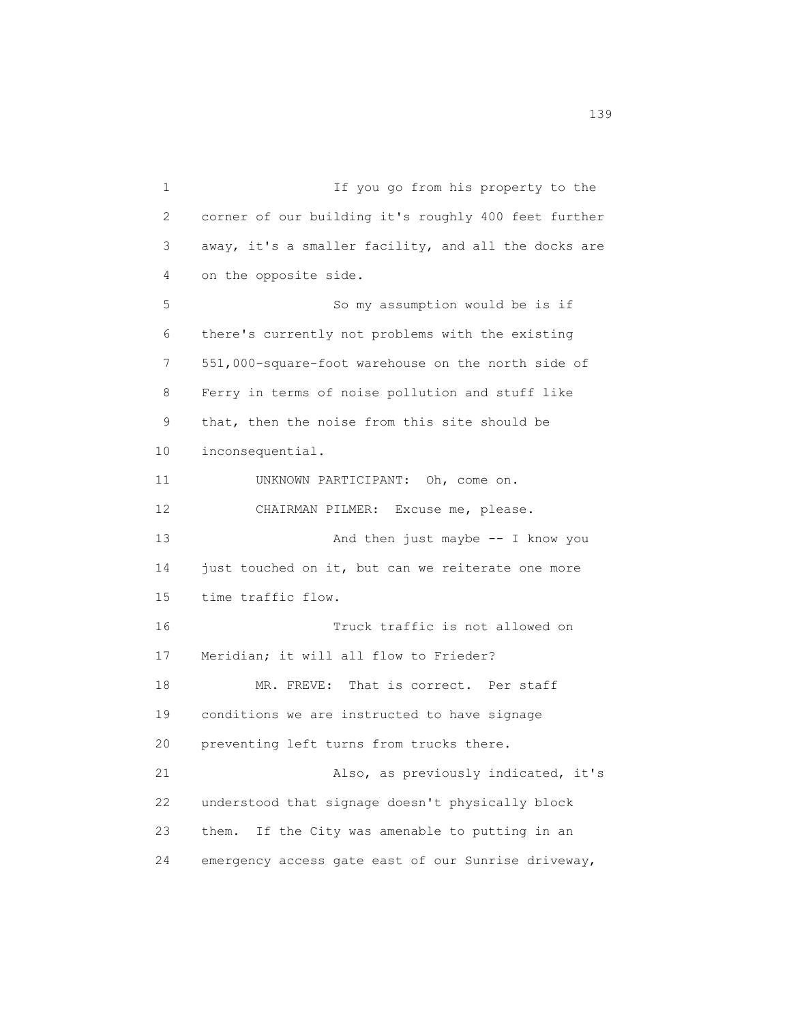1 If you go from his property to the 2 corner of our building it's roughly 400 feet further 3 away, it's a smaller facility, and all the docks are 4 on the opposite side. 5 So my assumption would be is if 6 there's currently not problems with the existing 7 551,000-square-foot warehouse on the north side of 8 Ferry in terms of noise pollution and stuff like 9 that, then the noise from this site should be 10 inconsequential. 11 UNKNOWN PARTICIPANT: Oh, come on. 12 CHAIRMAN PILMER: Excuse me, please. 13 And then just maybe -- I know you 14 just touched on it, but can we reiterate one more 15 time traffic flow. 16 Truck traffic is not allowed on 17 Meridian; it will all flow to Frieder? 18 MR. FREVE: That is correct. Per staff 19 conditions we are instructed to have signage 20 preventing left turns from trucks there. 21 Also, as previously indicated, it's 22 understood that signage doesn't physically block 23 them. If the City was amenable to putting in an 24 emergency access gate east of our Sunrise driveway,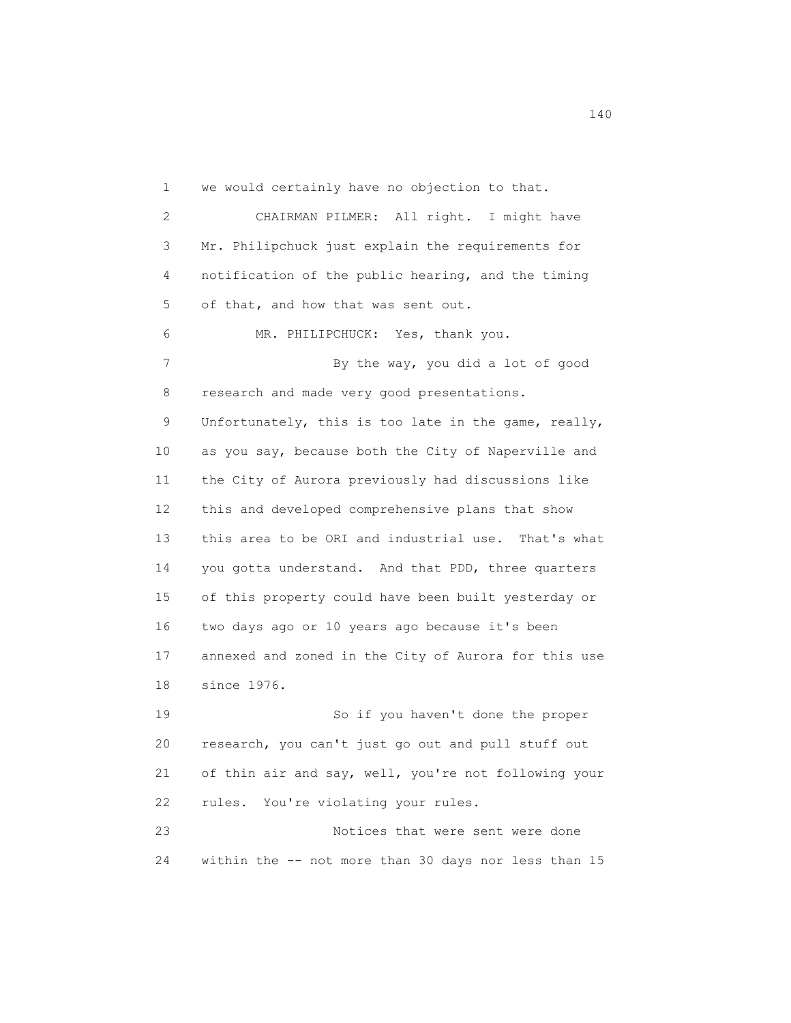1 we would certainly have no objection to that. 2 CHAIRMAN PILMER: All right. I might have 3 Mr. Philipchuck just explain the requirements for 4 notification of the public hearing, and the timing 5 of that, and how that was sent out. 6 MR. PHILIPCHUCK: Yes, thank you. 7 By the way, you did a lot of good 8 research and made very good presentations. 9 Unfortunately, this is too late in the game, really, 10 as you say, because both the City of Naperville and 11 the City of Aurora previously had discussions like 12 this and developed comprehensive plans that show 13 this area to be ORI and industrial use. That's what 14 you gotta understand. And that PDD, three quarters 15 of this property could have been built yesterday or 16 two days ago or 10 years ago because it's been 17 annexed and zoned in the City of Aurora for this use 18 since 1976. 19 So if you haven't done the proper 20 research, you can't just go out and pull stuff out 21 of thin air and say, well, you're not following your

 23 Notices that were sent were done 24 within the -- not more than 30 days nor less than 15

22 rules. You're violating your rules.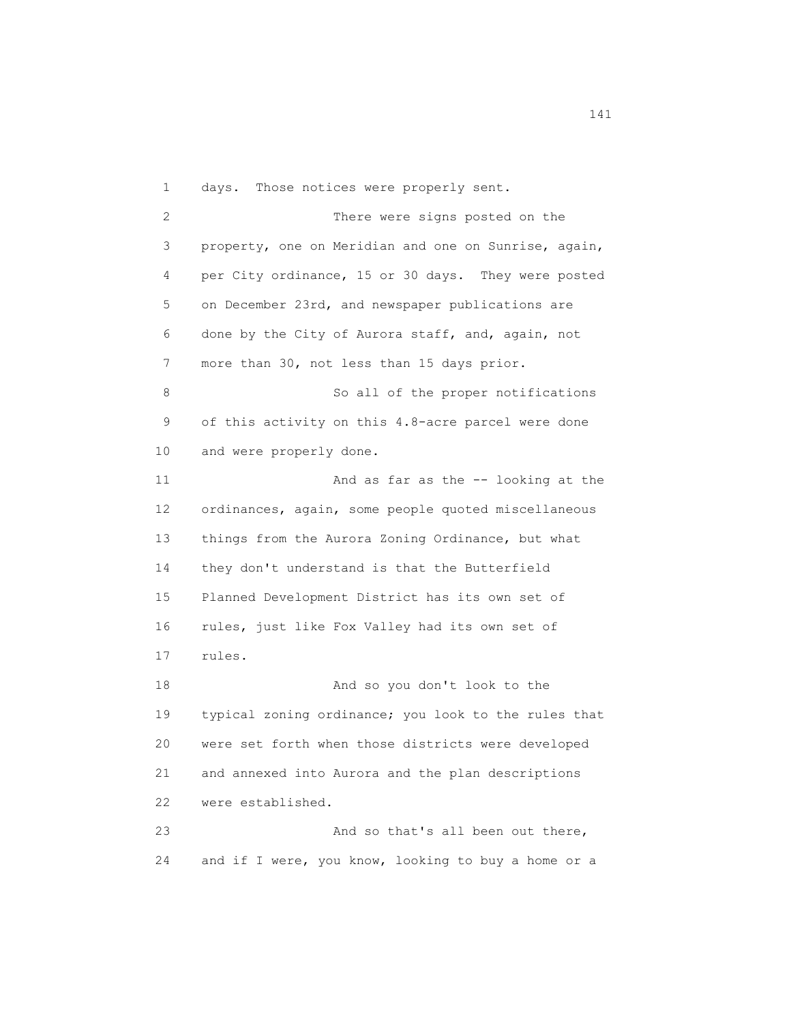1 days. Those notices were properly sent. 2 There were signs posted on the 3 property, one on Meridian and one on Sunrise, again, 4 per City ordinance, 15 or 30 days. They were posted 5 on December 23rd, and newspaper publications are 6 done by the City of Aurora staff, and, again, not 7 more than 30, not less than 15 days prior. 8 So all of the proper notifications 9 of this activity on this 4.8-acre parcel were done 10 and were properly done. 11 And as far as the -- looking at the 12 ordinances, again, some people quoted miscellaneous 13 things from the Aurora Zoning Ordinance, but what 14 they don't understand is that the Butterfield 15 Planned Development District has its own set of 16 rules, just like Fox Valley had its own set of 17 rules. 18 And so you don't look to the 19 typical zoning ordinance; you look to the rules that 20 were set forth when those districts were developed 21 and annexed into Aurora and the plan descriptions 22 were established. 23 And so that's all been out there, 24 and if I were, you know, looking to buy a home or a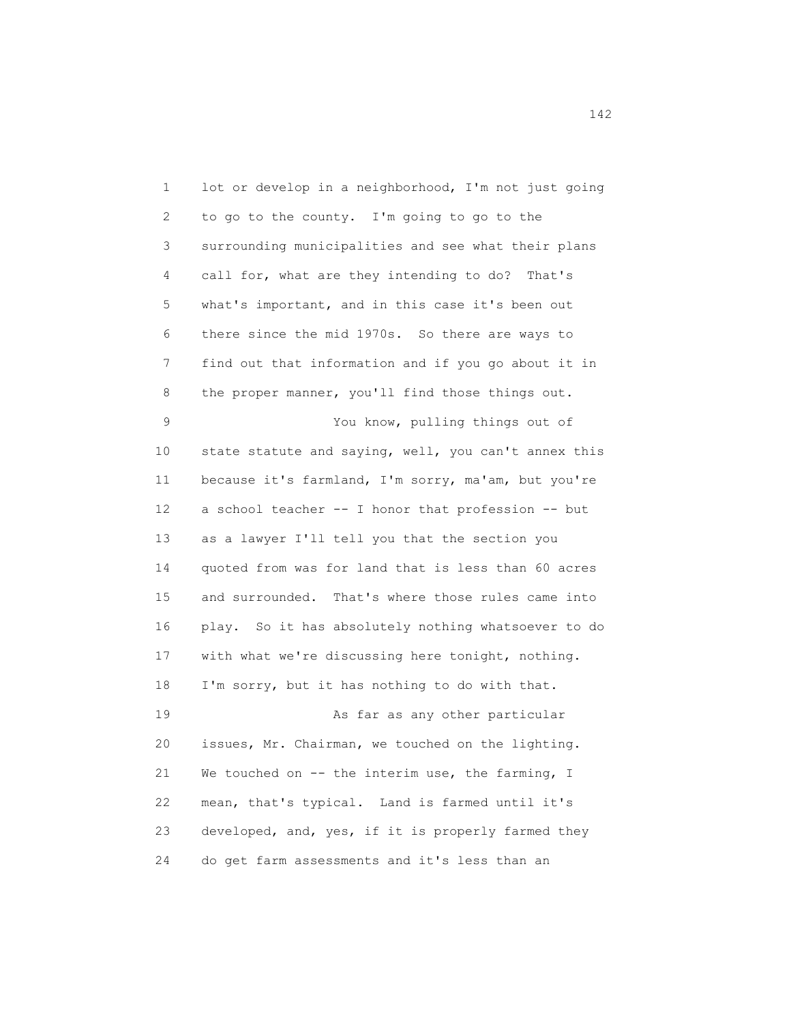1 lot or develop in a neighborhood, I'm not just going 2 to go to the county. I'm going to go to the 3 surrounding municipalities and see what their plans 4 call for, what are they intending to do? That's 5 what's important, and in this case it's been out 6 there since the mid 1970s. So there are ways to 7 find out that information and if you go about it in 8 the proper manner, you'll find those things out. 9 You know, pulling things out of 10 state statute and saying, well, you can't annex this 11 because it's farmland, I'm sorry, ma'am, but you're 12 a school teacher -- I honor that profession -- but 13 as a lawyer I'll tell you that the section you 14 quoted from was for land that is less than 60 acres 15 and surrounded. That's where those rules came into 16 play. So it has absolutely nothing whatsoever to do 17 with what we're discussing here tonight, nothing. 18 I'm sorry, but it has nothing to do with that. 19 As far as any other particular 20 issues, Mr. Chairman, we touched on the lighting. 21 We touched on -- the interim use, the farming, I 22 mean, that's typical. Land is farmed until it's 23 developed, and, yes, if it is properly farmed they 24 do get farm assessments and it's less than an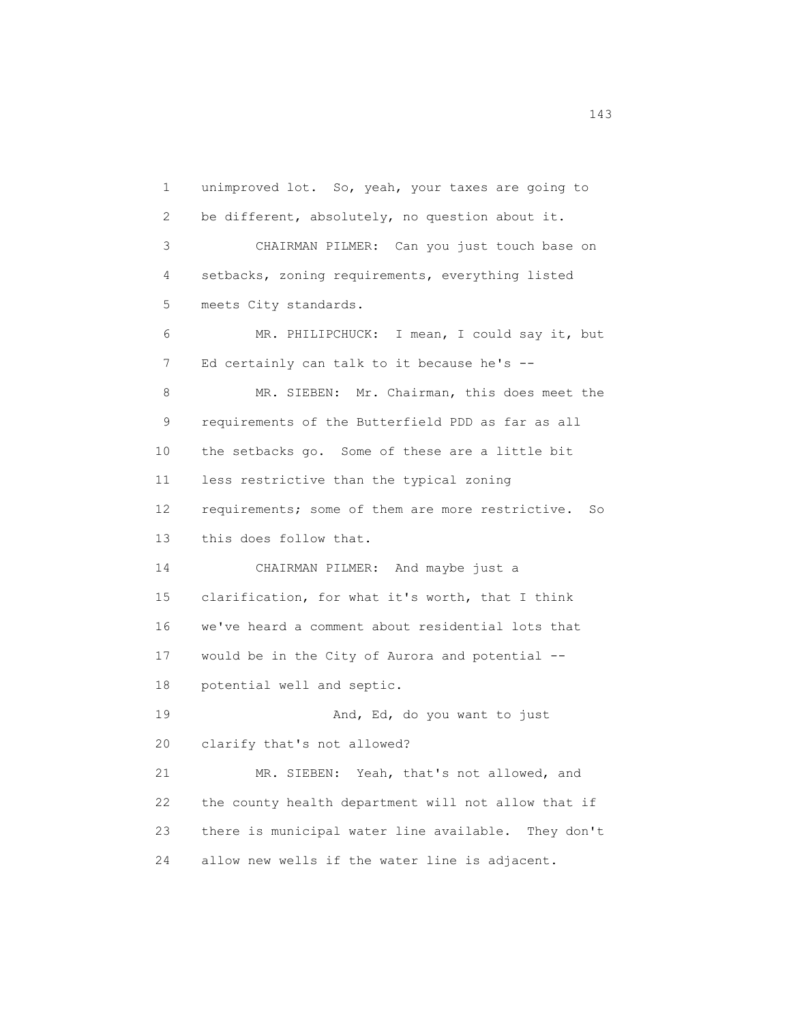1 unimproved lot. So, yeah, your taxes are going to 2 be different, absolutely, no question about it. 3 CHAIRMAN PILMER: Can you just touch base on 4 setbacks, zoning requirements, everything listed 5 meets City standards. 6 MR. PHILIPCHUCK: I mean, I could say it, but 7 Ed certainly can talk to it because he's --8 MR. SIEBEN: Mr. Chairman, this does meet the 9 requirements of the Butterfield PDD as far as all 10 the setbacks go. Some of these are a little bit 11 less restrictive than the typical zoning 12 requirements; some of them are more restrictive. So 13 this does follow that. 14 CHAIRMAN PILMER: And maybe just a 15 clarification, for what it's worth, that I think 16 we've heard a comment about residential lots that 17 would be in the City of Aurora and potential -- 18 potential well and septic. 19 And, Ed, do you want to just 20 clarify that's not allowed? 21 MR. SIEBEN: Yeah, that's not allowed, and 22 the county health department will not allow that if 23 there is municipal water line available. They don't 24 allow new wells if the water line is adjacent.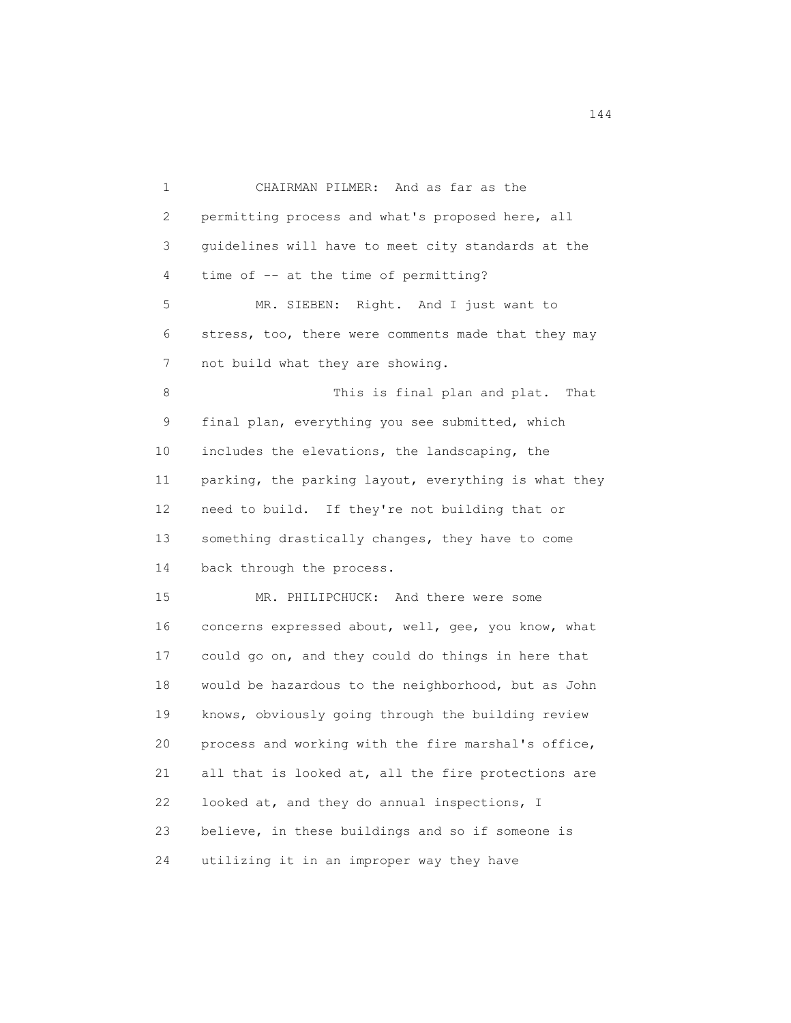1 CHAIRMAN PILMER: And as far as the 2 permitting process and what's proposed here, all 3 guidelines will have to meet city standards at the 4 time of -- at the time of permitting? 5 MR. SIEBEN: Right. And I just want to 6 stress, too, there were comments made that they may 7 not build what they are showing. 8 This is final plan and plat. That 9 final plan, everything you see submitted, which 10 includes the elevations, the landscaping, the 11 parking, the parking layout, everything is what they 12 need to build. If they're not building that or 13 something drastically changes, they have to come 14 back through the process. 15 MR. PHILIPCHUCK: And there were some 16 concerns expressed about, well, gee, you know, what 17 could go on, and they could do things in here that 18 would be hazardous to the neighborhood, but as John 19 knows, obviously going through the building review 20 process and working with the fire marshal's office, 21 all that is looked at, all the fire protections are 22 looked at, and they do annual inspections, I 23 believe, in these buildings and so if someone is 24 utilizing it in an improper way they have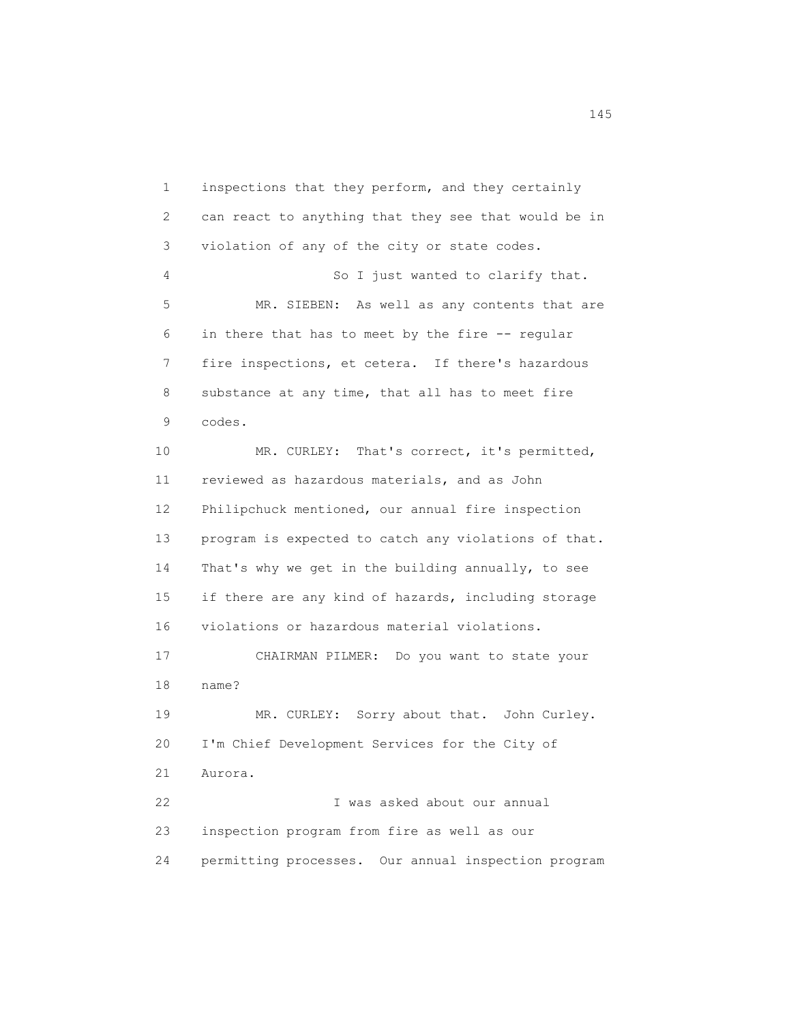1 inspections that they perform, and they certainly 2 can react to anything that they see that would be in 3 violation of any of the city or state codes. 4 So I just wanted to clarify that. 5 MR. SIEBEN: As well as any contents that are 6 in there that has to meet by the fire -- regular 7 fire inspections, et cetera. If there's hazardous 8 substance at any time, that all has to meet fire 9 codes. 10 MR. CURLEY: That's correct, it's permitted, 11 reviewed as hazardous materials, and as John 12 Philipchuck mentioned, our annual fire inspection 13 program is expected to catch any violations of that. 14 That's why we get in the building annually, to see 15 if there are any kind of hazards, including storage 16 violations or hazardous material violations. 17 CHAIRMAN PILMER: Do you want to state your 18 name? 19 MR. CURLEY: Sorry about that. John Curley. 20 I'm Chief Development Services for the City of 21 Aurora. 22 I was asked about our annual 23 inspection program from fire as well as our 24 permitting processes. Our annual inspection program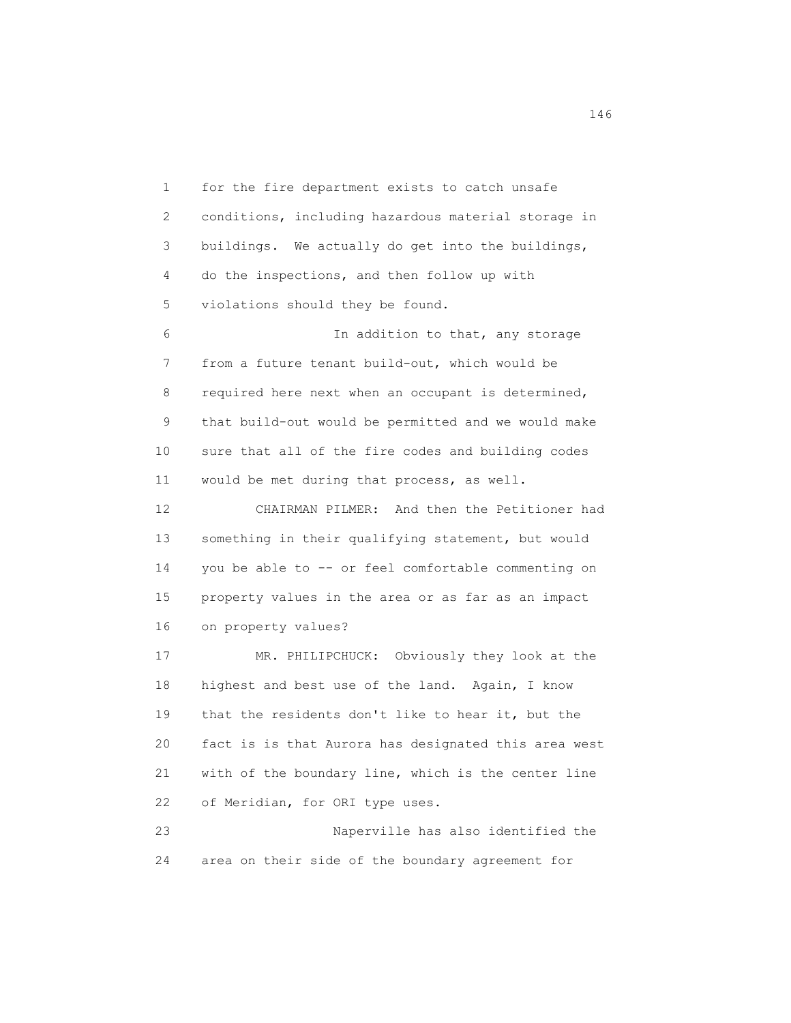1 for the fire department exists to catch unsafe 2 conditions, including hazardous material storage in 3 buildings. We actually do get into the buildings, 4 do the inspections, and then follow up with 5 violations should they be found. 6 In addition to that, any storage 7 from a future tenant build-out, which would be 8 required here next when an occupant is determined, 9 that build-out would be permitted and we would make 10 sure that all of the fire codes and building codes 11 would be met during that process, as well. 12 CHAIRMAN PILMER: And then the Petitioner had

 13 something in their qualifying statement, but would 14 you be able to -- or feel comfortable commenting on 15 property values in the area or as far as an impact 16 on property values?

 17 MR. PHILIPCHUCK: Obviously they look at the 18 highest and best use of the land. Again, I know 19 that the residents don't like to hear it, but the 20 fact is is that Aurora has designated this area west 21 with of the boundary line, which is the center line 22 of Meridian, for ORI type uses.

 23 Naperville has also identified the 24 area on their side of the boundary agreement for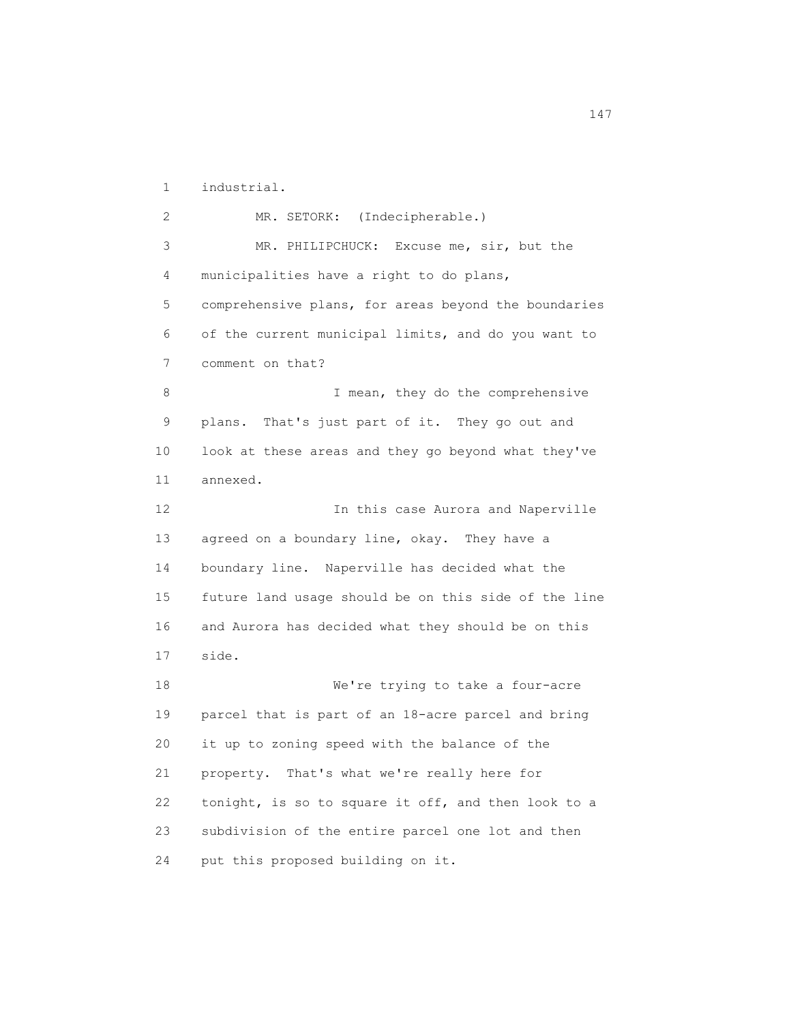1 industrial.

 2 MR. SETORK: (Indecipherable.) 3 MR. PHILIPCHUCK: Excuse me, sir, but the 4 municipalities have a right to do plans, 5 comprehensive plans, for areas beyond the boundaries 6 of the current municipal limits, and do you want to 7 comment on that? 8 I mean, they do the comprehensive 9 plans. That's just part of it. They go out and 10 look at these areas and they go beyond what they've 11 annexed. 12 **In this case Aurora and Naperville** 13 agreed on a boundary line, okay. They have a 14 boundary line. Naperville has decided what the 15 future land usage should be on this side of the line 16 and Aurora has decided what they should be on this 17 side. 18 We're trying to take a four-acre 19 parcel that is part of an 18-acre parcel and bring 20 it up to zoning speed with the balance of the 21 property. That's what we're really here for 22 tonight, is so to square it off, and then look to a 23 subdivision of the entire parcel one lot and then 24 put this proposed building on it.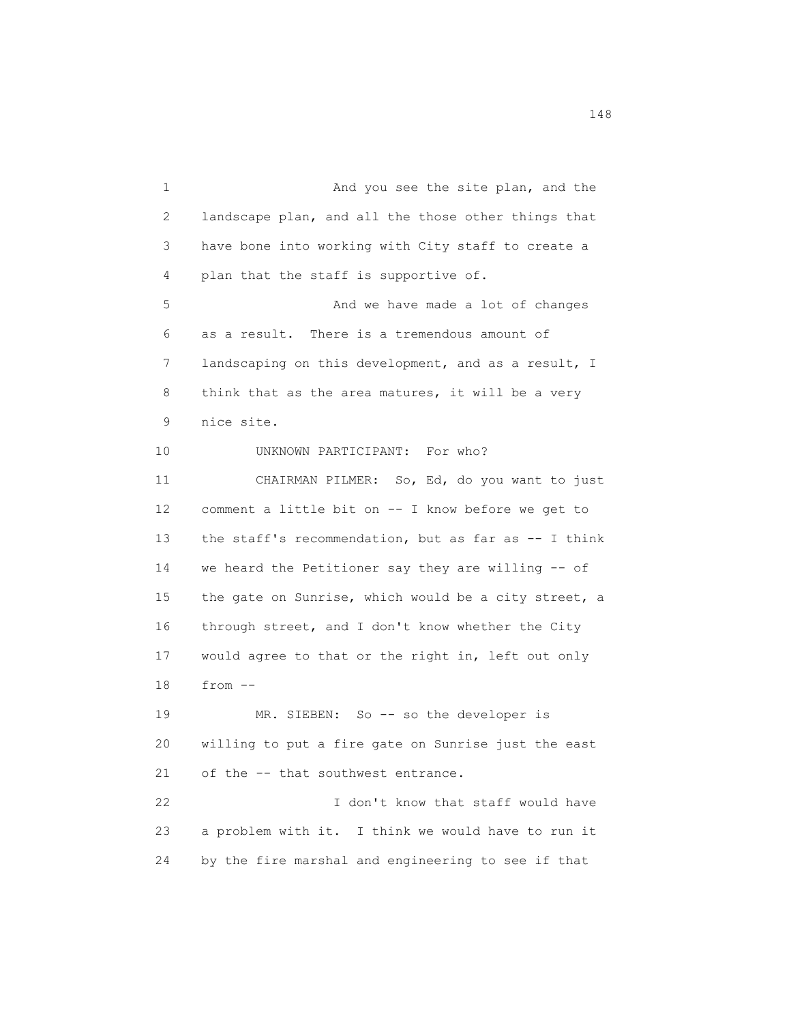1 And you see the site plan, and the 2 landscape plan, and all the those other things that 3 have bone into working with City staff to create a 4 plan that the staff is supportive of. 5 And we have made a lot of changes 6 as a result. There is a tremendous amount of 7 landscaping on this development, and as a result, I 8 think that as the area matures, it will be a very 9 nice site. 10 UNKNOWN PARTICIPANT: For who? 11 CHAIRMAN PILMER: So, Ed, do you want to just 12 comment a little bit on -- I know before we get to 13 the staff's recommendation, but as far as -- I think 14 we heard the Petitioner say they are willing -- of 15 the gate on Sunrise, which would be a city street, a 16 through street, and I don't know whether the City 17 would agree to that or the right in, left out only 18 from -- 19 MR. SIEBEN: So -- so the developer is 20 willing to put a fire gate on Sunrise just the east 21 of the -- that southwest entrance. 22 I don't know that staff would have 23 a problem with it. I think we would have to run it 24 by the fire marshal and engineering to see if that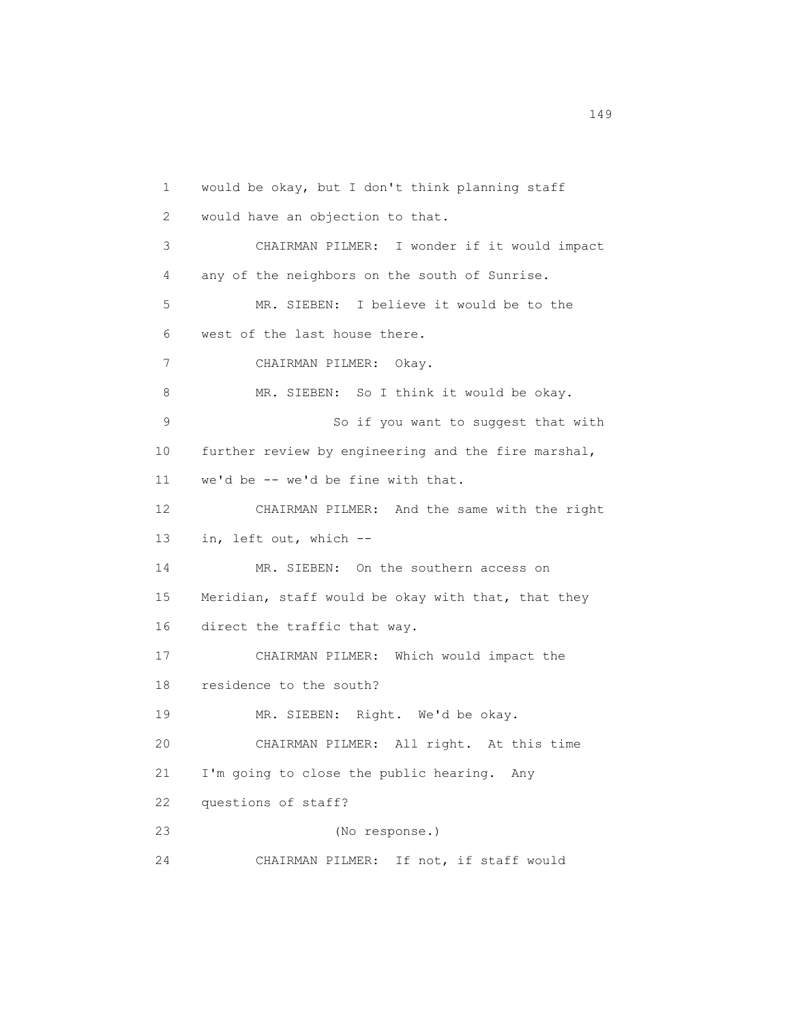1 would be okay, but I don't think planning staff 2 would have an objection to that. 3 CHAIRMAN PILMER: I wonder if it would impact 4 any of the neighbors on the south of Sunrise. 5 MR. SIEBEN: I believe it would be to the 6 west of the last house there. 7 CHAIRMAN PILMER: Okay. 8 MR. SIEBEN: So I think it would be okay. 9 So if you want to suggest that with 10 further review by engineering and the fire marshal, 11 we'd be -- we'd be fine with that. 12 CHAIRMAN PILMER: And the same with the right 13 in, left out, which -- 14 MR. SIEBEN: On the southern access on 15 Meridian, staff would be okay with that, that they 16 direct the traffic that way. 17 CHAIRMAN PILMER: Which would impact the 18 residence to the south? 19 MR. SIEBEN: Right. We'd be okay. 20 CHAIRMAN PILMER: All right. At this time 21 I'm going to close the public hearing. Any 22 questions of staff? 23 (No response.) 24 CHAIRMAN PILMER: If not, if staff would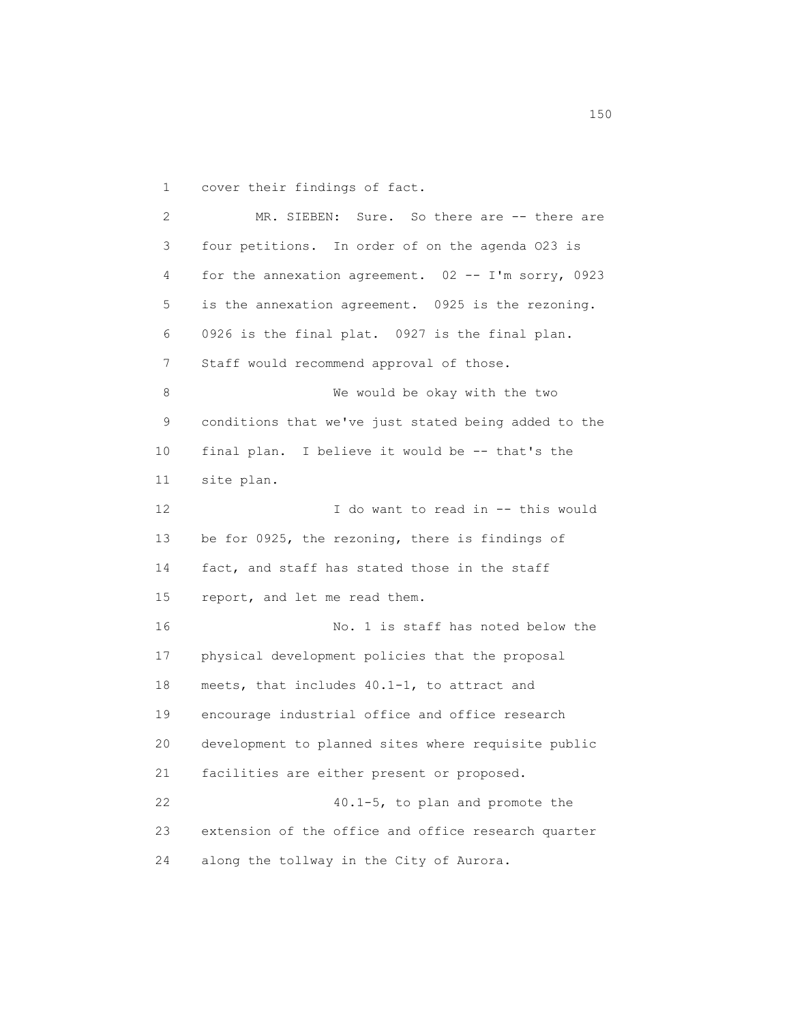1 cover their findings of fact.

 2 MR. SIEBEN: Sure. So there are -- there are 3 four petitions. In order of on the agenda O23 is 4 for the annexation agreement. 02 -- I'm sorry, 0923 5 is the annexation agreement. 0925 is the rezoning. 6 0926 is the final plat. 0927 is the final plan. 7 Staff would recommend approval of those. 8 We would be okay with the two 9 conditions that we've just stated being added to the 10 final plan. I believe it would be -- that's the 11 site plan. 12 I do want to read in -- this would 13 be for 0925, the rezoning, there is findings of 14 fact, and staff has stated those in the staff 15 report, and let me read them. 16 No. 1 is staff has noted below the 17 physical development policies that the proposal 18 meets, that includes 40.1-1, to attract and 19 encourage industrial office and office research 20 development to planned sites where requisite public 21 facilities are either present or proposed. 22 40.1-5, to plan and promote the 23 extension of the office and office research quarter 24 along the tollway in the City of Aurora.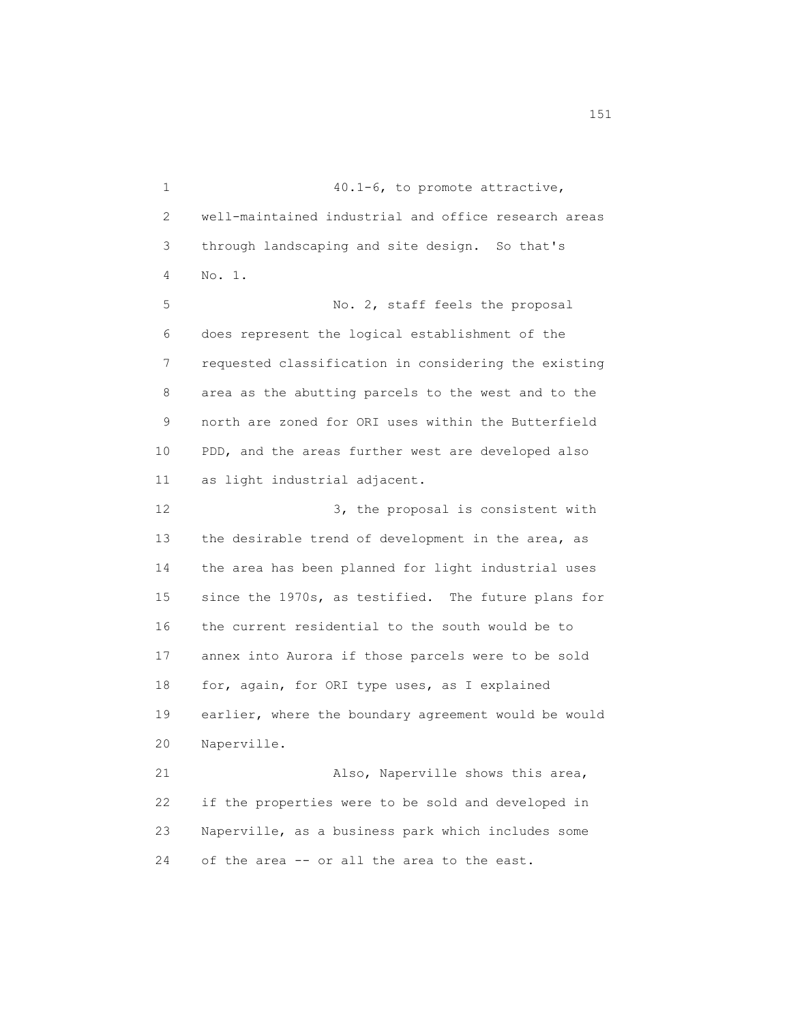1 40.1-6, to promote attractive, 2 well-maintained industrial and office research areas 3 through landscaping and site design. So that's 4 No. 1. 5 No. 2, staff feels the proposal 6 does represent the logical establishment of the 7 requested classification in considering the existing 8 area as the abutting parcels to the west and to the 9 north are zoned for ORI uses within the Butterfield 10 PDD, and the areas further west are developed also 11 as light industrial adjacent. 12 3, the proposal is consistent with 13 the desirable trend of development in the area, as 14 the area has been planned for light industrial uses 15 since the 1970s, as testified. The future plans for 16 the current residential to the south would be to 17 annex into Aurora if those parcels were to be sold 18 for, again, for ORI type uses, as I explained 19 earlier, where the boundary agreement would be would 20 Naperville. 21 Also, Naperville shows this area, 22 if the properties were to be sold and developed in 23 Naperville, as a business park which includes some 24 of the area -- or all the area to the east.

151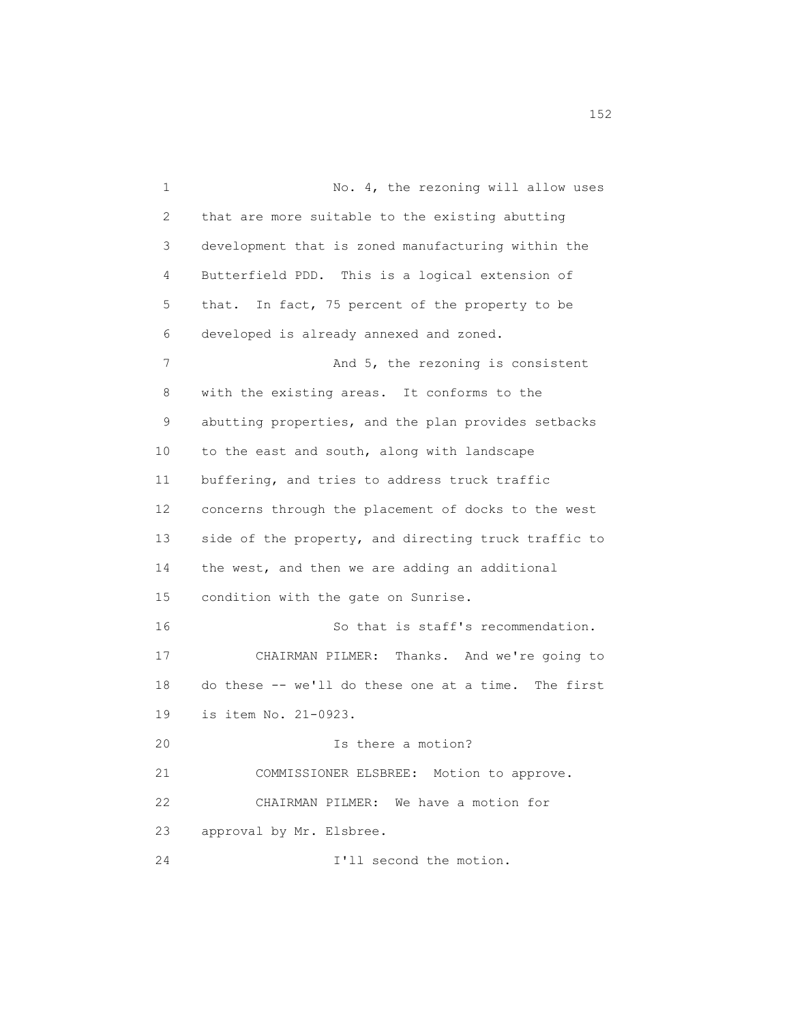1 No. 4, the rezoning will allow uses 2 that are more suitable to the existing abutting 3 development that is zoned manufacturing within the 4 Butterfield PDD. This is a logical extension of 5 that. In fact, 75 percent of the property to be 6 developed is already annexed and zoned. 7 And 5, the rezoning is consistent 8 with the existing areas. It conforms to the 9 abutting properties, and the plan provides setbacks 10 to the east and south, along with landscape 11 buffering, and tries to address truck traffic 12 concerns through the placement of docks to the west 13 side of the property, and directing truck traffic to 14 the west, and then we are adding an additional 15 condition with the gate on Sunrise. 16 So that is staff's recommendation. 17 CHAIRMAN PILMER: Thanks. And we're going to 18 do these -- we'll do these one at a time. The first 19 is item No. 21-0923. 20 Is there a motion? 21 COMMISSIONER ELSBREE: Motion to approve. 22 CHAIRMAN PILMER: We have a motion for 23 approval by Mr. Elsbree. 24 I'll second the motion.

152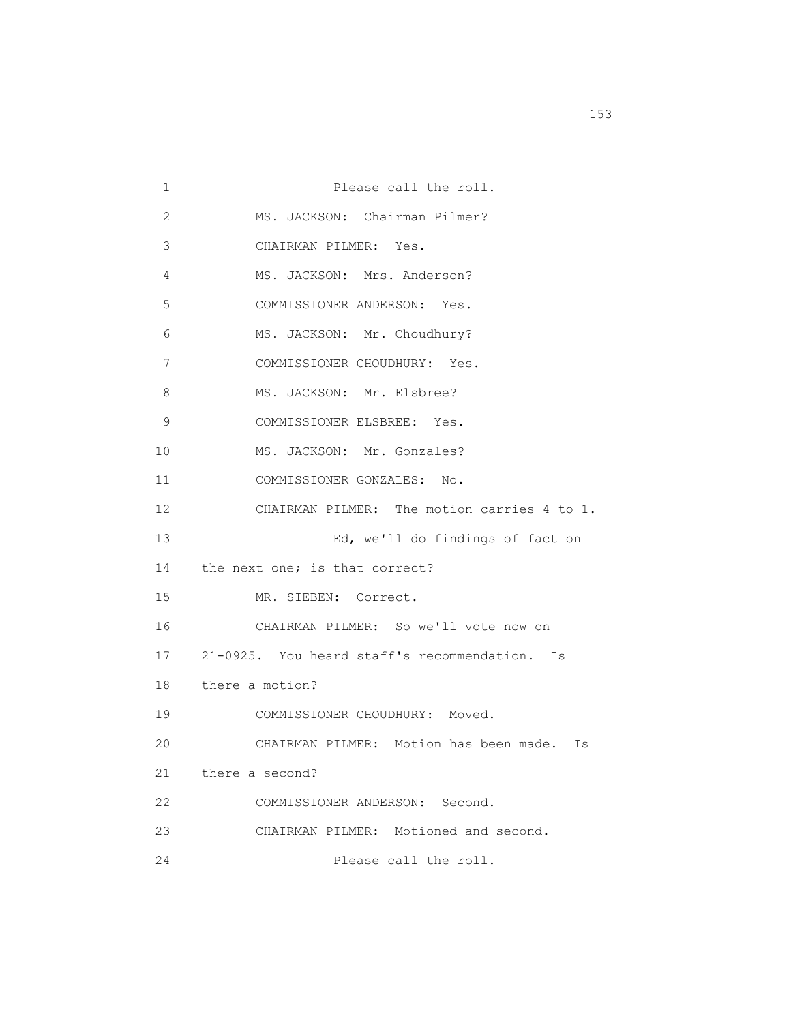1 Please call the roll. 2 MS. JACKSON: Chairman Pilmer? 3 CHAIRMAN PILMER: Yes. 4 MS. JACKSON: Mrs. Anderson? 5 COMMISSIONER ANDERSON: Yes. 6 MS. JACKSON: Mr. Choudhury? 7 COMMISSIONER CHOUDHURY: Yes. 8 MS. JACKSON: Mr. Elsbree? 9 COMMISSIONER ELSBREE: Yes. 10 MS. JACKSON: Mr. Gonzales? 11 COMMISSIONER GONZALES: No. 12 CHAIRMAN PILMER: The motion carries 4 to 1. 13 Ed, we'll do findings of fact on 14 the next one; is that correct? 15 MR. SIEBEN: Correct. 16 CHAIRMAN PILMER: So we'll vote now on 17 21-0925. You heard staff's recommendation. Is 18 there a motion? 19 COMMISSIONER CHOUDHURY: Moved. 20 CHAIRMAN PILMER: Motion has been made. Is 21 there a second? 22 COMMISSIONER ANDERSON: Second. 23 CHAIRMAN PILMER: Motioned and second. 24 Please call the roll.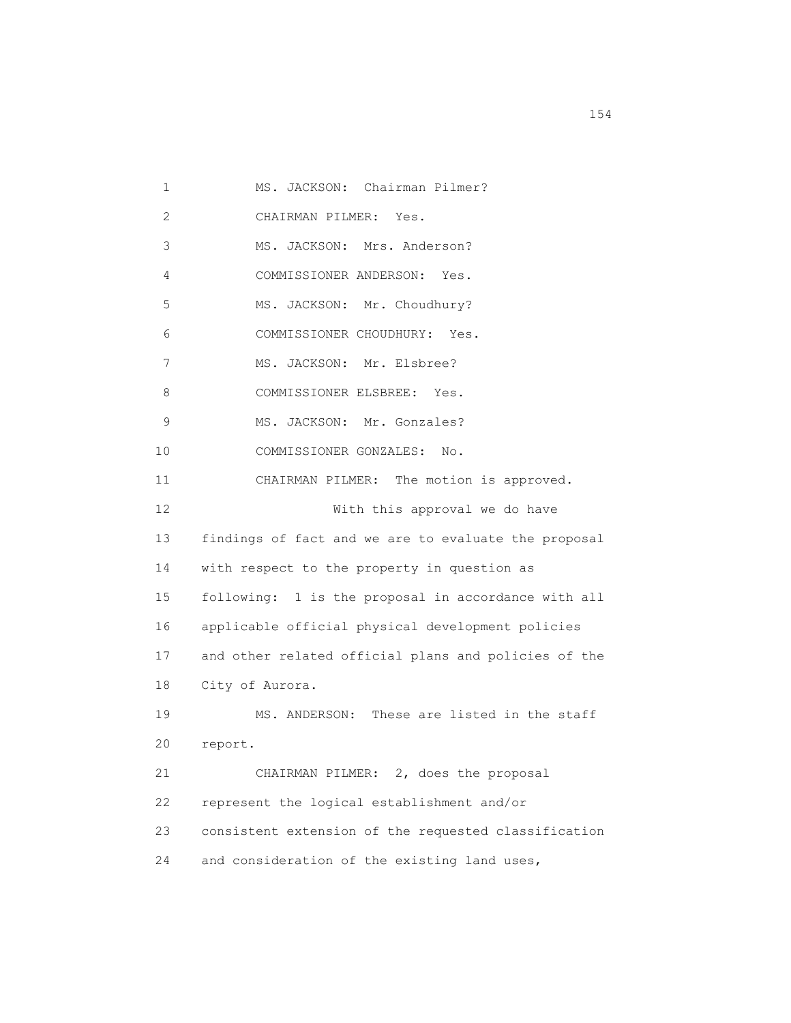1 MS. JACKSON: Chairman Pilmer? 2 CHAIRMAN PILMER: Yes. 3 MS. JACKSON: Mrs. Anderson? 4 COMMISSIONER ANDERSON: Yes. 5 MS. JACKSON: Mr. Choudhury? 6 COMMISSIONER CHOUDHURY: Yes. 7 MS. JACKSON: Mr. Elsbree? 8 COMMISSIONER ELSBREE: Yes. 9 MS. JACKSON: Mr. Gonzales? 10 COMMISSIONER GONZALES: No. 11 CHAIRMAN PILMER: The motion is approved. 12 With this approval we do have 13 findings of fact and we are to evaluate the proposal 14 with respect to the property in question as 15 following: 1 is the proposal in accordance with all 16 applicable official physical development policies 17 and other related official plans and policies of the 18 City of Aurora. 19 MS. ANDERSON: These are listed in the staff 20 report. 21 CHAIRMAN PILMER: 2, does the proposal 22 represent the logical establishment and/or 23 consistent extension of the requested classification 24 and consideration of the existing land uses,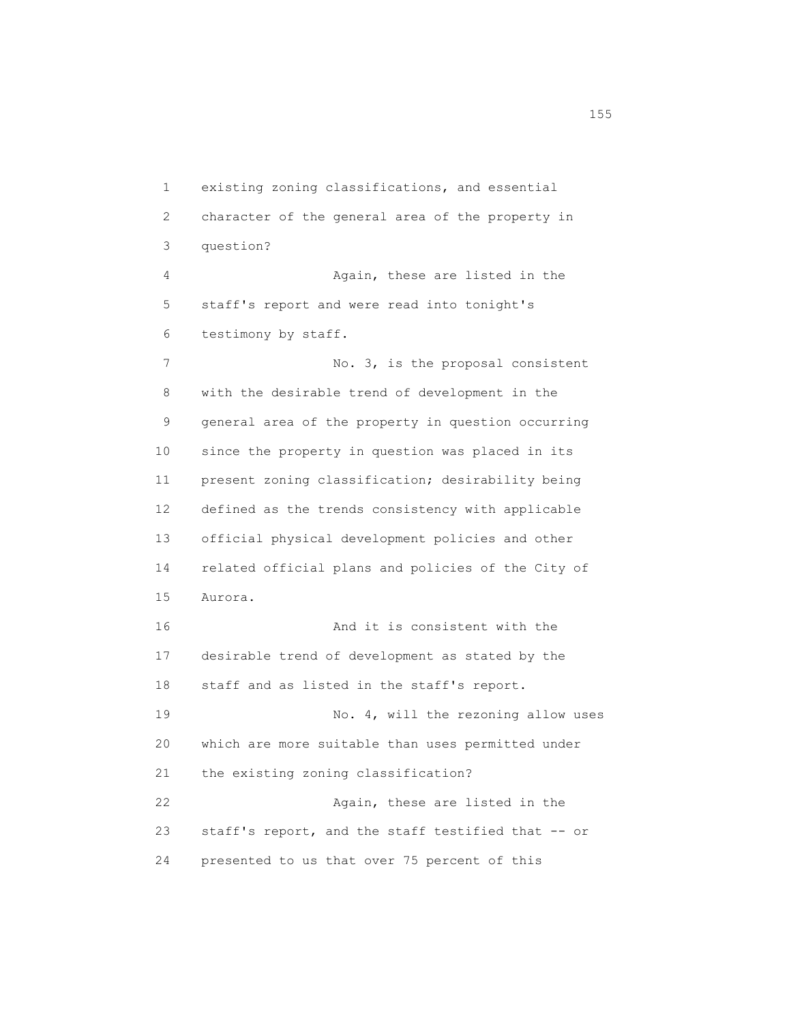1 existing zoning classifications, and essential 2 character of the general area of the property in 3 question? 4 Again, these are listed in the 5 staff's report and were read into tonight's 6 testimony by staff. 7 No. 3, is the proposal consistent 8 with the desirable trend of development in the 9 general area of the property in question occurring 10 since the property in question was placed in its 11 present zoning classification; desirability being 12 defined as the trends consistency with applicable 13 official physical development policies and other 14 related official plans and policies of the City of 15 Aurora. 16 And it is consistent with the 17 desirable trend of development as stated by the 18 staff and as listed in the staff's report. 19 No. 4, will the rezoning allow uses 20 which are more suitable than uses permitted under 21 the existing zoning classification? 22 Again, these are listed in the 23 staff's report, and the staff testified that -- or 24 presented to us that over 75 percent of this

n 155 and 155 and 155 and 155 and 155 and 155 and 155 and 155 and 155 and 155 and 155 and 155 and 155 and 155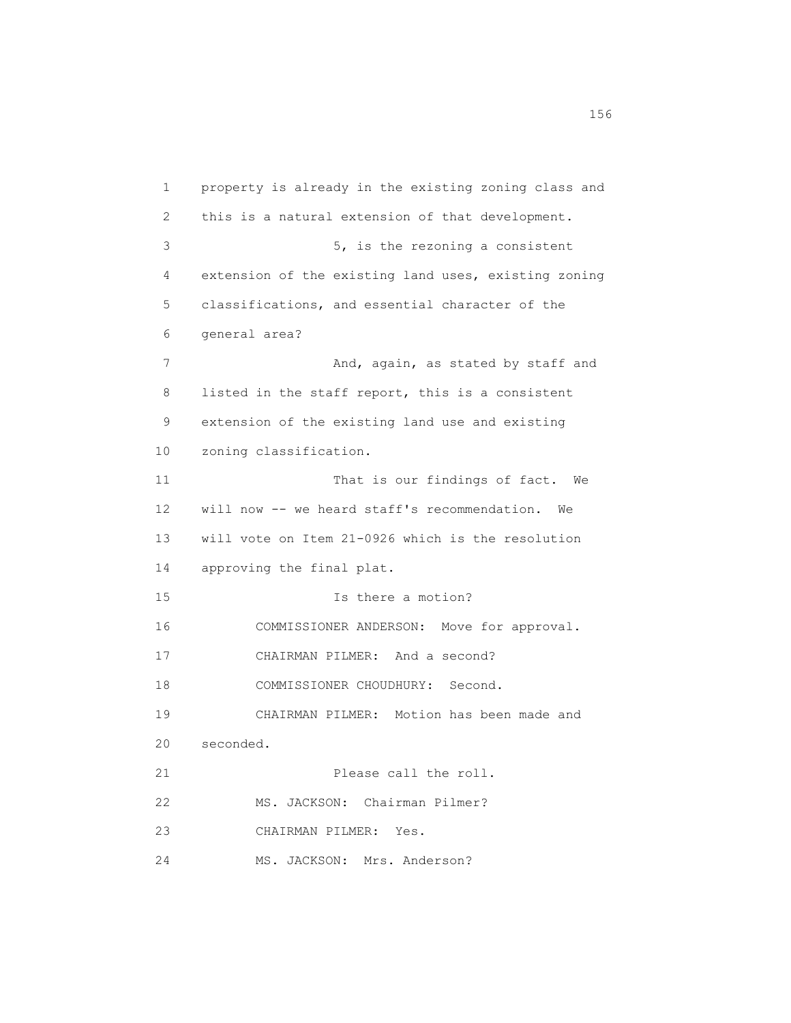1 property is already in the existing zoning class and 2 this is a natural extension of that development. 3 5, is the rezoning a consistent 4 extension of the existing land uses, existing zoning 5 classifications, and essential character of the 6 general area? 7 And, again, as stated by staff and 8 listed in the staff report, this is a consistent 9 extension of the existing land use and existing 10 zoning classification. 11 That is our findings of fact. We 12 will now -- we heard staff's recommendation. We 13 will vote on Item 21-0926 which is the resolution 14 approving the final plat. 15 Is there a motion? 16 COMMISSIONER ANDERSON: Move for approval. 17 CHAIRMAN PILMER: And a second? 18 COMMISSIONER CHOUDHURY: Second. 19 CHAIRMAN PILMER: Motion has been made and 20 seconded. 21 Please call the roll. 22 MS. JACKSON: Chairman Pilmer? 23 CHAIRMAN PILMER: Yes. 24 MS. JACKSON: Mrs. Anderson?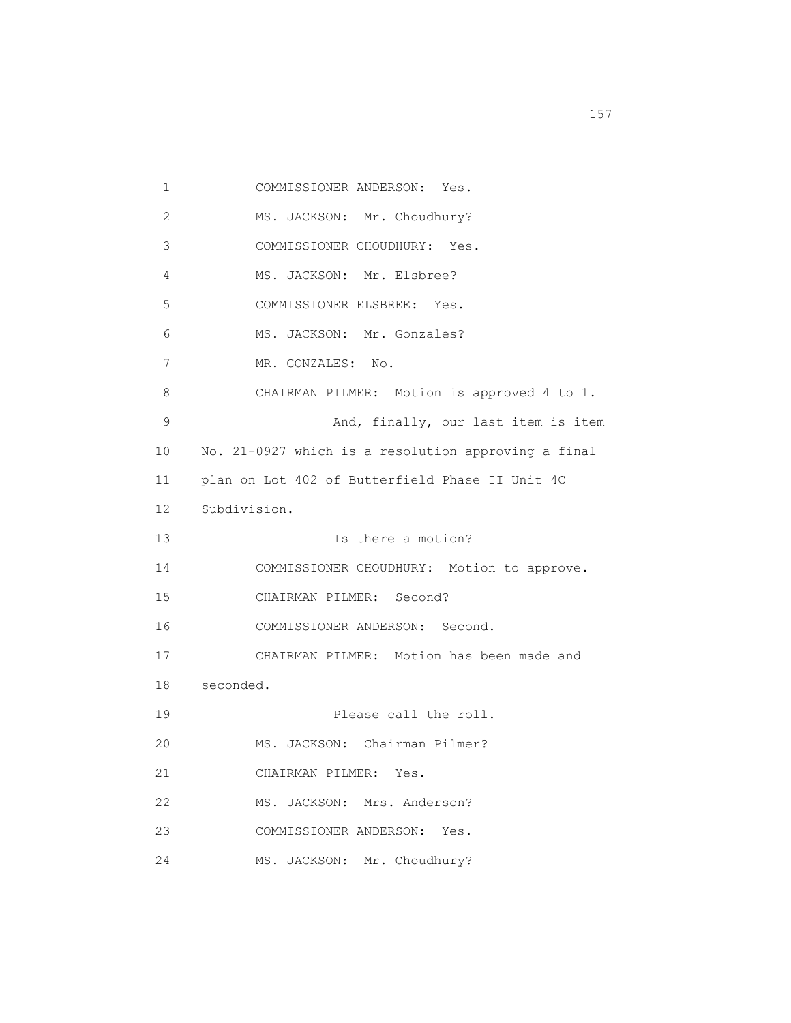1 COMMISSIONER ANDERSON: Yes. 2 MS. JACKSON: Mr. Choudhury? 3 COMMISSIONER CHOUDHURY: Yes. 4 MS. JACKSON: Mr. Elsbree? 5 COMMISSIONER ELSBREE: Yes. 6 MS. JACKSON: Mr. Gonzales? 7 MR. GONZALES: No. 8 CHAIRMAN PILMER: Motion is approved 4 to 1. 9 And, finally, our last item is item 10 No. 21-0927 which is a resolution approving a final 11 plan on Lot 402 of Butterfield Phase II Unit 4C 12 Subdivision. 13 Is there a motion? 14 COMMISSIONER CHOUDHURY: Motion to approve. 15 CHAIRMAN PILMER: Second? 16 COMMISSIONER ANDERSON: Second. 17 CHAIRMAN PILMER: Motion has been made and 18 seconded. 19 Please call the roll. 20 MS. JACKSON: Chairman Pilmer? 21 CHAIRMAN PILMER: Yes. 22 MS. JACKSON: Mrs. Anderson? 23 COMMISSIONER ANDERSON: Yes. 24 MS. JACKSON: Mr. Choudhury?